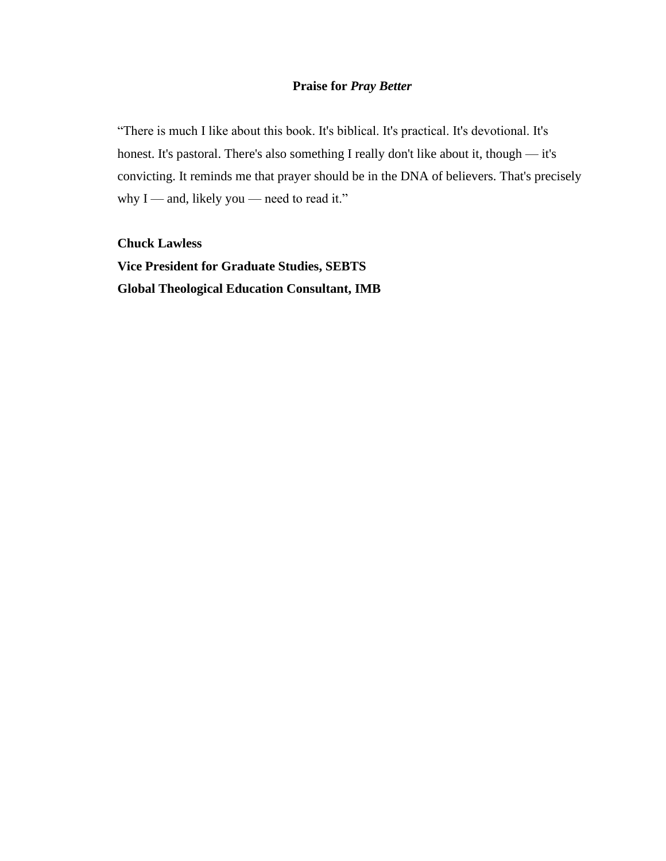# **Praise for** *Pray Better*

"There is much I like about this book. It's biblical. It's practical. It's devotional. It's honest. It's pastoral. There's also something I really don't like about it, though — it's convicting. It reminds me that prayer should be in the DNA of believers. That's precisely why I — and, likely you — need to read it."

**Chuck Lawless Vice President for Graduate Studies, SEBTS Global Theological Education Consultant, IMB**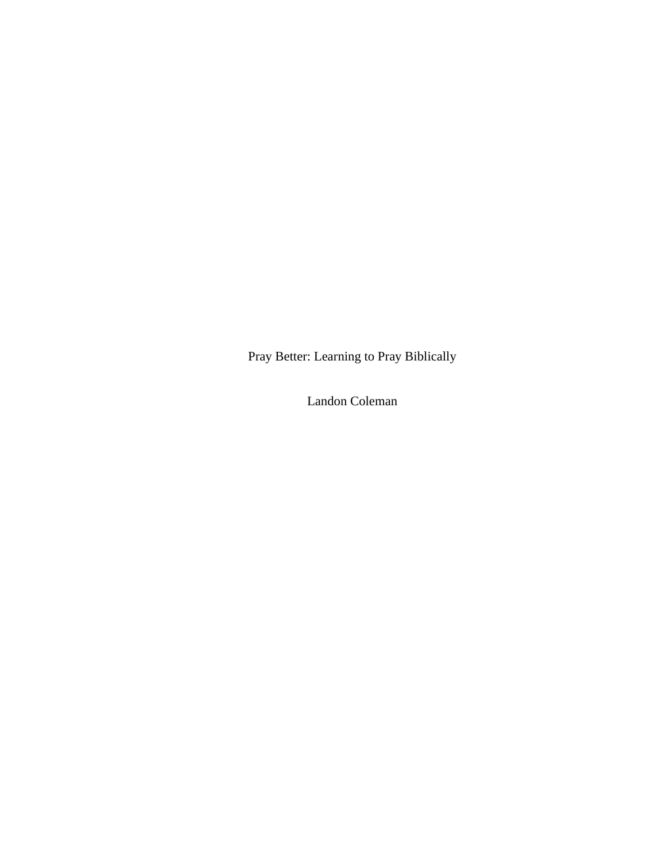Pray Better: Learning to Pray Biblically

Landon Coleman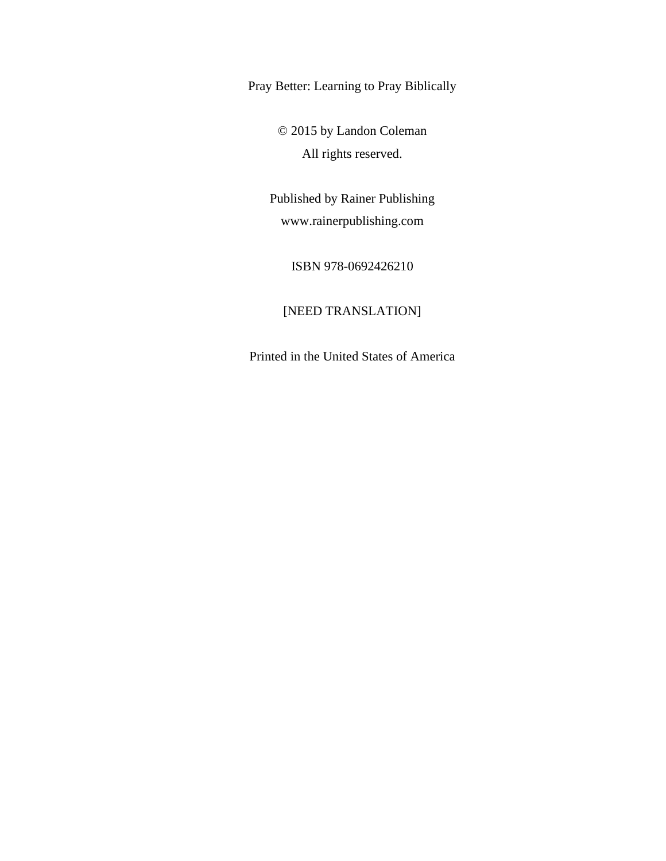Pray Better: Learning to Pray Biblically

© 2015 by Landon Coleman All rights reserved.

Published by Rainer Publishing www.rainerpublishing.com

ISBN 978-0692426210

# [NEED TRANSLATION]

Printed in the United States of America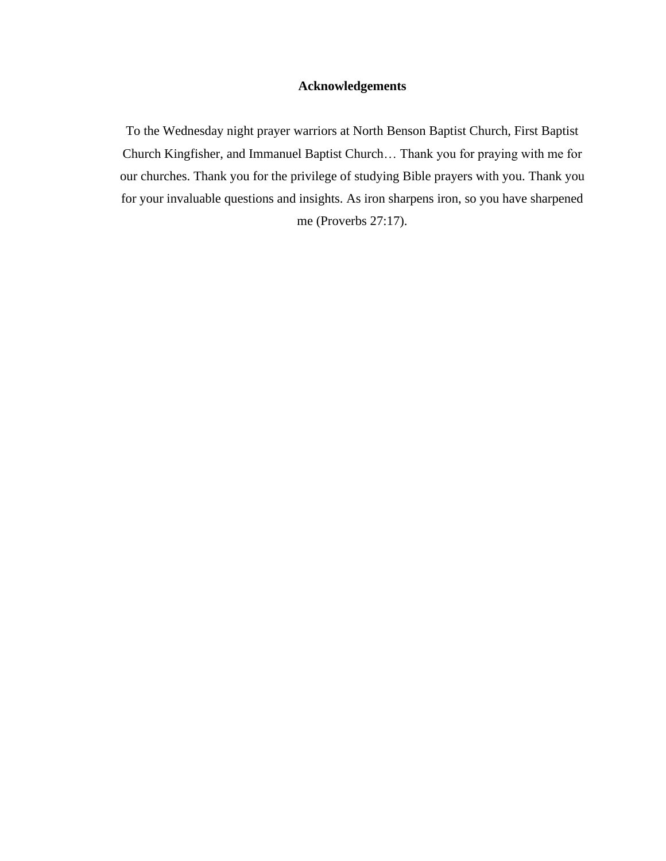# **Acknowledgements**

To the Wednesday night prayer warriors at North Benson Baptist Church, First Baptist Church Kingfisher, and Immanuel Baptist Church… Thank you for praying with me for our churches. Thank you for the privilege of studying Bible prayers with you. Thank you for your invaluable questions and insights. As iron sharpens iron, so you have sharpened me (Proverbs 27:17).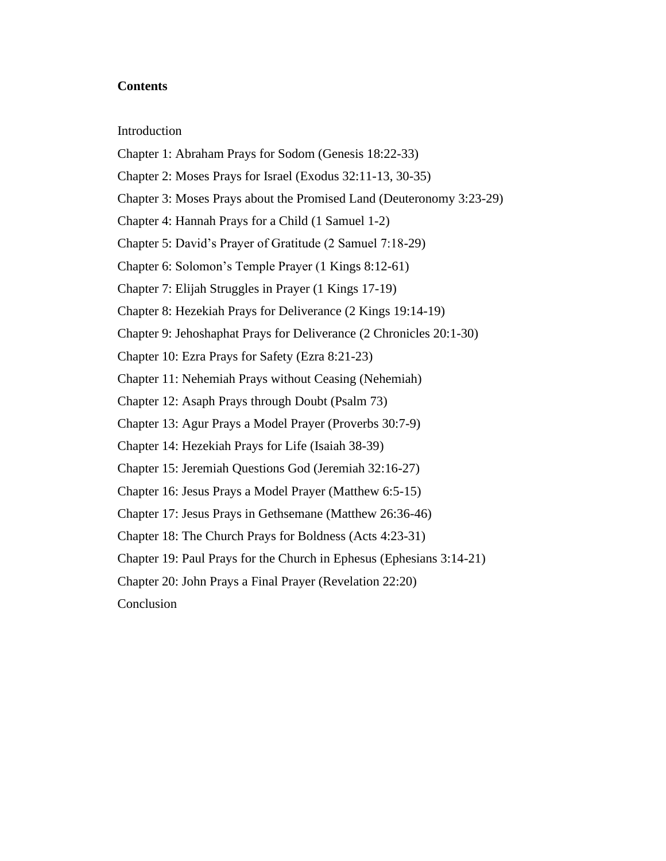## **Contents**

### Introduction

- Chapter 1: Abraham Prays for Sodom (Genesis 18:22-33)
- Chapter 2: Moses Prays for Israel (Exodus 32:11-13, 30-35)
- Chapter 3: Moses Prays about the Promised Land (Deuteronomy 3:23-29)
- Chapter 4: Hannah Prays for a Child (1 Samuel 1-2)
- Chapter 5: David's Prayer of Gratitude (2 Samuel 7:18-29)
- Chapter 6: Solomon's Temple Prayer (1 Kings 8:12-61)
- Chapter 7: Elijah Struggles in Prayer (1 Kings 17-19)
- Chapter 8: Hezekiah Prays for Deliverance (2 Kings 19:14-19)
- Chapter 9: Jehoshaphat Prays for Deliverance (2 Chronicles 20:1-30)
- Chapter 10: Ezra Prays for Safety (Ezra 8:21-23)
- Chapter 11: Nehemiah Prays without Ceasing (Nehemiah)
- Chapter 12: Asaph Prays through Doubt (Psalm 73)
- Chapter 13: Agur Prays a Model Prayer (Proverbs 30:7-9)
- Chapter 14: Hezekiah Prays for Life (Isaiah 38-39)
- Chapter 15: Jeremiah Questions God (Jeremiah 32:16-27)
- Chapter 16: Jesus Prays a Model Prayer (Matthew 6:5-15)
- Chapter 17: Jesus Prays in Gethsemane (Matthew 26:36-46)
- Chapter 18: The Church Prays for Boldness (Acts 4:23-31)
- Chapter 19: Paul Prays for the Church in Ephesus (Ephesians 3:14-21)
- Chapter 20: John Prays a Final Prayer (Revelation 22:20)
- Conclusion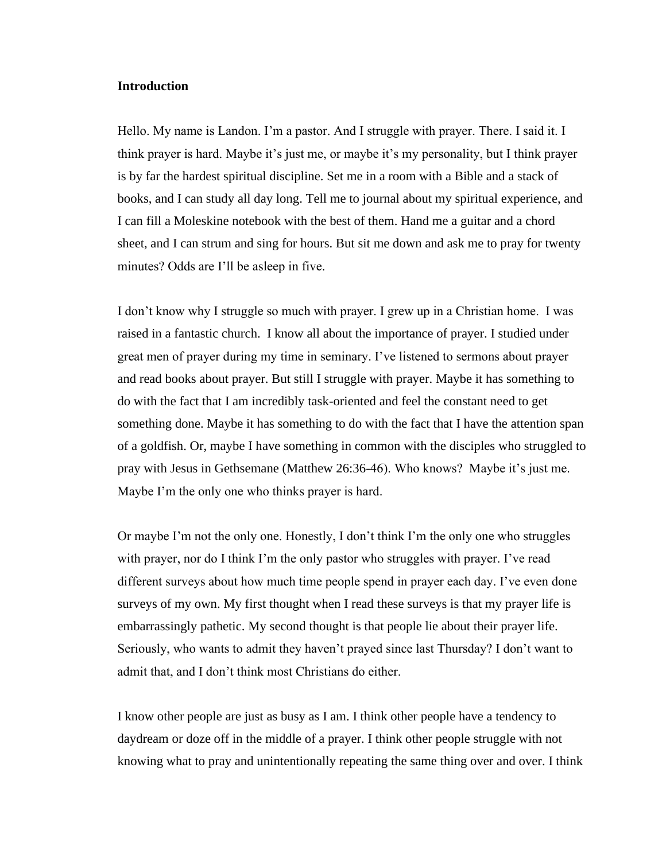## **Introduction**

Hello. My name is Landon. I'm a pastor. And I struggle with prayer. There. I said it. I think prayer is hard. Maybe it's just me, or maybe it's my personality, but I think prayer is by far the hardest spiritual discipline. Set me in a room with a Bible and a stack of books, and I can study all day long. Tell me to journal about my spiritual experience, and I can fill a Moleskine notebook with the best of them. Hand me a guitar and a chord sheet, and I can strum and sing for hours. But sit me down and ask me to pray for twenty minutes? Odds are I'll be asleep in five.

I don't know why I struggle so much with prayer. I grew up in a Christian home. I was raised in a fantastic church. I know all about the importance of prayer. I studied under great men of prayer during my time in seminary. I've listened to sermons about prayer and read books about prayer. But still I struggle with prayer. Maybe it has something to do with the fact that I am incredibly task-oriented and feel the constant need to get something done. Maybe it has something to do with the fact that I have the attention span of a goldfish. Or, maybe I have something in common with the disciples who struggled to pray with Jesus in Gethsemane (Matthew 26:36-46). Who knows? Maybe it's just me. Maybe I'm the only one who thinks prayer is hard.

Or maybe I'm not the only one. Honestly, I don't think I'm the only one who struggles with prayer, nor do I think I'm the only pastor who struggles with prayer. I've read different surveys about how much time people spend in prayer each day. I've even done surveys of my own. My first thought when I read these surveys is that my prayer life is embarrassingly pathetic. My second thought is that people lie about their prayer life. Seriously, who wants to admit they haven't prayed since last Thursday? I don't want to admit that, and I don't think most Christians do either.

I know other people are just as busy as I am. I think other people have a tendency to daydream or doze off in the middle of a prayer. I think other people struggle with not knowing what to pray and unintentionally repeating the same thing over and over. I think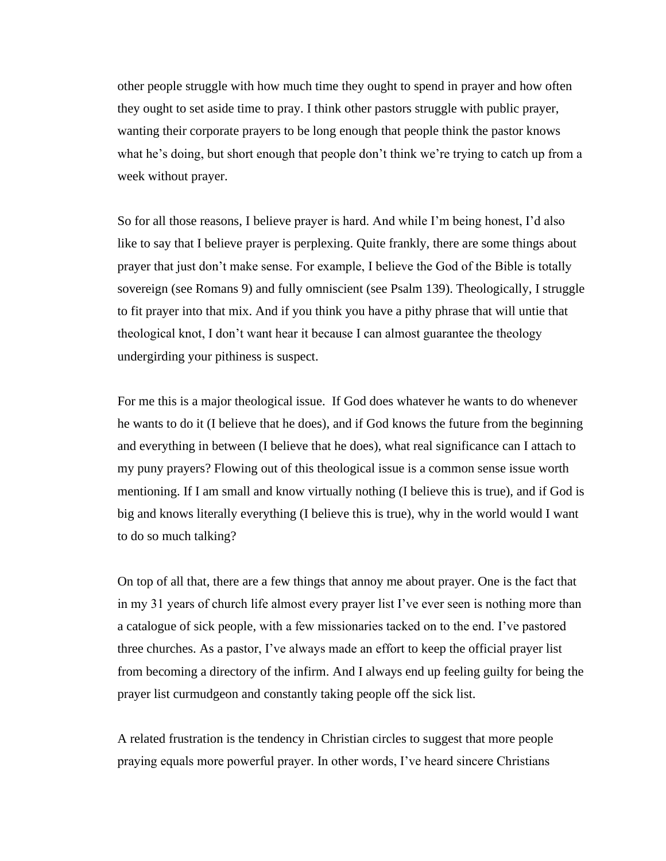other people struggle with how much time they ought to spend in prayer and how often they ought to set aside time to pray. I think other pastors struggle with public prayer, wanting their corporate prayers to be long enough that people think the pastor knows what he's doing, but short enough that people don't think we're trying to catch up from a week without prayer.

So for all those reasons, I believe prayer is hard. And while I'm being honest, I'd also like to say that I believe prayer is perplexing. Quite frankly, there are some things about prayer that just don't make sense. For example, I believe the God of the Bible is totally sovereign (see Romans 9) and fully omniscient (see Psalm 139). Theologically, I struggle to fit prayer into that mix. And if you think you have a pithy phrase that will untie that theological knot, I don't want hear it because I can almost guarantee the theology undergirding your pithiness is suspect.

For me this is a major theological issue. If God does whatever he wants to do whenever he wants to do it (I believe that he does), and if God knows the future from the beginning and everything in between (I believe that he does), what real significance can I attach to my puny prayers? Flowing out of this theological issue is a common sense issue worth mentioning. If I am small and know virtually nothing (I believe this is true), and if God is big and knows literally everything (I believe this is true), why in the world would I want to do so much talking?

On top of all that, there are a few things that annoy me about prayer. One is the fact that in my 31 years of church life almost every prayer list I've ever seen is nothing more than a catalogue of sick people, with a few missionaries tacked on to the end. I've pastored three churches. As a pastor, I've always made an effort to keep the official prayer list from becoming a directory of the infirm. And I always end up feeling guilty for being the prayer list curmudgeon and constantly taking people off the sick list.

A related frustration is the tendency in Christian circles to suggest that more people praying equals more powerful prayer. In other words, I've heard sincere Christians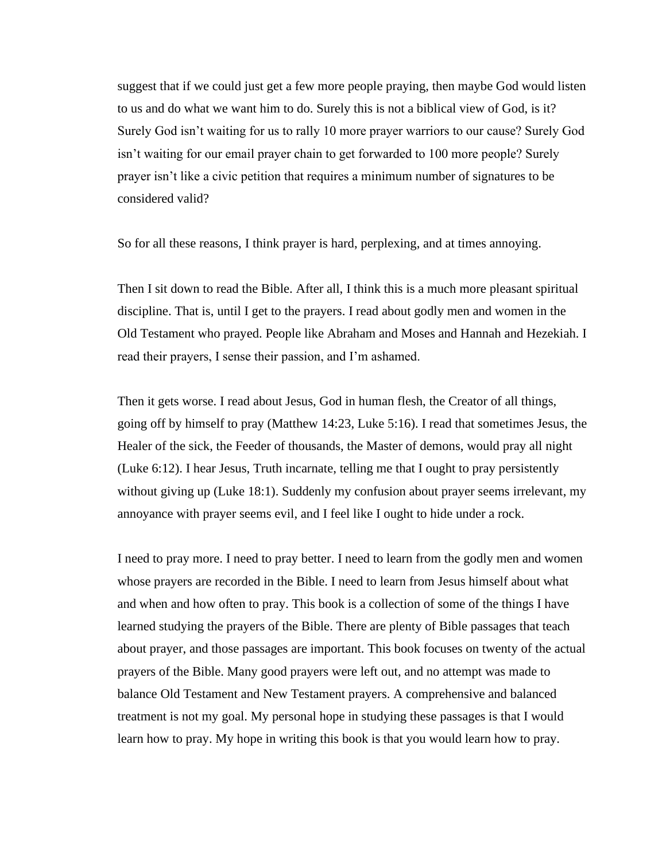suggest that if we could just get a few more people praying, then maybe God would listen to us and do what we want him to do. Surely this is not a biblical view of God, is it? Surely God isn't waiting for us to rally 10 more prayer warriors to our cause? Surely God isn't waiting for our email prayer chain to get forwarded to 100 more people? Surely prayer isn't like a civic petition that requires a minimum number of signatures to be considered valid?

So for all these reasons, I think prayer is hard, perplexing, and at times annoying.

Then I sit down to read the Bible. After all, I think this is a much more pleasant spiritual discipline. That is, until I get to the prayers. I read about godly men and women in the Old Testament who prayed. People like Abraham and Moses and Hannah and Hezekiah. I read their prayers, I sense their passion, and I'm ashamed.

Then it gets worse. I read about Jesus, God in human flesh, the Creator of all things, going off by himself to pray (Matthew 14:23, Luke 5:16). I read that sometimes Jesus, the Healer of the sick, the Feeder of thousands, the Master of demons, would pray all night (Luke 6:12). I hear Jesus, Truth incarnate, telling me that I ought to pray persistently without giving up (Luke 18:1). Suddenly my confusion about prayer seems irrelevant, my annoyance with prayer seems evil, and I feel like I ought to hide under a rock.

I need to pray more. I need to pray better. I need to learn from the godly men and women whose prayers are recorded in the Bible. I need to learn from Jesus himself about what and when and how often to pray. This book is a collection of some of the things I have learned studying the prayers of the Bible. There are plenty of Bible passages that teach about prayer, and those passages are important. This book focuses on twenty of the actual prayers of the Bible. Many good prayers were left out, and no attempt was made to balance Old Testament and New Testament prayers. A comprehensive and balanced treatment is not my goal. My personal hope in studying these passages is that I would learn how to pray. My hope in writing this book is that you would learn how to pray.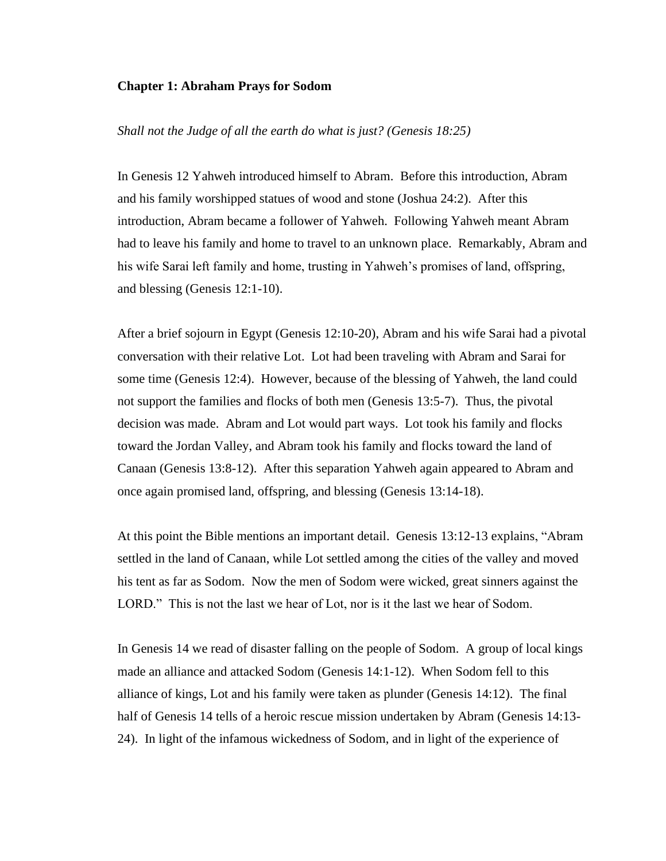### **Chapter 1: Abraham Prays for Sodom**

## *Shall not the Judge of all the earth do what is just? (Genesis 18:25)*

In Genesis 12 Yahweh introduced himself to Abram. Before this introduction, Abram and his family worshipped statues of wood and stone (Joshua 24:2). After this introduction, Abram became a follower of Yahweh. Following Yahweh meant Abram had to leave his family and home to travel to an unknown place. Remarkably, Abram and his wife Sarai left family and home, trusting in Yahweh's promises of land, offspring, and blessing (Genesis 12:1-10).

After a brief sojourn in Egypt (Genesis 12:10-20), Abram and his wife Sarai had a pivotal conversation with their relative Lot. Lot had been traveling with Abram and Sarai for some time (Genesis 12:4). However, because of the blessing of Yahweh, the land could not support the families and flocks of both men (Genesis 13:5-7). Thus, the pivotal decision was made. Abram and Lot would part ways. Lot took his family and flocks toward the Jordan Valley, and Abram took his family and flocks toward the land of Canaan (Genesis 13:8-12). After this separation Yahweh again appeared to Abram and once again promised land, offspring, and blessing (Genesis 13:14-18).

At this point the Bible mentions an important detail. Genesis 13:12-13 explains, "Abram settled in the land of Canaan, while Lot settled among the cities of the valley and moved his tent as far as Sodom. Now the men of Sodom were wicked, great sinners against the LORD." This is not the last we hear of Lot, nor is it the last we hear of Sodom.

In Genesis 14 we read of disaster falling on the people of Sodom. A group of local kings made an alliance and attacked Sodom (Genesis 14:1-12). When Sodom fell to this alliance of kings, Lot and his family were taken as plunder (Genesis 14:12). The final half of Genesis 14 tells of a heroic rescue mission undertaken by Abram (Genesis 14:13- 24). In light of the infamous wickedness of Sodom, and in light of the experience of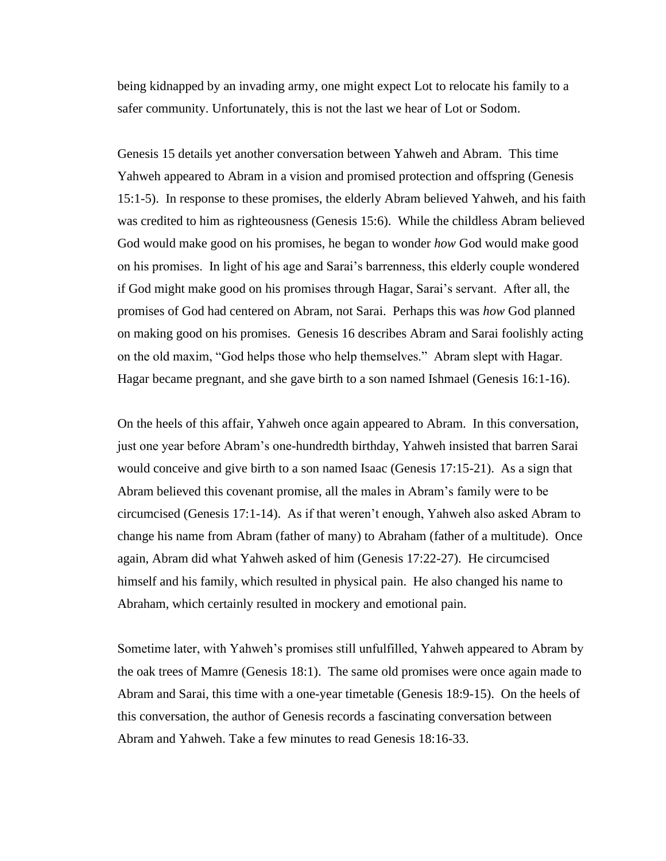being kidnapped by an invading army, one might expect Lot to relocate his family to a safer community. Unfortunately, this is not the last we hear of Lot or Sodom.

Genesis 15 details yet another conversation between Yahweh and Abram. This time Yahweh appeared to Abram in a vision and promised protection and offspring (Genesis 15:1-5). In response to these promises, the elderly Abram believed Yahweh, and his faith was credited to him as righteousness (Genesis 15:6). While the childless Abram believed God would make good on his promises, he began to wonder *how* God would make good on his promises. In light of his age and Sarai's barrenness, this elderly couple wondered if God might make good on his promises through Hagar, Sarai's servant. After all, the promises of God had centered on Abram, not Sarai. Perhaps this was *how* God planned on making good on his promises. Genesis 16 describes Abram and Sarai foolishly acting on the old maxim, "God helps those who help themselves." Abram slept with Hagar. Hagar became pregnant, and she gave birth to a son named Ishmael (Genesis 16:1-16).

On the heels of this affair, Yahweh once again appeared to Abram. In this conversation, just one year before Abram's one-hundredth birthday, Yahweh insisted that barren Sarai would conceive and give birth to a son named Isaac (Genesis 17:15-21). As a sign that Abram believed this covenant promise, all the males in Abram's family were to be circumcised (Genesis 17:1-14). As if that weren't enough, Yahweh also asked Abram to change his name from Abram (father of many) to Abraham (father of a multitude). Once again, Abram did what Yahweh asked of him (Genesis 17:22-27). He circumcised himself and his family, which resulted in physical pain. He also changed his name to Abraham, which certainly resulted in mockery and emotional pain.

Sometime later, with Yahweh's promises still unfulfilled, Yahweh appeared to Abram by the oak trees of Mamre (Genesis 18:1). The same old promises were once again made to Abram and Sarai, this time with a one-year timetable (Genesis 18:9-15). On the heels of this conversation, the author of Genesis records a fascinating conversation between Abram and Yahweh. Take a few minutes to read Genesis 18:16-33.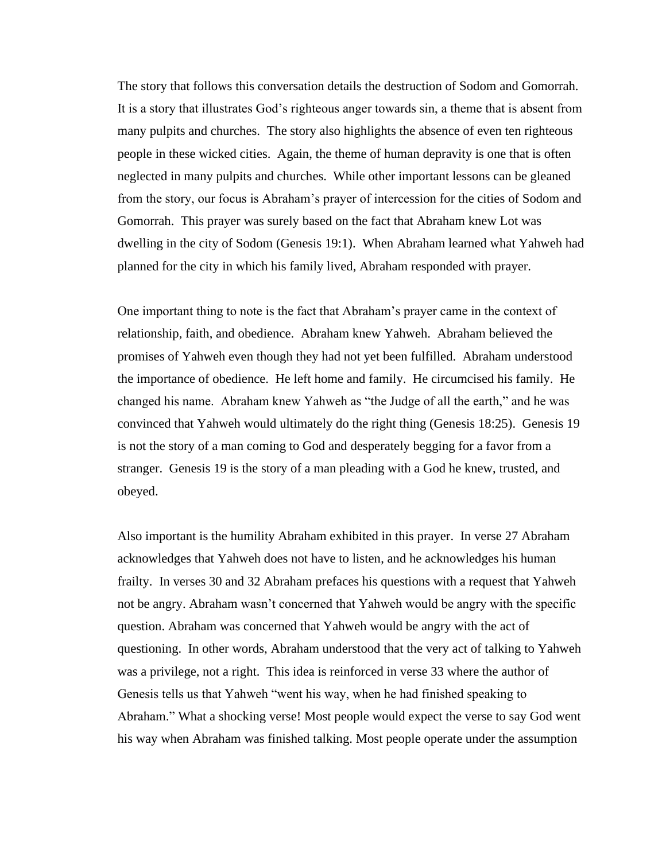The story that follows this conversation details the destruction of Sodom and Gomorrah. It is a story that illustrates God's righteous anger towards sin, a theme that is absent from many pulpits and churches. The story also highlights the absence of even ten righteous people in these wicked cities. Again, the theme of human depravity is one that is often neglected in many pulpits and churches. While other important lessons can be gleaned from the story, our focus is Abraham's prayer of intercession for the cities of Sodom and Gomorrah. This prayer was surely based on the fact that Abraham knew Lot was dwelling in the city of Sodom (Genesis 19:1). When Abraham learned what Yahweh had planned for the city in which his family lived, Abraham responded with prayer.

One important thing to note is the fact that Abraham's prayer came in the context of relationship, faith, and obedience. Abraham knew Yahweh. Abraham believed the promises of Yahweh even though they had not yet been fulfilled. Abraham understood the importance of obedience. He left home and family. He circumcised his family. He changed his name. Abraham knew Yahweh as "the Judge of all the earth," and he was convinced that Yahweh would ultimately do the right thing (Genesis 18:25). Genesis 19 is not the story of a man coming to God and desperately begging for a favor from a stranger. Genesis 19 is the story of a man pleading with a God he knew, trusted, and obeyed.

Also important is the humility Abraham exhibited in this prayer. In verse 27 Abraham acknowledges that Yahweh does not have to listen, and he acknowledges his human frailty. In verses 30 and 32 Abraham prefaces his questions with a request that Yahweh not be angry. Abraham wasn't concerned that Yahweh would be angry with the specific question. Abraham was concerned that Yahweh would be angry with the act of questioning. In other words, Abraham understood that the very act of talking to Yahweh was a privilege, not a right. This idea is reinforced in verse 33 where the author of Genesis tells us that Yahweh "went his way, when he had finished speaking to Abraham." What a shocking verse! Most people would expect the verse to say God went his way when Abraham was finished talking. Most people operate under the assumption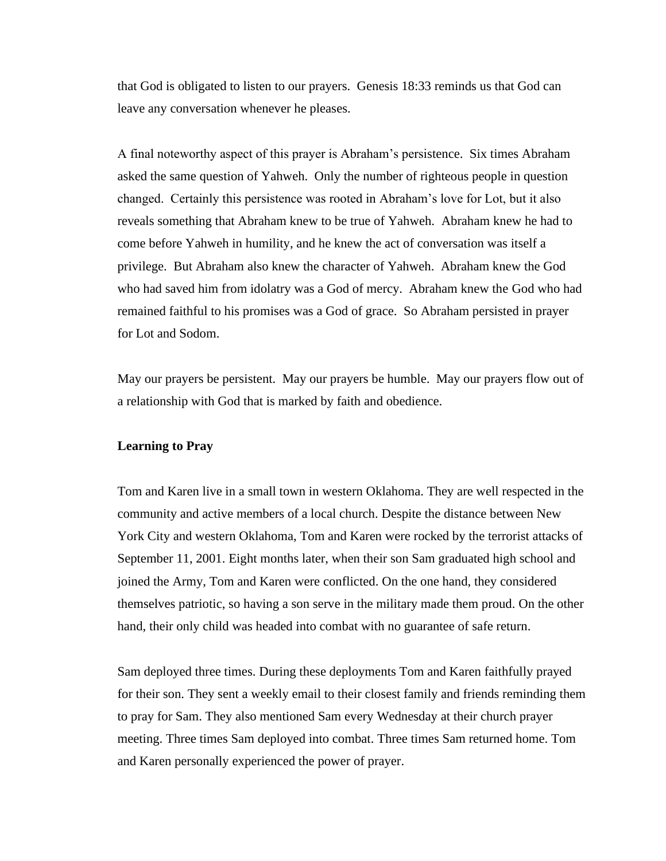that God is obligated to listen to our prayers. Genesis 18:33 reminds us that God can leave any conversation whenever he pleases.

A final noteworthy aspect of this prayer is Abraham's persistence. Six times Abraham asked the same question of Yahweh. Only the number of righteous people in question changed. Certainly this persistence was rooted in Abraham's love for Lot, but it also reveals something that Abraham knew to be true of Yahweh. Abraham knew he had to come before Yahweh in humility, and he knew the act of conversation was itself a privilege. But Abraham also knew the character of Yahweh. Abraham knew the God who had saved him from idolatry was a God of mercy. Abraham knew the God who had remained faithful to his promises was a God of grace. So Abraham persisted in prayer for Lot and Sodom.

May our prayers be persistent. May our prayers be humble. May our prayers flow out of a relationship with God that is marked by faith and obedience.

### **Learning to Pray**

Tom and Karen live in a small town in western Oklahoma. They are well respected in the community and active members of a local church. Despite the distance between New York City and western Oklahoma, Tom and Karen were rocked by the terrorist attacks of September 11, 2001. Eight months later, when their son Sam graduated high school and joined the Army, Tom and Karen were conflicted. On the one hand, they considered themselves patriotic, so having a son serve in the military made them proud. On the other hand, their only child was headed into combat with no guarantee of safe return.

Sam deployed three times. During these deployments Tom and Karen faithfully prayed for their son. They sent a weekly email to their closest family and friends reminding them to pray for Sam. They also mentioned Sam every Wednesday at their church prayer meeting. Three times Sam deployed into combat. Three times Sam returned home. Tom and Karen personally experienced the power of prayer.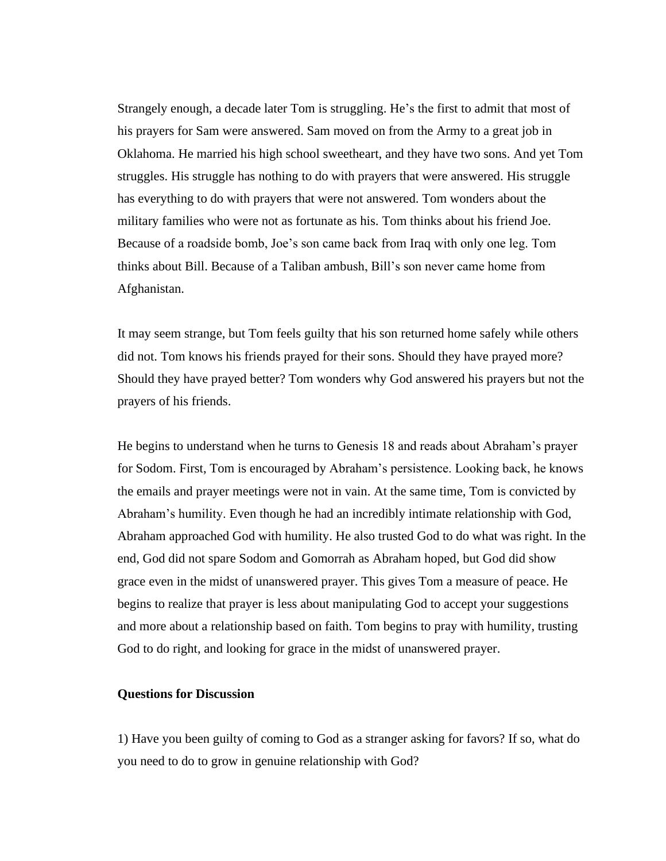Strangely enough, a decade later Tom is struggling. He's the first to admit that most of his prayers for Sam were answered. Sam moved on from the Army to a great job in Oklahoma. He married his high school sweetheart, and they have two sons. And yet Tom struggles. His struggle has nothing to do with prayers that were answered. His struggle has everything to do with prayers that were not answered. Tom wonders about the military families who were not as fortunate as his. Tom thinks about his friend Joe. Because of a roadside bomb, Joe's son came back from Iraq with only one leg. Tom thinks about Bill. Because of a Taliban ambush, Bill's son never came home from Afghanistan.

It may seem strange, but Tom feels guilty that his son returned home safely while others did not. Tom knows his friends prayed for their sons. Should they have prayed more? Should they have prayed better? Tom wonders why God answered his prayers but not the prayers of his friends.

He begins to understand when he turns to Genesis 18 and reads about Abraham's prayer for Sodom. First, Tom is encouraged by Abraham's persistence. Looking back, he knows the emails and prayer meetings were not in vain. At the same time, Tom is convicted by Abraham's humility. Even though he had an incredibly intimate relationship with God, Abraham approached God with humility. He also trusted God to do what was right. In the end, God did not spare Sodom and Gomorrah as Abraham hoped, but God did show grace even in the midst of unanswered prayer. This gives Tom a measure of peace. He begins to realize that prayer is less about manipulating God to accept your suggestions and more about a relationship based on faith. Tom begins to pray with humility, trusting God to do right, and looking for grace in the midst of unanswered prayer.

## **Questions for Discussion**

1) Have you been guilty of coming to God as a stranger asking for favors? If so, what do you need to do to grow in genuine relationship with God?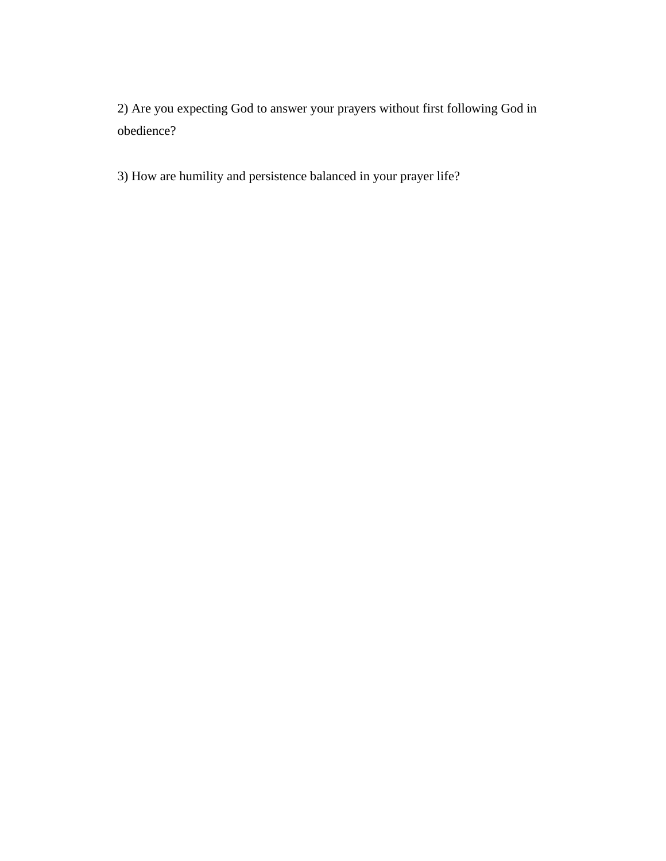2) Are you expecting God to answer your prayers without first following God in obedience?

3) How are humility and persistence balanced in your prayer life?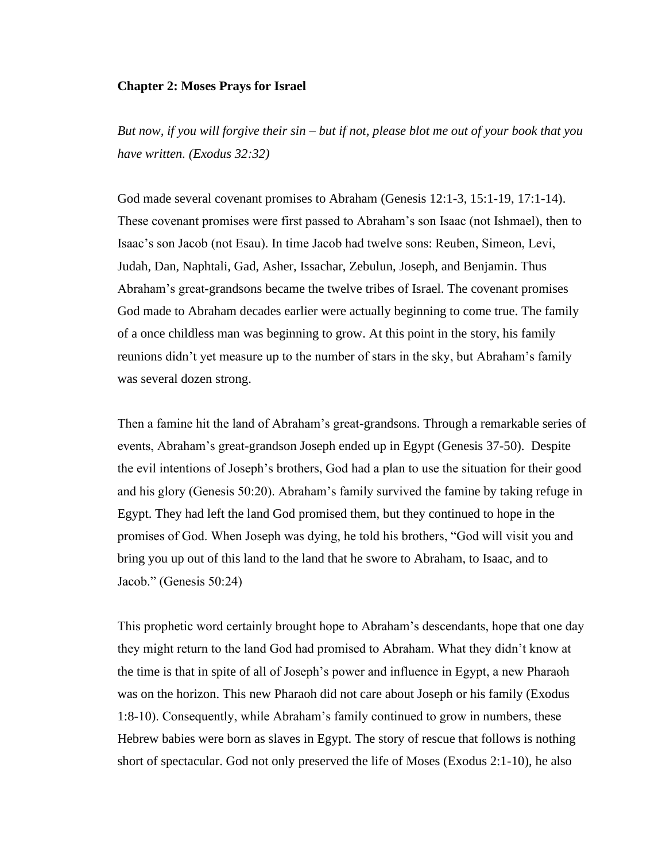#### **Chapter 2: Moses Prays for Israel**

*But now, if you will forgive their sin – but if not, please blot me out of your book that you have written. (Exodus 32:32)*

God made several covenant promises to Abraham (Genesis 12:1-3, 15:1-19, 17:1-14). These covenant promises were first passed to Abraham's son Isaac (not Ishmael), then to Isaac's son Jacob (not Esau). In time Jacob had twelve sons: Reuben, Simeon, Levi, Judah, Dan, Naphtali, Gad, Asher, Issachar, Zebulun, Joseph, and Benjamin. Thus Abraham's great-grandsons became the twelve tribes of Israel. The covenant promises God made to Abraham decades earlier were actually beginning to come true. The family of a once childless man was beginning to grow. At this point in the story, his family reunions didn't yet measure up to the number of stars in the sky, but Abraham's family was several dozen strong.

Then a famine hit the land of Abraham's great-grandsons. Through a remarkable series of events, Abraham's great-grandson Joseph ended up in Egypt (Genesis 37-50). Despite the evil intentions of Joseph's brothers, God had a plan to use the situation for their good and his glory (Genesis 50:20). Abraham's family survived the famine by taking refuge in Egypt. They had left the land God promised them, but they continued to hope in the promises of God. When Joseph was dying, he told his brothers, "God will visit you and bring you up out of this land to the land that he swore to Abraham, to Isaac, and to Jacob." (Genesis 50:24)

This prophetic word certainly brought hope to Abraham's descendants, hope that one day they might return to the land God had promised to Abraham. What they didn't know at the time is that in spite of all of Joseph's power and influence in Egypt, a new Pharaoh was on the horizon. This new Pharaoh did not care about Joseph or his family (Exodus 1:8-10). Consequently, while Abraham's family continued to grow in numbers, these Hebrew babies were born as slaves in Egypt. The story of rescue that follows is nothing short of spectacular. God not only preserved the life of Moses (Exodus 2:1-10), he also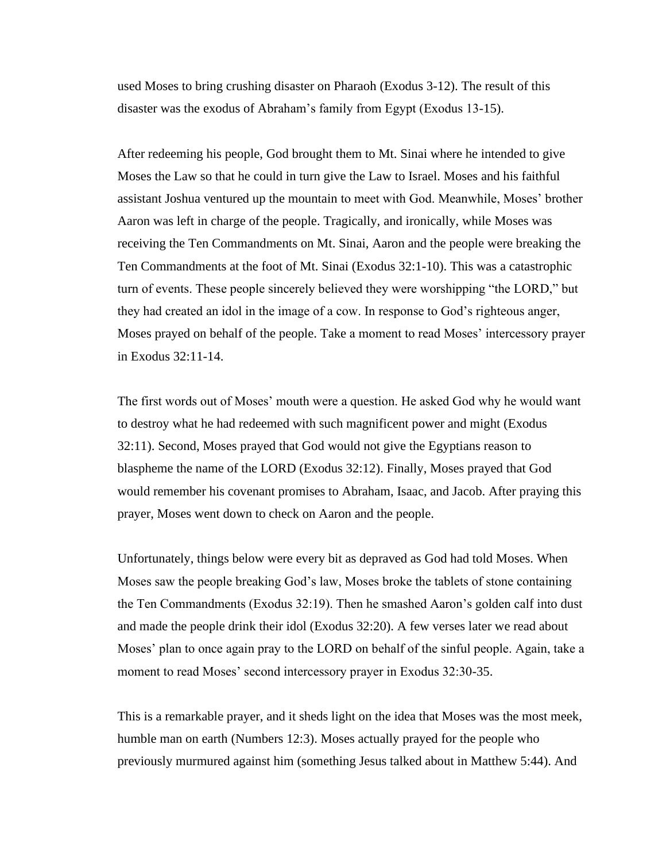used Moses to bring crushing disaster on Pharaoh (Exodus 3-12). The result of this disaster was the exodus of Abraham's family from Egypt (Exodus 13-15).

After redeeming his people, God brought them to Mt. Sinai where he intended to give Moses the Law so that he could in turn give the Law to Israel. Moses and his faithful assistant Joshua ventured up the mountain to meet with God. Meanwhile, Moses' brother Aaron was left in charge of the people. Tragically, and ironically, while Moses was receiving the Ten Commandments on Mt. Sinai, Aaron and the people were breaking the Ten Commandments at the foot of Mt. Sinai (Exodus 32:1-10). This was a catastrophic turn of events. These people sincerely believed they were worshipping "the LORD," but they had created an idol in the image of a cow. In response to God's righteous anger, Moses prayed on behalf of the people. Take a moment to read Moses' intercessory prayer in Exodus 32:11-14.

The first words out of Moses' mouth were a question. He asked God why he would want to destroy what he had redeemed with such magnificent power and might (Exodus 32:11). Second, Moses prayed that God would not give the Egyptians reason to blaspheme the name of the LORD (Exodus 32:12). Finally, Moses prayed that God would remember his covenant promises to Abraham, Isaac, and Jacob. After praying this prayer, Moses went down to check on Aaron and the people.

Unfortunately, things below were every bit as depraved as God had told Moses. When Moses saw the people breaking God's law, Moses broke the tablets of stone containing the Ten Commandments (Exodus 32:19). Then he smashed Aaron's golden calf into dust and made the people drink their idol (Exodus 32:20). A few verses later we read about Moses' plan to once again pray to the LORD on behalf of the sinful people. Again, take a moment to read Moses' second intercessory prayer in Exodus 32:30-35.

This is a remarkable prayer, and it sheds light on the idea that Moses was the most meek, humble man on earth (Numbers 12:3). Moses actually prayed for the people who previously murmured against him (something Jesus talked about in Matthew 5:44). And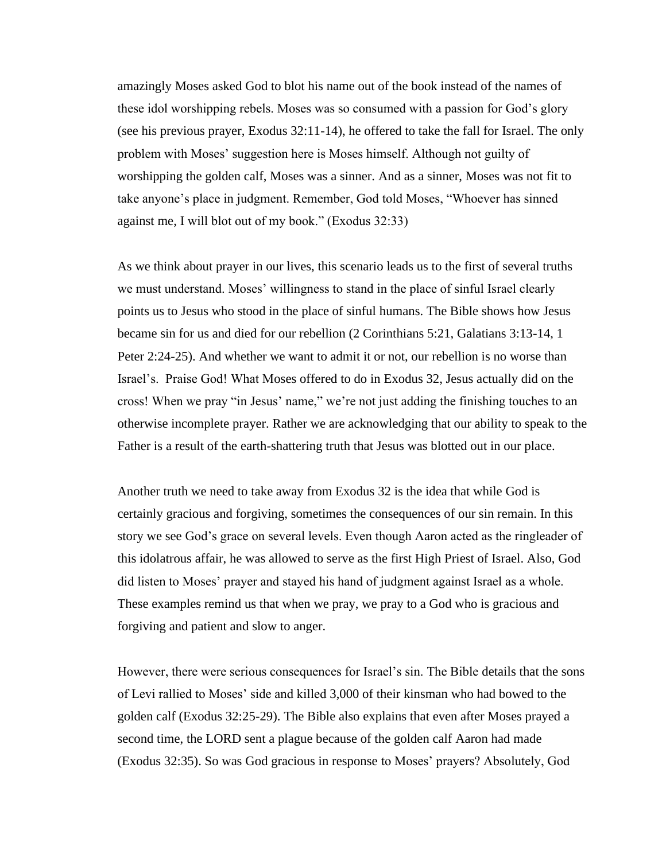amazingly Moses asked God to blot his name out of the book instead of the names of these idol worshipping rebels. Moses was so consumed with a passion for God's glory (see his previous prayer, Exodus 32:11-14), he offered to take the fall for Israel. The only problem with Moses' suggestion here is Moses himself. Although not guilty of worshipping the golden calf, Moses was a sinner. And as a sinner, Moses was not fit to take anyone's place in judgment. Remember, God told Moses, "Whoever has sinned against me, I will blot out of my book." (Exodus 32:33)

As we think about prayer in our lives, this scenario leads us to the first of several truths we must understand. Moses' willingness to stand in the place of sinful Israel clearly points us to Jesus who stood in the place of sinful humans. The Bible shows how Jesus became sin for us and died for our rebellion (2 Corinthians 5:21, Galatians 3:13-14, 1 Peter 2:24-25). And whether we want to admit it or not, our rebellion is no worse than Israel's. Praise God! What Moses offered to do in Exodus 32, Jesus actually did on the cross! When we pray "in Jesus' name," we're not just adding the finishing touches to an otherwise incomplete prayer. Rather we are acknowledging that our ability to speak to the Father is a result of the earth-shattering truth that Jesus was blotted out in our place.

Another truth we need to take away from Exodus 32 is the idea that while God is certainly gracious and forgiving, sometimes the consequences of our sin remain. In this story we see God's grace on several levels. Even though Aaron acted as the ringleader of this idolatrous affair, he was allowed to serve as the first High Priest of Israel. Also, God did listen to Moses' prayer and stayed his hand of judgment against Israel as a whole. These examples remind us that when we pray, we pray to a God who is gracious and forgiving and patient and slow to anger.

However, there were serious consequences for Israel's sin. The Bible details that the sons of Levi rallied to Moses' side and killed 3,000 of their kinsman who had bowed to the golden calf (Exodus 32:25-29). The Bible also explains that even after Moses prayed a second time, the LORD sent a plague because of the golden calf Aaron had made (Exodus 32:35). So was God gracious in response to Moses' prayers? Absolutely, God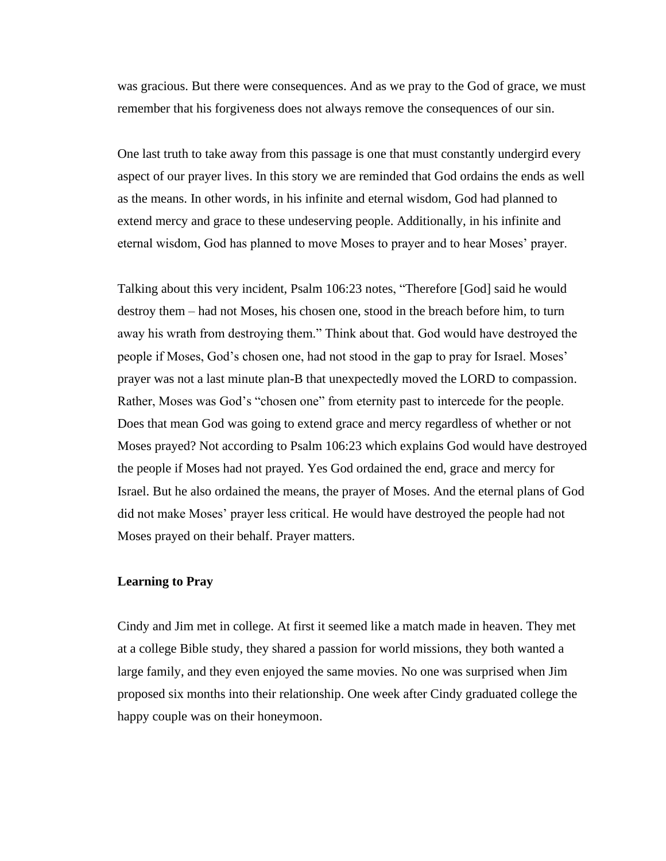was gracious. But there were consequences. And as we pray to the God of grace, we must remember that his forgiveness does not always remove the consequences of our sin.

One last truth to take away from this passage is one that must constantly undergird every aspect of our prayer lives. In this story we are reminded that God ordains the ends as well as the means. In other words, in his infinite and eternal wisdom, God had planned to extend mercy and grace to these undeserving people. Additionally, in his infinite and eternal wisdom, God has planned to move Moses to prayer and to hear Moses' prayer.

Talking about this very incident, Psalm 106:23 notes, "Therefore [God] said he would destroy them – had not Moses, his chosen one, stood in the breach before him, to turn away his wrath from destroying them." Think about that. God would have destroyed the people if Moses, God's chosen one, had not stood in the gap to pray for Israel. Moses' prayer was not a last minute plan-B that unexpectedly moved the LORD to compassion. Rather, Moses was God's "chosen one" from eternity past to intercede for the people. Does that mean God was going to extend grace and mercy regardless of whether or not Moses prayed? Not according to Psalm 106:23 which explains God would have destroyed the people if Moses had not prayed. Yes God ordained the end, grace and mercy for Israel. But he also ordained the means, the prayer of Moses. And the eternal plans of God did not make Moses' prayer less critical. He would have destroyed the people had not Moses prayed on their behalf. Prayer matters.

## **Learning to Pray**

Cindy and Jim met in college. At first it seemed like a match made in heaven. They met at a college Bible study, they shared a passion for world missions, they both wanted a large family, and they even enjoyed the same movies. No one was surprised when Jim proposed six months into their relationship. One week after Cindy graduated college the happy couple was on their honeymoon.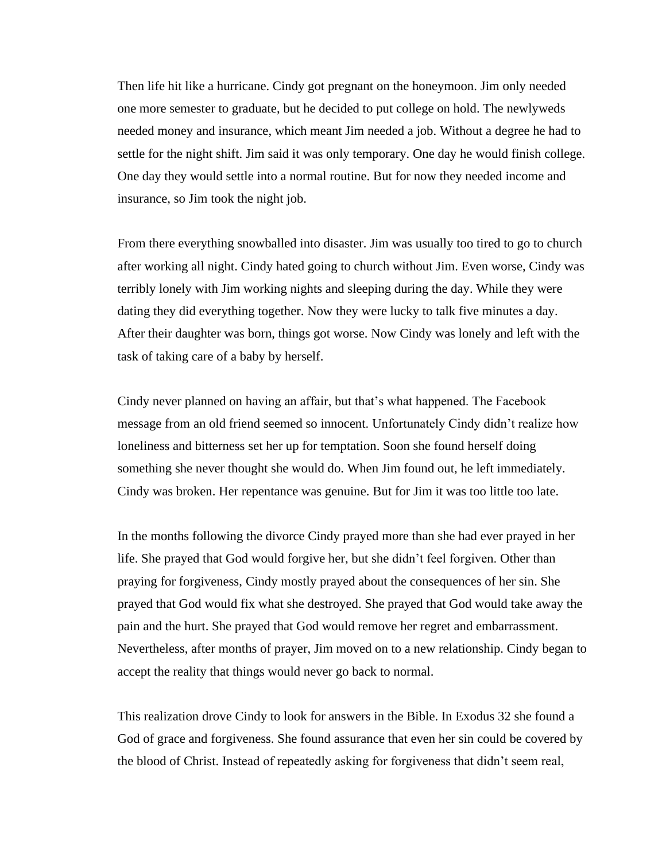Then life hit like a hurricane. Cindy got pregnant on the honeymoon. Jim only needed one more semester to graduate, but he decided to put college on hold. The newlyweds needed money and insurance, which meant Jim needed a job. Without a degree he had to settle for the night shift. Jim said it was only temporary. One day he would finish college. One day they would settle into a normal routine. But for now they needed income and insurance, so Jim took the night job.

From there everything snowballed into disaster. Jim was usually too tired to go to church after working all night. Cindy hated going to church without Jim. Even worse, Cindy was terribly lonely with Jim working nights and sleeping during the day. While they were dating they did everything together. Now they were lucky to talk five minutes a day. After their daughter was born, things got worse. Now Cindy was lonely and left with the task of taking care of a baby by herself.

Cindy never planned on having an affair, but that's what happened. The Facebook message from an old friend seemed so innocent. Unfortunately Cindy didn't realize how loneliness and bitterness set her up for temptation. Soon she found herself doing something she never thought she would do. When Jim found out, he left immediately. Cindy was broken. Her repentance was genuine. But for Jim it was too little too late.

In the months following the divorce Cindy prayed more than she had ever prayed in her life. She prayed that God would forgive her, but she didn't feel forgiven. Other than praying for forgiveness, Cindy mostly prayed about the consequences of her sin. She prayed that God would fix what she destroyed. She prayed that God would take away the pain and the hurt. She prayed that God would remove her regret and embarrassment. Nevertheless, after months of prayer, Jim moved on to a new relationship. Cindy began to accept the reality that things would never go back to normal.

This realization drove Cindy to look for answers in the Bible. In Exodus 32 she found a God of grace and forgiveness. She found assurance that even her sin could be covered by the blood of Christ. Instead of repeatedly asking for forgiveness that didn't seem real,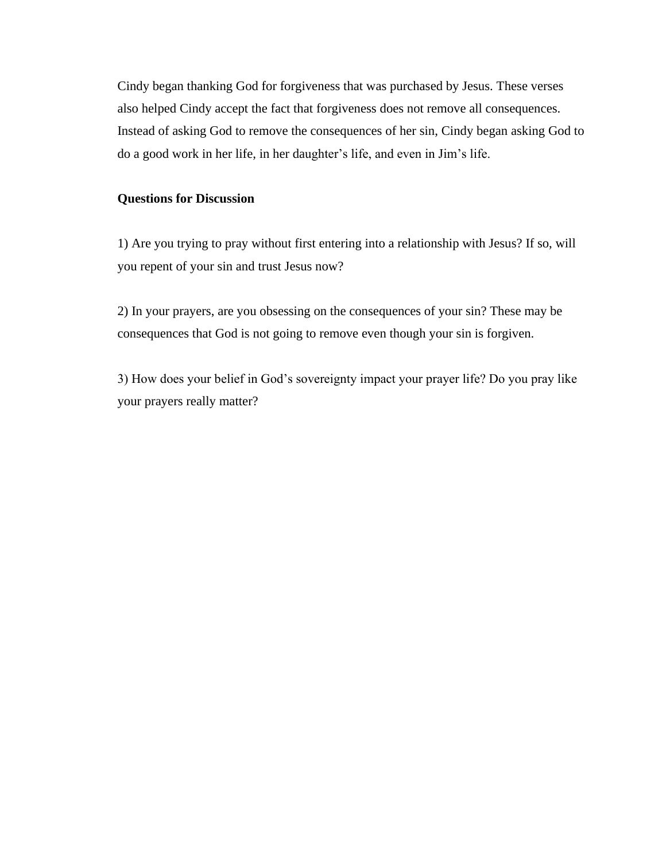Cindy began thanking God for forgiveness that was purchased by Jesus. These verses also helped Cindy accept the fact that forgiveness does not remove all consequences. Instead of asking God to remove the consequences of her sin, Cindy began asking God to do a good work in her life, in her daughter's life, and even in Jim's life.

## **Questions for Discussion**

1) Are you trying to pray without first entering into a relationship with Jesus? If so, will you repent of your sin and trust Jesus now?

2) In your prayers, are you obsessing on the consequences of your sin? These may be consequences that God is not going to remove even though your sin is forgiven.

3) How does your belief in God's sovereignty impact your prayer life? Do you pray like your prayers really matter?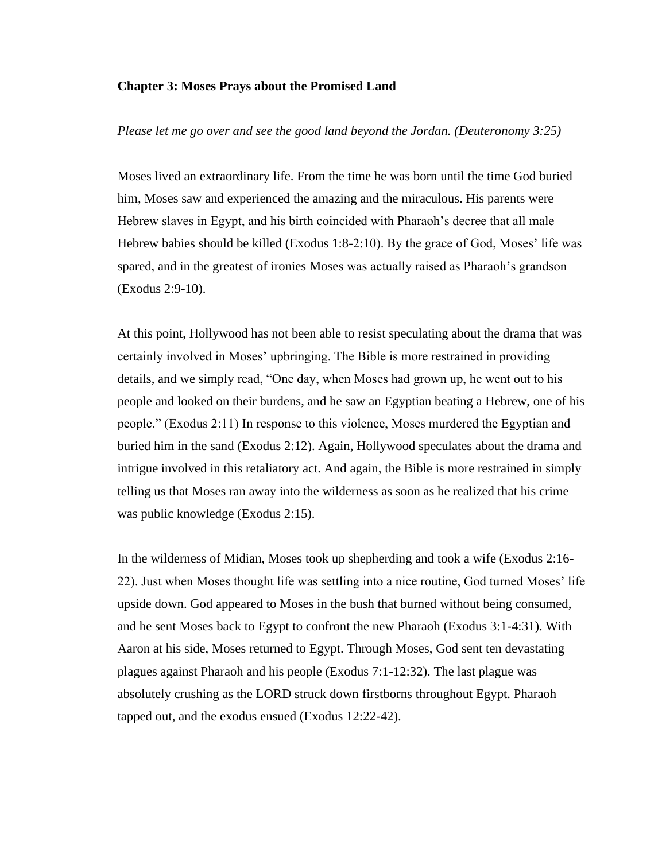#### **Chapter 3: Moses Prays about the Promised Land**

## *Please let me go over and see the good land beyond the Jordan. (Deuteronomy 3:25)*

Moses lived an extraordinary life. From the time he was born until the time God buried him, Moses saw and experienced the amazing and the miraculous. His parents were Hebrew slaves in Egypt, and his birth coincided with Pharaoh's decree that all male Hebrew babies should be killed (Exodus 1:8-2:10). By the grace of God, Moses' life was spared, and in the greatest of ironies Moses was actually raised as Pharaoh's grandson (Exodus 2:9-10).

At this point, Hollywood has not been able to resist speculating about the drama that was certainly involved in Moses' upbringing. The Bible is more restrained in providing details, and we simply read, "One day, when Moses had grown up, he went out to his people and looked on their burdens, and he saw an Egyptian beating a Hebrew, one of his people." (Exodus 2:11) In response to this violence, Moses murdered the Egyptian and buried him in the sand (Exodus 2:12). Again, Hollywood speculates about the drama and intrigue involved in this retaliatory act. And again, the Bible is more restrained in simply telling us that Moses ran away into the wilderness as soon as he realized that his crime was public knowledge (Exodus 2:15).

In the wilderness of Midian, Moses took up shepherding and took a wife (Exodus 2:16- 22). Just when Moses thought life was settling into a nice routine, God turned Moses' life upside down. God appeared to Moses in the bush that burned without being consumed, and he sent Moses back to Egypt to confront the new Pharaoh (Exodus 3:1-4:31). With Aaron at his side, Moses returned to Egypt. Through Moses, God sent ten devastating plagues against Pharaoh and his people (Exodus 7:1-12:32). The last plague was absolutely crushing as the LORD struck down firstborns throughout Egypt. Pharaoh tapped out, and the exodus ensued (Exodus 12:22-42).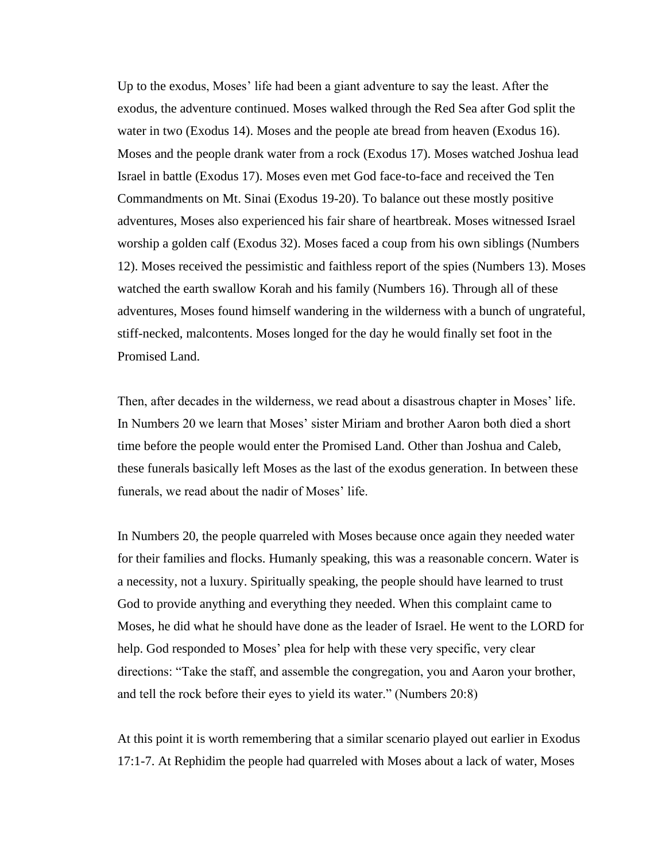Up to the exodus, Moses' life had been a giant adventure to say the least. After the exodus, the adventure continued. Moses walked through the Red Sea after God split the water in two (Exodus 14). Moses and the people ate bread from heaven (Exodus 16). Moses and the people drank water from a rock (Exodus 17). Moses watched Joshua lead Israel in battle (Exodus 17). Moses even met God face-to-face and received the Ten Commandments on Mt. Sinai (Exodus 19-20). To balance out these mostly positive adventures, Moses also experienced his fair share of heartbreak. Moses witnessed Israel worship a golden calf (Exodus 32). Moses faced a coup from his own siblings (Numbers 12). Moses received the pessimistic and faithless report of the spies (Numbers 13). Moses watched the earth swallow Korah and his family (Numbers 16). Through all of these adventures, Moses found himself wandering in the wilderness with a bunch of ungrateful, stiff-necked, malcontents. Moses longed for the day he would finally set foot in the Promised Land.

Then, after decades in the wilderness, we read about a disastrous chapter in Moses' life. In Numbers 20 we learn that Moses' sister Miriam and brother Aaron both died a short time before the people would enter the Promised Land. Other than Joshua and Caleb, these funerals basically left Moses as the last of the exodus generation. In between these funerals, we read about the nadir of Moses' life.

In Numbers 20, the people quarreled with Moses because once again they needed water for their families and flocks. Humanly speaking, this was a reasonable concern. Water is a necessity, not a luxury. Spiritually speaking, the people should have learned to trust God to provide anything and everything they needed. When this complaint came to Moses, he did what he should have done as the leader of Israel. He went to the LORD for help. God responded to Moses' plea for help with these very specific, very clear directions: "Take the staff, and assemble the congregation, you and Aaron your brother, and tell the rock before their eyes to yield its water." (Numbers 20:8)

At this point it is worth remembering that a similar scenario played out earlier in Exodus 17:1-7. At Rephidim the people had quarreled with Moses about a lack of water, Moses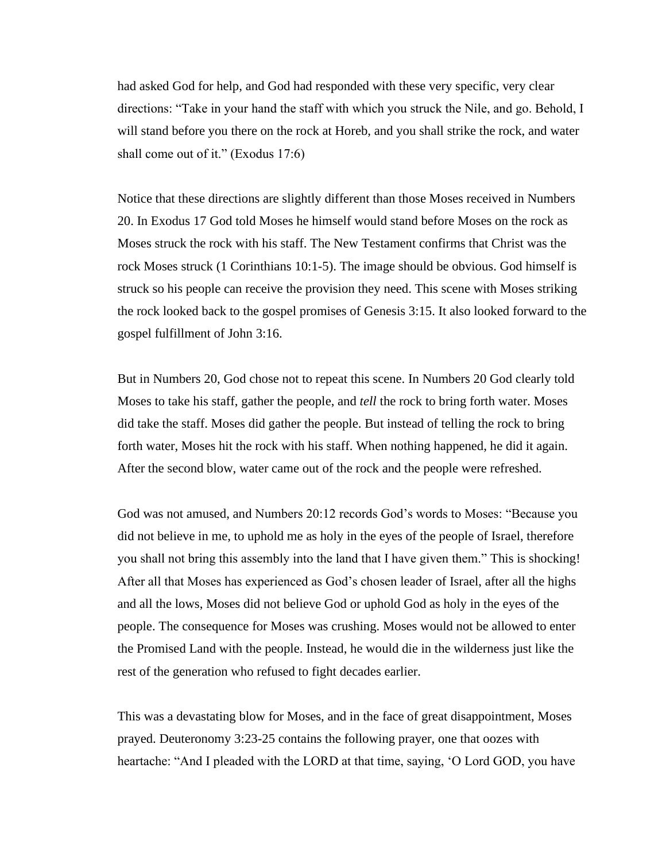had asked God for help, and God had responded with these very specific, very clear directions: "Take in your hand the staff with which you struck the Nile, and go. Behold, I will stand before you there on the rock at Horeb, and you shall strike the rock, and water shall come out of it." (Exodus 17:6)

Notice that these directions are slightly different than those Moses received in Numbers 20. In Exodus 17 God told Moses he himself would stand before Moses on the rock as Moses struck the rock with his staff. The New Testament confirms that Christ was the rock Moses struck (1 Corinthians 10:1-5). The image should be obvious. God himself is struck so his people can receive the provision they need. This scene with Moses striking the rock looked back to the gospel promises of Genesis 3:15. It also looked forward to the gospel fulfillment of John 3:16.

But in Numbers 20, God chose not to repeat this scene. In Numbers 20 God clearly told Moses to take his staff, gather the people, and *tell* the rock to bring forth water. Moses did take the staff. Moses did gather the people. But instead of telling the rock to bring forth water, Moses hit the rock with his staff. When nothing happened, he did it again. After the second blow, water came out of the rock and the people were refreshed.

God was not amused, and Numbers 20:12 records God's words to Moses: "Because you did not believe in me, to uphold me as holy in the eyes of the people of Israel, therefore you shall not bring this assembly into the land that I have given them." This is shocking! After all that Moses has experienced as God's chosen leader of Israel, after all the highs and all the lows, Moses did not believe God or uphold God as holy in the eyes of the people. The consequence for Moses was crushing. Moses would not be allowed to enter the Promised Land with the people. Instead, he would die in the wilderness just like the rest of the generation who refused to fight decades earlier.

This was a devastating blow for Moses, and in the face of great disappointment, Moses prayed. Deuteronomy 3:23-25 contains the following prayer, one that oozes with heartache: "And I pleaded with the LORD at that time, saying, 'O Lord GOD, you have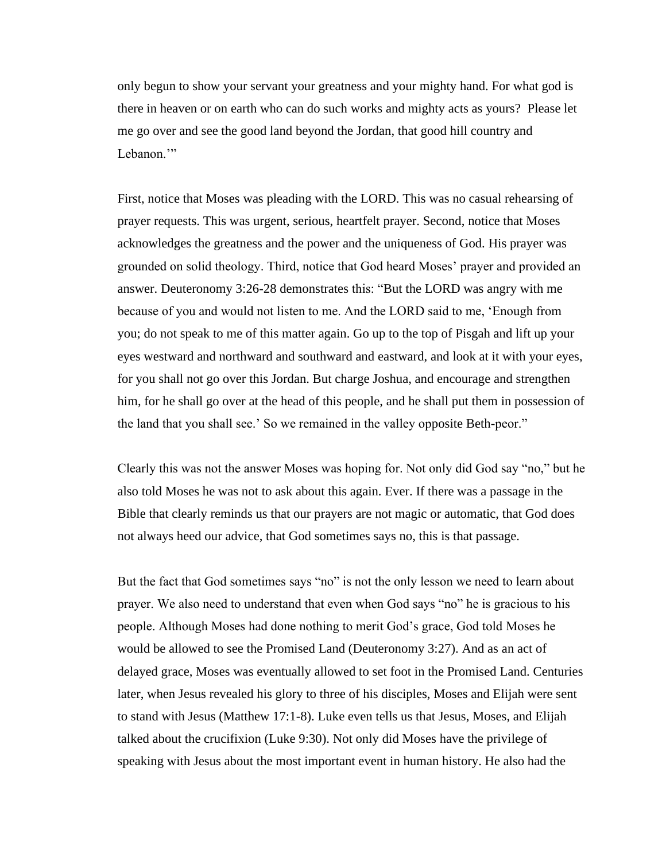only begun to show your servant your greatness and your mighty hand. For what god is there in heaven or on earth who can do such works and mighty acts as yours? Please let me go over and see the good land beyond the Jordan, that good hill country and Lebanon."

First, notice that Moses was pleading with the LORD. This was no casual rehearsing of prayer requests. This was urgent, serious, heartfelt prayer. Second, notice that Moses acknowledges the greatness and the power and the uniqueness of God. His prayer was grounded on solid theology. Third, notice that God heard Moses' prayer and provided an answer. Deuteronomy 3:26-28 demonstrates this: "But the LORD was angry with me because of you and would not listen to me. And the LORD said to me, 'Enough from you; do not speak to me of this matter again. Go up to the top of Pisgah and lift up your eyes westward and northward and southward and eastward, and look at it with your eyes, for you shall not go over this Jordan. But charge Joshua, and encourage and strengthen him, for he shall go over at the head of this people, and he shall put them in possession of the land that you shall see.' So we remained in the valley opposite Beth-peor."

Clearly this was not the answer Moses was hoping for. Not only did God say "no," but he also told Moses he was not to ask about this again. Ever. If there was a passage in the Bible that clearly reminds us that our prayers are not magic or automatic, that God does not always heed our advice, that God sometimes says no, this is that passage.

But the fact that God sometimes says "no" is not the only lesson we need to learn about prayer. We also need to understand that even when God says "no" he is gracious to his people. Although Moses had done nothing to merit God's grace, God told Moses he would be allowed to see the Promised Land (Deuteronomy 3:27). And as an act of delayed grace, Moses was eventually allowed to set foot in the Promised Land. Centuries later, when Jesus revealed his glory to three of his disciples, Moses and Elijah were sent to stand with Jesus (Matthew 17:1-8). Luke even tells us that Jesus, Moses, and Elijah talked about the crucifixion (Luke 9:30). Not only did Moses have the privilege of speaking with Jesus about the most important event in human history. He also had the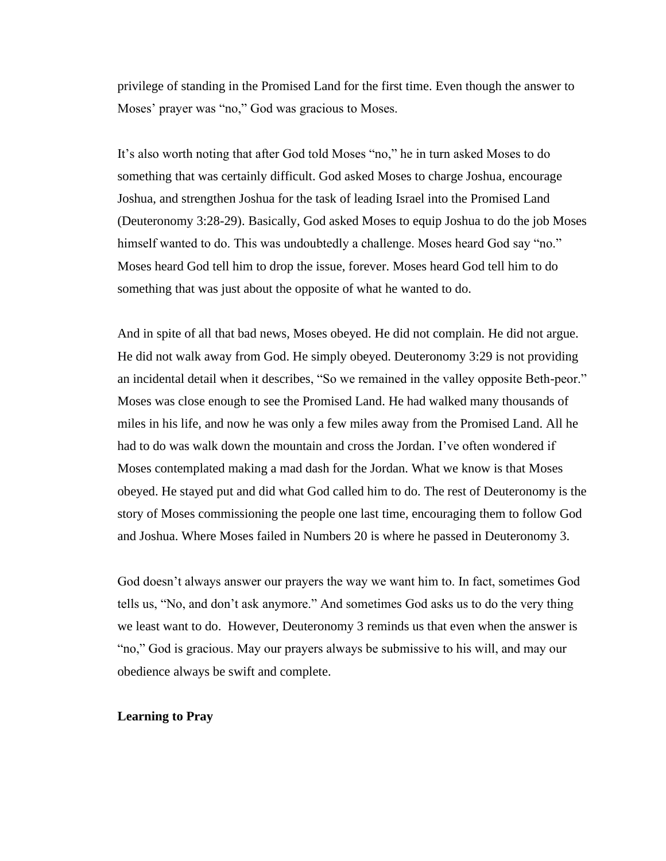privilege of standing in the Promised Land for the first time. Even though the answer to Moses' prayer was "no," God was gracious to Moses.

It's also worth noting that after God told Moses "no," he in turn asked Moses to do something that was certainly difficult. God asked Moses to charge Joshua, encourage Joshua, and strengthen Joshua for the task of leading Israel into the Promised Land (Deuteronomy 3:28-29). Basically, God asked Moses to equip Joshua to do the job Moses himself wanted to do. This was undoubtedly a challenge. Moses heard God say "no." Moses heard God tell him to drop the issue, forever. Moses heard God tell him to do something that was just about the opposite of what he wanted to do.

And in spite of all that bad news, Moses obeyed. He did not complain. He did not argue. He did not walk away from God. He simply obeyed. Deuteronomy 3:29 is not providing an incidental detail when it describes, "So we remained in the valley opposite Beth-peor." Moses was close enough to see the Promised Land. He had walked many thousands of miles in his life, and now he was only a few miles away from the Promised Land. All he had to do was walk down the mountain and cross the Jordan. I've often wondered if Moses contemplated making a mad dash for the Jordan. What we know is that Moses obeyed. He stayed put and did what God called him to do. The rest of Deuteronomy is the story of Moses commissioning the people one last time, encouraging them to follow God and Joshua. Where Moses failed in Numbers 20 is where he passed in Deuteronomy 3.

God doesn't always answer our prayers the way we want him to. In fact, sometimes God tells us, "No, and don't ask anymore." And sometimes God asks us to do the very thing we least want to do. However, Deuteronomy 3 reminds us that even when the answer is "no," God is gracious. May our prayers always be submissive to his will, and may our obedience always be swift and complete.

## **Learning to Pray**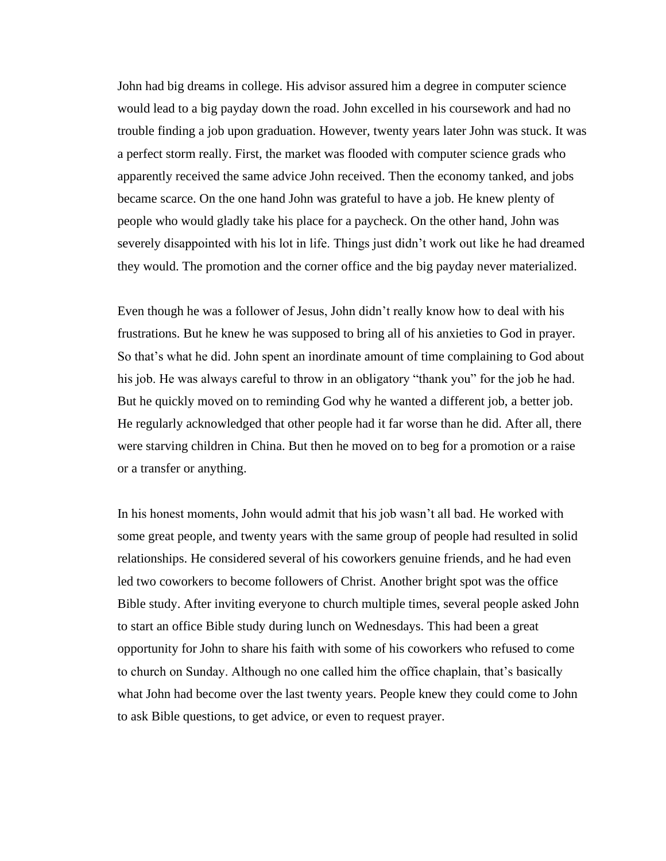John had big dreams in college. His advisor assured him a degree in computer science would lead to a big payday down the road. John excelled in his coursework and had no trouble finding a job upon graduation. However, twenty years later John was stuck. It was a perfect storm really. First, the market was flooded with computer science grads who apparently received the same advice John received. Then the economy tanked, and jobs became scarce. On the one hand John was grateful to have a job. He knew plenty of people who would gladly take his place for a paycheck. On the other hand, John was severely disappointed with his lot in life. Things just didn't work out like he had dreamed they would. The promotion and the corner office and the big payday never materialized.

Even though he was a follower of Jesus, John didn't really know how to deal with his frustrations. But he knew he was supposed to bring all of his anxieties to God in prayer. So that's what he did. John spent an inordinate amount of time complaining to God about his job. He was always careful to throw in an obligatory "thank you" for the job he had. But he quickly moved on to reminding God why he wanted a different job, a better job. He regularly acknowledged that other people had it far worse than he did. After all, there were starving children in China. But then he moved on to beg for a promotion or a raise or a transfer or anything.

In his honest moments, John would admit that his job wasn't all bad. He worked with some great people, and twenty years with the same group of people had resulted in solid relationships. He considered several of his coworkers genuine friends, and he had even led two coworkers to become followers of Christ. Another bright spot was the office Bible study. After inviting everyone to church multiple times, several people asked John to start an office Bible study during lunch on Wednesdays. This had been a great opportunity for John to share his faith with some of his coworkers who refused to come to church on Sunday. Although no one called him the office chaplain, that's basically what John had become over the last twenty years. People knew they could come to John to ask Bible questions, to get advice, or even to request prayer.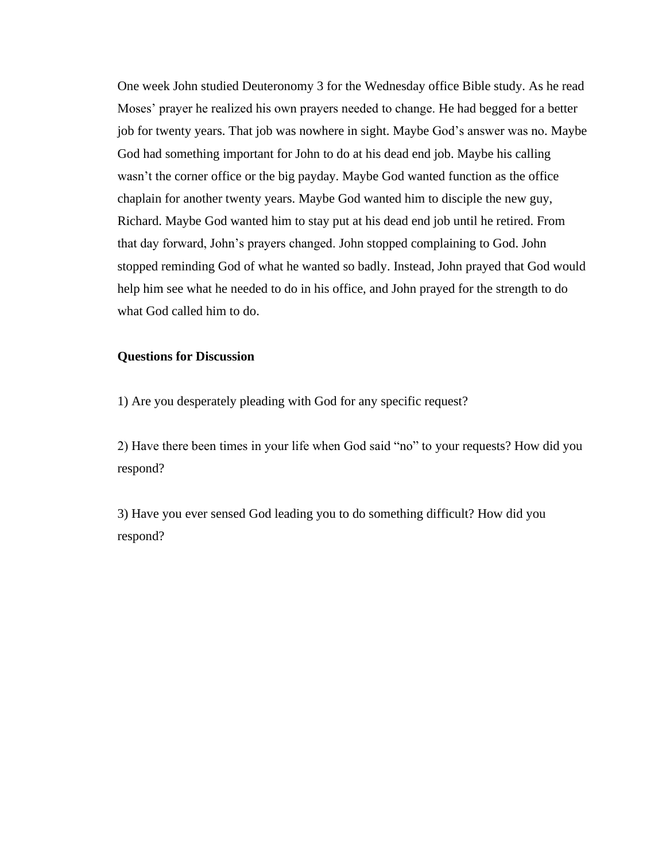One week John studied Deuteronomy 3 for the Wednesday office Bible study. As he read Moses' prayer he realized his own prayers needed to change. He had begged for a better job for twenty years. That job was nowhere in sight. Maybe God's answer was no. Maybe God had something important for John to do at his dead end job. Maybe his calling wasn't the corner office or the big payday. Maybe God wanted function as the office chaplain for another twenty years. Maybe God wanted him to disciple the new guy, Richard. Maybe God wanted him to stay put at his dead end job until he retired. From that day forward, John's prayers changed. John stopped complaining to God. John stopped reminding God of what he wanted so badly. Instead, John prayed that God would help him see what he needed to do in his office, and John prayed for the strength to do what God called him to do.

## **Questions for Discussion**

1) Are you desperately pleading with God for any specific request?

2) Have there been times in your life when God said "no" to your requests? How did you respond?

3) Have you ever sensed God leading you to do something difficult? How did you respond?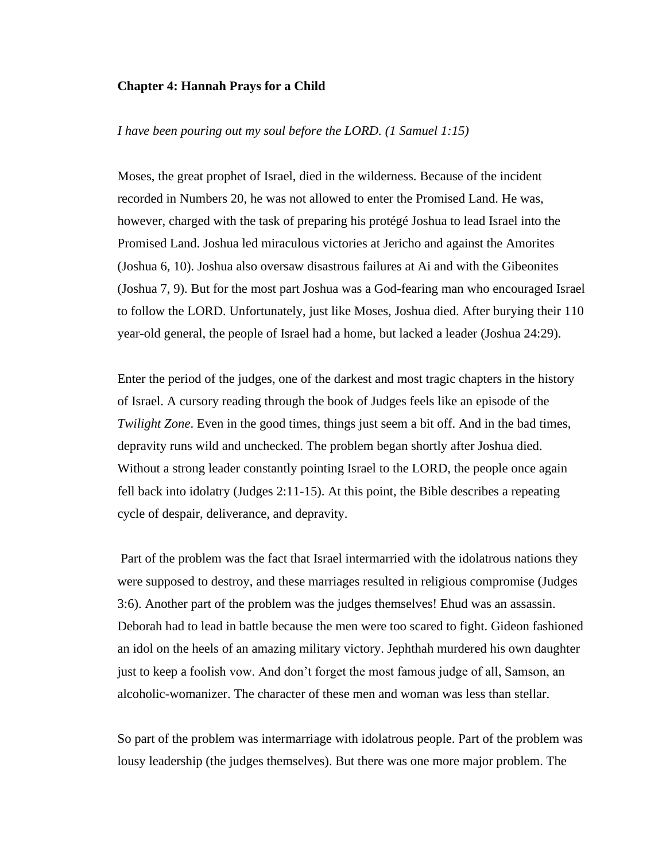## **Chapter 4: Hannah Prays for a Child**

## *I have been pouring out my soul before the LORD. (1 Samuel 1:15)*

Moses, the great prophet of Israel, died in the wilderness. Because of the incident recorded in Numbers 20, he was not allowed to enter the Promised Land. He was, however, charged with the task of preparing his protégé Joshua to lead Israel into the Promised Land. Joshua led miraculous victories at Jericho and against the Amorites (Joshua 6, 10). Joshua also oversaw disastrous failures at Ai and with the Gibeonites (Joshua 7, 9). But for the most part Joshua was a God-fearing man who encouraged Israel to follow the LORD. Unfortunately, just like Moses, Joshua died. After burying their 110 year-old general, the people of Israel had a home, but lacked a leader (Joshua 24:29).

Enter the period of the judges, one of the darkest and most tragic chapters in the history of Israel. A cursory reading through the book of Judges feels like an episode of the *Twilight Zone*. Even in the good times, things just seem a bit off. And in the bad times, depravity runs wild and unchecked. The problem began shortly after Joshua died. Without a strong leader constantly pointing Israel to the LORD, the people once again fell back into idolatry (Judges 2:11-15). At this point, the Bible describes a repeating cycle of despair, deliverance, and depravity.

Part of the problem was the fact that Israel intermarried with the idolatrous nations they were supposed to destroy, and these marriages resulted in religious compromise (Judges 3:6). Another part of the problem was the judges themselves! Ehud was an assassin. Deborah had to lead in battle because the men were too scared to fight. Gideon fashioned an idol on the heels of an amazing military victory. Jephthah murdered his own daughter just to keep a foolish vow. And don't forget the most famous judge of all, Samson, an alcoholic-womanizer. The character of these men and woman was less than stellar.

So part of the problem was intermarriage with idolatrous people. Part of the problem was lousy leadership (the judges themselves). But there was one more major problem. The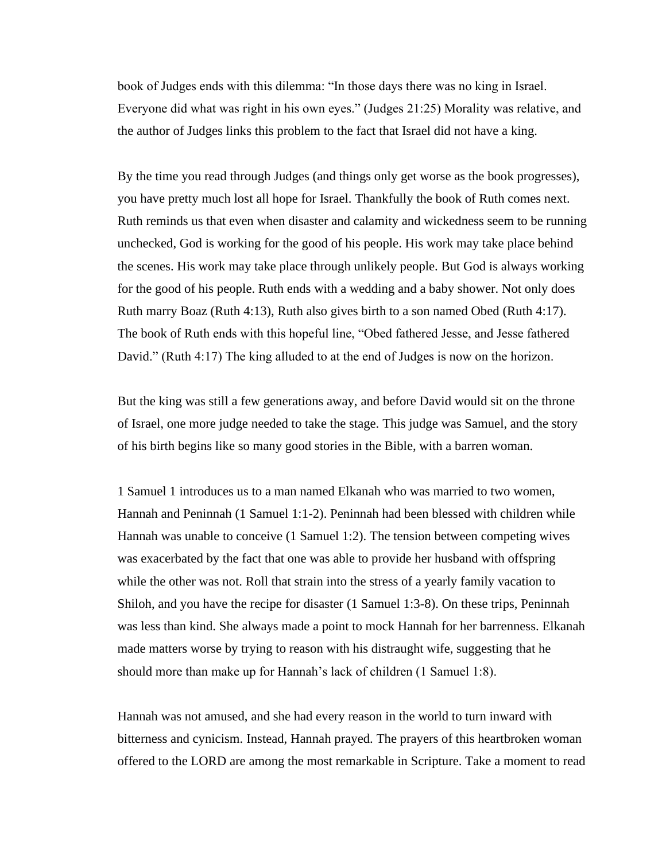book of Judges ends with this dilemma: "In those days there was no king in Israel. Everyone did what was right in his own eyes." (Judges 21:25) Morality was relative, and the author of Judges links this problem to the fact that Israel did not have a king.

By the time you read through Judges (and things only get worse as the book progresses), you have pretty much lost all hope for Israel. Thankfully the book of Ruth comes next. Ruth reminds us that even when disaster and calamity and wickedness seem to be running unchecked, God is working for the good of his people. His work may take place behind the scenes. His work may take place through unlikely people. But God is always working for the good of his people. Ruth ends with a wedding and a baby shower. Not only does Ruth marry Boaz (Ruth 4:13), Ruth also gives birth to a son named Obed (Ruth 4:17). The book of Ruth ends with this hopeful line, "Obed fathered Jesse, and Jesse fathered David." (Ruth 4:17) The king alluded to at the end of Judges is now on the horizon.

But the king was still a few generations away, and before David would sit on the throne of Israel, one more judge needed to take the stage. This judge was Samuel, and the story of his birth begins like so many good stories in the Bible, with a barren woman.

1 Samuel 1 introduces us to a man named Elkanah who was married to two women, Hannah and Peninnah (1 Samuel 1:1-2). Peninnah had been blessed with children while Hannah was unable to conceive (1 Samuel 1:2). The tension between competing wives was exacerbated by the fact that one was able to provide her husband with offspring while the other was not. Roll that strain into the stress of a yearly family vacation to Shiloh, and you have the recipe for disaster (1 Samuel 1:3-8). On these trips, Peninnah was less than kind. She always made a point to mock Hannah for her barrenness. Elkanah made matters worse by trying to reason with his distraught wife, suggesting that he should more than make up for Hannah's lack of children (1 Samuel 1:8).

Hannah was not amused, and she had every reason in the world to turn inward with bitterness and cynicism. Instead, Hannah prayed. The prayers of this heartbroken woman offered to the LORD are among the most remarkable in Scripture. Take a moment to read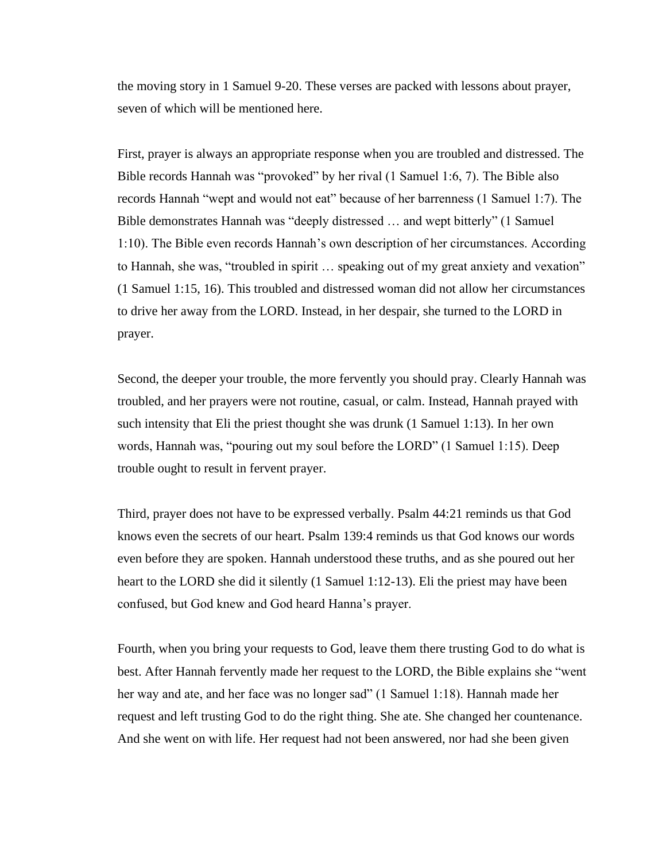the moving story in 1 Samuel 9-20. These verses are packed with lessons about prayer, seven of which will be mentioned here.

First, prayer is always an appropriate response when you are troubled and distressed. The Bible records Hannah was "provoked" by her rival (1 Samuel 1:6, 7). The Bible also records Hannah "wept and would not eat" because of her barrenness (1 Samuel 1:7). The Bible demonstrates Hannah was "deeply distressed … and wept bitterly" (1 Samuel 1:10). The Bible even records Hannah's own description of her circumstances. According to Hannah, she was, "troubled in spirit … speaking out of my great anxiety and vexation" (1 Samuel 1:15, 16). This troubled and distressed woman did not allow her circumstances to drive her away from the LORD. Instead, in her despair, she turned to the LORD in prayer.

Second, the deeper your trouble, the more fervently you should pray. Clearly Hannah was troubled, and her prayers were not routine, casual, or calm. Instead, Hannah prayed with such intensity that Eli the priest thought she was drunk (1 Samuel 1:13). In her own words, Hannah was, "pouring out my soul before the LORD" (1 Samuel 1:15). Deep trouble ought to result in fervent prayer.

Third, prayer does not have to be expressed verbally. Psalm 44:21 reminds us that God knows even the secrets of our heart. Psalm 139:4 reminds us that God knows our words even before they are spoken. Hannah understood these truths, and as she poured out her heart to the LORD she did it silently (1 Samuel 1:12-13). Eli the priest may have been confused, but God knew and God heard Hanna's prayer.

Fourth, when you bring your requests to God, leave them there trusting God to do what is best. After Hannah fervently made her request to the LORD, the Bible explains she "went her way and ate, and her face was no longer sad" (1 Samuel 1:18). Hannah made her request and left trusting God to do the right thing. She ate. She changed her countenance. And she went on with life. Her request had not been answered, nor had she been given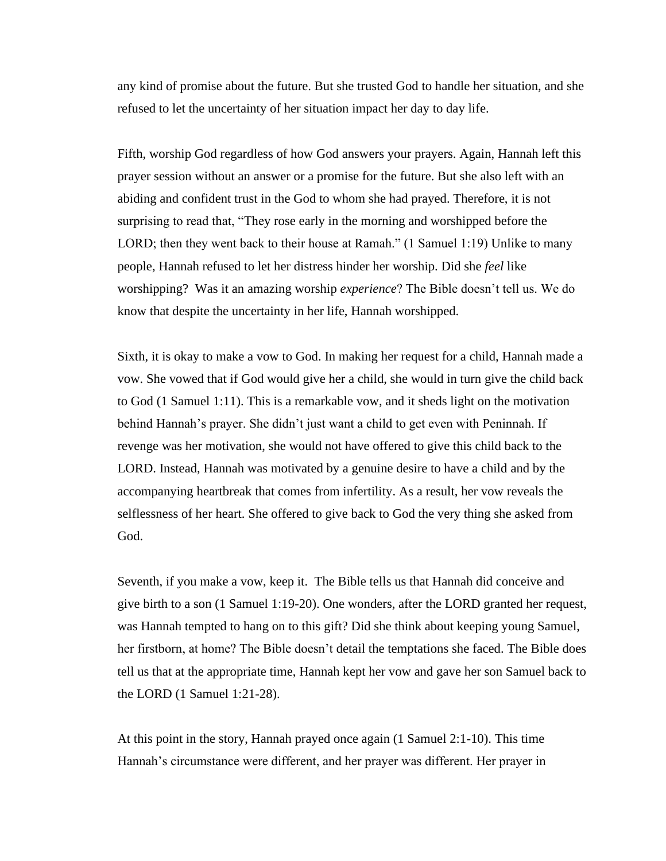any kind of promise about the future. But she trusted God to handle her situation, and she refused to let the uncertainty of her situation impact her day to day life.

Fifth, worship God regardless of how God answers your prayers. Again, Hannah left this prayer session without an answer or a promise for the future. But she also left with an abiding and confident trust in the God to whom she had prayed. Therefore, it is not surprising to read that, "They rose early in the morning and worshipped before the LORD; then they went back to their house at Ramah." (1 Samuel 1:19) Unlike to many people, Hannah refused to let her distress hinder her worship. Did she *feel* like worshipping? Was it an amazing worship *experience*? The Bible doesn't tell us. We do know that despite the uncertainty in her life, Hannah worshipped.

Sixth, it is okay to make a vow to God. In making her request for a child, Hannah made a vow. She vowed that if God would give her a child, she would in turn give the child back to God (1 Samuel 1:11). This is a remarkable vow, and it sheds light on the motivation behind Hannah's prayer. She didn't just want a child to get even with Peninnah. If revenge was her motivation, she would not have offered to give this child back to the LORD. Instead, Hannah was motivated by a genuine desire to have a child and by the accompanying heartbreak that comes from infertility. As a result, her vow reveals the selflessness of her heart. She offered to give back to God the very thing she asked from God.

Seventh, if you make a vow, keep it. The Bible tells us that Hannah did conceive and give birth to a son (1 Samuel 1:19-20). One wonders, after the LORD granted her request, was Hannah tempted to hang on to this gift? Did she think about keeping young Samuel, her firstborn, at home? The Bible doesn't detail the temptations she faced. The Bible does tell us that at the appropriate time, Hannah kept her vow and gave her son Samuel back to the LORD (1 Samuel 1:21-28).

At this point in the story, Hannah prayed once again (1 Samuel 2:1-10). This time Hannah's circumstance were different, and her prayer was different. Her prayer in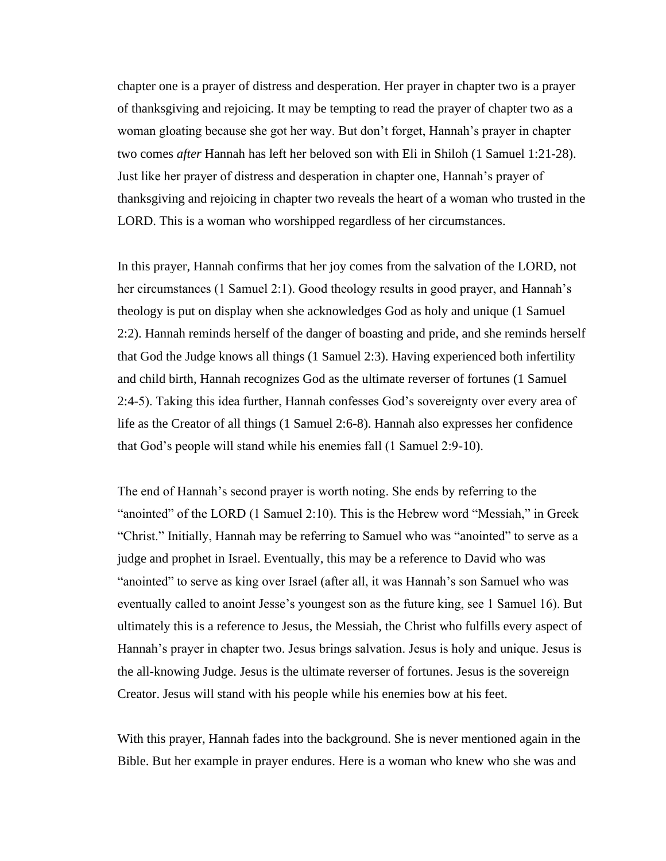chapter one is a prayer of distress and desperation. Her prayer in chapter two is a prayer of thanksgiving and rejoicing. It may be tempting to read the prayer of chapter two as a woman gloating because she got her way. But don't forget, Hannah's prayer in chapter two comes *after* Hannah has left her beloved son with Eli in Shiloh (1 Samuel 1:21-28). Just like her prayer of distress and desperation in chapter one, Hannah's prayer of thanksgiving and rejoicing in chapter two reveals the heart of a woman who trusted in the LORD. This is a woman who worshipped regardless of her circumstances.

In this prayer, Hannah confirms that her joy comes from the salvation of the LORD, not her circumstances (1 Samuel 2:1). Good theology results in good prayer, and Hannah's theology is put on display when she acknowledges God as holy and unique (1 Samuel 2:2). Hannah reminds herself of the danger of boasting and pride, and she reminds herself that God the Judge knows all things (1 Samuel 2:3). Having experienced both infertility and child birth, Hannah recognizes God as the ultimate reverser of fortunes (1 Samuel 2:4-5). Taking this idea further, Hannah confesses God's sovereignty over every area of life as the Creator of all things (1 Samuel 2:6-8). Hannah also expresses her confidence that God's people will stand while his enemies fall (1 Samuel 2:9-10).

The end of Hannah's second prayer is worth noting. She ends by referring to the "anointed" of the LORD (1 Samuel 2:10). This is the Hebrew word "Messiah," in Greek "Christ." Initially, Hannah may be referring to Samuel who was "anointed" to serve as a judge and prophet in Israel. Eventually, this may be a reference to David who was "anointed" to serve as king over Israel (after all, it was Hannah's son Samuel who was eventually called to anoint Jesse's youngest son as the future king, see 1 Samuel 16). But ultimately this is a reference to Jesus, the Messiah, the Christ who fulfills every aspect of Hannah's prayer in chapter two. Jesus brings salvation. Jesus is holy and unique. Jesus is the all-knowing Judge. Jesus is the ultimate reverser of fortunes. Jesus is the sovereign Creator. Jesus will stand with his people while his enemies bow at his feet.

With this prayer, Hannah fades into the background. She is never mentioned again in the Bible. But her example in prayer endures. Here is a woman who knew who she was and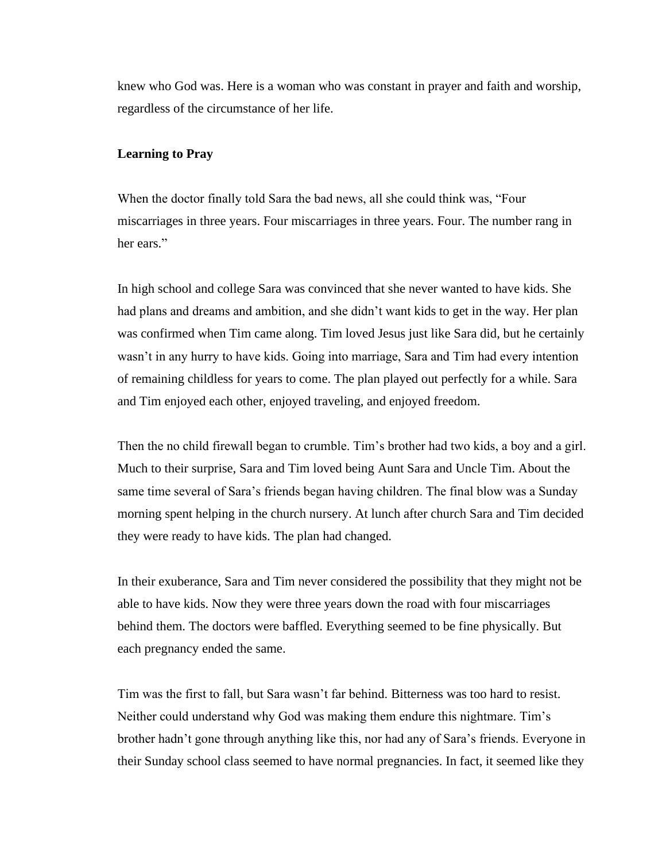knew who God was. Here is a woman who was constant in prayer and faith and worship, regardless of the circumstance of her life.

### **Learning to Pray**

When the doctor finally told Sara the bad news, all she could think was, "Four miscarriages in three years. Four miscarriages in three years. Four. The number rang in her ears."

In high school and college Sara was convinced that she never wanted to have kids. She had plans and dreams and ambition, and she didn't want kids to get in the way. Her plan was confirmed when Tim came along. Tim loved Jesus just like Sara did, but he certainly wasn't in any hurry to have kids. Going into marriage, Sara and Tim had every intention of remaining childless for years to come. The plan played out perfectly for a while. Sara and Tim enjoyed each other, enjoyed traveling, and enjoyed freedom.

Then the no child firewall began to crumble. Tim's brother had two kids, a boy and a girl. Much to their surprise, Sara and Tim loved being Aunt Sara and Uncle Tim. About the same time several of Sara's friends began having children. The final blow was a Sunday morning spent helping in the church nursery. At lunch after church Sara and Tim decided they were ready to have kids. The plan had changed.

In their exuberance, Sara and Tim never considered the possibility that they might not be able to have kids. Now they were three years down the road with four miscarriages behind them. The doctors were baffled. Everything seemed to be fine physically. But each pregnancy ended the same.

Tim was the first to fall, but Sara wasn't far behind. Bitterness was too hard to resist. Neither could understand why God was making them endure this nightmare. Tim's brother hadn't gone through anything like this, nor had any of Sara's friends. Everyone in their Sunday school class seemed to have normal pregnancies. In fact, it seemed like they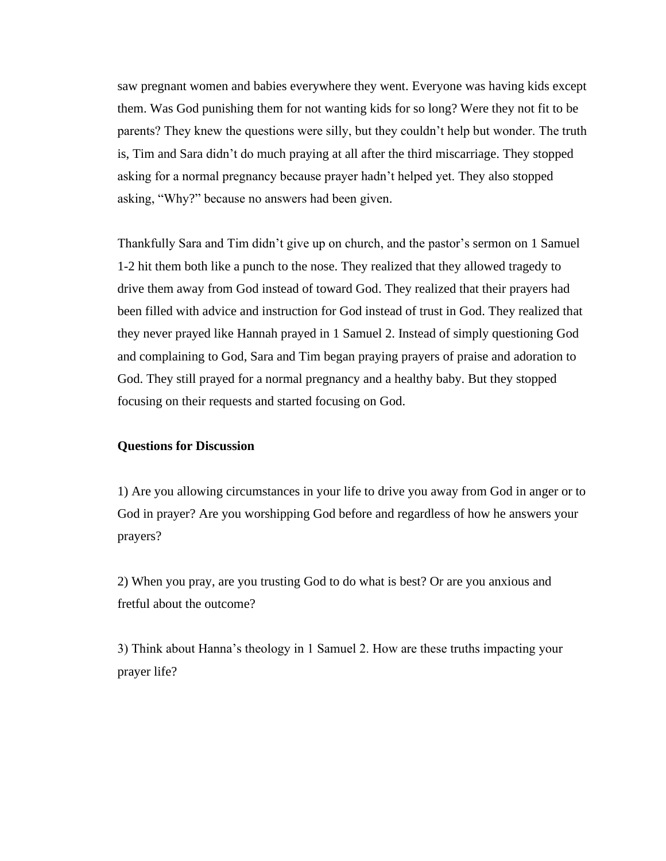saw pregnant women and babies everywhere they went. Everyone was having kids except them. Was God punishing them for not wanting kids for so long? Were they not fit to be parents? They knew the questions were silly, but they couldn't help but wonder. The truth is, Tim and Sara didn't do much praying at all after the third miscarriage. They stopped asking for a normal pregnancy because prayer hadn't helped yet. They also stopped asking, "Why?" because no answers had been given.

Thankfully Sara and Tim didn't give up on church, and the pastor's sermon on 1 Samuel 1-2 hit them both like a punch to the nose. They realized that they allowed tragedy to drive them away from God instead of toward God. They realized that their prayers had been filled with advice and instruction for God instead of trust in God. They realized that they never prayed like Hannah prayed in 1 Samuel 2. Instead of simply questioning God and complaining to God, Sara and Tim began praying prayers of praise and adoration to God. They still prayed for a normal pregnancy and a healthy baby. But they stopped focusing on their requests and started focusing on God.

## **Questions for Discussion**

1) Are you allowing circumstances in your life to drive you away from God in anger or to God in prayer? Are you worshipping God before and regardless of how he answers your prayers?

2) When you pray, are you trusting God to do what is best? Or are you anxious and fretful about the outcome?

3) Think about Hanna's theology in 1 Samuel 2. How are these truths impacting your prayer life?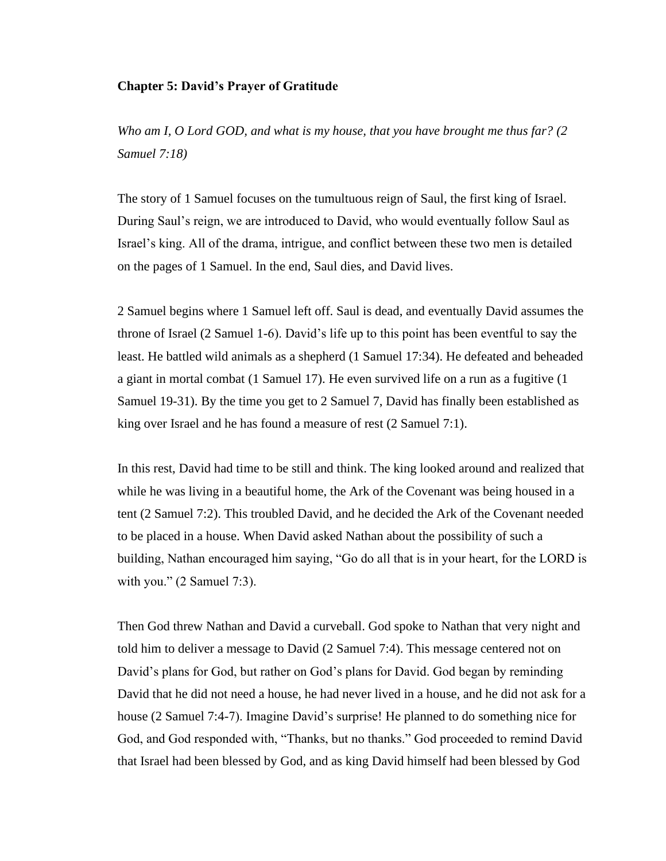## **Chapter 5: David's Prayer of Gratitude**

*Who am I, O Lord GOD, and what is my house, that you have brought me thus far? (2 Samuel 7:18)*

The story of 1 Samuel focuses on the tumultuous reign of Saul, the first king of Israel. During Saul's reign, we are introduced to David, who would eventually follow Saul as Israel's king. All of the drama, intrigue, and conflict between these two men is detailed on the pages of 1 Samuel. In the end, Saul dies, and David lives.

2 Samuel begins where 1 Samuel left off. Saul is dead, and eventually David assumes the throne of Israel (2 Samuel 1-6). David's life up to this point has been eventful to say the least. He battled wild animals as a shepherd (1 Samuel 17:34). He defeated and beheaded a giant in mortal combat (1 Samuel 17). He even survived life on a run as a fugitive (1 Samuel 19-31). By the time you get to 2 Samuel 7, David has finally been established as king over Israel and he has found a measure of rest (2 Samuel 7:1).

In this rest, David had time to be still and think. The king looked around and realized that while he was living in a beautiful home, the Ark of the Covenant was being housed in a tent (2 Samuel 7:2). This troubled David, and he decided the Ark of the Covenant needed to be placed in a house. When David asked Nathan about the possibility of such a building, Nathan encouraged him saying, "Go do all that is in your heart, for the LORD is with you." (2 Samuel 7:3).

Then God threw Nathan and David a curveball. God spoke to Nathan that very night and told him to deliver a message to David (2 Samuel 7:4). This message centered not on David's plans for God, but rather on God's plans for David. God began by reminding David that he did not need a house, he had never lived in a house, and he did not ask for a house (2 Samuel 7:4-7). Imagine David's surprise! He planned to do something nice for God, and God responded with, "Thanks, but no thanks." God proceeded to remind David that Israel had been blessed by God, and as king David himself had been blessed by God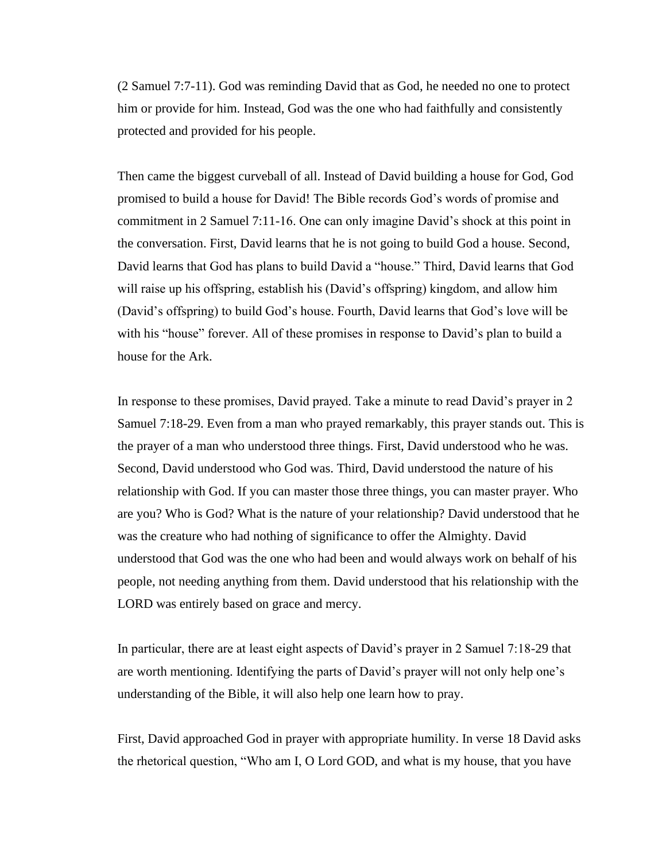(2 Samuel 7:7-11). God was reminding David that as God, he needed no one to protect him or provide for him. Instead, God was the one who had faithfully and consistently protected and provided for his people.

Then came the biggest curveball of all. Instead of David building a house for God, God promised to build a house for David! The Bible records God's words of promise and commitment in 2 Samuel 7:11-16. One can only imagine David's shock at this point in the conversation. First, David learns that he is not going to build God a house. Second, David learns that God has plans to build David a "house." Third, David learns that God will raise up his offspring, establish his (David's offspring) kingdom, and allow him (David's offspring) to build God's house. Fourth, David learns that God's love will be with his "house" forever. All of these promises in response to David's plan to build a house for the Ark.

In response to these promises, David prayed. Take a minute to read David's prayer in 2 Samuel 7:18-29. Even from a man who prayed remarkably, this prayer stands out. This is the prayer of a man who understood three things. First, David understood who he was. Second, David understood who God was. Third, David understood the nature of his relationship with God. If you can master those three things, you can master prayer. Who are you? Who is God? What is the nature of your relationship? David understood that he was the creature who had nothing of significance to offer the Almighty. David understood that God was the one who had been and would always work on behalf of his people, not needing anything from them. David understood that his relationship with the LORD was entirely based on grace and mercy.

In particular, there are at least eight aspects of David's prayer in 2 Samuel 7:18-29 that are worth mentioning. Identifying the parts of David's prayer will not only help one's understanding of the Bible, it will also help one learn how to pray.

First, David approached God in prayer with appropriate humility. In verse 18 David asks the rhetorical question, "Who am I, O Lord GOD, and what is my house, that you have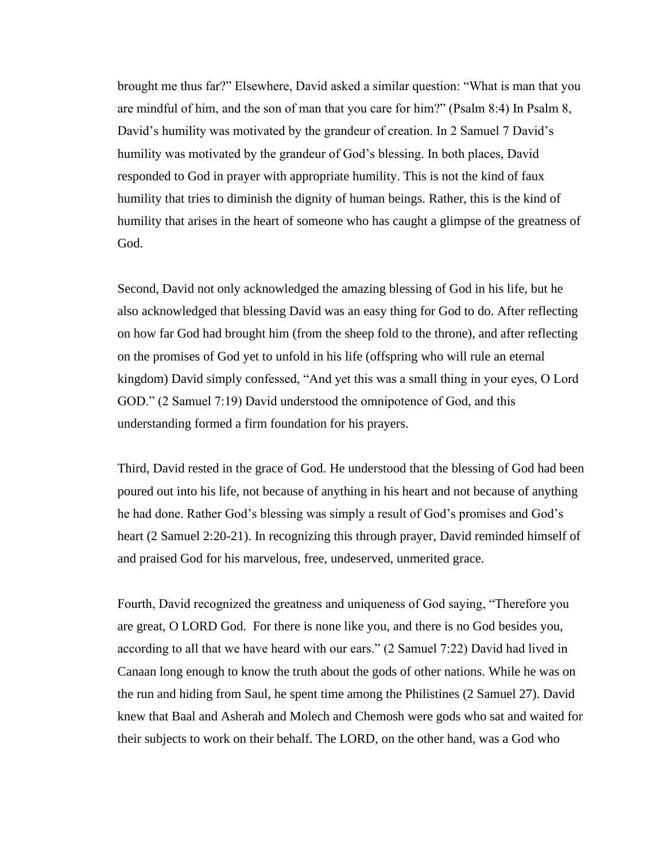brought me thus far?" Elsewhere, David asked a similar question: "What is man that you are mindful of him, and the son of man that you care for him?" (Psalm 8:4) In Psalm 8, David's humility was motivated by the grandeur of creation. In 2 Samuel 7 David's humility was motivated by the grandeur of God's blessing. In both places, David responded to God in prayer with appropriate humility. This is not the kind of faux humility that tries to diminish the dignity of human beings. Rather, this is the kind of humility that arises in the heart of someone who has caught a glimpse of the greatness of God.

Second, David not only acknowledged the amazing blessing of God in his life, but he also acknowledged that blessing David was an easy thing for God to do. After reflecting on how far God had brought him (from the sheep fold to the throne), and after reflecting on the promises of God yet to unfold in his life (offspring who will rule an eternal kingdom) David simply confessed, "And yet this was a small thing in your eyes, O Lord GOD." (2 Samuel 7:19) David understood the omnipotence of God, and this understanding formed a firm foundation for his prayers.

Third, David rested in the grace of God. He understood that the blessing of God had been poured out into his life, not because of anything in his heart and not because of anything he had done. Rather God's blessing was simply a result of God's promises and God's heart (2 Samuel 2:20-21). In recognizing this through prayer, David reminded himself of and praised God for his marvelous, free, undeserved, unmerited grace.

Fourth, David recognized the greatness and uniqueness of God saying, "Therefore you are great, O LORD God. For there is none like you, and there is no God besides you, according to all that we have heard with our ears." (2 Samuel 7:22) David had lived in Canaan long enough to know the truth about the gods of other nations. While he was on the run and hiding from Saul, he spent time among the Philistines (2 Samuel 27). David knew that Baal and Asherah and Molech and Chemosh were gods who sat and waited for their subjects to work on their behalf. The LORD, on the other hand, was a God who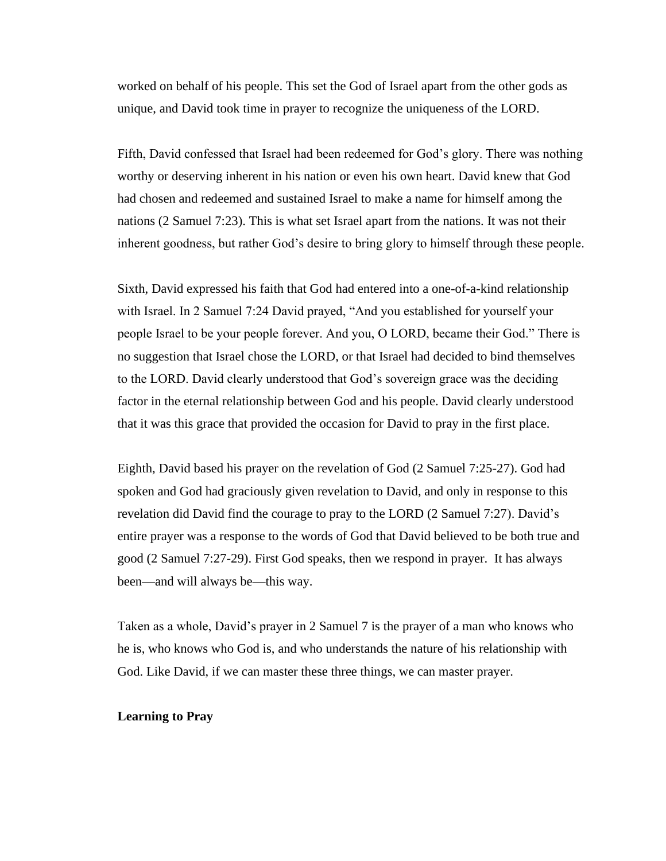worked on behalf of his people. This set the God of Israel apart from the other gods as unique, and David took time in prayer to recognize the uniqueness of the LORD.

Fifth, David confessed that Israel had been redeemed for God's glory. There was nothing worthy or deserving inherent in his nation or even his own heart. David knew that God had chosen and redeemed and sustained Israel to make a name for himself among the nations (2 Samuel 7:23). This is what set Israel apart from the nations. It was not their inherent goodness, but rather God's desire to bring glory to himself through these people.

Sixth, David expressed his faith that God had entered into a one-of-a-kind relationship with Israel. In 2 Samuel 7:24 David prayed, "And you established for yourself your people Israel to be your people forever. And you, O LORD, became their God." There is no suggestion that Israel chose the LORD, or that Israel had decided to bind themselves to the LORD. David clearly understood that God's sovereign grace was the deciding factor in the eternal relationship between God and his people. David clearly understood that it was this grace that provided the occasion for David to pray in the first place.

Eighth, David based his prayer on the revelation of God (2 Samuel 7:25-27). God had spoken and God had graciously given revelation to David, and only in response to this revelation did David find the courage to pray to the LORD (2 Samuel 7:27). David's entire prayer was a response to the words of God that David believed to be both true and good (2 Samuel 7:27-29). First God speaks, then we respond in prayer. It has always been—and will always be—this way.

Taken as a whole, David's prayer in 2 Samuel 7 is the prayer of a man who knows who he is, who knows who God is, and who understands the nature of his relationship with God. Like David, if we can master these three things, we can master prayer.

## **Learning to Pray**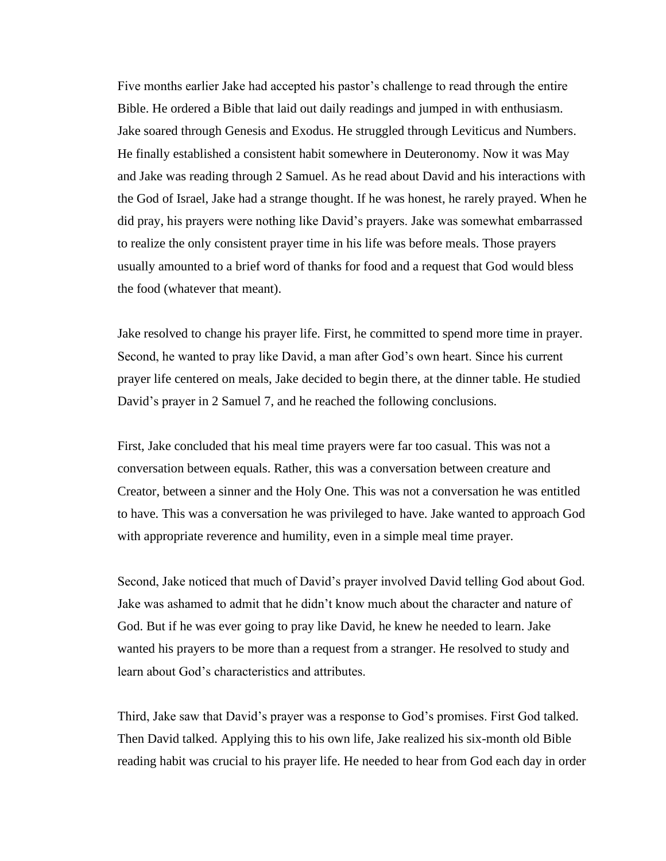Five months earlier Jake had accepted his pastor's challenge to read through the entire Bible. He ordered a Bible that laid out daily readings and jumped in with enthusiasm. Jake soared through Genesis and Exodus. He struggled through Leviticus and Numbers. He finally established a consistent habit somewhere in Deuteronomy. Now it was May and Jake was reading through 2 Samuel. As he read about David and his interactions with the God of Israel, Jake had a strange thought. If he was honest, he rarely prayed. When he did pray, his prayers were nothing like David's prayers. Jake was somewhat embarrassed to realize the only consistent prayer time in his life was before meals. Those prayers usually amounted to a brief word of thanks for food and a request that God would bless the food (whatever that meant).

Jake resolved to change his prayer life. First, he committed to spend more time in prayer. Second, he wanted to pray like David, a man after God's own heart. Since his current prayer life centered on meals, Jake decided to begin there, at the dinner table. He studied David's prayer in 2 Samuel 7, and he reached the following conclusions.

First, Jake concluded that his meal time prayers were far too casual. This was not a conversation between equals. Rather, this was a conversation between creature and Creator, between a sinner and the Holy One. This was not a conversation he was entitled to have. This was a conversation he was privileged to have. Jake wanted to approach God with appropriate reverence and humility, even in a simple meal time prayer.

Second, Jake noticed that much of David's prayer involved David telling God about God. Jake was ashamed to admit that he didn't know much about the character and nature of God. But if he was ever going to pray like David, he knew he needed to learn. Jake wanted his prayers to be more than a request from a stranger. He resolved to study and learn about God's characteristics and attributes.

Third, Jake saw that David's prayer was a response to God's promises. First God talked. Then David talked. Applying this to his own life, Jake realized his six-month old Bible reading habit was crucial to his prayer life. He needed to hear from God each day in order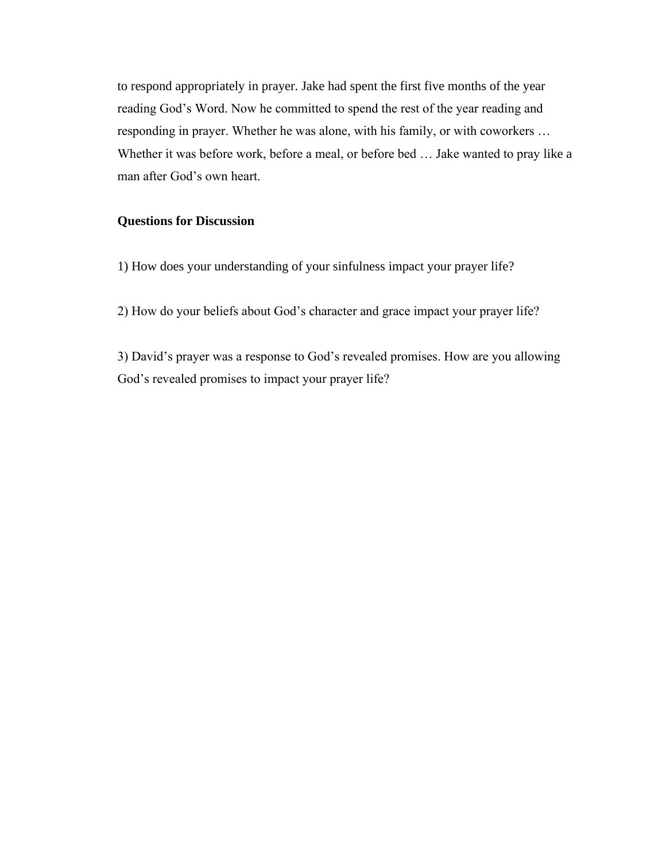to respond appropriately in prayer. Jake had spent the first five months of the year reading God's Word. Now he committed to spend the rest of the year reading and responding in prayer. Whether he was alone, with his family, or with coworkers … Whether it was before work, before a meal, or before bed … Jake wanted to pray like a man after God's own heart.

# **Questions for Discussion**

1) How does your understanding of your sinfulness impact your prayer life?

2) How do your beliefs about God's character and grace impact your prayer life?

3) David's prayer was a response to God's revealed promises. How are you allowing God's revealed promises to impact your prayer life?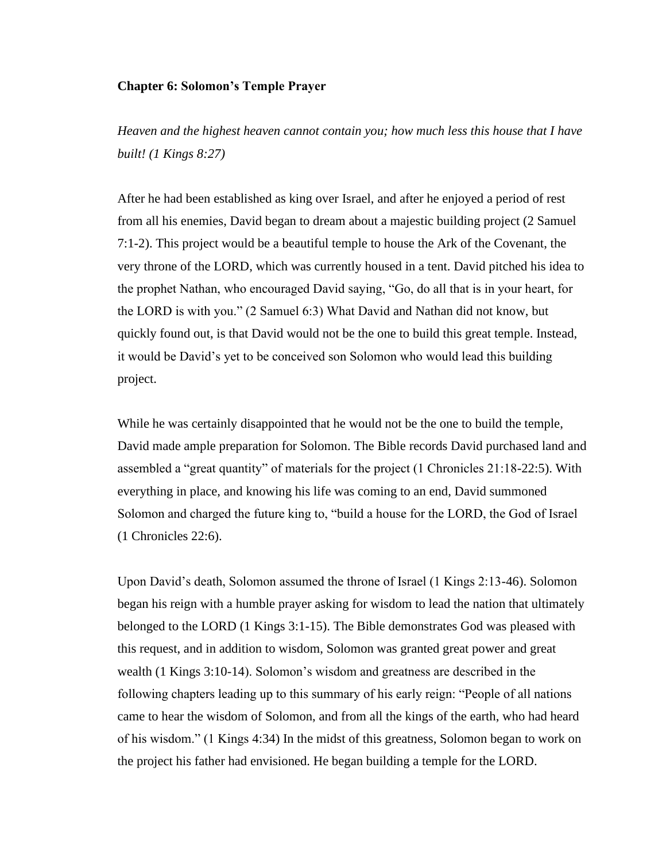#### **Chapter 6: Solomon's Temple Prayer**

*Heaven and the highest heaven cannot contain you; how much less this house that I have built! (1 Kings 8:27)*

After he had been established as king over Israel, and after he enjoyed a period of rest from all his enemies, David began to dream about a majestic building project (2 Samuel 7:1-2). This project would be a beautiful temple to house the Ark of the Covenant, the very throne of the LORD, which was currently housed in a tent. David pitched his idea to the prophet Nathan, who encouraged David saying, "Go, do all that is in your heart, for the LORD is with you." (2 Samuel 6:3) What David and Nathan did not know, but quickly found out, is that David would not be the one to build this great temple. Instead, it would be David's yet to be conceived son Solomon who would lead this building project.

While he was certainly disappointed that he would not be the one to build the temple, David made ample preparation for Solomon. The Bible records David purchased land and assembled a "great quantity" of materials for the project (1 Chronicles 21:18-22:5). With everything in place, and knowing his life was coming to an end, David summoned Solomon and charged the future king to, "build a house for the LORD, the God of Israel (1 Chronicles 22:6).

Upon David's death, Solomon assumed the throne of Israel (1 Kings 2:13-46). Solomon began his reign with a humble prayer asking for wisdom to lead the nation that ultimately belonged to the LORD (1 Kings 3:1-15). The Bible demonstrates God was pleased with this request, and in addition to wisdom, Solomon was granted great power and great wealth (1 Kings 3:10-14). Solomon's wisdom and greatness are described in the following chapters leading up to this summary of his early reign: "People of all nations came to hear the wisdom of Solomon, and from all the kings of the earth, who had heard of his wisdom." (1 Kings 4:34) In the midst of this greatness, Solomon began to work on the project his father had envisioned. He began building a temple for the LORD.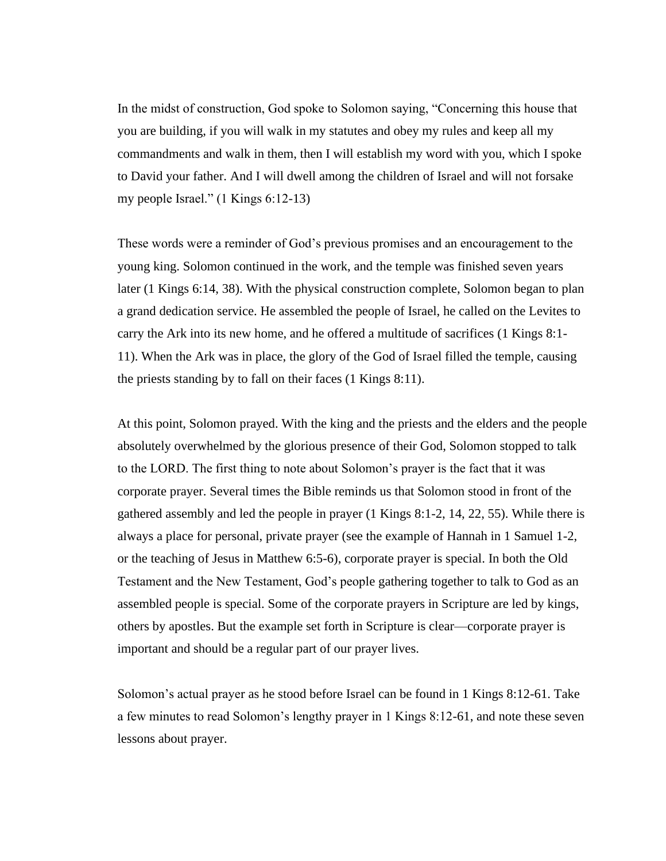In the midst of construction, God spoke to Solomon saying, "Concerning this house that you are building, if you will walk in my statutes and obey my rules and keep all my commandments and walk in them, then I will establish my word with you, which I spoke to David your father. And I will dwell among the children of Israel and will not forsake my people Israel." (1 Kings 6:12-13)

These words were a reminder of God's previous promises and an encouragement to the young king. Solomon continued in the work, and the temple was finished seven years later (1 Kings 6:14, 38). With the physical construction complete, Solomon began to plan a grand dedication service. He assembled the people of Israel, he called on the Levites to carry the Ark into its new home, and he offered a multitude of sacrifices (1 Kings 8:1- 11). When the Ark was in place, the glory of the God of Israel filled the temple, causing the priests standing by to fall on their faces (1 Kings 8:11).

At this point, Solomon prayed. With the king and the priests and the elders and the people absolutely overwhelmed by the glorious presence of their God, Solomon stopped to talk to the LORD. The first thing to note about Solomon's prayer is the fact that it was corporate prayer. Several times the Bible reminds us that Solomon stood in front of the gathered assembly and led the people in prayer (1 Kings 8:1-2, 14, 22, 55). While there is always a place for personal, private prayer (see the example of Hannah in 1 Samuel 1-2, or the teaching of Jesus in Matthew 6:5-6), corporate prayer is special. In both the Old Testament and the New Testament, God's people gathering together to talk to God as an assembled people is special. Some of the corporate prayers in Scripture are led by kings, others by apostles. But the example set forth in Scripture is clear—corporate prayer is important and should be a regular part of our prayer lives.

Solomon's actual prayer as he stood before Israel can be found in 1 Kings 8:12-61. Take a few minutes to read Solomon's lengthy prayer in 1 Kings 8:12-61, and note these seven lessons about prayer.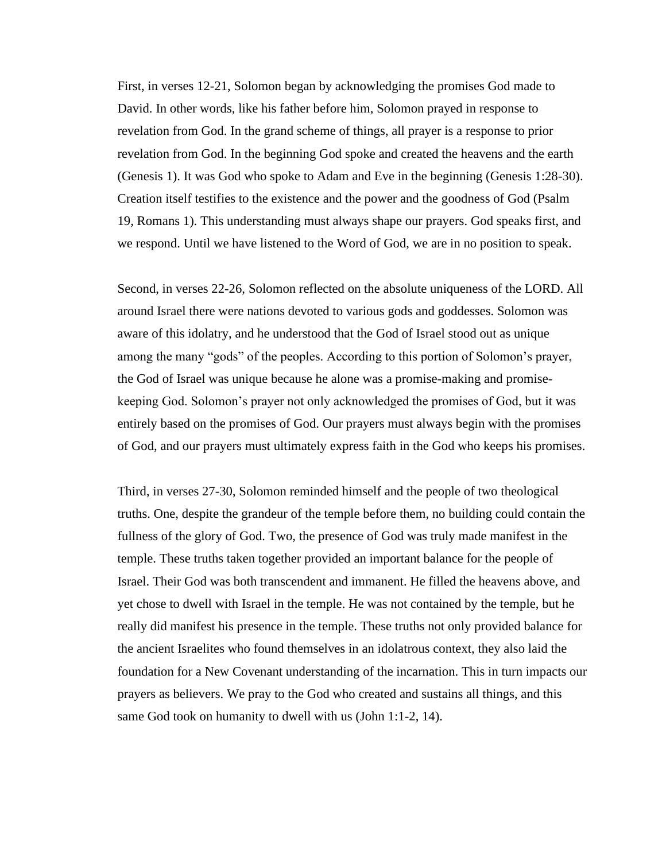First, in verses 12-21, Solomon began by acknowledging the promises God made to David. In other words, like his father before him, Solomon prayed in response to revelation from God. In the grand scheme of things, all prayer is a response to prior revelation from God. In the beginning God spoke and created the heavens and the earth (Genesis 1). It was God who spoke to Adam and Eve in the beginning (Genesis 1:28-30). Creation itself testifies to the existence and the power and the goodness of God (Psalm 19, Romans 1). This understanding must always shape our prayers. God speaks first, and we respond. Until we have listened to the Word of God, we are in no position to speak.

Second, in verses 22-26, Solomon reflected on the absolute uniqueness of the LORD. All around Israel there were nations devoted to various gods and goddesses. Solomon was aware of this idolatry, and he understood that the God of Israel stood out as unique among the many "gods" of the peoples. According to this portion of Solomon's prayer, the God of Israel was unique because he alone was a promise-making and promisekeeping God. Solomon's prayer not only acknowledged the promises of God, but it was entirely based on the promises of God. Our prayers must always begin with the promises of God, and our prayers must ultimately express faith in the God who keeps his promises.

Third, in verses 27-30, Solomon reminded himself and the people of two theological truths. One, despite the grandeur of the temple before them, no building could contain the fullness of the glory of God. Two, the presence of God was truly made manifest in the temple. These truths taken together provided an important balance for the people of Israel. Their God was both transcendent and immanent. He filled the heavens above, and yet chose to dwell with Israel in the temple. He was not contained by the temple, but he really did manifest his presence in the temple. These truths not only provided balance for the ancient Israelites who found themselves in an idolatrous context, they also laid the foundation for a New Covenant understanding of the incarnation. This in turn impacts our prayers as believers. We pray to the God who created and sustains all things, and this same God took on humanity to dwell with us (John 1:1-2, 14).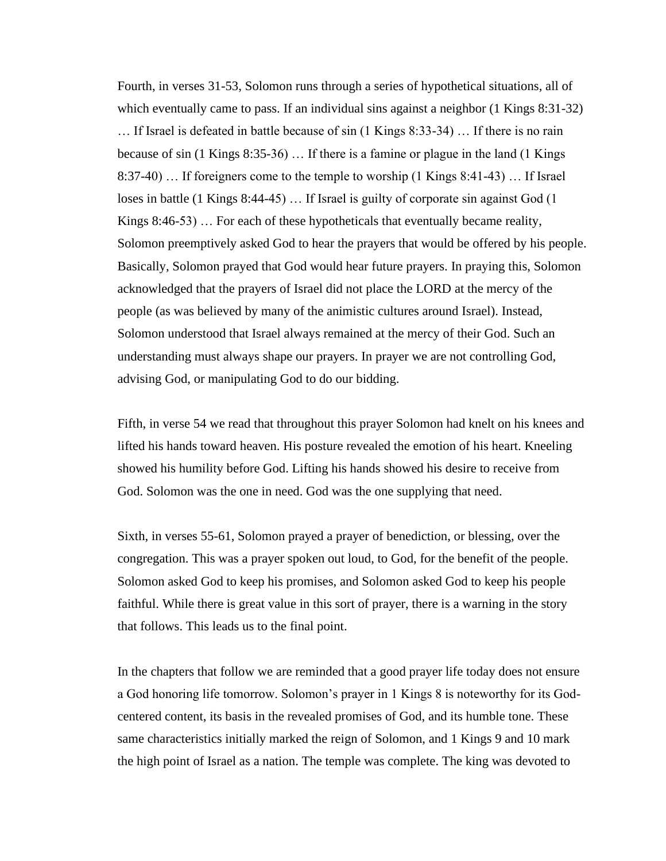Fourth, in verses 31-53, Solomon runs through a series of hypothetical situations, all of which eventually came to pass. If an individual sins against a neighbor  $(1 \text{ Kings } 8:31-32)$ … If Israel is defeated in battle because of sin (1 Kings 8:33-34) … If there is no rain because of sin (1 Kings 8:35-36) … If there is a famine or plague in the land (1 Kings 8:37-40) … If foreigners come to the temple to worship (1 Kings 8:41-43) … If Israel loses in battle (1 Kings 8:44-45) … If Israel is guilty of corporate sin against God (1 Kings 8:46-53) … For each of these hypotheticals that eventually became reality, Solomon preemptively asked God to hear the prayers that would be offered by his people. Basically, Solomon prayed that God would hear future prayers. In praying this, Solomon acknowledged that the prayers of Israel did not place the LORD at the mercy of the people (as was believed by many of the animistic cultures around Israel). Instead, Solomon understood that Israel always remained at the mercy of their God. Such an understanding must always shape our prayers. In prayer we are not controlling God, advising God, or manipulating God to do our bidding.

Fifth, in verse 54 we read that throughout this prayer Solomon had knelt on his knees and lifted his hands toward heaven. His posture revealed the emotion of his heart. Kneeling showed his humility before God. Lifting his hands showed his desire to receive from God. Solomon was the one in need. God was the one supplying that need.

Sixth, in verses 55-61, Solomon prayed a prayer of benediction, or blessing, over the congregation. This was a prayer spoken out loud, to God, for the benefit of the people. Solomon asked God to keep his promises, and Solomon asked God to keep his people faithful. While there is great value in this sort of prayer, there is a warning in the story that follows. This leads us to the final point.

In the chapters that follow we are reminded that a good prayer life today does not ensure a God honoring life tomorrow. Solomon's prayer in 1 Kings 8 is noteworthy for its Godcentered content, its basis in the revealed promises of God, and its humble tone. These same characteristics initially marked the reign of Solomon, and 1 Kings 9 and 10 mark the high point of Israel as a nation. The temple was complete. The king was devoted to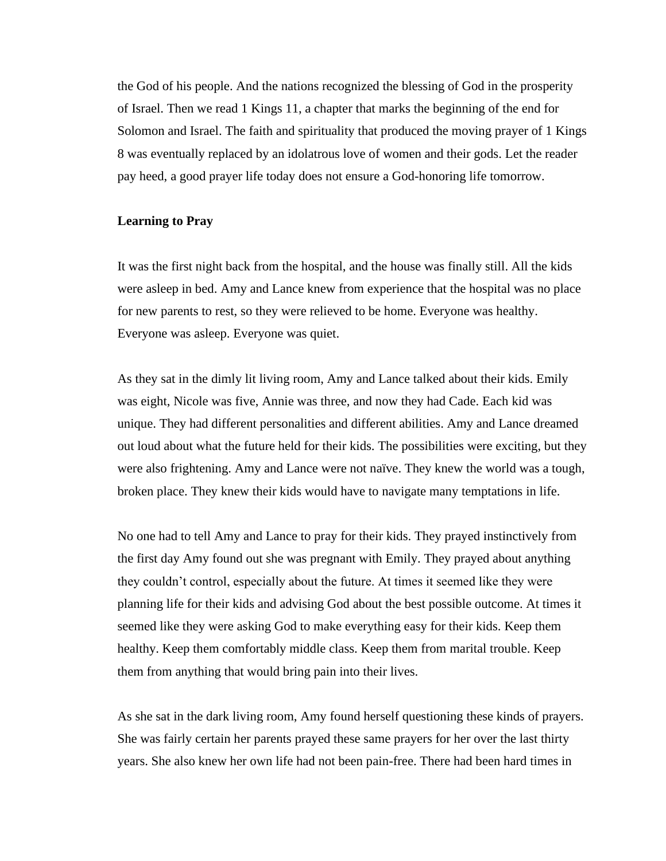the God of his people. And the nations recognized the blessing of God in the prosperity of Israel. Then we read 1 Kings 11, a chapter that marks the beginning of the end for Solomon and Israel. The faith and spirituality that produced the moving prayer of 1 Kings 8 was eventually replaced by an idolatrous love of women and their gods. Let the reader pay heed, a good prayer life today does not ensure a God-honoring life tomorrow.

# **Learning to Pray**

It was the first night back from the hospital, and the house was finally still. All the kids were asleep in bed. Amy and Lance knew from experience that the hospital was no place for new parents to rest, so they were relieved to be home. Everyone was healthy. Everyone was asleep. Everyone was quiet.

As they sat in the dimly lit living room, Amy and Lance talked about their kids. Emily was eight, Nicole was five, Annie was three, and now they had Cade. Each kid was unique. They had different personalities and different abilities. Amy and Lance dreamed out loud about what the future held for their kids. The possibilities were exciting, but they were also frightening. Amy and Lance were not naïve. They knew the world was a tough, broken place. They knew their kids would have to navigate many temptations in life.

No one had to tell Amy and Lance to pray for their kids. They prayed instinctively from the first day Amy found out she was pregnant with Emily. They prayed about anything they couldn't control, especially about the future. At times it seemed like they were planning life for their kids and advising God about the best possible outcome. At times it seemed like they were asking God to make everything easy for their kids. Keep them healthy. Keep them comfortably middle class. Keep them from marital trouble. Keep them from anything that would bring pain into their lives.

As she sat in the dark living room, Amy found herself questioning these kinds of prayers. She was fairly certain her parents prayed these same prayers for her over the last thirty years. She also knew her own life had not been pain-free. There had been hard times in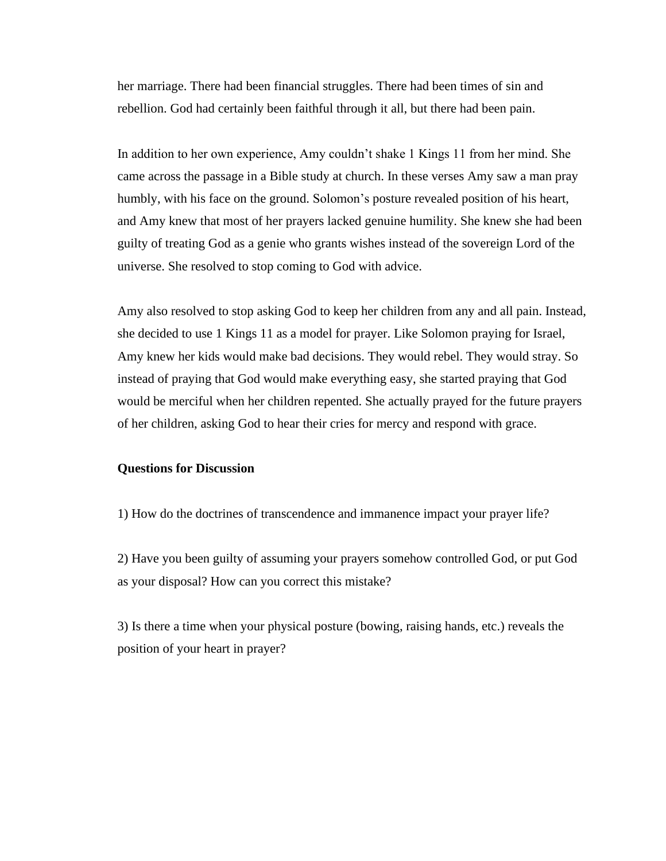her marriage. There had been financial struggles. There had been times of sin and rebellion. God had certainly been faithful through it all, but there had been pain.

In addition to her own experience, Amy couldn't shake 1 Kings 11 from her mind. She came across the passage in a Bible study at church. In these verses Amy saw a man pray humbly, with his face on the ground. Solomon's posture revealed position of his heart, and Amy knew that most of her prayers lacked genuine humility. She knew she had been guilty of treating God as a genie who grants wishes instead of the sovereign Lord of the universe. She resolved to stop coming to God with advice.

Amy also resolved to stop asking God to keep her children from any and all pain. Instead, she decided to use 1 Kings 11 as a model for prayer. Like Solomon praying for Israel, Amy knew her kids would make bad decisions. They would rebel. They would stray. So instead of praying that God would make everything easy, she started praying that God would be merciful when her children repented. She actually prayed for the future prayers of her children, asking God to hear their cries for mercy and respond with grace.

# **Questions for Discussion**

1) How do the doctrines of transcendence and immanence impact your prayer life?

2) Have you been guilty of assuming your prayers somehow controlled God, or put God as your disposal? How can you correct this mistake?

3) Is there a time when your physical posture (bowing, raising hands, etc.) reveals the position of your heart in prayer?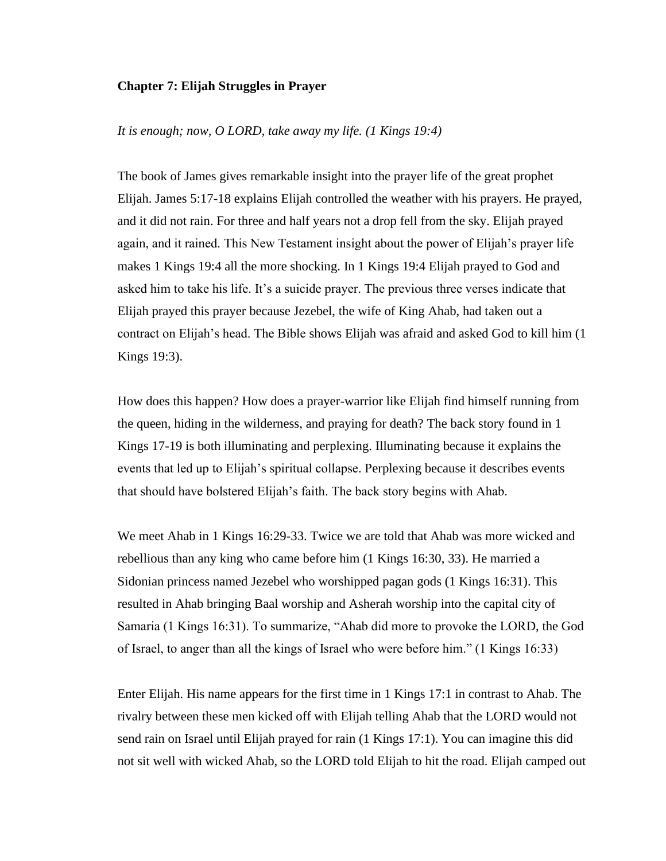# **Chapter 7: Elijah Struggles in Prayer**

# *It is enough; now, O LORD, take away my life. (1 Kings 19:4)*

The book of James gives remarkable insight into the prayer life of the great prophet Elijah. James 5:17-18 explains Elijah controlled the weather with his prayers. He prayed, and it did not rain. For three and half years not a drop fell from the sky. Elijah prayed again, and it rained. This New Testament insight about the power of Elijah's prayer life makes 1 Kings 19:4 all the more shocking. In 1 Kings 19:4 Elijah prayed to God and asked him to take his life. It's a suicide prayer. The previous three verses indicate that Elijah prayed this prayer because Jezebel, the wife of King Ahab, had taken out a contract on Elijah's head. The Bible shows Elijah was afraid and asked God to kill him (1 Kings 19:3).

How does this happen? How does a prayer-warrior like Elijah find himself running from the queen, hiding in the wilderness, and praying for death? The back story found in 1 Kings 17-19 is both illuminating and perplexing. Illuminating because it explains the events that led up to Elijah's spiritual collapse. Perplexing because it describes events that should have bolstered Elijah's faith. The back story begins with Ahab.

We meet Ahab in 1 Kings 16:29-33. Twice we are told that Ahab was more wicked and rebellious than any king who came before him (1 Kings 16:30, 33). He married a Sidonian princess named Jezebel who worshipped pagan gods (1 Kings 16:31). This resulted in Ahab bringing Baal worship and Asherah worship into the capital city of Samaria (1 Kings 16:31). To summarize, "Ahab did more to provoke the LORD, the God of Israel, to anger than all the kings of Israel who were before him." (1 Kings 16:33)

Enter Elijah. His name appears for the first time in 1 Kings 17:1 in contrast to Ahab. The rivalry between these men kicked off with Elijah telling Ahab that the LORD would not send rain on Israel until Elijah prayed for rain (1 Kings 17:1). You can imagine this did not sit well with wicked Ahab, so the LORD told Elijah to hit the road. Elijah camped out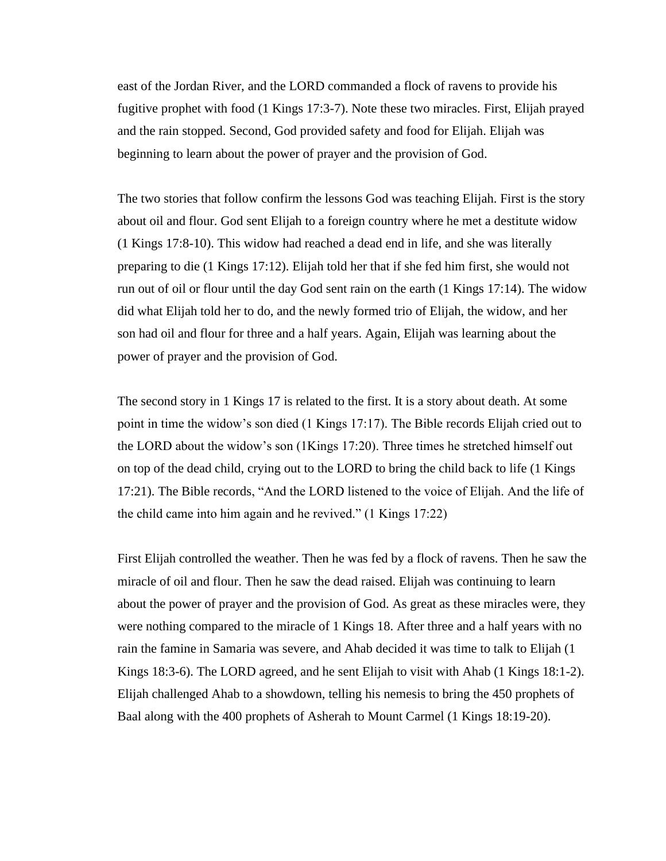east of the Jordan River, and the LORD commanded a flock of ravens to provide his fugitive prophet with food (1 Kings 17:3-7). Note these two miracles. First, Elijah prayed and the rain stopped. Second, God provided safety and food for Elijah. Elijah was beginning to learn about the power of prayer and the provision of God.

The two stories that follow confirm the lessons God was teaching Elijah. First is the story about oil and flour. God sent Elijah to a foreign country where he met a destitute widow (1 Kings 17:8-10). This widow had reached a dead end in life, and she was literally preparing to die (1 Kings 17:12). Elijah told her that if she fed him first, she would not run out of oil or flour until the day God sent rain on the earth (1 Kings 17:14). The widow did what Elijah told her to do, and the newly formed trio of Elijah, the widow, and her son had oil and flour for three and a half years. Again, Elijah was learning about the power of prayer and the provision of God.

The second story in 1 Kings 17 is related to the first. It is a story about death. At some point in time the widow's son died (1 Kings 17:17). The Bible records Elijah cried out to the LORD about the widow's son (1Kings 17:20). Three times he stretched himself out on top of the dead child, crying out to the LORD to bring the child back to life (1 Kings 17:21). The Bible records, "And the LORD listened to the voice of Elijah. And the life of the child came into him again and he revived." (1 Kings 17:22)

First Elijah controlled the weather. Then he was fed by a flock of ravens. Then he saw the miracle of oil and flour. Then he saw the dead raised. Elijah was continuing to learn about the power of prayer and the provision of God. As great as these miracles were, they were nothing compared to the miracle of 1 Kings 18. After three and a half years with no rain the famine in Samaria was severe, and Ahab decided it was time to talk to Elijah (1 Kings 18:3-6). The LORD agreed, and he sent Elijah to visit with Ahab (1 Kings 18:1-2). Elijah challenged Ahab to a showdown, telling his nemesis to bring the 450 prophets of Baal along with the 400 prophets of Asherah to Mount Carmel (1 Kings 18:19-20).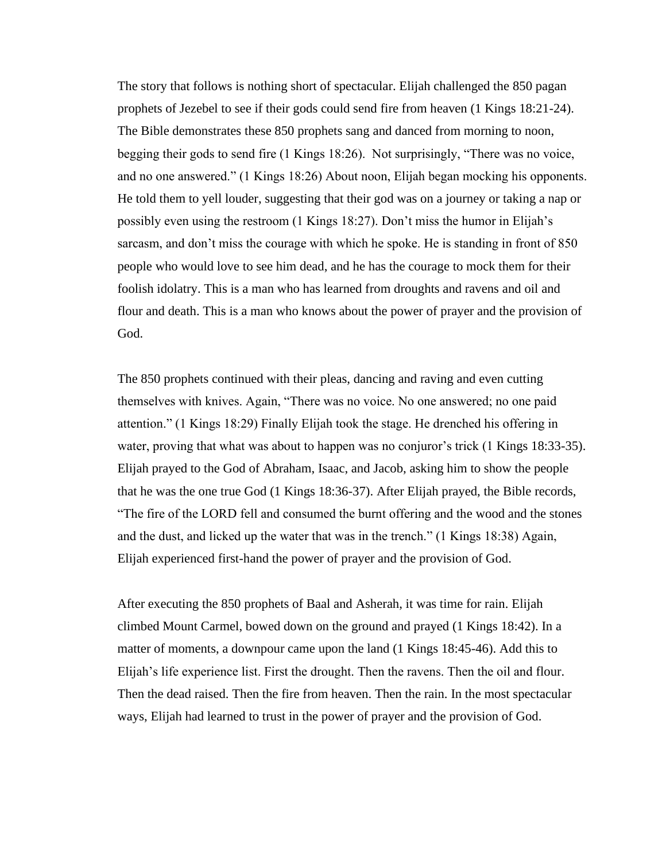The story that follows is nothing short of spectacular. Elijah challenged the 850 pagan prophets of Jezebel to see if their gods could send fire from heaven (1 Kings 18:21-24). The Bible demonstrates these 850 prophets sang and danced from morning to noon, begging their gods to send fire (1 Kings 18:26). Not surprisingly, "There was no voice, and no one answered." (1 Kings 18:26) About noon, Elijah began mocking his opponents. He told them to yell louder, suggesting that their god was on a journey or taking a nap or possibly even using the restroom (1 Kings 18:27). Don't miss the humor in Elijah's sarcasm, and don't miss the courage with which he spoke. He is standing in front of 850 people who would love to see him dead, and he has the courage to mock them for their foolish idolatry. This is a man who has learned from droughts and ravens and oil and flour and death. This is a man who knows about the power of prayer and the provision of God.

The 850 prophets continued with their pleas, dancing and raving and even cutting themselves with knives. Again, "There was no voice. No one answered; no one paid attention." (1 Kings 18:29) Finally Elijah took the stage. He drenched his offering in water, proving that what was about to happen was no conjuror's trick (1 Kings 18:33-35). Elijah prayed to the God of Abraham, Isaac, and Jacob, asking him to show the people that he was the one true God (1 Kings 18:36-37). After Elijah prayed, the Bible records, "The fire of the LORD fell and consumed the burnt offering and the wood and the stones and the dust, and licked up the water that was in the trench." (1 Kings 18:38) Again, Elijah experienced first-hand the power of prayer and the provision of God.

After executing the 850 prophets of Baal and Asherah, it was time for rain. Elijah climbed Mount Carmel, bowed down on the ground and prayed (1 Kings 18:42). In a matter of moments, a downpour came upon the land (1 Kings 18:45-46). Add this to Elijah's life experience list. First the drought. Then the ravens. Then the oil and flour. Then the dead raised. Then the fire from heaven. Then the rain. In the most spectacular ways, Elijah had learned to trust in the power of prayer and the provision of God.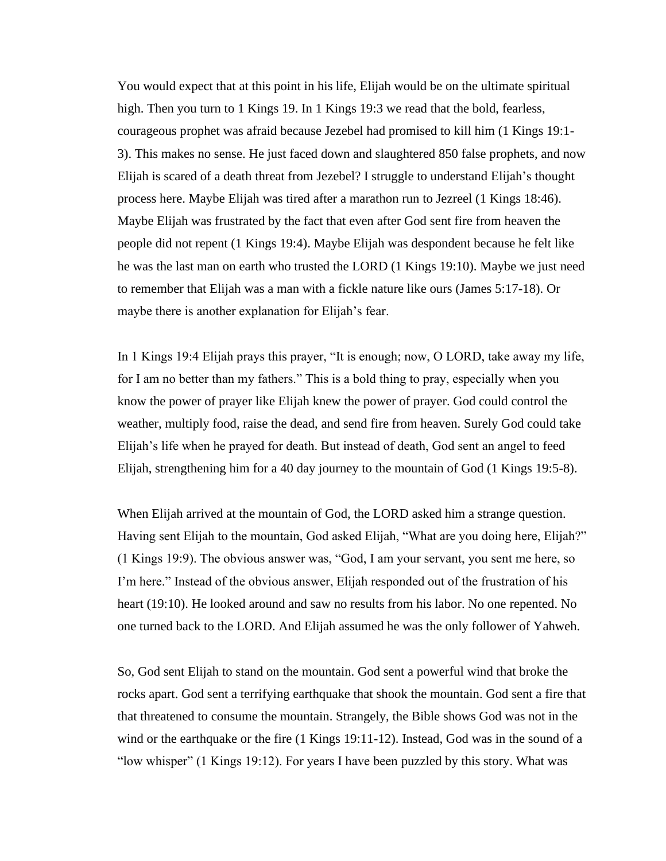You would expect that at this point in his life, Elijah would be on the ultimate spiritual high. Then you turn to 1 Kings 19. In 1 Kings 19:3 we read that the bold, fearless, courageous prophet was afraid because Jezebel had promised to kill him (1 Kings 19:1- 3). This makes no sense. He just faced down and slaughtered 850 false prophets, and now Elijah is scared of a death threat from Jezebel? I struggle to understand Elijah's thought process here. Maybe Elijah was tired after a marathon run to Jezreel (1 Kings 18:46). Maybe Elijah was frustrated by the fact that even after God sent fire from heaven the people did not repent (1 Kings 19:4). Maybe Elijah was despondent because he felt like he was the last man on earth who trusted the LORD (1 Kings 19:10). Maybe we just need to remember that Elijah was a man with a fickle nature like ours (James 5:17-18). Or maybe there is another explanation for Elijah's fear.

In 1 Kings 19:4 Elijah prays this prayer, "It is enough; now, O LORD, take away my life, for I am no better than my fathers." This is a bold thing to pray, especially when you know the power of prayer like Elijah knew the power of prayer. God could control the weather, multiply food, raise the dead, and send fire from heaven. Surely God could take Elijah's life when he prayed for death. But instead of death, God sent an angel to feed Elijah, strengthening him for a 40 day journey to the mountain of God (1 Kings 19:5-8).

When Elijah arrived at the mountain of God, the LORD asked him a strange question. Having sent Elijah to the mountain, God asked Elijah, "What are you doing here, Elijah?" (1 Kings 19:9). The obvious answer was, "God, I am your servant, you sent me here, so I'm here." Instead of the obvious answer, Elijah responded out of the frustration of his heart (19:10). He looked around and saw no results from his labor. No one repented. No one turned back to the LORD. And Elijah assumed he was the only follower of Yahweh.

So, God sent Elijah to stand on the mountain. God sent a powerful wind that broke the rocks apart. God sent a terrifying earthquake that shook the mountain. God sent a fire that that threatened to consume the mountain. Strangely, the Bible shows God was not in the wind or the earthquake or the fire (1 Kings 19:11-12). Instead, God was in the sound of a "low whisper" (1 Kings 19:12). For years I have been puzzled by this story. What was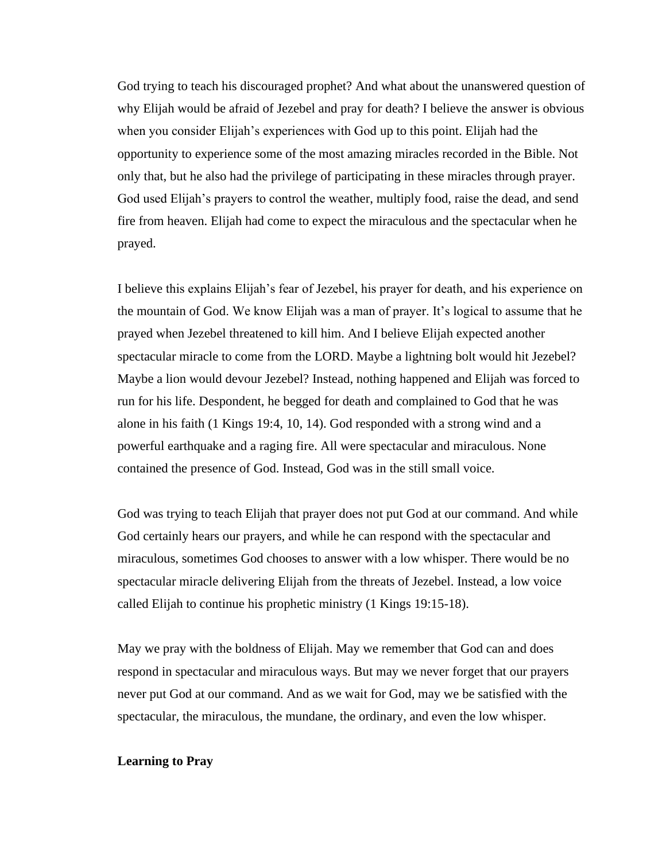God trying to teach his discouraged prophet? And what about the unanswered question of why Elijah would be afraid of Jezebel and pray for death? I believe the answer is obvious when you consider Elijah's experiences with God up to this point. Elijah had the opportunity to experience some of the most amazing miracles recorded in the Bible. Not only that, but he also had the privilege of participating in these miracles through prayer. God used Elijah's prayers to control the weather, multiply food, raise the dead, and send fire from heaven. Elijah had come to expect the miraculous and the spectacular when he prayed.

I believe this explains Elijah's fear of Jezebel, his prayer for death, and his experience on the mountain of God. We know Elijah was a man of prayer. It's logical to assume that he prayed when Jezebel threatened to kill him. And I believe Elijah expected another spectacular miracle to come from the LORD. Maybe a lightning bolt would hit Jezebel? Maybe a lion would devour Jezebel? Instead, nothing happened and Elijah was forced to run for his life. Despondent, he begged for death and complained to God that he was alone in his faith (1 Kings 19:4, 10, 14). God responded with a strong wind and a powerful earthquake and a raging fire. All were spectacular and miraculous. None contained the presence of God. Instead, God was in the still small voice.

God was trying to teach Elijah that prayer does not put God at our command. And while God certainly hears our prayers, and while he can respond with the spectacular and miraculous, sometimes God chooses to answer with a low whisper. There would be no spectacular miracle delivering Elijah from the threats of Jezebel. Instead, a low voice called Elijah to continue his prophetic ministry (1 Kings 19:15-18).

May we pray with the boldness of Elijah. May we remember that God can and does respond in spectacular and miraculous ways. But may we never forget that our prayers never put God at our command. And as we wait for God, may we be satisfied with the spectacular, the miraculous, the mundane, the ordinary, and even the low whisper.

# **Learning to Pray**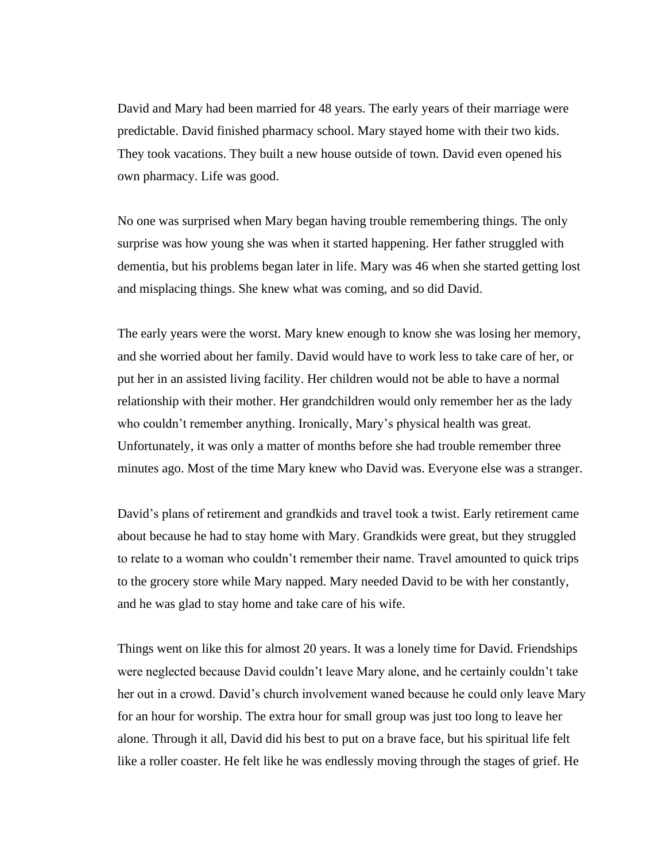David and Mary had been married for 48 years. The early years of their marriage were predictable. David finished pharmacy school. Mary stayed home with their two kids. They took vacations. They built a new house outside of town. David even opened his own pharmacy. Life was good.

No one was surprised when Mary began having trouble remembering things. The only surprise was how young she was when it started happening. Her father struggled with dementia, but his problems began later in life. Mary was 46 when she started getting lost and misplacing things. She knew what was coming, and so did David.

The early years were the worst. Mary knew enough to know she was losing her memory, and she worried about her family. David would have to work less to take care of her, or put her in an assisted living facility. Her children would not be able to have a normal relationship with their mother. Her grandchildren would only remember her as the lady who couldn't remember anything. Ironically, Mary's physical health was great. Unfortunately, it was only a matter of months before she had trouble remember three minutes ago. Most of the time Mary knew who David was. Everyone else was a stranger.

David's plans of retirement and grandkids and travel took a twist. Early retirement came about because he had to stay home with Mary. Grandkids were great, but they struggled to relate to a woman who couldn't remember their name. Travel amounted to quick trips to the grocery store while Mary napped. Mary needed David to be with her constantly, and he was glad to stay home and take care of his wife.

Things went on like this for almost 20 years. It was a lonely time for David. Friendships were neglected because David couldn't leave Mary alone, and he certainly couldn't take her out in a crowd. David's church involvement waned because he could only leave Mary for an hour for worship. The extra hour for small group was just too long to leave her alone. Through it all, David did his best to put on a brave face, but his spiritual life felt like a roller coaster. He felt like he was endlessly moving through the stages of grief. He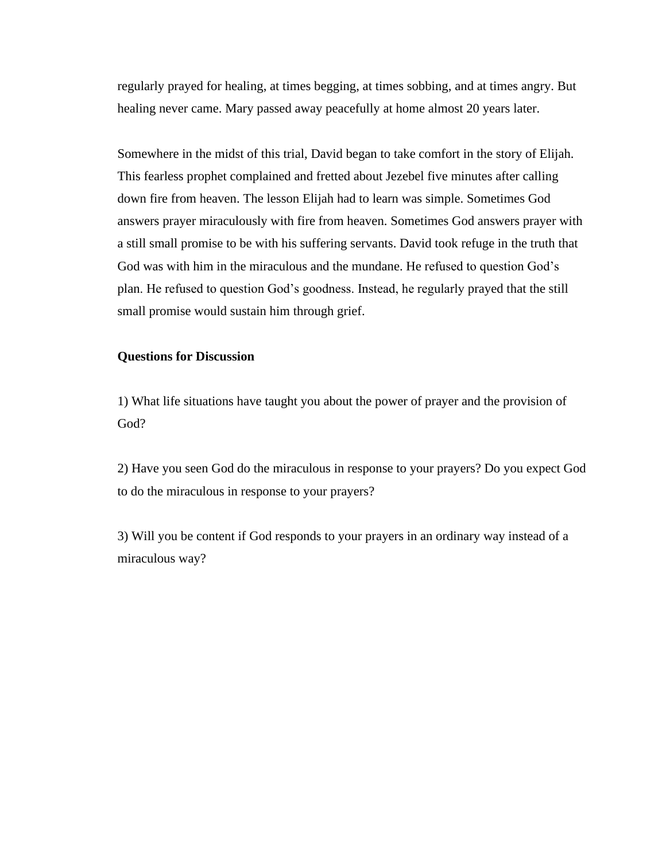regularly prayed for healing, at times begging, at times sobbing, and at times angry. But healing never came. Mary passed away peacefully at home almost 20 years later.

Somewhere in the midst of this trial, David began to take comfort in the story of Elijah. This fearless prophet complained and fretted about Jezebel five minutes after calling down fire from heaven. The lesson Elijah had to learn was simple. Sometimes God answers prayer miraculously with fire from heaven. Sometimes God answers prayer with a still small promise to be with his suffering servants. David took refuge in the truth that God was with him in the miraculous and the mundane. He refused to question God's plan. He refused to question God's goodness. Instead, he regularly prayed that the still small promise would sustain him through grief.

# **Questions for Discussion**

1) What life situations have taught you about the power of prayer and the provision of God?

2) Have you seen God do the miraculous in response to your prayers? Do you expect God to do the miraculous in response to your prayers?

3) Will you be content if God responds to your prayers in an ordinary way instead of a miraculous way?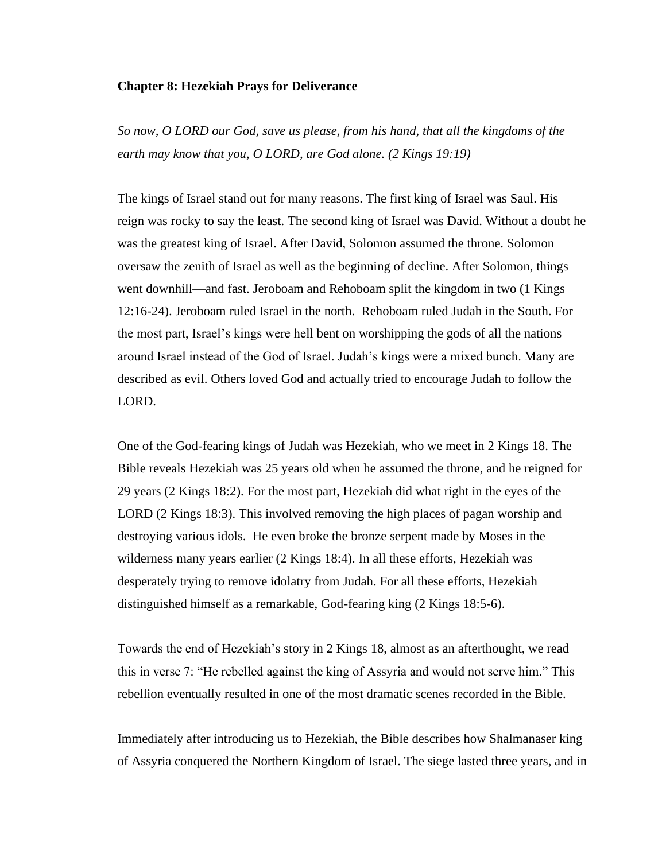#### **Chapter 8: Hezekiah Prays for Deliverance**

*So now, O LORD our God, save us please, from his hand, that all the kingdoms of the earth may know that you, O LORD, are God alone. (2 Kings 19:19)*

The kings of Israel stand out for many reasons. The first king of Israel was Saul. His reign was rocky to say the least. The second king of Israel was David. Without a doubt he was the greatest king of Israel. After David, Solomon assumed the throne. Solomon oversaw the zenith of Israel as well as the beginning of decline. After Solomon, things went downhill—and fast. Jeroboam and Rehoboam split the kingdom in two (1 Kings 12:16-24). Jeroboam ruled Israel in the north. Rehoboam ruled Judah in the South. For the most part, Israel's kings were hell bent on worshipping the gods of all the nations around Israel instead of the God of Israel. Judah's kings were a mixed bunch. Many are described as evil. Others loved God and actually tried to encourage Judah to follow the LORD.

One of the God-fearing kings of Judah was Hezekiah, who we meet in 2 Kings 18. The Bible reveals Hezekiah was 25 years old when he assumed the throne, and he reigned for 29 years (2 Kings 18:2). For the most part, Hezekiah did what right in the eyes of the LORD (2 Kings 18:3). This involved removing the high places of pagan worship and destroying various idols. He even broke the bronze serpent made by Moses in the wilderness many years earlier (2 Kings 18:4). In all these efforts, Hezekiah was desperately trying to remove idolatry from Judah. For all these efforts, Hezekiah distinguished himself as a remarkable, God-fearing king (2 Kings 18:5-6).

Towards the end of Hezekiah's story in 2 Kings 18, almost as an afterthought, we read this in verse 7: "He rebelled against the king of Assyria and would not serve him." This rebellion eventually resulted in one of the most dramatic scenes recorded in the Bible.

Immediately after introducing us to Hezekiah, the Bible describes how Shalmanaser king of Assyria conquered the Northern Kingdom of Israel. The siege lasted three years, and in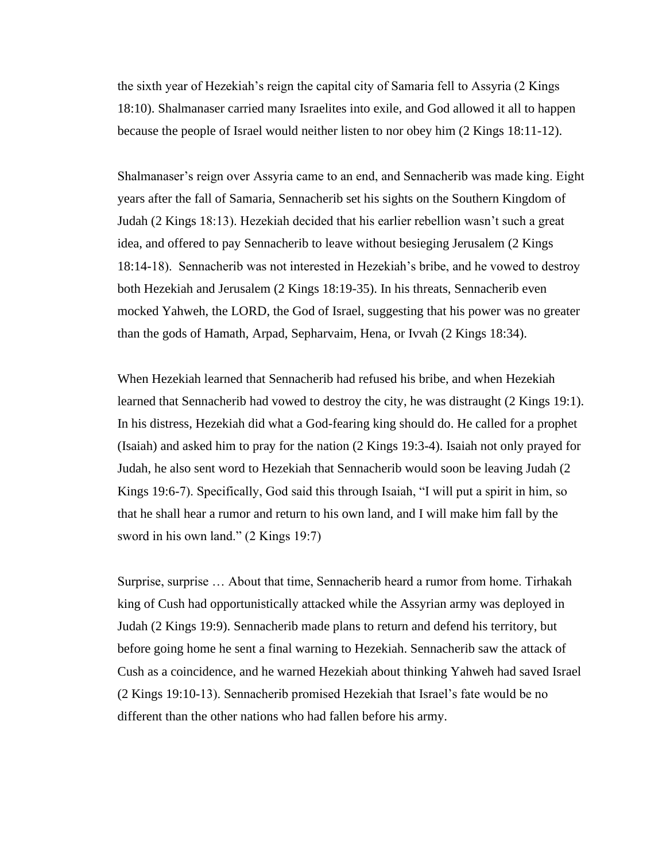the sixth year of Hezekiah's reign the capital city of Samaria fell to Assyria (2 Kings 18:10). Shalmanaser carried many Israelites into exile, and God allowed it all to happen because the people of Israel would neither listen to nor obey him (2 Kings 18:11-12).

Shalmanaser's reign over Assyria came to an end, and Sennacherib was made king. Eight years after the fall of Samaria, Sennacherib set his sights on the Southern Kingdom of Judah (2 Kings 18:13). Hezekiah decided that his earlier rebellion wasn't such a great idea, and offered to pay Sennacherib to leave without besieging Jerusalem (2 Kings 18:14-18). Sennacherib was not interested in Hezekiah's bribe, and he vowed to destroy both Hezekiah and Jerusalem (2 Kings 18:19-35). In his threats, Sennacherib even mocked Yahweh, the LORD, the God of Israel, suggesting that his power was no greater than the gods of Hamath, Arpad, Sepharvaim, Hena, or Ivvah (2 Kings 18:34).

When Hezekiah learned that Sennacherib had refused his bribe, and when Hezekiah learned that Sennacherib had vowed to destroy the city, he was distraught (2 Kings 19:1). In his distress, Hezekiah did what a God-fearing king should do. He called for a prophet (Isaiah) and asked him to pray for the nation (2 Kings 19:3-4). Isaiah not only prayed for Judah, he also sent word to Hezekiah that Sennacherib would soon be leaving Judah (2 Kings 19:6-7). Specifically, God said this through Isaiah, "I will put a spirit in him, so that he shall hear a rumor and return to his own land, and I will make him fall by the sword in his own land." (2 Kings 19:7)

Surprise, surprise … About that time, Sennacherib heard a rumor from home. Tirhakah king of Cush had opportunistically attacked while the Assyrian army was deployed in Judah (2 Kings 19:9). Sennacherib made plans to return and defend his territory, but before going home he sent a final warning to Hezekiah. Sennacherib saw the attack of Cush as a coincidence, and he warned Hezekiah about thinking Yahweh had saved Israel (2 Kings 19:10-13). Sennacherib promised Hezekiah that Israel's fate would be no different than the other nations who had fallen before his army.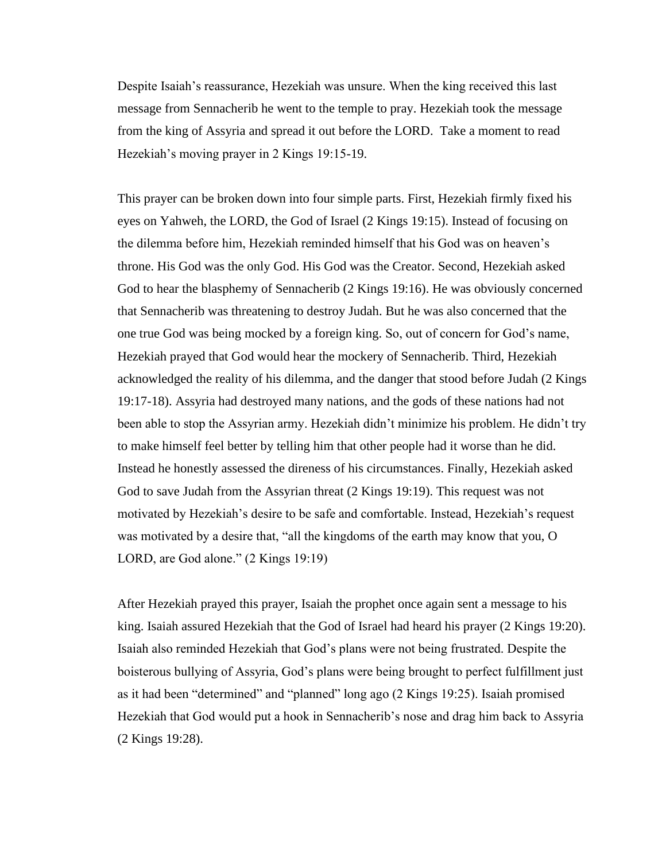Despite Isaiah's reassurance, Hezekiah was unsure. When the king received this last message from Sennacherib he went to the temple to pray. Hezekiah took the message from the king of Assyria and spread it out before the LORD. Take a moment to read Hezekiah's moving prayer in 2 Kings 19:15-19.

This prayer can be broken down into four simple parts. First, Hezekiah firmly fixed his eyes on Yahweh, the LORD, the God of Israel (2 Kings 19:15). Instead of focusing on the dilemma before him, Hezekiah reminded himself that his God was on heaven's throne. His God was the only God. His God was the Creator. Second, Hezekiah asked God to hear the blasphemy of Sennacherib (2 Kings 19:16). He was obviously concerned that Sennacherib was threatening to destroy Judah. But he was also concerned that the one true God was being mocked by a foreign king. So, out of concern for God's name, Hezekiah prayed that God would hear the mockery of Sennacherib. Third, Hezekiah acknowledged the reality of his dilemma, and the danger that stood before Judah (2 Kings 19:17-18). Assyria had destroyed many nations, and the gods of these nations had not been able to stop the Assyrian army. Hezekiah didn't minimize his problem. He didn't try to make himself feel better by telling him that other people had it worse than he did. Instead he honestly assessed the direness of his circumstances. Finally, Hezekiah asked God to save Judah from the Assyrian threat (2 Kings 19:19). This request was not motivated by Hezekiah's desire to be safe and comfortable. Instead, Hezekiah's request was motivated by a desire that, "all the kingdoms of the earth may know that you, O LORD, are God alone." (2 Kings 19:19)

After Hezekiah prayed this prayer, Isaiah the prophet once again sent a message to his king. Isaiah assured Hezekiah that the God of Israel had heard his prayer (2 Kings 19:20). Isaiah also reminded Hezekiah that God's plans were not being frustrated. Despite the boisterous bullying of Assyria, God's plans were being brought to perfect fulfillment just as it had been "determined" and "planned" long ago (2 Kings 19:25). Isaiah promised Hezekiah that God would put a hook in Sennacherib's nose and drag him back to Assyria (2 Kings 19:28).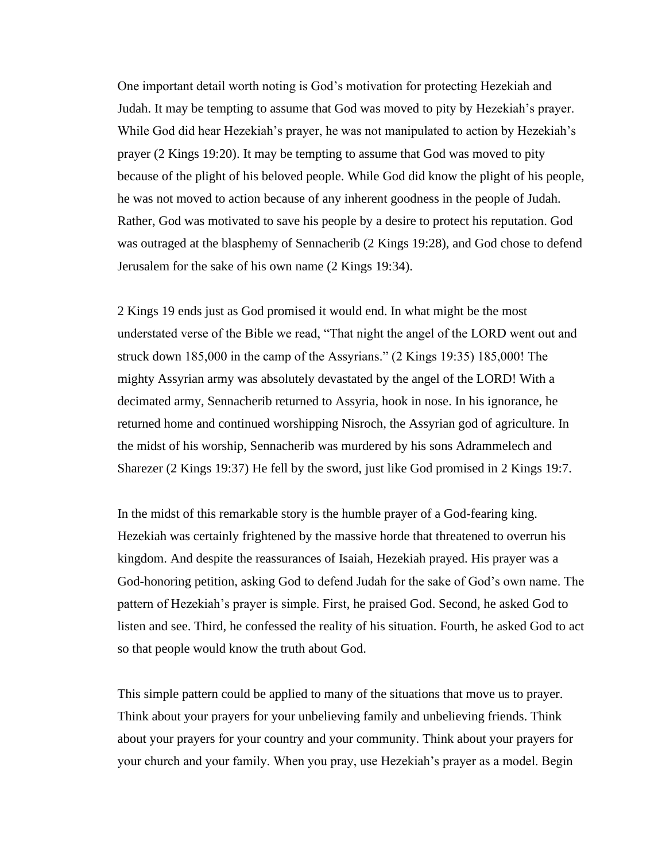One important detail worth noting is God's motivation for protecting Hezekiah and Judah. It may be tempting to assume that God was moved to pity by Hezekiah's prayer. While God did hear Hezekiah's prayer, he was not manipulated to action by Hezekiah's prayer (2 Kings 19:20). It may be tempting to assume that God was moved to pity because of the plight of his beloved people. While God did know the plight of his people, he was not moved to action because of any inherent goodness in the people of Judah. Rather, God was motivated to save his people by a desire to protect his reputation. God was outraged at the blasphemy of Sennacherib (2 Kings 19:28), and God chose to defend Jerusalem for the sake of his own name (2 Kings 19:34).

2 Kings 19 ends just as God promised it would end. In what might be the most understated verse of the Bible we read, "That night the angel of the LORD went out and struck down 185,000 in the camp of the Assyrians." (2 Kings 19:35) 185,000! The mighty Assyrian army was absolutely devastated by the angel of the LORD! With a decimated army, Sennacherib returned to Assyria, hook in nose. In his ignorance, he returned home and continued worshipping Nisroch, the Assyrian god of agriculture. In the midst of his worship, Sennacherib was murdered by his sons Adrammelech and Sharezer (2 Kings 19:37) He fell by the sword, just like God promised in 2 Kings 19:7.

In the midst of this remarkable story is the humble prayer of a God-fearing king. Hezekiah was certainly frightened by the massive horde that threatened to overrun his kingdom. And despite the reassurances of Isaiah, Hezekiah prayed. His prayer was a God-honoring petition, asking God to defend Judah for the sake of God's own name. The pattern of Hezekiah's prayer is simple. First, he praised God. Second, he asked God to listen and see. Third, he confessed the reality of his situation. Fourth, he asked God to act so that people would know the truth about God.

This simple pattern could be applied to many of the situations that move us to prayer. Think about your prayers for your unbelieving family and unbelieving friends. Think about your prayers for your country and your community. Think about your prayers for your church and your family. When you pray, use Hezekiah's prayer as a model. Begin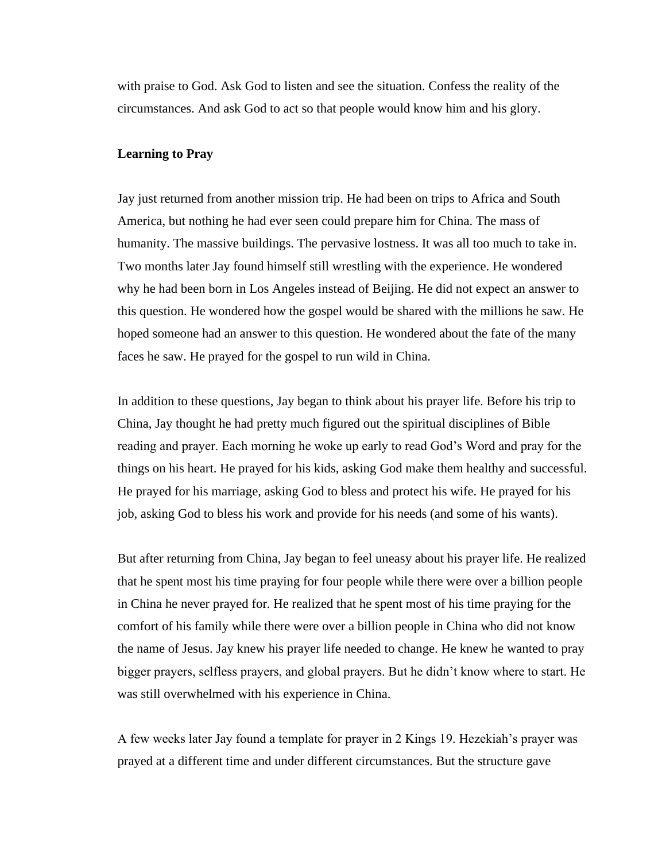with praise to God. Ask God to listen and see the situation. Confess the reality of the circumstances. And ask God to act so that people would know him and his glory.

#### **Learning to Pray**

Jay just returned from another mission trip. He had been on trips to Africa and South America, but nothing he had ever seen could prepare him for China. The mass of humanity. The massive buildings. The pervasive lostness. It was all too much to take in. Two months later Jay found himself still wrestling with the experience. He wondered why he had been born in Los Angeles instead of Beijing. He did not expect an answer to this question. He wondered how the gospel would be shared with the millions he saw. He hoped someone had an answer to this question. He wondered about the fate of the many faces he saw. He prayed for the gospel to run wild in China.

In addition to these questions, Jay began to think about his prayer life. Before his trip to China, Jay thought he had pretty much figured out the spiritual disciplines of Bible reading and prayer. Each morning he woke up early to read God's Word and pray for the things on his heart. He prayed for his kids, asking God make them healthy and successful. He prayed for his marriage, asking God to bless and protect his wife. He prayed for his job, asking God to bless his work and provide for his needs (and some of his wants).

But after returning from China, Jay began to feel uneasy about his prayer life. He realized that he spent most his time praying for four people while there were over a billion people in China he never prayed for. He realized that he spent most of his time praying for the comfort of his family while there were over a billion people in China who did not know the name of Jesus. Jay knew his prayer life needed to change. He knew he wanted to pray bigger prayers, selfless prayers, and global prayers. But he didn't know where to start. He was still overwhelmed with his experience in China.

A few weeks later Jay found a template for prayer in 2 Kings 19. Hezekiah's prayer was prayed at a different time and under different circumstances. But the structure gave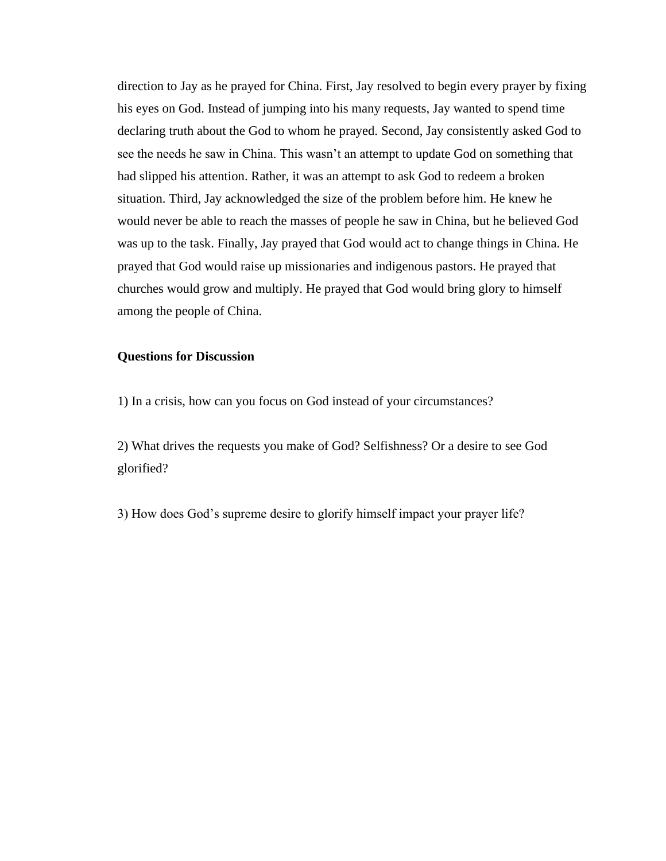direction to Jay as he prayed for China. First, Jay resolved to begin every prayer by fixing his eyes on God. Instead of jumping into his many requests, Jay wanted to spend time declaring truth about the God to whom he prayed. Second, Jay consistently asked God to see the needs he saw in China. This wasn't an attempt to update God on something that had slipped his attention. Rather, it was an attempt to ask God to redeem a broken situation. Third, Jay acknowledged the size of the problem before him. He knew he would never be able to reach the masses of people he saw in China, but he believed God was up to the task. Finally, Jay prayed that God would act to change things in China. He prayed that God would raise up missionaries and indigenous pastors. He prayed that churches would grow and multiply. He prayed that God would bring glory to himself among the people of China.

# **Questions for Discussion**

1) In a crisis, how can you focus on God instead of your circumstances?

2) What drives the requests you make of God? Selfishness? Or a desire to see God glorified?

3) How does God's supreme desire to glorify himself impact your prayer life?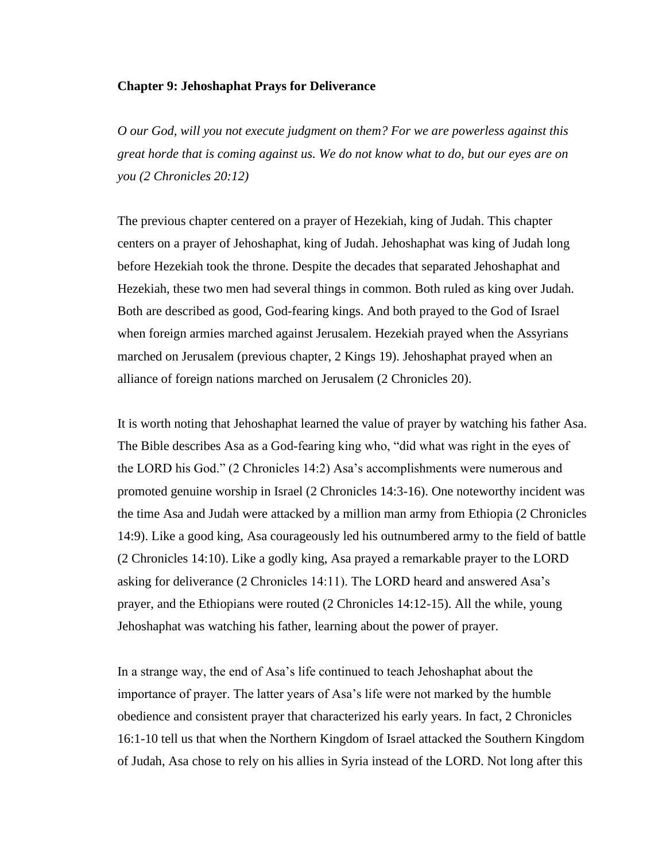### **Chapter 9: Jehoshaphat Prays for Deliverance**

*O our God, will you not execute judgment on them? For we are powerless against this great horde that is coming against us. We do not know what to do, but our eyes are on you (2 Chronicles 20:12)*

The previous chapter centered on a prayer of Hezekiah, king of Judah. This chapter centers on a prayer of Jehoshaphat, king of Judah. Jehoshaphat was king of Judah long before Hezekiah took the throne. Despite the decades that separated Jehoshaphat and Hezekiah, these two men had several things in common. Both ruled as king over Judah. Both are described as good, God-fearing kings. And both prayed to the God of Israel when foreign armies marched against Jerusalem. Hezekiah prayed when the Assyrians marched on Jerusalem (previous chapter, 2 Kings 19). Jehoshaphat prayed when an alliance of foreign nations marched on Jerusalem (2 Chronicles 20).

It is worth noting that Jehoshaphat learned the value of prayer by watching his father Asa. The Bible describes Asa as a God-fearing king who, "did what was right in the eyes of the LORD his God." (2 Chronicles 14:2) Asa's accomplishments were numerous and promoted genuine worship in Israel (2 Chronicles 14:3-16). One noteworthy incident was the time Asa and Judah were attacked by a million man army from Ethiopia (2 Chronicles 14:9). Like a good king, Asa courageously led his outnumbered army to the field of battle (2 Chronicles 14:10). Like a godly king, Asa prayed a remarkable prayer to the LORD asking for deliverance (2 Chronicles 14:11). The LORD heard and answered Asa's prayer, and the Ethiopians were routed (2 Chronicles 14:12-15). All the while, young Jehoshaphat was watching his father, learning about the power of prayer.

In a strange way, the end of Asa's life continued to teach Jehoshaphat about the importance of prayer. The latter years of Asa's life were not marked by the humble obedience and consistent prayer that characterized his early years. In fact, 2 Chronicles 16:1-10 tell us that when the Northern Kingdom of Israel attacked the Southern Kingdom of Judah, Asa chose to rely on his allies in Syria instead of the LORD. Not long after this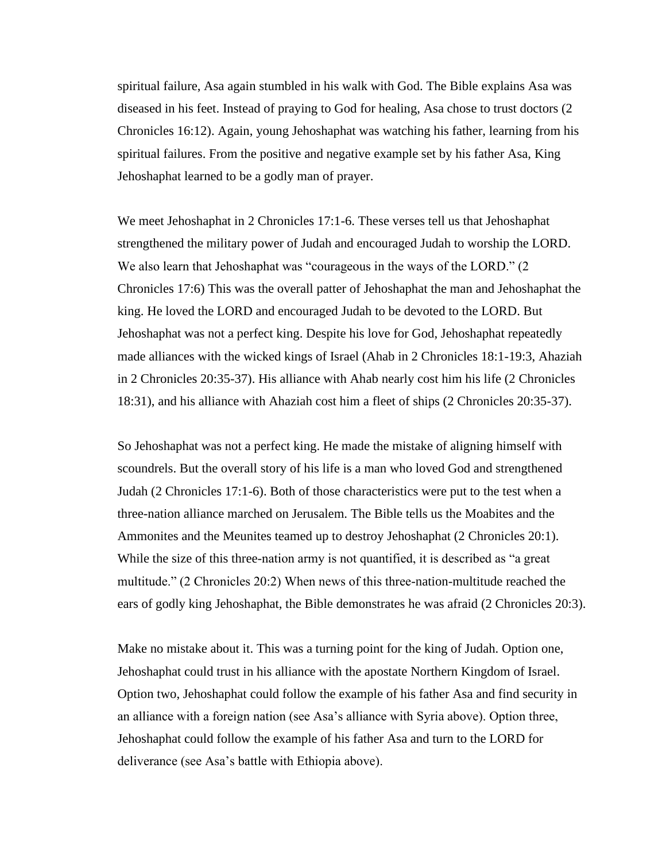spiritual failure, Asa again stumbled in his walk with God. The Bible explains Asa was diseased in his feet. Instead of praying to God for healing, Asa chose to trust doctors (2 Chronicles 16:12). Again, young Jehoshaphat was watching his father, learning from his spiritual failures. From the positive and negative example set by his father Asa, King Jehoshaphat learned to be a godly man of prayer.

We meet Jehoshaphat in 2 Chronicles 17:1-6. These verses tell us that Jehoshaphat strengthened the military power of Judah and encouraged Judah to worship the LORD. We also learn that Jehoshaphat was "courageous in the ways of the LORD." (2 Chronicles 17:6) This was the overall patter of Jehoshaphat the man and Jehoshaphat the king. He loved the LORD and encouraged Judah to be devoted to the LORD. But Jehoshaphat was not a perfect king. Despite his love for God, Jehoshaphat repeatedly made alliances with the wicked kings of Israel (Ahab in 2 Chronicles 18:1-19:3, Ahaziah in 2 Chronicles 20:35-37). His alliance with Ahab nearly cost him his life (2 Chronicles 18:31), and his alliance with Ahaziah cost him a fleet of ships (2 Chronicles 20:35-37).

So Jehoshaphat was not a perfect king. He made the mistake of aligning himself with scoundrels. But the overall story of his life is a man who loved God and strengthened Judah (2 Chronicles 17:1-6). Both of those characteristics were put to the test when a three-nation alliance marched on Jerusalem. The Bible tells us the Moabites and the Ammonites and the Meunites teamed up to destroy Jehoshaphat (2 Chronicles 20:1). While the size of this three-nation army is not quantified, it is described as "a great multitude." (2 Chronicles 20:2) When news of this three-nation-multitude reached the ears of godly king Jehoshaphat, the Bible demonstrates he was afraid (2 Chronicles 20:3).

Make no mistake about it. This was a turning point for the king of Judah. Option one, Jehoshaphat could trust in his alliance with the apostate Northern Kingdom of Israel. Option two, Jehoshaphat could follow the example of his father Asa and find security in an alliance with a foreign nation (see Asa's alliance with Syria above). Option three, Jehoshaphat could follow the example of his father Asa and turn to the LORD for deliverance (see Asa's battle with Ethiopia above).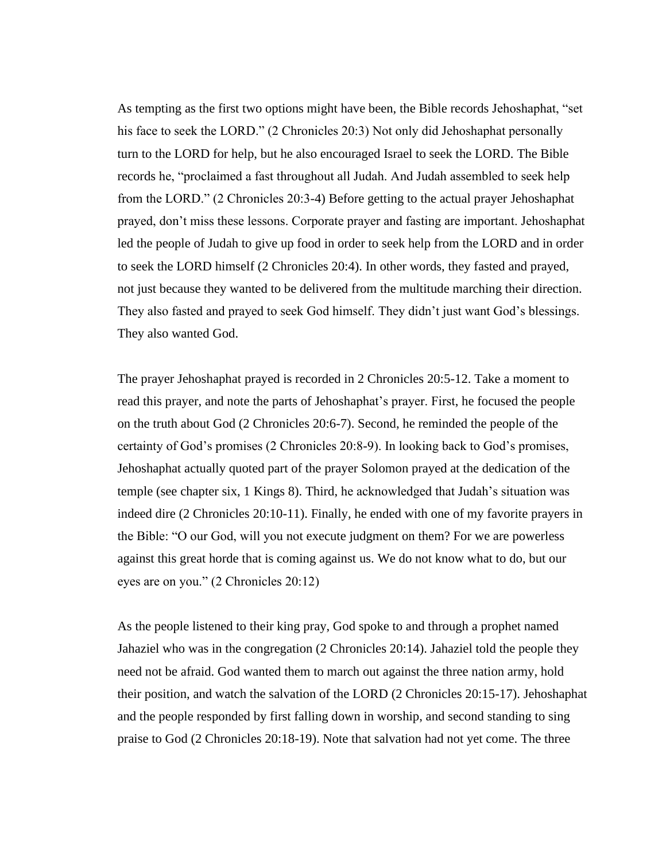As tempting as the first two options might have been, the Bible records Jehoshaphat, "set his face to seek the LORD." (2 Chronicles 20:3) Not only did Jehoshaphat personally turn to the LORD for help, but he also encouraged Israel to seek the LORD. The Bible records he, "proclaimed a fast throughout all Judah. And Judah assembled to seek help from the LORD." (2 Chronicles 20:3-4) Before getting to the actual prayer Jehoshaphat prayed, don't miss these lessons. Corporate prayer and fasting are important. Jehoshaphat led the people of Judah to give up food in order to seek help from the LORD and in order to seek the LORD himself (2 Chronicles 20:4). In other words, they fasted and prayed, not just because they wanted to be delivered from the multitude marching their direction. They also fasted and prayed to seek God himself. They didn't just want God's blessings. They also wanted God.

The prayer Jehoshaphat prayed is recorded in 2 Chronicles 20:5-12. Take a moment to read this prayer, and note the parts of Jehoshaphat's prayer. First, he focused the people on the truth about God (2 Chronicles 20:6-7). Second, he reminded the people of the certainty of God's promises (2 Chronicles 20:8-9). In looking back to God's promises, Jehoshaphat actually quoted part of the prayer Solomon prayed at the dedication of the temple (see chapter six, 1 Kings 8). Third, he acknowledged that Judah's situation was indeed dire (2 Chronicles 20:10-11). Finally, he ended with one of my favorite prayers in the Bible: "O our God, will you not execute judgment on them? For we are powerless against this great horde that is coming against us. We do not know what to do, but our eyes are on you." (2 Chronicles 20:12)

As the people listened to their king pray, God spoke to and through a prophet named Jahaziel who was in the congregation (2 Chronicles 20:14). Jahaziel told the people they need not be afraid. God wanted them to march out against the three nation army, hold their position, and watch the salvation of the LORD (2 Chronicles 20:15-17). Jehoshaphat and the people responded by first falling down in worship, and second standing to sing praise to God (2 Chronicles 20:18-19). Note that salvation had not yet come. The three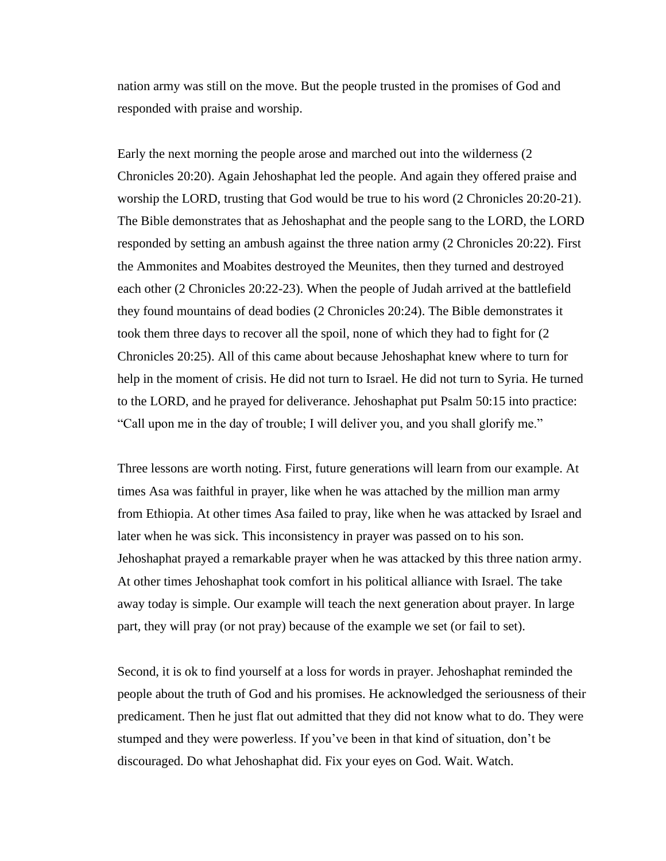nation army was still on the move. But the people trusted in the promises of God and responded with praise and worship.

Early the next morning the people arose and marched out into the wilderness (2 Chronicles 20:20). Again Jehoshaphat led the people. And again they offered praise and worship the LORD, trusting that God would be true to his word (2 Chronicles 20:20-21). The Bible demonstrates that as Jehoshaphat and the people sang to the LORD, the LORD responded by setting an ambush against the three nation army (2 Chronicles 20:22). First the Ammonites and Moabites destroyed the Meunites, then they turned and destroyed each other (2 Chronicles 20:22-23). When the people of Judah arrived at the battlefield they found mountains of dead bodies (2 Chronicles 20:24). The Bible demonstrates it took them three days to recover all the spoil, none of which they had to fight for (2 Chronicles 20:25). All of this came about because Jehoshaphat knew where to turn for help in the moment of crisis. He did not turn to Israel. He did not turn to Syria. He turned to the LORD, and he prayed for deliverance. Jehoshaphat put Psalm 50:15 into practice: "Call upon me in the day of trouble; I will deliver you, and you shall glorify me."

Three lessons are worth noting. First, future generations will learn from our example. At times Asa was faithful in prayer, like when he was attached by the million man army from Ethiopia. At other times Asa failed to pray, like when he was attacked by Israel and later when he was sick. This inconsistency in prayer was passed on to his son. Jehoshaphat prayed a remarkable prayer when he was attacked by this three nation army. At other times Jehoshaphat took comfort in his political alliance with Israel. The take away today is simple. Our example will teach the next generation about prayer. In large part, they will pray (or not pray) because of the example we set (or fail to set).

Second, it is ok to find yourself at a loss for words in prayer. Jehoshaphat reminded the people about the truth of God and his promises. He acknowledged the seriousness of their predicament. Then he just flat out admitted that they did not know what to do. They were stumped and they were powerless. If you've been in that kind of situation, don't be discouraged. Do what Jehoshaphat did. Fix your eyes on God. Wait. Watch.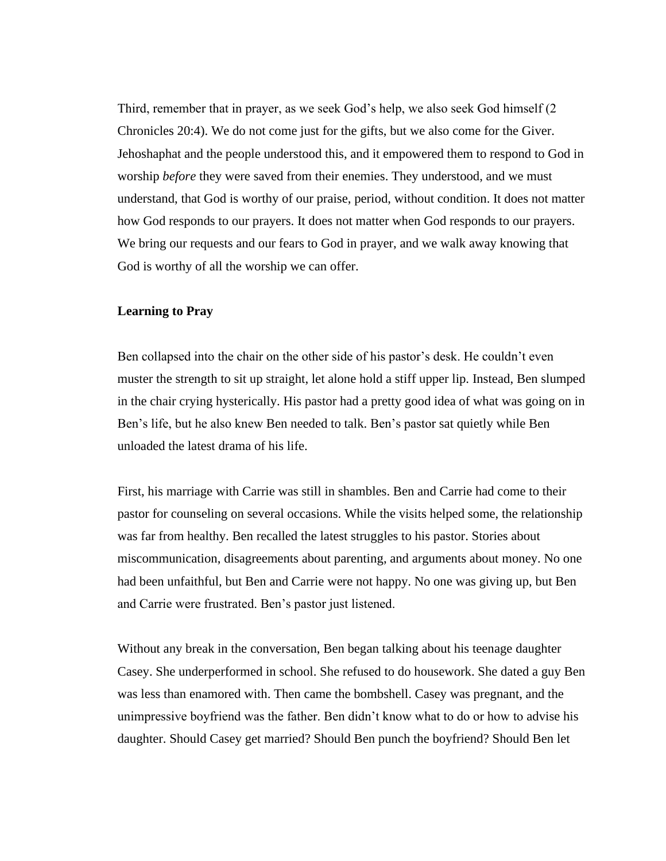Third, remember that in prayer, as we seek God's help, we also seek God himself (2 Chronicles 20:4). We do not come just for the gifts, but we also come for the Giver. Jehoshaphat and the people understood this, and it empowered them to respond to God in worship *before* they were saved from their enemies. They understood, and we must understand, that God is worthy of our praise, period, without condition. It does not matter how God responds to our prayers. It does not matter when God responds to our prayers. We bring our requests and our fears to God in prayer, and we walk away knowing that God is worthy of all the worship we can offer.

### **Learning to Pray**

Ben collapsed into the chair on the other side of his pastor's desk. He couldn't even muster the strength to sit up straight, let alone hold a stiff upper lip. Instead, Ben slumped in the chair crying hysterically. His pastor had a pretty good idea of what was going on in Ben's life, but he also knew Ben needed to talk. Ben's pastor sat quietly while Ben unloaded the latest drama of his life.

First, his marriage with Carrie was still in shambles. Ben and Carrie had come to their pastor for counseling on several occasions. While the visits helped some, the relationship was far from healthy. Ben recalled the latest struggles to his pastor. Stories about miscommunication, disagreements about parenting, and arguments about money. No one had been unfaithful, but Ben and Carrie were not happy. No one was giving up, but Ben and Carrie were frustrated. Ben's pastor just listened.

Without any break in the conversation, Ben began talking about his teenage daughter Casey. She underperformed in school. She refused to do housework. She dated a guy Ben was less than enamored with. Then came the bombshell. Casey was pregnant, and the unimpressive boyfriend was the father. Ben didn't know what to do or how to advise his daughter. Should Casey get married? Should Ben punch the boyfriend? Should Ben let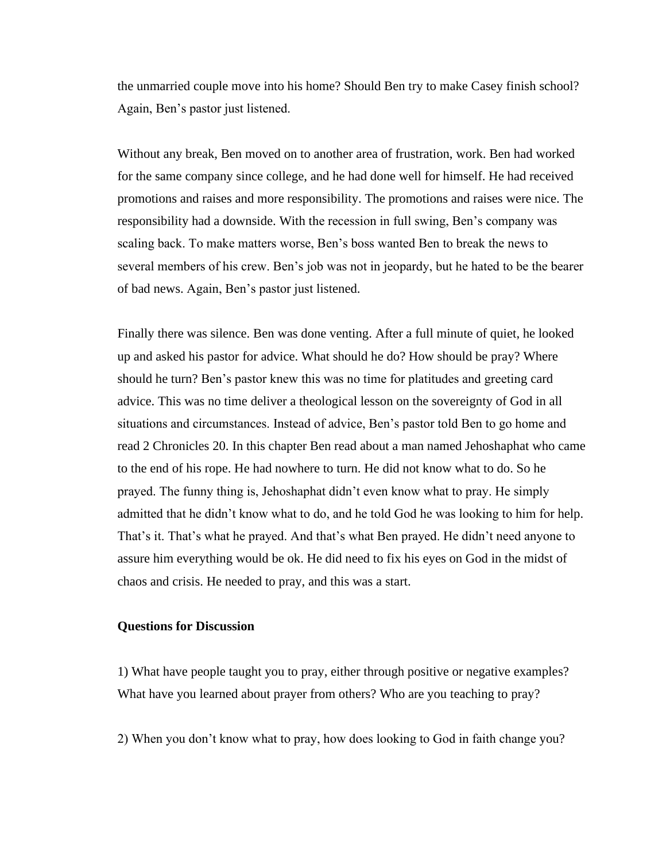the unmarried couple move into his home? Should Ben try to make Casey finish school? Again, Ben's pastor just listened.

Without any break, Ben moved on to another area of frustration, work. Ben had worked for the same company since college, and he had done well for himself. He had received promotions and raises and more responsibility. The promotions and raises were nice. The responsibility had a downside. With the recession in full swing, Ben's company was scaling back. To make matters worse, Ben's boss wanted Ben to break the news to several members of his crew. Ben's job was not in jeopardy, but he hated to be the bearer of bad news. Again, Ben's pastor just listened.

Finally there was silence. Ben was done venting. After a full minute of quiet, he looked up and asked his pastor for advice. What should he do? How should be pray? Where should he turn? Ben's pastor knew this was no time for platitudes and greeting card advice. This was no time deliver a theological lesson on the sovereignty of God in all situations and circumstances. Instead of advice, Ben's pastor told Ben to go home and read 2 Chronicles 20. In this chapter Ben read about a man named Jehoshaphat who came to the end of his rope. He had nowhere to turn. He did not know what to do. So he prayed. The funny thing is, Jehoshaphat didn't even know what to pray. He simply admitted that he didn't know what to do, and he told God he was looking to him for help. That's it. That's what he prayed. And that's what Ben prayed. He didn't need anyone to assure him everything would be ok. He did need to fix his eyes on God in the midst of chaos and crisis. He needed to pray, and this was a start.

#### **Questions for Discussion**

1) What have people taught you to pray, either through positive or negative examples? What have you learned about prayer from others? Who are you teaching to pray?

2) When you don't know what to pray, how does looking to God in faith change you?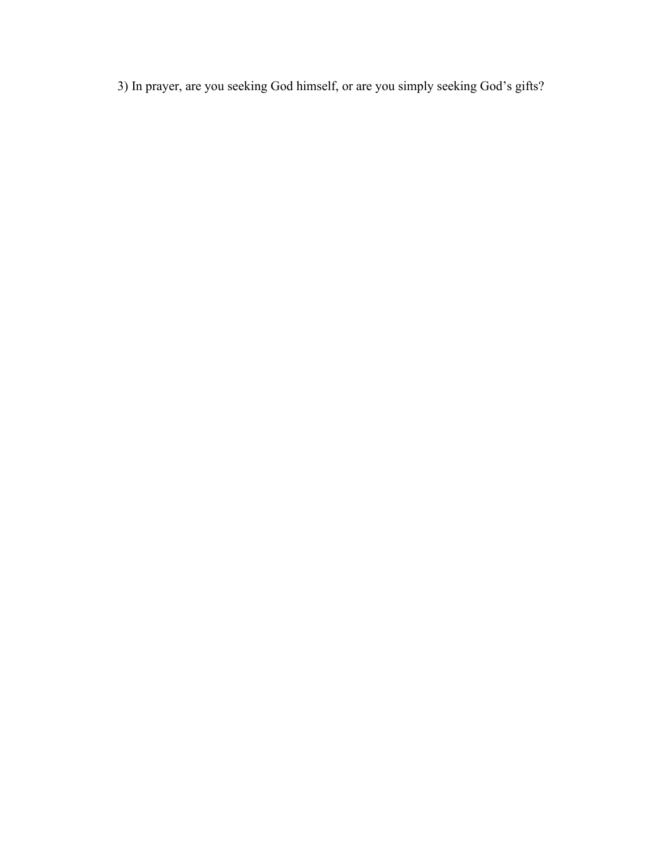3) In prayer, are you seeking God himself, or are you simply seeking God's gifts?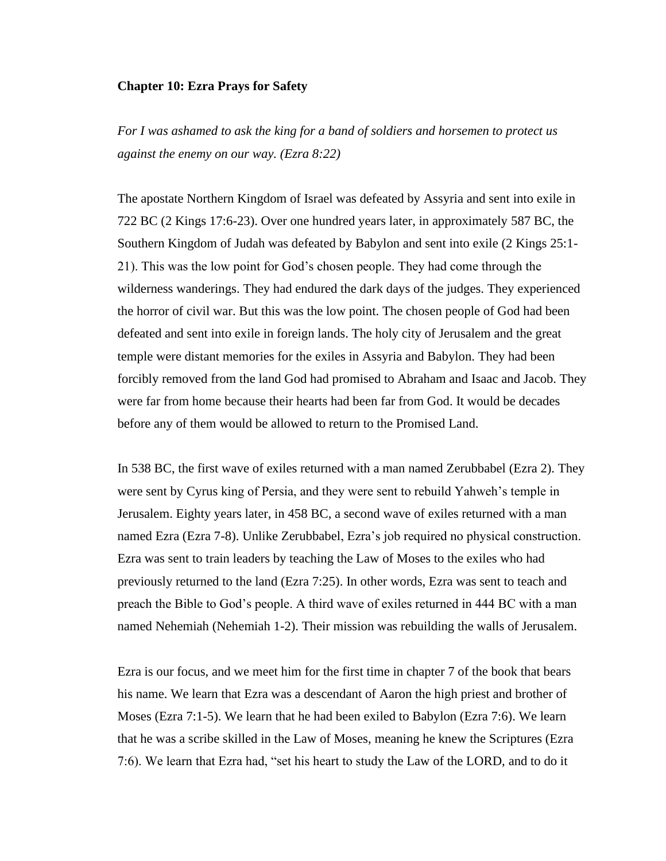#### **Chapter 10: Ezra Prays for Safety**

*For I was ashamed to ask the king for a band of soldiers and horsemen to protect us against the enemy on our way. (Ezra 8:22)*

The apostate Northern Kingdom of Israel was defeated by Assyria and sent into exile in 722 BC (2 Kings 17:6-23). Over one hundred years later, in approximately 587 BC, the Southern Kingdom of Judah was defeated by Babylon and sent into exile (2 Kings 25:1- 21). This was the low point for God's chosen people. They had come through the wilderness wanderings. They had endured the dark days of the judges. They experienced the horror of civil war. But this was the low point. The chosen people of God had been defeated and sent into exile in foreign lands. The holy city of Jerusalem and the great temple were distant memories for the exiles in Assyria and Babylon. They had been forcibly removed from the land God had promised to Abraham and Isaac and Jacob. They were far from home because their hearts had been far from God. It would be decades before any of them would be allowed to return to the Promised Land.

In 538 BC, the first wave of exiles returned with a man named Zerubbabel (Ezra 2). They were sent by Cyrus king of Persia, and they were sent to rebuild Yahweh's temple in Jerusalem. Eighty years later, in 458 BC, a second wave of exiles returned with a man named Ezra (Ezra 7-8). Unlike Zerubbabel, Ezra's job required no physical construction. Ezra was sent to train leaders by teaching the Law of Moses to the exiles who had previously returned to the land (Ezra 7:25). In other words, Ezra was sent to teach and preach the Bible to God's people. A third wave of exiles returned in 444 BC with a man named Nehemiah (Nehemiah 1-2). Their mission was rebuilding the walls of Jerusalem.

Ezra is our focus, and we meet him for the first time in chapter 7 of the book that bears his name. We learn that Ezra was a descendant of Aaron the high priest and brother of Moses (Ezra 7:1-5). We learn that he had been exiled to Babylon (Ezra 7:6). We learn that he was a scribe skilled in the Law of Moses, meaning he knew the Scriptures (Ezra 7:6). We learn that Ezra had, "set his heart to study the Law of the LORD, and to do it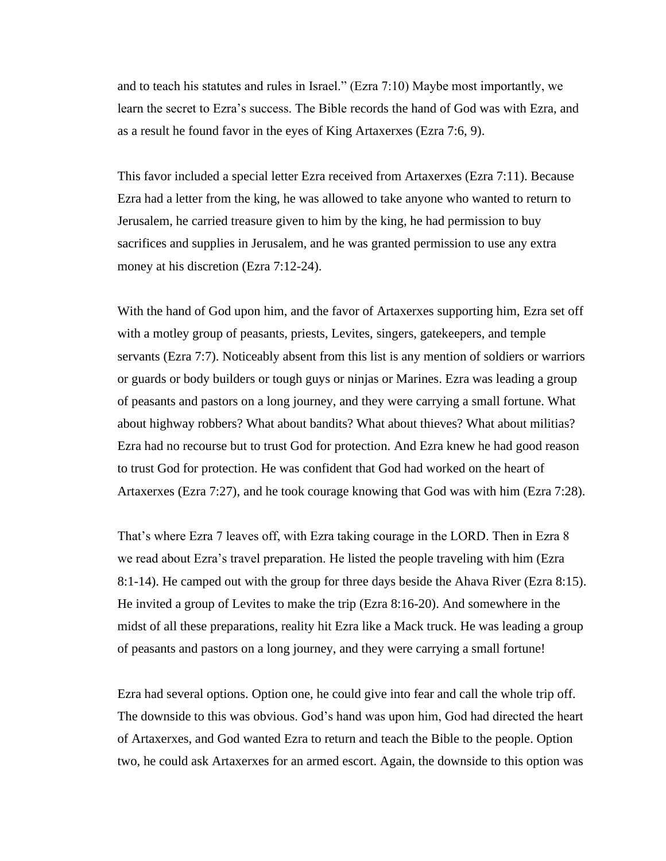and to teach his statutes and rules in Israel." (Ezra 7:10) Maybe most importantly, we learn the secret to Ezra's success. The Bible records the hand of God was with Ezra, and as a result he found favor in the eyes of King Artaxerxes (Ezra 7:6, 9).

This favor included a special letter Ezra received from Artaxerxes (Ezra 7:11). Because Ezra had a letter from the king, he was allowed to take anyone who wanted to return to Jerusalem, he carried treasure given to him by the king, he had permission to buy sacrifices and supplies in Jerusalem, and he was granted permission to use any extra money at his discretion (Ezra 7:12-24).

With the hand of God upon him, and the favor of Artaxerxes supporting him, Ezra set off with a motley group of peasants, priests, Levites, singers, gatekeepers, and temple servants (Ezra 7:7). Noticeably absent from this list is any mention of soldiers or warriors or guards or body builders or tough guys or ninjas or Marines. Ezra was leading a group of peasants and pastors on a long journey, and they were carrying a small fortune. What about highway robbers? What about bandits? What about thieves? What about militias? Ezra had no recourse but to trust God for protection. And Ezra knew he had good reason to trust God for protection. He was confident that God had worked on the heart of Artaxerxes (Ezra 7:27), and he took courage knowing that God was with him (Ezra 7:28).

That's where Ezra 7 leaves off, with Ezra taking courage in the LORD. Then in Ezra 8 we read about Ezra's travel preparation. He listed the people traveling with him (Ezra 8:1-14). He camped out with the group for three days beside the Ahava River (Ezra 8:15). He invited a group of Levites to make the trip (Ezra 8:16-20). And somewhere in the midst of all these preparations, reality hit Ezra like a Mack truck. He was leading a group of peasants and pastors on a long journey, and they were carrying a small fortune!

Ezra had several options. Option one, he could give into fear and call the whole trip off. The downside to this was obvious. God's hand was upon him, God had directed the heart of Artaxerxes, and God wanted Ezra to return and teach the Bible to the people. Option two, he could ask Artaxerxes for an armed escort. Again, the downside to this option was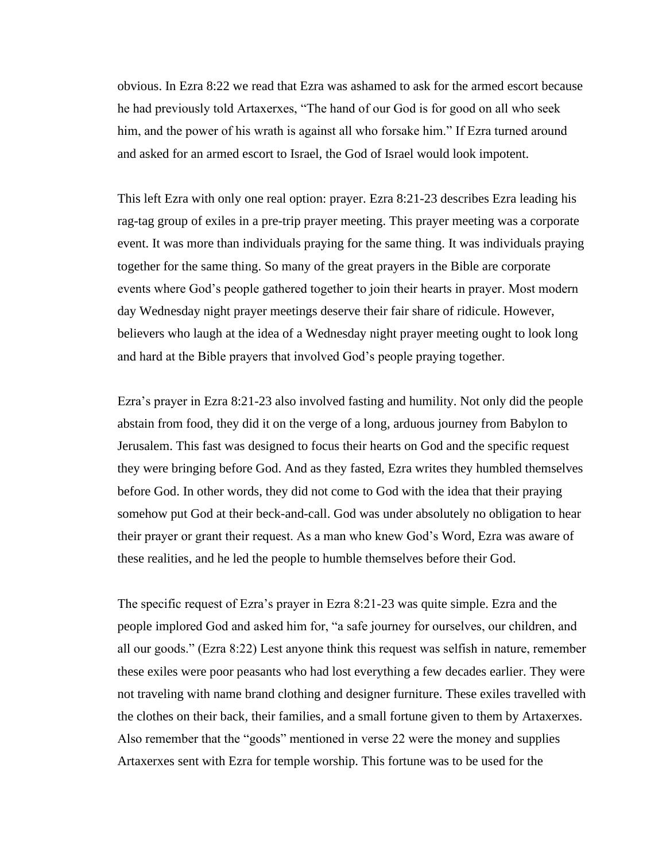obvious. In Ezra 8:22 we read that Ezra was ashamed to ask for the armed escort because he had previously told Artaxerxes, "The hand of our God is for good on all who seek him, and the power of his wrath is against all who forsake him." If Ezra turned around and asked for an armed escort to Israel, the God of Israel would look impotent.

This left Ezra with only one real option: prayer. Ezra 8:21-23 describes Ezra leading his rag-tag group of exiles in a pre-trip prayer meeting. This prayer meeting was a corporate event. It was more than individuals praying for the same thing. It was individuals praying together for the same thing. So many of the great prayers in the Bible are corporate events where God's people gathered together to join their hearts in prayer. Most modern day Wednesday night prayer meetings deserve their fair share of ridicule. However, believers who laugh at the idea of a Wednesday night prayer meeting ought to look long and hard at the Bible prayers that involved God's people praying together.

Ezra's prayer in Ezra 8:21-23 also involved fasting and humility. Not only did the people abstain from food, they did it on the verge of a long, arduous journey from Babylon to Jerusalem. This fast was designed to focus their hearts on God and the specific request they were bringing before God. And as they fasted, Ezra writes they humbled themselves before God. In other words, they did not come to God with the idea that their praying somehow put God at their beck-and-call. God was under absolutely no obligation to hear their prayer or grant their request. As a man who knew God's Word, Ezra was aware of these realities, and he led the people to humble themselves before their God.

The specific request of Ezra's prayer in Ezra 8:21-23 was quite simple. Ezra and the people implored God and asked him for, "a safe journey for ourselves, our children, and all our goods." (Ezra 8:22) Lest anyone think this request was selfish in nature, remember these exiles were poor peasants who had lost everything a few decades earlier. They were not traveling with name brand clothing and designer furniture. These exiles travelled with the clothes on their back, their families, and a small fortune given to them by Artaxerxes. Also remember that the "goods" mentioned in verse 22 were the money and supplies Artaxerxes sent with Ezra for temple worship. This fortune was to be used for the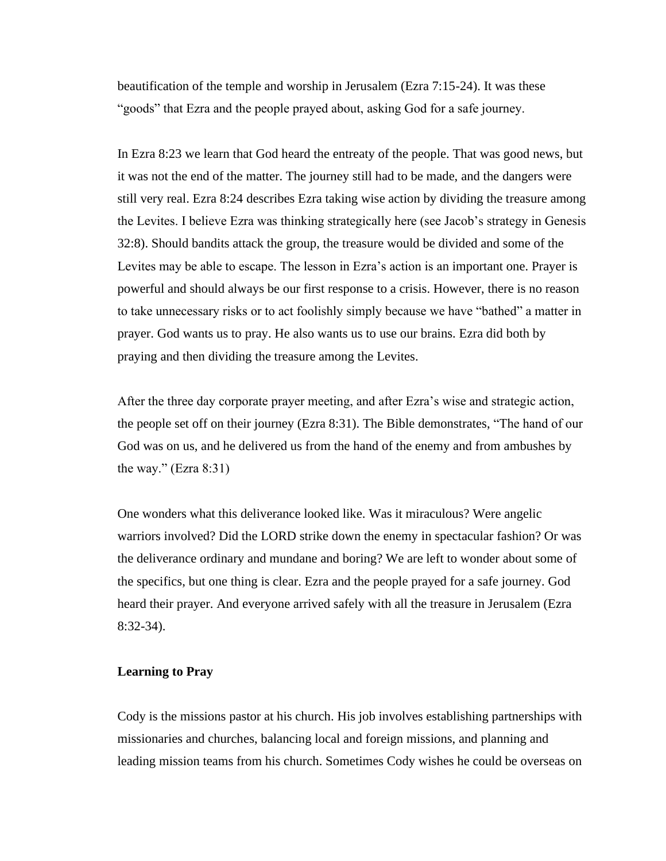beautification of the temple and worship in Jerusalem (Ezra 7:15-24). It was these "goods" that Ezra and the people prayed about, asking God for a safe journey.

In Ezra 8:23 we learn that God heard the entreaty of the people. That was good news, but it was not the end of the matter. The journey still had to be made, and the dangers were still very real. Ezra 8:24 describes Ezra taking wise action by dividing the treasure among the Levites. I believe Ezra was thinking strategically here (see Jacob's strategy in Genesis 32:8). Should bandits attack the group, the treasure would be divided and some of the Levites may be able to escape. The lesson in Ezra's action is an important one. Prayer is powerful and should always be our first response to a crisis. However, there is no reason to take unnecessary risks or to act foolishly simply because we have "bathed" a matter in prayer. God wants us to pray. He also wants us to use our brains. Ezra did both by praying and then dividing the treasure among the Levites.

After the three day corporate prayer meeting, and after Ezra's wise and strategic action, the people set off on their journey (Ezra 8:31). The Bible demonstrates, "The hand of our God was on us, and he delivered us from the hand of the enemy and from ambushes by the way."  $(Exra 8:31)$ 

One wonders what this deliverance looked like. Was it miraculous? Were angelic warriors involved? Did the LORD strike down the enemy in spectacular fashion? Or was the deliverance ordinary and mundane and boring? We are left to wonder about some of the specifics, but one thing is clear. Ezra and the people prayed for a safe journey. God heard their prayer. And everyone arrived safely with all the treasure in Jerusalem (Ezra 8:32-34).

#### **Learning to Pray**

Cody is the missions pastor at his church. His job involves establishing partnerships with missionaries and churches, balancing local and foreign missions, and planning and leading mission teams from his church. Sometimes Cody wishes he could be overseas on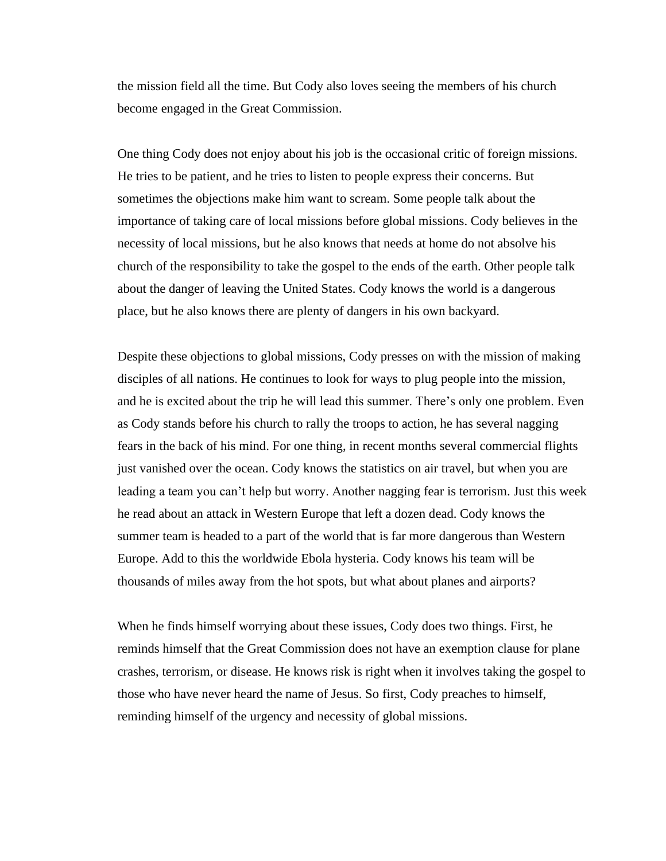the mission field all the time. But Cody also loves seeing the members of his church become engaged in the Great Commission.

One thing Cody does not enjoy about his job is the occasional critic of foreign missions. He tries to be patient, and he tries to listen to people express their concerns. But sometimes the objections make him want to scream. Some people talk about the importance of taking care of local missions before global missions. Cody believes in the necessity of local missions, but he also knows that needs at home do not absolve his church of the responsibility to take the gospel to the ends of the earth. Other people talk about the danger of leaving the United States. Cody knows the world is a dangerous place, but he also knows there are plenty of dangers in his own backyard.

Despite these objections to global missions, Cody presses on with the mission of making disciples of all nations. He continues to look for ways to plug people into the mission, and he is excited about the trip he will lead this summer. There's only one problem. Even as Cody stands before his church to rally the troops to action, he has several nagging fears in the back of his mind. For one thing, in recent months several commercial flights just vanished over the ocean. Cody knows the statistics on air travel, but when you are leading a team you can't help but worry. Another nagging fear is terrorism. Just this week he read about an attack in Western Europe that left a dozen dead. Cody knows the summer team is headed to a part of the world that is far more dangerous than Western Europe. Add to this the worldwide Ebola hysteria. Cody knows his team will be thousands of miles away from the hot spots, but what about planes and airports?

When he finds himself worrying about these issues, Cody does two things. First, he reminds himself that the Great Commission does not have an exemption clause for plane crashes, terrorism, or disease. He knows risk is right when it involves taking the gospel to those who have never heard the name of Jesus. So first, Cody preaches to himself, reminding himself of the urgency and necessity of global missions.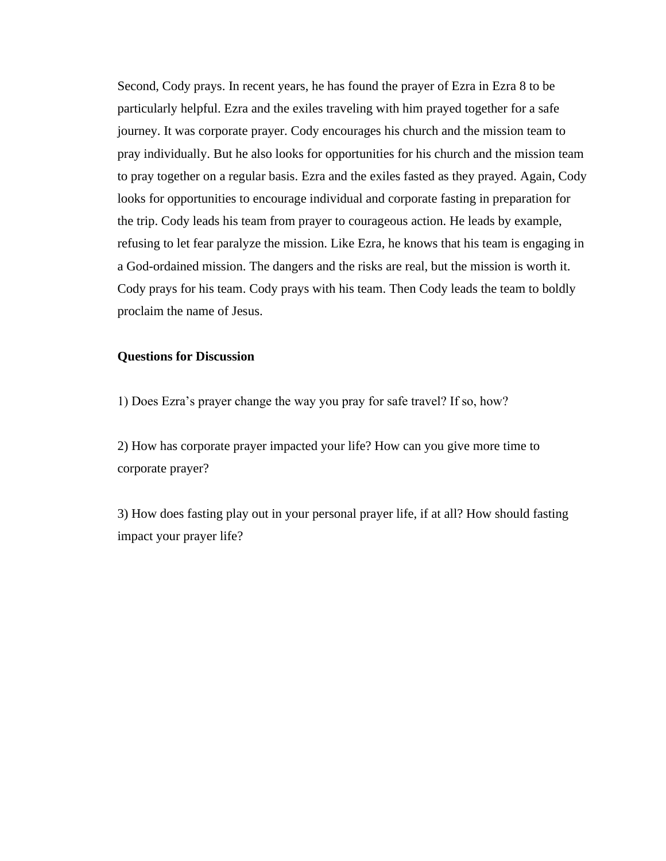Second, Cody prays. In recent years, he has found the prayer of Ezra in Ezra 8 to be particularly helpful. Ezra and the exiles traveling with him prayed together for a safe journey. It was corporate prayer. Cody encourages his church and the mission team to pray individually. But he also looks for opportunities for his church and the mission team to pray together on a regular basis. Ezra and the exiles fasted as they prayed. Again, Cody looks for opportunities to encourage individual and corporate fasting in preparation for the trip. Cody leads his team from prayer to courageous action. He leads by example, refusing to let fear paralyze the mission. Like Ezra, he knows that his team is engaging in a God-ordained mission. The dangers and the risks are real, but the mission is worth it. Cody prays for his team. Cody prays with his team. Then Cody leads the team to boldly proclaim the name of Jesus.

# **Questions for Discussion**

1) Does Ezra's prayer change the way you pray for safe travel? If so, how?

2) How has corporate prayer impacted your life? How can you give more time to corporate prayer?

3) How does fasting play out in your personal prayer life, if at all? How should fasting impact your prayer life?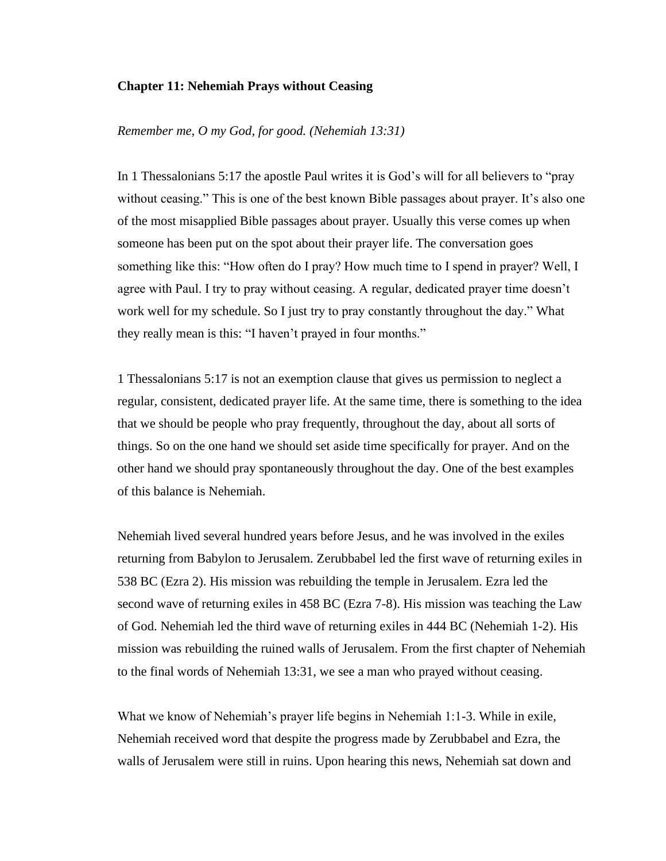# **Chapter 11: Nehemiah Prays without Ceasing**

*Remember me, O my God, for good. (Nehemiah 13:31)*

In 1 Thessalonians 5:17 the apostle Paul writes it is God's will for all believers to "pray without ceasing." This is one of the best known Bible passages about prayer. It's also one of the most misapplied Bible passages about prayer. Usually this verse comes up when someone has been put on the spot about their prayer life. The conversation goes something like this: "How often do I pray? How much time to I spend in prayer? Well, I agree with Paul. I try to pray without ceasing. A regular, dedicated prayer time doesn't work well for my schedule. So I just try to pray constantly throughout the day." What they really mean is this: "I haven't prayed in four months."

1 Thessalonians 5:17 is not an exemption clause that gives us permission to neglect a regular, consistent, dedicated prayer life. At the same time, there is something to the idea that we should be people who pray frequently, throughout the day, about all sorts of things. So on the one hand we should set aside time specifically for prayer. And on the other hand we should pray spontaneously throughout the day. One of the best examples of this balance is Nehemiah.

Nehemiah lived several hundred years before Jesus, and he was involved in the exiles returning from Babylon to Jerusalem. Zerubbabel led the first wave of returning exiles in 538 BC (Ezra 2). His mission was rebuilding the temple in Jerusalem. Ezra led the second wave of returning exiles in 458 BC (Ezra 7-8). His mission was teaching the Law of God. Nehemiah led the third wave of returning exiles in 444 BC (Nehemiah 1-2). His mission was rebuilding the ruined walls of Jerusalem. From the first chapter of Nehemiah to the final words of Nehemiah 13:31, we see a man who prayed without ceasing.

What we know of Nehemiah's prayer life begins in Nehemiah 1:1-3. While in exile, Nehemiah received word that despite the progress made by Zerubbabel and Ezra, the walls of Jerusalem were still in ruins. Upon hearing this news, Nehemiah sat down and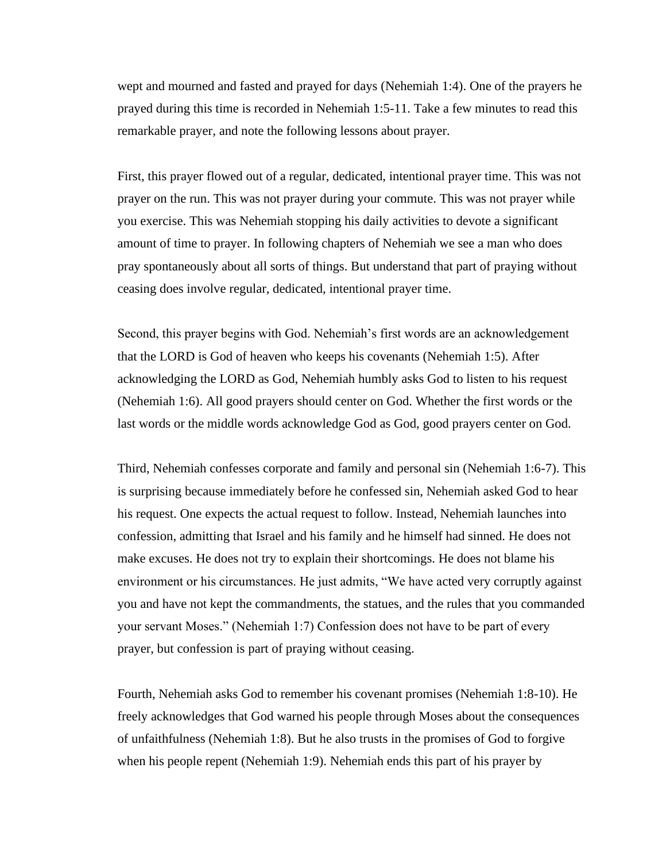wept and mourned and fasted and prayed for days (Nehemiah 1:4). One of the prayers he prayed during this time is recorded in Nehemiah 1:5-11. Take a few minutes to read this remarkable prayer, and note the following lessons about prayer.

First, this prayer flowed out of a regular, dedicated, intentional prayer time. This was not prayer on the run. This was not prayer during your commute. This was not prayer while you exercise. This was Nehemiah stopping his daily activities to devote a significant amount of time to prayer. In following chapters of Nehemiah we see a man who does pray spontaneously about all sorts of things. But understand that part of praying without ceasing does involve regular, dedicated, intentional prayer time.

Second, this prayer begins with God. Nehemiah's first words are an acknowledgement that the LORD is God of heaven who keeps his covenants (Nehemiah 1:5). After acknowledging the LORD as God, Nehemiah humbly asks God to listen to his request (Nehemiah 1:6). All good prayers should center on God. Whether the first words or the last words or the middle words acknowledge God as God, good prayers center on God.

Third, Nehemiah confesses corporate and family and personal sin (Nehemiah 1:6-7). This is surprising because immediately before he confessed sin, Nehemiah asked God to hear his request. One expects the actual request to follow. Instead, Nehemiah launches into confession, admitting that Israel and his family and he himself had sinned. He does not make excuses. He does not try to explain their shortcomings. He does not blame his environment or his circumstances. He just admits, "We have acted very corruptly against you and have not kept the commandments, the statues, and the rules that you commanded your servant Moses." (Nehemiah 1:7) Confession does not have to be part of every prayer, but confession is part of praying without ceasing.

Fourth, Nehemiah asks God to remember his covenant promises (Nehemiah 1:8-10). He freely acknowledges that God warned his people through Moses about the consequences of unfaithfulness (Nehemiah 1:8). But he also trusts in the promises of God to forgive when his people repent (Nehemiah 1:9). Nehemiah ends this part of his prayer by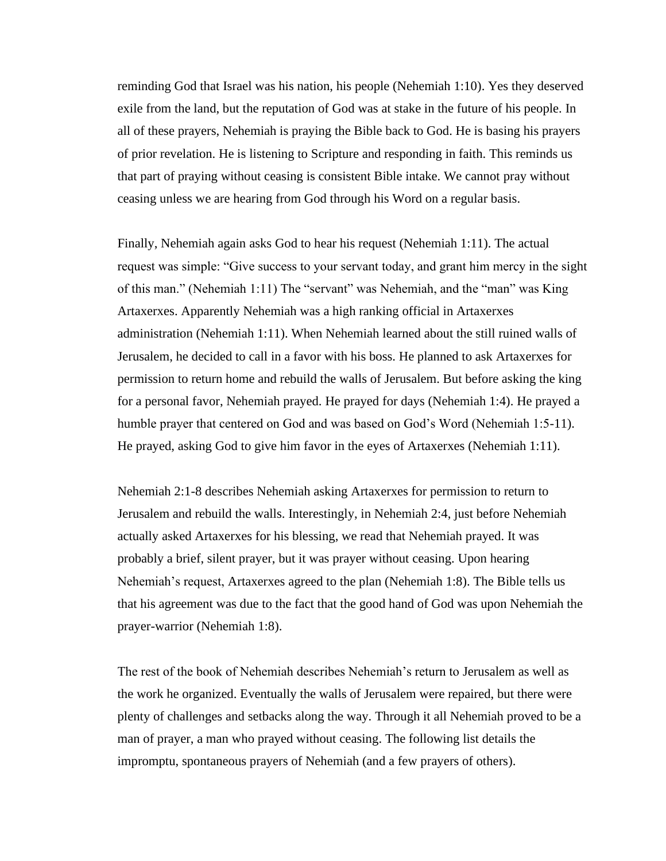reminding God that Israel was his nation, his people (Nehemiah 1:10). Yes they deserved exile from the land, but the reputation of God was at stake in the future of his people. In all of these prayers, Nehemiah is praying the Bible back to God. He is basing his prayers of prior revelation. He is listening to Scripture and responding in faith. This reminds us that part of praying without ceasing is consistent Bible intake. We cannot pray without ceasing unless we are hearing from God through his Word on a regular basis.

Finally, Nehemiah again asks God to hear his request (Nehemiah 1:11). The actual request was simple: "Give success to your servant today, and grant him mercy in the sight of this man." (Nehemiah 1:11) The "servant" was Nehemiah, and the "man" was King Artaxerxes. Apparently Nehemiah was a high ranking official in Artaxerxes administration (Nehemiah 1:11). When Nehemiah learned about the still ruined walls of Jerusalem, he decided to call in a favor with his boss. He planned to ask Artaxerxes for permission to return home and rebuild the walls of Jerusalem. But before asking the king for a personal favor, Nehemiah prayed. He prayed for days (Nehemiah 1:4). He prayed a humble prayer that centered on God and was based on God's Word (Nehemiah 1:5-11). He prayed, asking God to give him favor in the eyes of Artaxerxes (Nehemiah 1:11).

Nehemiah 2:1-8 describes Nehemiah asking Artaxerxes for permission to return to Jerusalem and rebuild the walls. Interestingly, in Nehemiah 2:4, just before Nehemiah actually asked Artaxerxes for his blessing, we read that Nehemiah prayed. It was probably a brief, silent prayer, but it was prayer without ceasing. Upon hearing Nehemiah's request, Artaxerxes agreed to the plan (Nehemiah 1:8). The Bible tells us that his agreement was due to the fact that the good hand of God was upon Nehemiah the prayer-warrior (Nehemiah 1:8).

The rest of the book of Nehemiah describes Nehemiah's return to Jerusalem as well as the work he organized. Eventually the walls of Jerusalem were repaired, but there were plenty of challenges and setbacks along the way. Through it all Nehemiah proved to be a man of prayer, a man who prayed without ceasing. The following list details the impromptu, spontaneous prayers of Nehemiah (and a few prayers of others).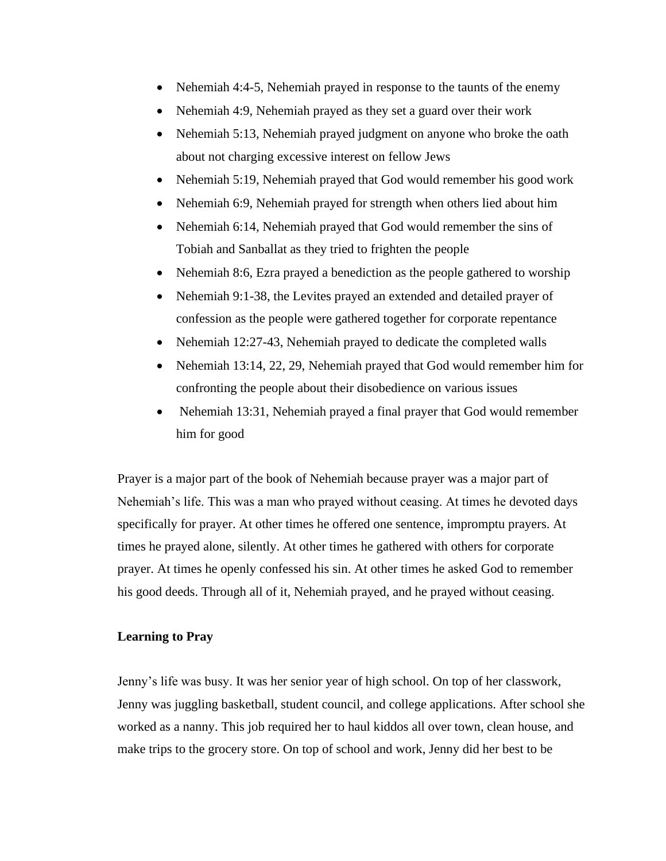- Nehemiah 4:4-5, Nehemiah prayed in response to the taunts of the enemy
- Nehemiah 4:9, Nehemiah prayed as they set a guard over their work
- Nehemiah 5:13, Nehemiah prayed judgment on anyone who broke the oath about not charging excessive interest on fellow Jews
- Nehemiah 5:19, Nehemiah prayed that God would remember his good work
- Nehemiah 6:9, Nehemiah prayed for strength when others lied about him
- Nehemiah 6:14, Nehemiah prayed that God would remember the sins of Tobiah and Sanballat as they tried to frighten the people
- Nehemiah 8:6, Ezra prayed a benediction as the people gathered to worship
- Nehemiah 9:1-38, the Levites prayed an extended and detailed prayer of confession as the people were gathered together for corporate repentance
- Nehemiah 12:27-43, Nehemiah prayed to dedicate the completed walls
- Nehemiah 13:14, 22, 29, Nehemiah prayed that God would remember him for confronting the people about their disobedience on various issues
- Nehemiah 13:31, Nehemiah prayed a final prayer that God would remember him for good

Prayer is a major part of the book of Nehemiah because prayer was a major part of Nehemiah's life. This was a man who prayed without ceasing. At times he devoted days specifically for prayer. At other times he offered one sentence, impromptu prayers. At times he prayed alone, silently. At other times he gathered with others for corporate prayer. At times he openly confessed his sin. At other times he asked God to remember his good deeds. Through all of it, Nehemiah prayed, and he prayed without ceasing.

## **Learning to Pray**

Jenny's life was busy. It was her senior year of high school. On top of her classwork, Jenny was juggling basketball, student council, and college applications. After school she worked as a nanny. This job required her to haul kiddos all over town, clean house, and make trips to the grocery store. On top of school and work, Jenny did her best to be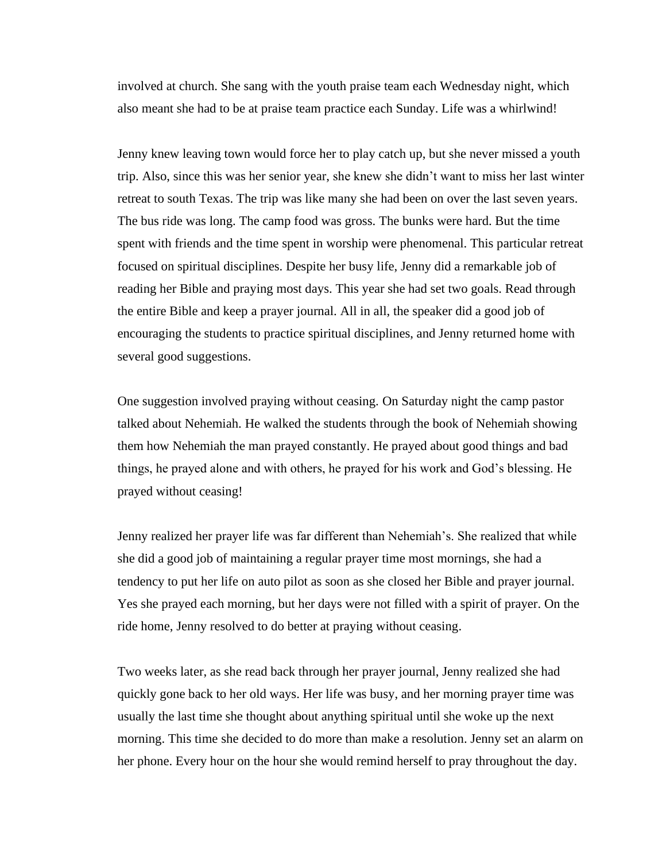involved at church. She sang with the youth praise team each Wednesday night, which also meant she had to be at praise team practice each Sunday. Life was a whirlwind!

Jenny knew leaving town would force her to play catch up, but she never missed a youth trip. Also, since this was her senior year, she knew she didn't want to miss her last winter retreat to south Texas. The trip was like many she had been on over the last seven years. The bus ride was long. The camp food was gross. The bunks were hard. But the time spent with friends and the time spent in worship were phenomenal. This particular retreat focused on spiritual disciplines. Despite her busy life, Jenny did a remarkable job of reading her Bible and praying most days. This year she had set two goals. Read through the entire Bible and keep a prayer journal. All in all, the speaker did a good job of encouraging the students to practice spiritual disciplines, and Jenny returned home with several good suggestions.

One suggestion involved praying without ceasing. On Saturday night the camp pastor talked about Nehemiah. He walked the students through the book of Nehemiah showing them how Nehemiah the man prayed constantly. He prayed about good things and bad things, he prayed alone and with others, he prayed for his work and God's blessing. He prayed without ceasing!

Jenny realized her prayer life was far different than Nehemiah's. She realized that while she did a good job of maintaining a regular prayer time most mornings, she had a tendency to put her life on auto pilot as soon as she closed her Bible and prayer journal. Yes she prayed each morning, but her days were not filled with a spirit of prayer. On the ride home, Jenny resolved to do better at praying without ceasing.

Two weeks later, as she read back through her prayer journal, Jenny realized she had quickly gone back to her old ways. Her life was busy, and her morning prayer time was usually the last time she thought about anything spiritual until she woke up the next morning. This time she decided to do more than make a resolution. Jenny set an alarm on her phone. Every hour on the hour she would remind herself to pray throughout the day.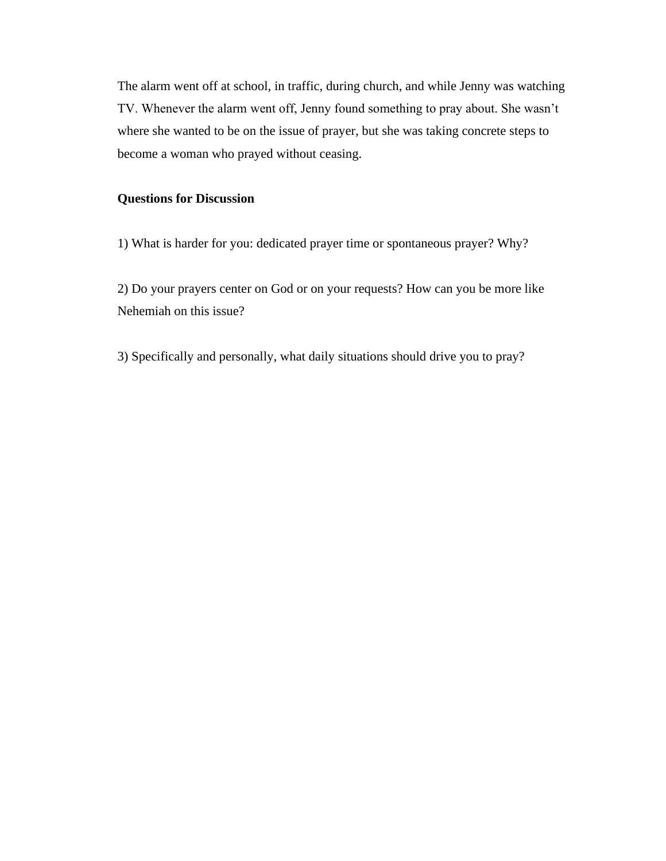The alarm went off at school, in traffic, during church, and while Jenny was watching TV. Whenever the alarm went off, Jenny found something to pray about. She wasn't where she wanted to be on the issue of prayer, but she was taking concrete steps to become a woman who prayed without ceasing.

# **Questions for Discussion**

1) What is harder for you: dedicated prayer time or spontaneous prayer? Why?

2) Do your prayers center on God or on your requests? How can you be more like Nehemiah on this issue?

3) Specifically and personally, what daily situations should drive you to pray?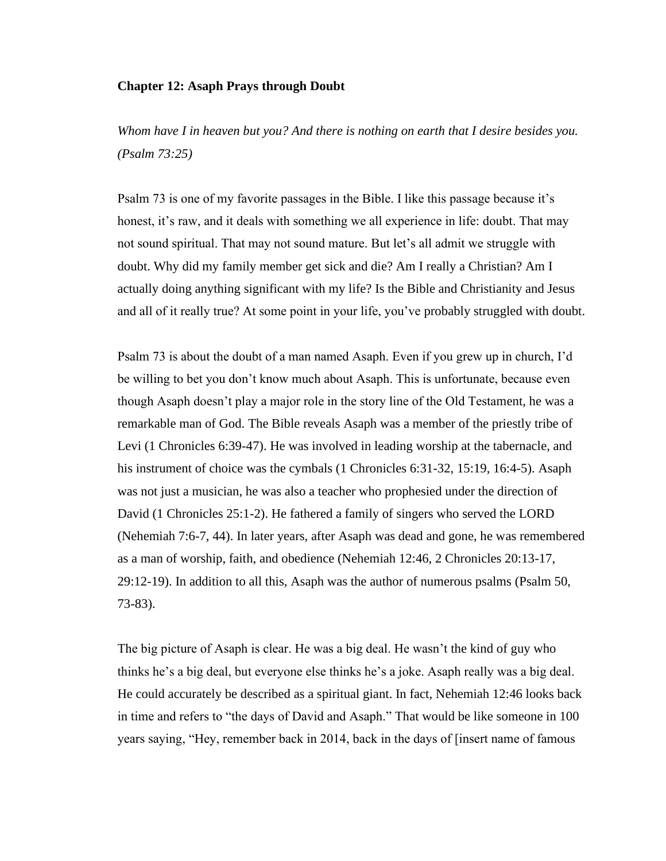# **Chapter 12: Asaph Prays through Doubt**

*Whom have I in heaven but you? And there is nothing on earth that I desire besides you. (Psalm 73:25)*

Psalm 73 is one of my favorite passages in the Bible. I like this passage because it's honest, it's raw, and it deals with something we all experience in life: doubt. That may not sound spiritual. That may not sound mature. But let's all admit we struggle with doubt. Why did my family member get sick and die? Am I really a Christian? Am I actually doing anything significant with my life? Is the Bible and Christianity and Jesus and all of it really true? At some point in your life, you've probably struggled with doubt.

Psalm 73 is about the doubt of a man named Asaph. Even if you grew up in church, I'd be willing to bet you don't know much about Asaph. This is unfortunate, because even though Asaph doesn't play a major role in the story line of the Old Testament, he was a remarkable man of God. The Bible reveals Asaph was a member of the priestly tribe of Levi (1 Chronicles 6:39-47). He was involved in leading worship at the tabernacle, and his instrument of choice was the cymbals (1 Chronicles 6:31-32, 15:19, 16:4-5). Asaph was not just a musician, he was also a teacher who prophesied under the direction of David (1 Chronicles 25:1-2). He fathered a family of singers who served the LORD (Nehemiah 7:6-7, 44). In later years, after Asaph was dead and gone, he was remembered as a man of worship, faith, and obedience (Nehemiah 12:46, 2 Chronicles 20:13-17, 29:12-19). In addition to all this, Asaph was the author of numerous psalms (Psalm 50, 73-83).

The big picture of Asaph is clear. He was a big deal. He wasn't the kind of guy who thinks he's a big deal, but everyone else thinks he's a joke. Asaph really was a big deal. He could accurately be described as a spiritual giant. In fact, Nehemiah 12:46 looks back in time and refers to "the days of David and Asaph." That would be like someone in 100 years saying, "Hey, remember back in 2014, back in the days of [insert name of famous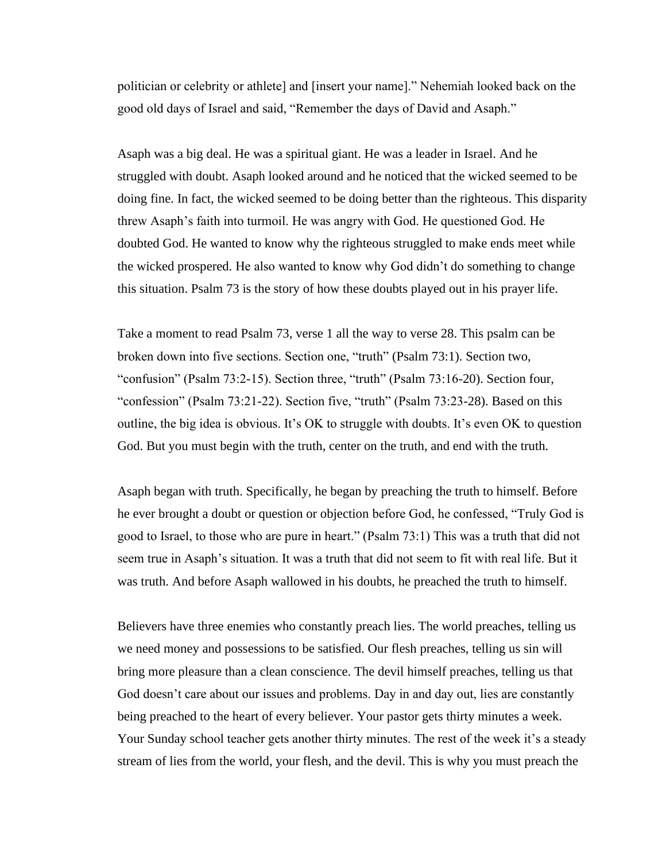politician or celebrity or athlete] and [insert your name]." Nehemiah looked back on the good old days of Israel and said, "Remember the days of David and Asaph."

Asaph was a big deal. He was a spiritual giant. He was a leader in Israel. And he struggled with doubt. Asaph looked around and he noticed that the wicked seemed to be doing fine. In fact, the wicked seemed to be doing better than the righteous. This disparity threw Asaph's faith into turmoil. He was angry with God. He questioned God. He doubted God. He wanted to know why the righteous struggled to make ends meet while the wicked prospered. He also wanted to know why God didn't do something to change this situation. Psalm 73 is the story of how these doubts played out in his prayer life.

Take a moment to read Psalm 73, verse 1 all the way to verse 28. This psalm can be broken down into five sections. Section one, "truth" (Psalm 73:1). Section two, "confusion" (Psalm 73:2-15). Section three, "truth" (Psalm 73:16-20). Section four, "confession" (Psalm 73:21-22). Section five, "truth" (Psalm 73:23-28). Based on this outline, the big idea is obvious. It's OK to struggle with doubts. It's even OK to question God. But you must begin with the truth, center on the truth, and end with the truth.

Asaph began with truth. Specifically, he began by preaching the truth to himself. Before he ever brought a doubt or question or objection before God, he confessed, "Truly God is good to Israel, to those who are pure in heart." (Psalm 73:1) This was a truth that did not seem true in Asaph's situation. It was a truth that did not seem to fit with real life. But it was truth. And before Asaph wallowed in his doubts, he preached the truth to himself.

Believers have three enemies who constantly preach lies. The world preaches, telling us we need money and possessions to be satisfied. Our flesh preaches, telling us sin will bring more pleasure than a clean conscience. The devil himself preaches, telling us that God doesn't care about our issues and problems. Day in and day out, lies are constantly being preached to the heart of every believer. Your pastor gets thirty minutes a week. Your Sunday school teacher gets another thirty minutes. The rest of the week it's a steady stream of lies from the world, your flesh, and the devil. This is why you must preach the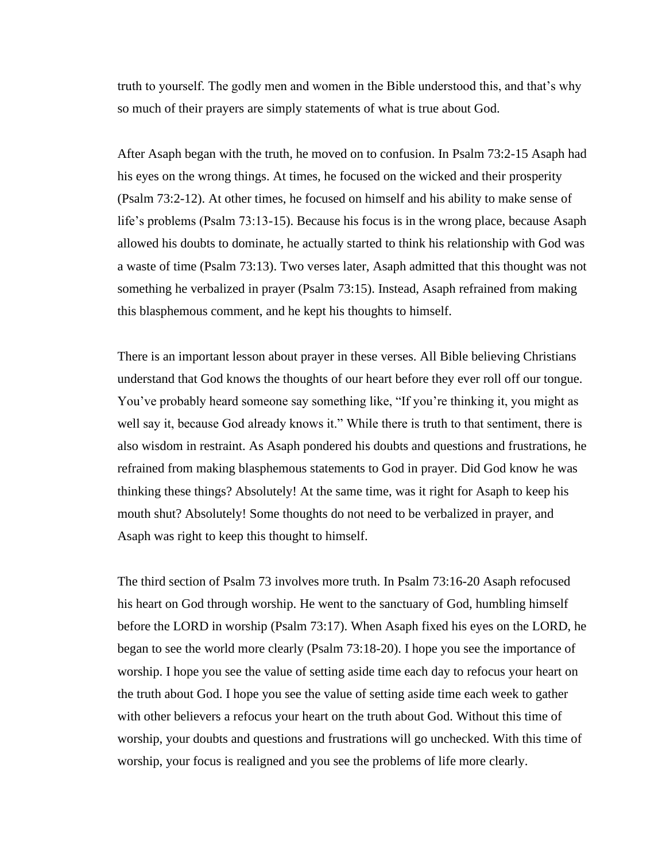truth to yourself. The godly men and women in the Bible understood this, and that's why so much of their prayers are simply statements of what is true about God.

After Asaph began with the truth, he moved on to confusion. In Psalm 73:2-15 Asaph had his eyes on the wrong things. At times, he focused on the wicked and their prosperity (Psalm 73:2-12). At other times, he focused on himself and his ability to make sense of life's problems (Psalm 73:13-15). Because his focus is in the wrong place, because Asaph allowed his doubts to dominate, he actually started to think his relationship with God was a waste of time (Psalm 73:13). Two verses later, Asaph admitted that this thought was not something he verbalized in prayer (Psalm 73:15). Instead, Asaph refrained from making this blasphemous comment, and he kept his thoughts to himself.

There is an important lesson about prayer in these verses. All Bible believing Christians understand that God knows the thoughts of our heart before they ever roll off our tongue. You've probably heard someone say something like, "If you're thinking it, you might as well say it, because God already knows it." While there is truth to that sentiment, there is also wisdom in restraint. As Asaph pondered his doubts and questions and frustrations, he refrained from making blasphemous statements to God in prayer. Did God know he was thinking these things? Absolutely! At the same time, was it right for Asaph to keep his mouth shut? Absolutely! Some thoughts do not need to be verbalized in prayer, and Asaph was right to keep this thought to himself.

The third section of Psalm 73 involves more truth. In Psalm 73:16-20 Asaph refocused his heart on God through worship. He went to the sanctuary of God, humbling himself before the LORD in worship (Psalm 73:17). When Asaph fixed his eyes on the LORD, he began to see the world more clearly (Psalm 73:18-20). I hope you see the importance of worship. I hope you see the value of setting aside time each day to refocus your heart on the truth about God. I hope you see the value of setting aside time each week to gather with other believers a refocus your heart on the truth about God. Without this time of worship, your doubts and questions and frustrations will go unchecked. With this time of worship, your focus is realigned and you see the problems of life more clearly.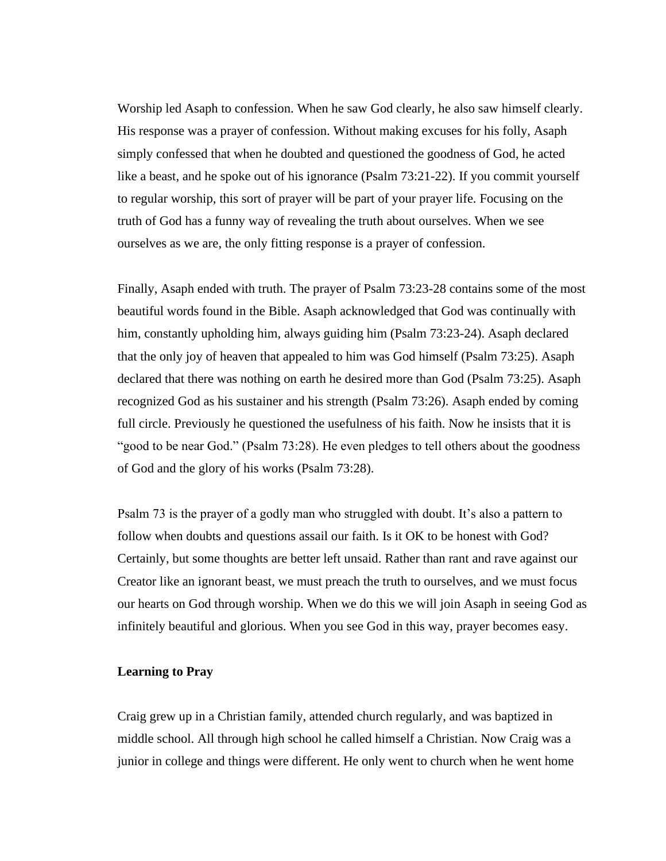Worship led Asaph to confession. When he saw God clearly, he also saw himself clearly. His response was a prayer of confession. Without making excuses for his folly, Asaph simply confessed that when he doubted and questioned the goodness of God, he acted like a beast, and he spoke out of his ignorance (Psalm 73:21-22). If you commit yourself to regular worship, this sort of prayer will be part of your prayer life. Focusing on the truth of God has a funny way of revealing the truth about ourselves. When we see ourselves as we are, the only fitting response is a prayer of confession.

Finally, Asaph ended with truth. The prayer of Psalm 73:23-28 contains some of the most beautiful words found in the Bible. Asaph acknowledged that God was continually with him, constantly upholding him, always guiding him (Psalm 73:23-24). Asaph declared that the only joy of heaven that appealed to him was God himself (Psalm 73:25). Asaph declared that there was nothing on earth he desired more than God (Psalm 73:25). Asaph recognized God as his sustainer and his strength (Psalm 73:26). Asaph ended by coming full circle. Previously he questioned the usefulness of his faith. Now he insists that it is "good to be near God." (Psalm 73:28). He even pledges to tell others about the goodness of God and the glory of his works (Psalm 73:28).

Psalm 73 is the prayer of a godly man who struggled with doubt. It's also a pattern to follow when doubts and questions assail our faith. Is it OK to be honest with God? Certainly, but some thoughts are better left unsaid. Rather than rant and rave against our Creator like an ignorant beast, we must preach the truth to ourselves, and we must focus our hearts on God through worship. When we do this we will join Asaph in seeing God as infinitely beautiful and glorious. When you see God in this way, prayer becomes easy.

## **Learning to Pray**

Craig grew up in a Christian family, attended church regularly, and was baptized in middle school. All through high school he called himself a Christian. Now Craig was a junior in college and things were different. He only went to church when he went home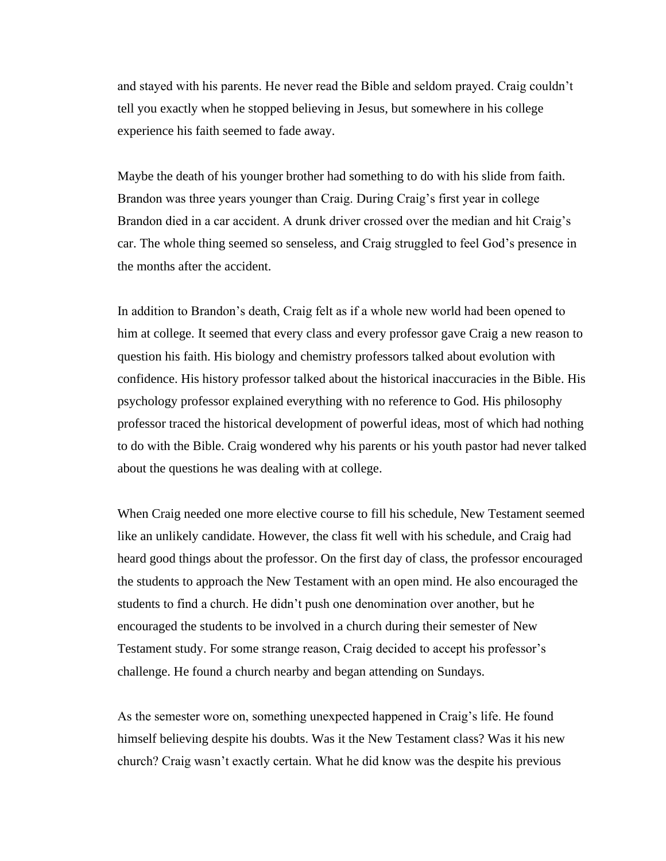and stayed with his parents. He never read the Bible and seldom prayed. Craig couldn't tell you exactly when he stopped believing in Jesus, but somewhere in his college experience his faith seemed to fade away.

Maybe the death of his younger brother had something to do with his slide from faith. Brandon was three years younger than Craig. During Craig's first year in college Brandon died in a car accident. A drunk driver crossed over the median and hit Craig's car. The whole thing seemed so senseless, and Craig struggled to feel God's presence in the months after the accident.

In addition to Brandon's death, Craig felt as if a whole new world had been opened to him at college. It seemed that every class and every professor gave Craig a new reason to question his faith. His biology and chemistry professors talked about evolution with confidence. His history professor talked about the historical inaccuracies in the Bible. His psychology professor explained everything with no reference to God. His philosophy professor traced the historical development of powerful ideas, most of which had nothing to do with the Bible. Craig wondered why his parents or his youth pastor had never talked about the questions he was dealing with at college.

When Craig needed one more elective course to fill his schedule, New Testament seemed like an unlikely candidate. However, the class fit well with his schedule, and Craig had heard good things about the professor. On the first day of class, the professor encouraged the students to approach the New Testament with an open mind. He also encouraged the students to find a church. He didn't push one denomination over another, but he encouraged the students to be involved in a church during their semester of New Testament study. For some strange reason, Craig decided to accept his professor's challenge. He found a church nearby and began attending on Sundays.

As the semester wore on, something unexpected happened in Craig's life. He found himself believing despite his doubts. Was it the New Testament class? Was it his new church? Craig wasn't exactly certain. What he did know was the despite his previous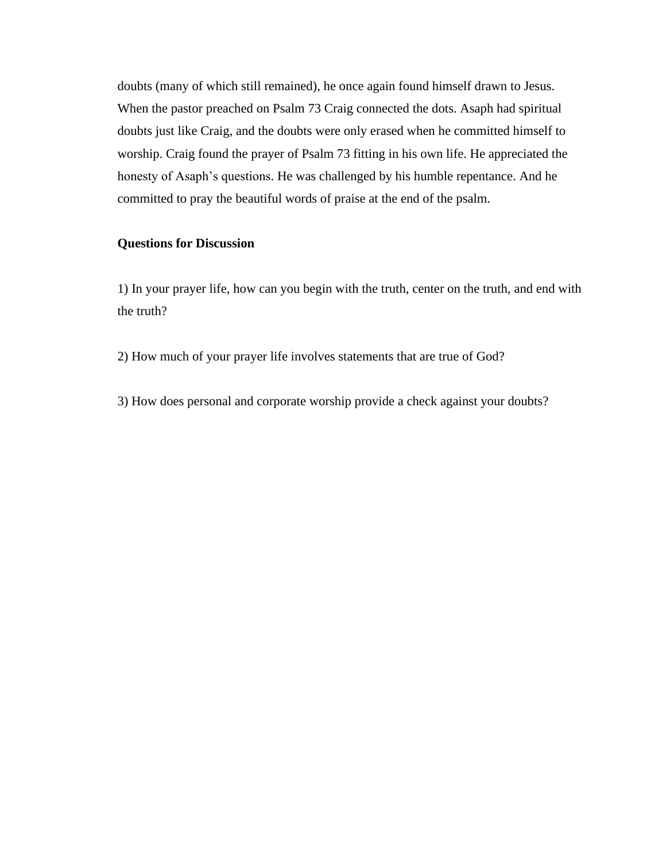doubts (many of which still remained), he once again found himself drawn to Jesus. When the pastor preached on Psalm 73 Craig connected the dots. Asaph had spiritual doubts just like Craig, and the doubts were only erased when he committed himself to worship. Craig found the prayer of Psalm 73 fitting in his own life. He appreciated the honesty of Asaph's questions. He was challenged by his humble repentance. And he committed to pray the beautiful words of praise at the end of the psalm.

## **Questions for Discussion**

1) In your prayer life, how can you begin with the truth, center on the truth, and end with the truth?

2) How much of your prayer life involves statements that are true of God?

3) How does personal and corporate worship provide a check against your doubts?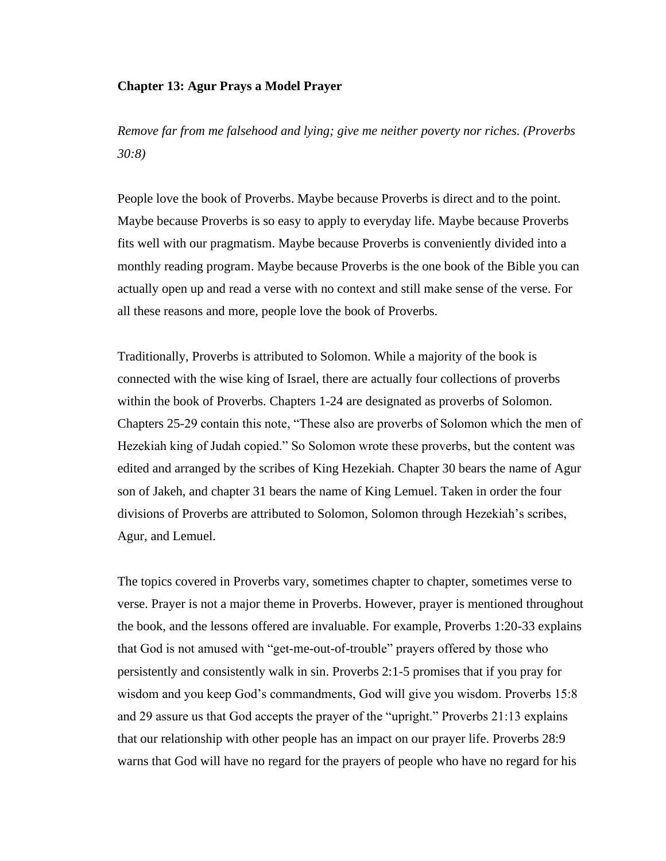## **Chapter 13: Agur Prays a Model Prayer**

*Remove far from me falsehood and lying; give me neither poverty nor riches. (Proverbs 30:8)*

People love the book of Proverbs. Maybe because Proverbs is direct and to the point. Maybe because Proverbs is so easy to apply to everyday life. Maybe because Proverbs fits well with our pragmatism. Maybe because Proverbs is conveniently divided into a monthly reading program. Maybe because Proverbs is the one book of the Bible you can actually open up and read a verse with no context and still make sense of the verse. For all these reasons and more, people love the book of Proverbs.

Traditionally, Proverbs is attributed to Solomon. While a majority of the book is connected with the wise king of Israel, there are actually four collections of proverbs within the book of Proverbs. Chapters 1-24 are designated as proverbs of Solomon. Chapters 25-29 contain this note, "These also are proverbs of Solomon which the men of Hezekiah king of Judah copied." So Solomon wrote these proverbs, but the content was edited and arranged by the scribes of King Hezekiah. Chapter 30 bears the name of Agur son of Jakeh, and chapter 31 bears the name of King Lemuel. Taken in order the four divisions of Proverbs are attributed to Solomon, Solomon through Hezekiah's scribes, Agur, and Lemuel.

The topics covered in Proverbs vary, sometimes chapter to chapter, sometimes verse to verse. Prayer is not a major theme in Proverbs. However, prayer is mentioned throughout the book, and the lessons offered are invaluable. For example, Proverbs 1:20-33 explains that God is not amused with "get-me-out-of-trouble" prayers offered by those who persistently and consistently walk in sin. Proverbs 2:1-5 promises that if you pray for wisdom and you keep God's commandments, God will give you wisdom. Proverbs 15:8 and 29 assure us that God accepts the prayer of the "upright." Proverbs 21:13 explains that our relationship with other people has an impact on our prayer life. Proverbs 28:9 warns that God will have no regard for the prayers of people who have no regard for his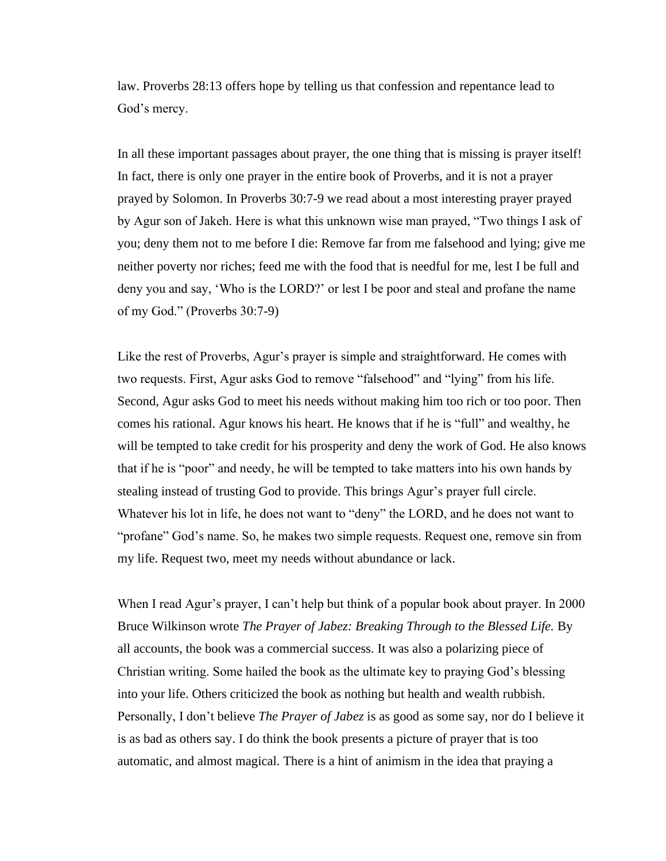law. Proverbs 28:13 offers hope by telling us that confession and repentance lead to God's mercy.

In all these important passages about prayer, the one thing that is missing is prayer itself! In fact, there is only one prayer in the entire book of Proverbs, and it is not a prayer prayed by Solomon. In Proverbs 30:7-9 we read about a most interesting prayer prayed by Agur son of Jakeh. Here is what this unknown wise man prayed, "Two things I ask of you; deny them not to me before I die: Remove far from me falsehood and lying; give me neither poverty nor riches; feed me with the food that is needful for me, lest I be full and deny you and say, 'Who is the LORD?' or lest I be poor and steal and profane the name of my God." (Proverbs 30:7-9)

Like the rest of Proverbs, Agur's prayer is simple and straightforward. He comes with two requests. First, Agur asks God to remove "falsehood" and "lying" from his life. Second, Agur asks God to meet his needs without making him too rich or too poor. Then comes his rational. Agur knows his heart. He knows that if he is "full" and wealthy, he will be tempted to take credit for his prosperity and deny the work of God. He also knows that if he is "poor" and needy, he will be tempted to take matters into his own hands by stealing instead of trusting God to provide. This brings Agur's prayer full circle. Whatever his lot in life, he does not want to "deny" the LORD, and he does not want to "profane" God's name. So, he makes two simple requests. Request one, remove sin from my life. Request two, meet my needs without abundance or lack.

When I read Agur's prayer, I can't help but think of a popular book about prayer. In 2000 Bruce Wilkinson wrote *The Prayer of Jabez: Breaking Through to the Blessed Life.* By all accounts, the book was a commercial success. It was also a polarizing piece of Christian writing. Some hailed the book as the ultimate key to praying God's blessing into your life. Others criticized the book as nothing but health and wealth rubbish. Personally, I don't believe *The Prayer of Jabez* is as good as some say, nor do I believe it is as bad as others say. I do think the book presents a picture of prayer that is too automatic, and almost magical. There is a hint of animism in the idea that praying a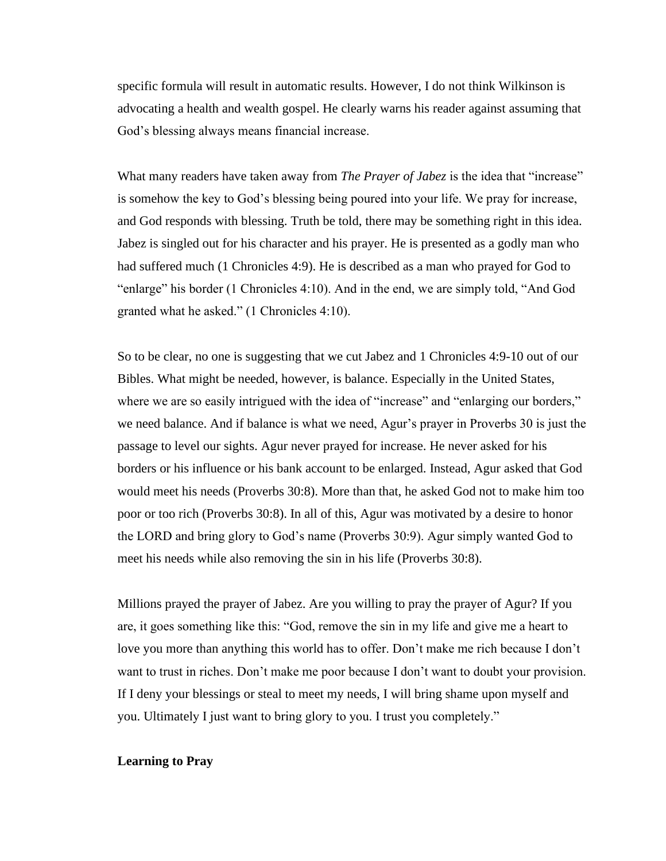specific formula will result in automatic results. However, I do not think Wilkinson is advocating a health and wealth gospel. He clearly warns his reader against assuming that God's blessing always means financial increase.

What many readers have taken away from *The Prayer of Jabez* is the idea that "increase" is somehow the key to God's blessing being poured into your life. We pray for increase, and God responds with blessing. Truth be told, there may be something right in this idea. Jabez is singled out for his character and his prayer. He is presented as a godly man who had suffered much (1 Chronicles 4:9). He is described as a man who prayed for God to "enlarge" his border (1 Chronicles 4:10). And in the end, we are simply told, "And God granted what he asked." (1 Chronicles 4:10).

So to be clear, no one is suggesting that we cut Jabez and 1 Chronicles 4:9-10 out of our Bibles. What might be needed, however, is balance. Especially in the United States, where we are so easily intrigued with the idea of "increase" and "enlarging our borders," we need balance. And if balance is what we need, Agur's prayer in Proverbs 30 is just the passage to level our sights. Agur never prayed for increase. He never asked for his borders or his influence or his bank account to be enlarged. Instead, Agur asked that God would meet his needs (Proverbs 30:8). More than that, he asked God not to make him too poor or too rich (Proverbs 30:8). In all of this, Agur was motivated by a desire to honor the LORD and bring glory to God's name (Proverbs 30:9). Agur simply wanted God to meet his needs while also removing the sin in his life (Proverbs 30:8).

Millions prayed the prayer of Jabez. Are you willing to pray the prayer of Agur? If you are, it goes something like this: "God, remove the sin in my life and give me a heart to love you more than anything this world has to offer. Don't make me rich because I don't want to trust in riches. Don't make me poor because I don't want to doubt your provision. If I deny your blessings or steal to meet my needs, I will bring shame upon myself and you. Ultimately I just want to bring glory to you. I trust you completely."

## **Learning to Pray**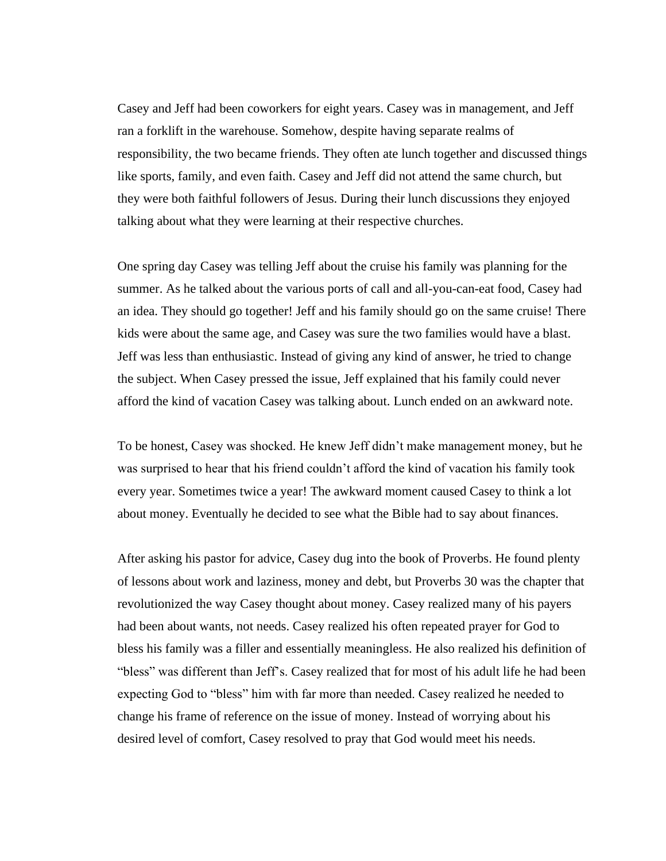Casey and Jeff had been coworkers for eight years. Casey was in management, and Jeff ran a forklift in the warehouse. Somehow, despite having separate realms of responsibility, the two became friends. They often ate lunch together and discussed things like sports, family, and even faith. Casey and Jeff did not attend the same church, but they were both faithful followers of Jesus. During their lunch discussions they enjoyed talking about what they were learning at their respective churches.

One spring day Casey was telling Jeff about the cruise his family was planning for the summer. As he talked about the various ports of call and all-you-can-eat food, Casey had an idea. They should go together! Jeff and his family should go on the same cruise! There kids were about the same age, and Casey was sure the two families would have a blast. Jeff was less than enthusiastic. Instead of giving any kind of answer, he tried to change the subject. When Casey pressed the issue, Jeff explained that his family could never afford the kind of vacation Casey was talking about. Lunch ended on an awkward note.

To be honest, Casey was shocked. He knew Jeff didn't make management money, but he was surprised to hear that his friend couldn't afford the kind of vacation his family took every year. Sometimes twice a year! The awkward moment caused Casey to think a lot about money. Eventually he decided to see what the Bible had to say about finances.

After asking his pastor for advice, Casey dug into the book of Proverbs. He found plenty of lessons about work and laziness, money and debt, but Proverbs 30 was the chapter that revolutionized the way Casey thought about money. Casey realized many of his payers had been about wants, not needs. Casey realized his often repeated prayer for God to bless his family was a filler and essentially meaningless. He also realized his definition of "bless" was different than Jeff's. Casey realized that for most of his adult life he had been expecting God to "bless" him with far more than needed. Casey realized he needed to change his frame of reference on the issue of money. Instead of worrying about his desired level of comfort, Casey resolved to pray that God would meet his needs.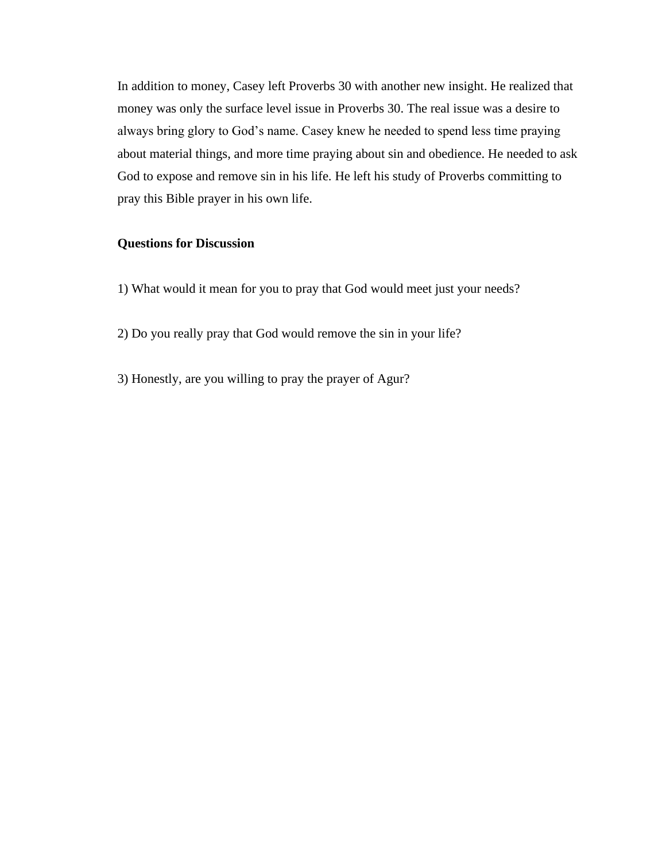In addition to money, Casey left Proverbs 30 with another new insight. He realized that money was only the surface level issue in Proverbs 30. The real issue was a desire to always bring glory to God's name. Casey knew he needed to spend less time praying about material things, and more time praying about sin and obedience. He needed to ask God to expose and remove sin in his life. He left his study of Proverbs committing to pray this Bible prayer in his own life.

# **Questions for Discussion**

- 1) What would it mean for you to pray that God would meet just your needs?
- 2) Do you really pray that God would remove the sin in your life?
- 3) Honestly, are you willing to pray the prayer of Agur?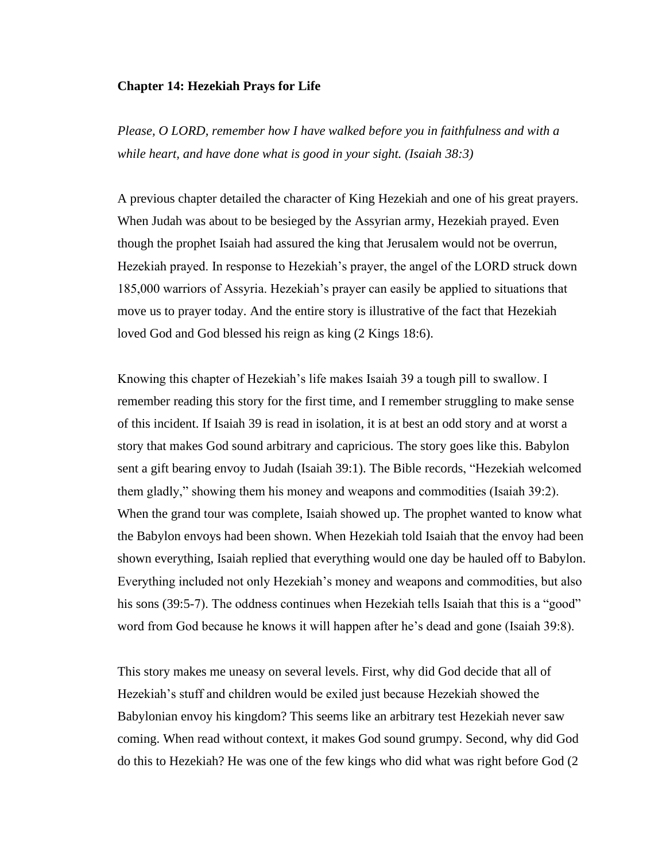#### **Chapter 14: Hezekiah Prays for Life**

*Please, O LORD, remember how I have walked before you in faithfulness and with a while heart, and have done what is good in your sight. (Isaiah 38:3)*

A previous chapter detailed the character of King Hezekiah and one of his great prayers. When Judah was about to be besieged by the Assyrian army, Hezekiah prayed. Even though the prophet Isaiah had assured the king that Jerusalem would not be overrun, Hezekiah prayed. In response to Hezekiah's prayer, the angel of the LORD struck down 185,000 warriors of Assyria. Hezekiah's prayer can easily be applied to situations that move us to prayer today. And the entire story is illustrative of the fact that Hezekiah loved God and God blessed his reign as king (2 Kings 18:6).

Knowing this chapter of Hezekiah's life makes Isaiah 39 a tough pill to swallow. I remember reading this story for the first time, and I remember struggling to make sense of this incident. If Isaiah 39 is read in isolation, it is at best an odd story and at worst a story that makes God sound arbitrary and capricious. The story goes like this. Babylon sent a gift bearing envoy to Judah (Isaiah 39:1). The Bible records, "Hezekiah welcomed them gladly," showing them his money and weapons and commodities (Isaiah 39:2). When the grand tour was complete, Isaiah showed up. The prophet wanted to know what the Babylon envoys had been shown. When Hezekiah told Isaiah that the envoy had been shown everything, Isaiah replied that everything would one day be hauled off to Babylon. Everything included not only Hezekiah's money and weapons and commodities, but also his sons (39:5-7). The oddness continues when Hezekiah tells Isaiah that this is a "good" word from God because he knows it will happen after he's dead and gone (Isaiah 39:8).

This story makes me uneasy on several levels. First, why did God decide that all of Hezekiah's stuff and children would be exiled just because Hezekiah showed the Babylonian envoy his kingdom? This seems like an arbitrary test Hezekiah never saw coming. When read without context, it makes God sound grumpy. Second, why did God do this to Hezekiah? He was one of the few kings who did what was right before God (2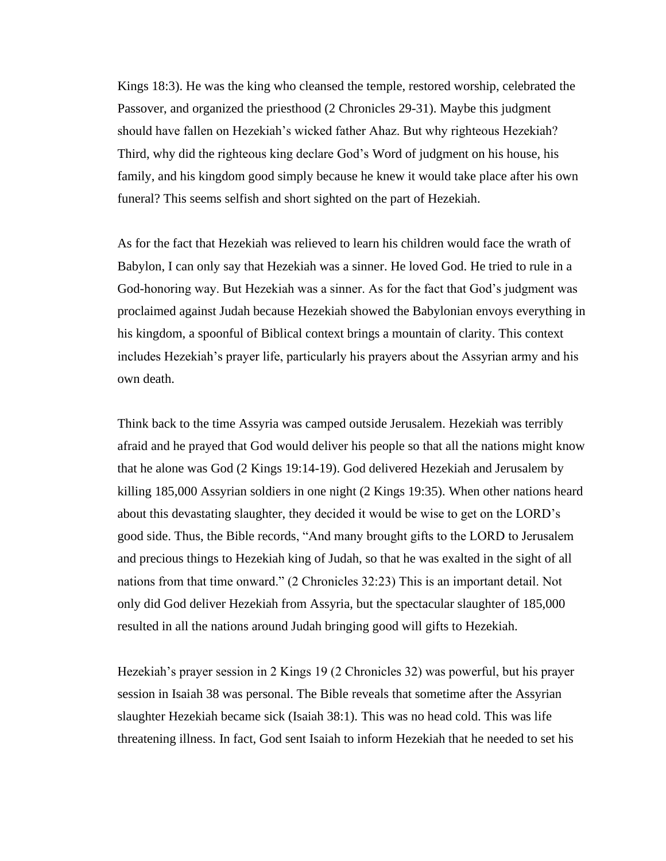Kings 18:3). He was the king who cleansed the temple, restored worship, celebrated the Passover, and organized the priesthood (2 Chronicles 29-31). Maybe this judgment should have fallen on Hezekiah's wicked father Ahaz. But why righteous Hezekiah? Third, why did the righteous king declare God's Word of judgment on his house, his family, and his kingdom good simply because he knew it would take place after his own funeral? This seems selfish and short sighted on the part of Hezekiah.

As for the fact that Hezekiah was relieved to learn his children would face the wrath of Babylon, I can only say that Hezekiah was a sinner. He loved God. He tried to rule in a God-honoring way. But Hezekiah was a sinner. As for the fact that God's judgment was proclaimed against Judah because Hezekiah showed the Babylonian envoys everything in his kingdom, a spoonful of Biblical context brings a mountain of clarity. This context includes Hezekiah's prayer life, particularly his prayers about the Assyrian army and his own death.

Think back to the time Assyria was camped outside Jerusalem. Hezekiah was terribly afraid and he prayed that God would deliver his people so that all the nations might know that he alone was God (2 Kings 19:14-19). God delivered Hezekiah and Jerusalem by killing 185,000 Assyrian soldiers in one night (2 Kings 19:35). When other nations heard about this devastating slaughter, they decided it would be wise to get on the LORD's good side. Thus, the Bible records, "And many brought gifts to the LORD to Jerusalem and precious things to Hezekiah king of Judah, so that he was exalted in the sight of all nations from that time onward." (2 Chronicles 32:23) This is an important detail. Not only did God deliver Hezekiah from Assyria, but the spectacular slaughter of 185,000 resulted in all the nations around Judah bringing good will gifts to Hezekiah.

Hezekiah's prayer session in 2 Kings 19 (2 Chronicles 32) was powerful, but his prayer session in Isaiah 38 was personal. The Bible reveals that sometime after the Assyrian slaughter Hezekiah became sick (Isaiah 38:1). This was no head cold. This was life threatening illness. In fact, God sent Isaiah to inform Hezekiah that he needed to set his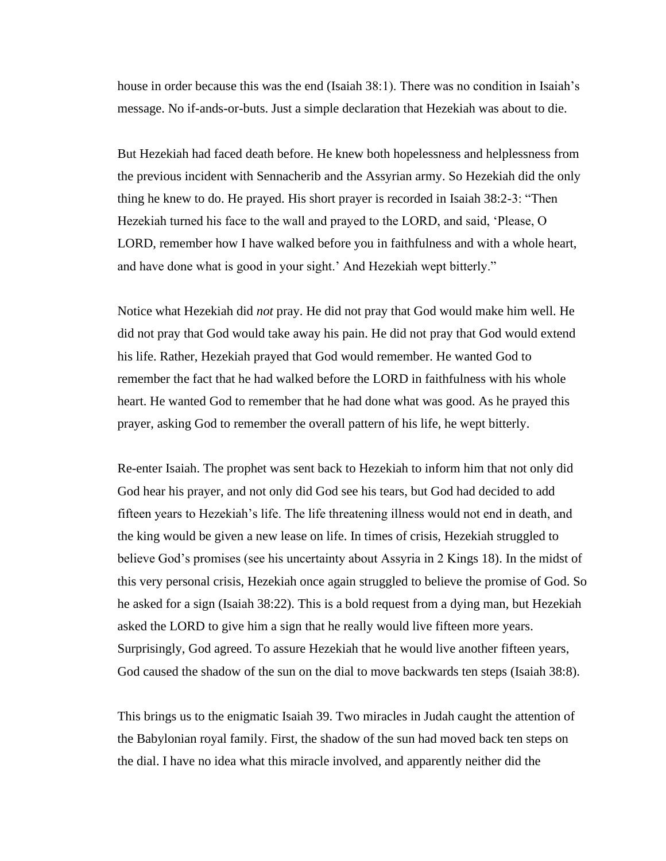house in order because this was the end (Isaiah 38:1). There was no condition in Isaiah's message. No if-ands-or-buts. Just a simple declaration that Hezekiah was about to die.

But Hezekiah had faced death before. He knew both hopelessness and helplessness from the previous incident with Sennacherib and the Assyrian army. So Hezekiah did the only thing he knew to do. He prayed. His short prayer is recorded in Isaiah 38:2-3: "Then Hezekiah turned his face to the wall and prayed to the LORD, and said, 'Please, O LORD, remember how I have walked before you in faithfulness and with a whole heart, and have done what is good in your sight.' And Hezekiah wept bitterly."

Notice what Hezekiah did *not* pray. He did not pray that God would make him well. He did not pray that God would take away his pain. He did not pray that God would extend his life. Rather, Hezekiah prayed that God would remember. He wanted God to remember the fact that he had walked before the LORD in faithfulness with his whole heart. He wanted God to remember that he had done what was good. As he prayed this prayer, asking God to remember the overall pattern of his life, he wept bitterly.

Re-enter Isaiah. The prophet was sent back to Hezekiah to inform him that not only did God hear his prayer, and not only did God see his tears, but God had decided to add fifteen years to Hezekiah's life. The life threatening illness would not end in death, and the king would be given a new lease on life. In times of crisis, Hezekiah struggled to believe God's promises (see his uncertainty about Assyria in 2 Kings 18). In the midst of this very personal crisis, Hezekiah once again struggled to believe the promise of God. So he asked for a sign (Isaiah 38:22). This is a bold request from a dying man, but Hezekiah asked the LORD to give him a sign that he really would live fifteen more years. Surprisingly, God agreed. To assure Hezekiah that he would live another fifteen years, God caused the shadow of the sun on the dial to move backwards ten steps (Isaiah 38:8).

This brings us to the enigmatic Isaiah 39. Two miracles in Judah caught the attention of the Babylonian royal family. First, the shadow of the sun had moved back ten steps on the dial. I have no idea what this miracle involved, and apparently neither did the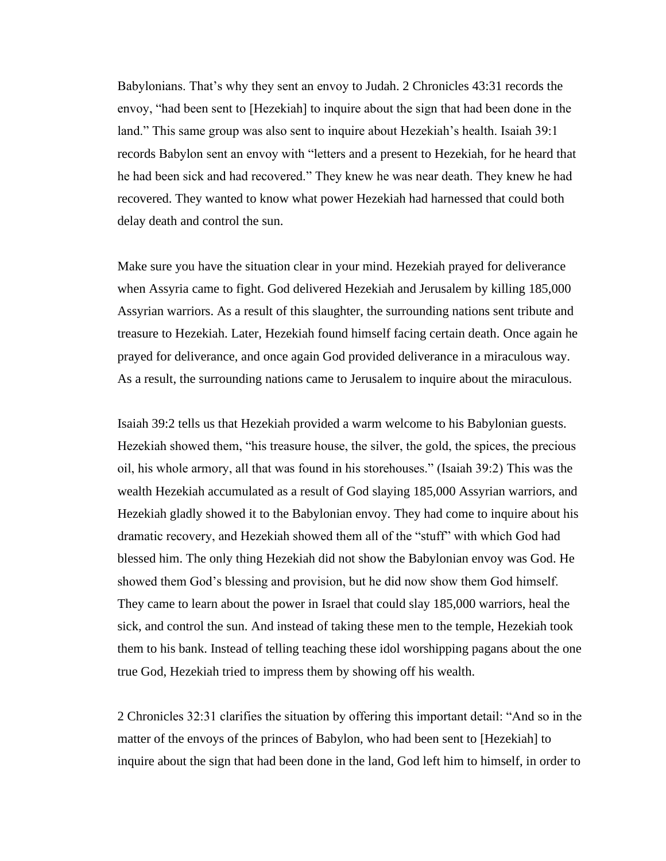Babylonians. That's why they sent an envoy to Judah. 2 Chronicles 43:31 records the envoy, "had been sent to [Hezekiah] to inquire about the sign that had been done in the land." This same group was also sent to inquire about Hezekiah's health. Isaiah 39:1 records Babylon sent an envoy with "letters and a present to Hezekiah, for he heard that he had been sick and had recovered." They knew he was near death. They knew he had recovered. They wanted to know what power Hezekiah had harnessed that could both delay death and control the sun.

Make sure you have the situation clear in your mind. Hezekiah prayed for deliverance when Assyria came to fight. God delivered Hezekiah and Jerusalem by killing 185,000 Assyrian warriors. As a result of this slaughter, the surrounding nations sent tribute and treasure to Hezekiah. Later, Hezekiah found himself facing certain death. Once again he prayed for deliverance, and once again God provided deliverance in a miraculous way. As a result, the surrounding nations came to Jerusalem to inquire about the miraculous.

Isaiah 39:2 tells us that Hezekiah provided a warm welcome to his Babylonian guests. Hezekiah showed them, "his treasure house, the silver, the gold, the spices, the precious oil, his whole armory, all that was found in his storehouses." (Isaiah 39:2) This was the wealth Hezekiah accumulated as a result of God slaying 185,000 Assyrian warriors, and Hezekiah gladly showed it to the Babylonian envoy. They had come to inquire about his dramatic recovery, and Hezekiah showed them all of the "stuff" with which God had blessed him. The only thing Hezekiah did not show the Babylonian envoy was God. He showed them God's blessing and provision, but he did now show them God himself. They came to learn about the power in Israel that could slay 185,000 warriors, heal the sick, and control the sun. And instead of taking these men to the temple, Hezekiah took them to his bank. Instead of telling teaching these idol worshipping pagans about the one true God, Hezekiah tried to impress them by showing off his wealth.

2 Chronicles 32:31 clarifies the situation by offering this important detail: "And so in the matter of the envoys of the princes of Babylon, who had been sent to [Hezekiah] to inquire about the sign that had been done in the land, God left him to himself, in order to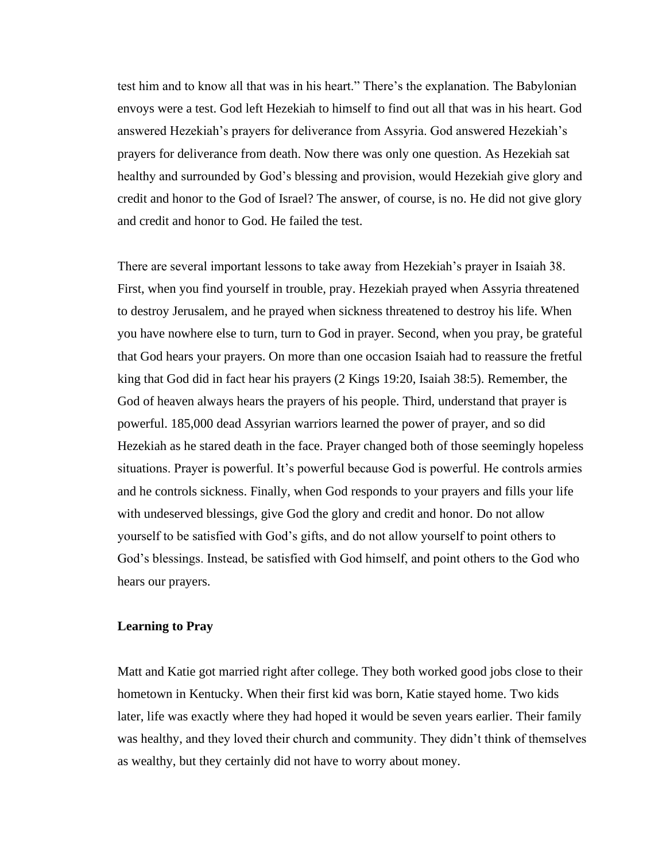test him and to know all that was in his heart." There's the explanation. The Babylonian envoys were a test. God left Hezekiah to himself to find out all that was in his heart. God answered Hezekiah's prayers for deliverance from Assyria. God answered Hezekiah's prayers for deliverance from death. Now there was only one question. As Hezekiah sat healthy and surrounded by God's blessing and provision, would Hezekiah give glory and credit and honor to the God of Israel? The answer, of course, is no. He did not give glory and credit and honor to God. He failed the test.

There are several important lessons to take away from Hezekiah's prayer in Isaiah 38. First, when you find yourself in trouble, pray. Hezekiah prayed when Assyria threatened to destroy Jerusalem, and he prayed when sickness threatened to destroy his life. When you have nowhere else to turn, turn to God in prayer. Second, when you pray, be grateful that God hears your prayers. On more than one occasion Isaiah had to reassure the fretful king that God did in fact hear his prayers (2 Kings 19:20, Isaiah 38:5). Remember, the God of heaven always hears the prayers of his people. Third, understand that prayer is powerful. 185,000 dead Assyrian warriors learned the power of prayer, and so did Hezekiah as he stared death in the face. Prayer changed both of those seemingly hopeless situations. Prayer is powerful. It's powerful because God is powerful. He controls armies and he controls sickness. Finally, when God responds to your prayers and fills your life with undeserved blessings, give God the glory and credit and honor. Do not allow yourself to be satisfied with God's gifts, and do not allow yourself to point others to God's blessings. Instead, be satisfied with God himself, and point others to the God who hears our prayers.

#### **Learning to Pray**

Matt and Katie got married right after college. They both worked good jobs close to their hometown in Kentucky. When their first kid was born, Katie stayed home. Two kids later, life was exactly where they had hoped it would be seven years earlier. Their family was healthy, and they loved their church and community. They didn't think of themselves as wealthy, but they certainly did not have to worry about money.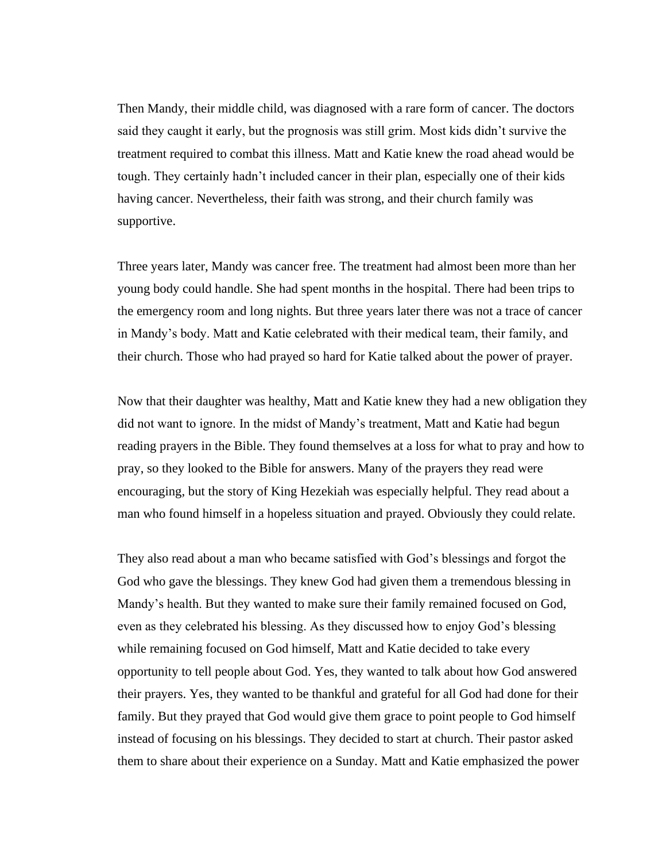Then Mandy, their middle child, was diagnosed with a rare form of cancer. The doctors said they caught it early, but the prognosis was still grim. Most kids didn't survive the treatment required to combat this illness. Matt and Katie knew the road ahead would be tough. They certainly hadn't included cancer in their plan, especially one of their kids having cancer. Nevertheless, their faith was strong, and their church family was supportive.

Three years later, Mandy was cancer free. The treatment had almost been more than her young body could handle. She had spent months in the hospital. There had been trips to the emergency room and long nights. But three years later there was not a trace of cancer in Mandy's body. Matt and Katie celebrated with their medical team, their family, and their church. Those who had prayed so hard for Katie talked about the power of prayer.

Now that their daughter was healthy, Matt and Katie knew they had a new obligation they did not want to ignore. In the midst of Mandy's treatment, Matt and Katie had begun reading prayers in the Bible. They found themselves at a loss for what to pray and how to pray, so they looked to the Bible for answers. Many of the prayers they read were encouraging, but the story of King Hezekiah was especially helpful. They read about a man who found himself in a hopeless situation and prayed. Obviously they could relate.

They also read about a man who became satisfied with God's blessings and forgot the God who gave the blessings. They knew God had given them a tremendous blessing in Mandy's health. But they wanted to make sure their family remained focused on God, even as they celebrated his blessing. As they discussed how to enjoy God's blessing while remaining focused on God himself, Matt and Katie decided to take every opportunity to tell people about God. Yes, they wanted to talk about how God answered their prayers. Yes, they wanted to be thankful and grateful for all God had done for their family. But they prayed that God would give them grace to point people to God himself instead of focusing on his blessings. They decided to start at church. Their pastor asked them to share about their experience on a Sunday. Matt and Katie emphasized the power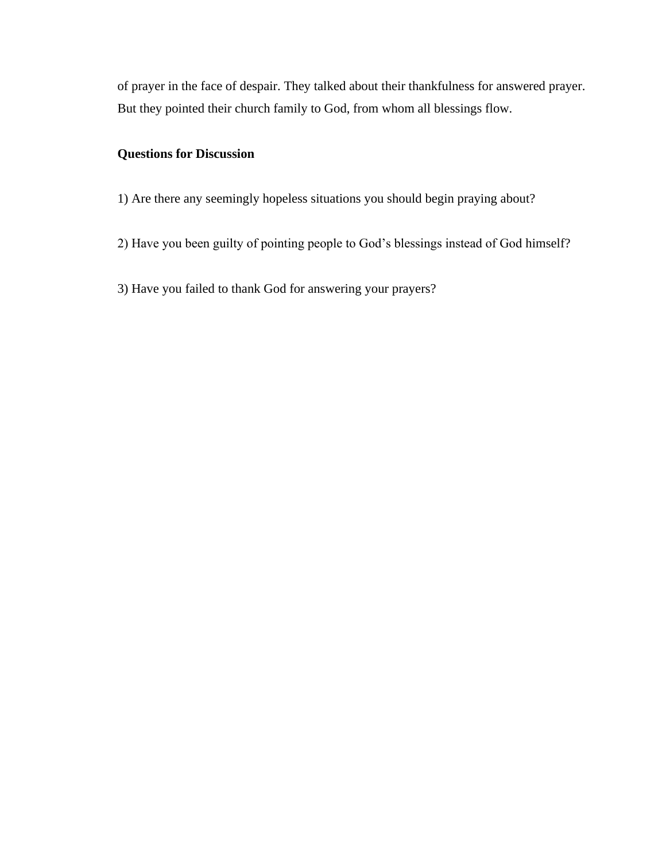of prayer in the face of despair. They talked about their thankfulness for answered prayer. But they pointed their church family to God, from whom all blessings flow.

# **Questions for Discussion**

- 1) Are there any seemingly hopeless situations you should begin praying about?
- 2) Have you been guilty of pointing people to God's blessings instead of God himself?
- 3) Have you failed to thank God for answering your prayers?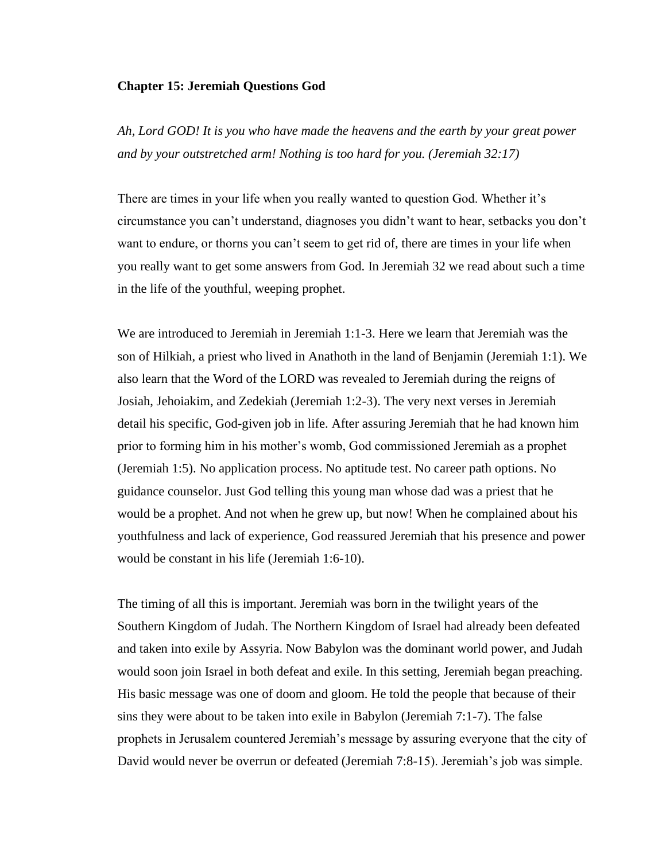### **Chapter 15: Jeremiah Questions God**

*Ah, Lord GOD! It is you who have made the heavens and the earth by your great power and by your outstretched arm! Nothing is too hard for you. (Jeremiah 32:17)*

There are times in your life when you really wanted to question God. Whether it's circumstance you can't understand, diagnoses you didn't want to hear, setbacks you don't want to endure, or thorns you can't seem to get rid of, there are times in your life when you really want to get some answers from God. In Jeremiah 32 we read about such a time in the life of the youthful, weeping prophet.

We are introduced to Jeremiah in Jeremiah 1:1-3. Here we learn that Jeremiah was the son of Hilkiah, a priest who lived in Anathoth in the land of Benjamin (Jeremiah 1:1). We also learn that the Word of the LORD was revealed to Jeremiah during the reigns of Josiah, Jehoiakim, and Zedekiah (Jeremiah 1:2-3). The very next verses in Jeremiah detail his specific, God-given job in life. After assuring Jeremiah that he had known him prior to forming him in his mother's womb, God commissioned Jeremiah as a prophet (Jeremiah 1:5). No application process. No aptitude test. No career path options. No guidance counselor. Just God telling this young man whose dad was a priest that he would be a prophet. And not when he grew up, but now! When he complained about his youthfulness and lack of experience, God reassured Jeremiah that his presence and power would be constant in his life (Jeremiah 1:6-10).

The timing of all this is important. Jeremiah was born in the twilight years of the Southern Kingdom of Judah. The Northern Kingdom of Israel had already been defeated and taken into exile by Assyria. Now Babylon was the dominant world power, and Judah would soon join Israel in both defeat and exile. In this setting, Jeremiah began preaching. His basic message was one of doom and gloom. He told the people that because of their sins they were about to be taken into exile in Babylon (Jeremiah 7:1-7). The false prophets in Jerusalem countered Jeremiah's message by assuring everyone that the city of David would never be overrun or defeated (Jeremiah 7:8-15). Jeremiah's job was simple.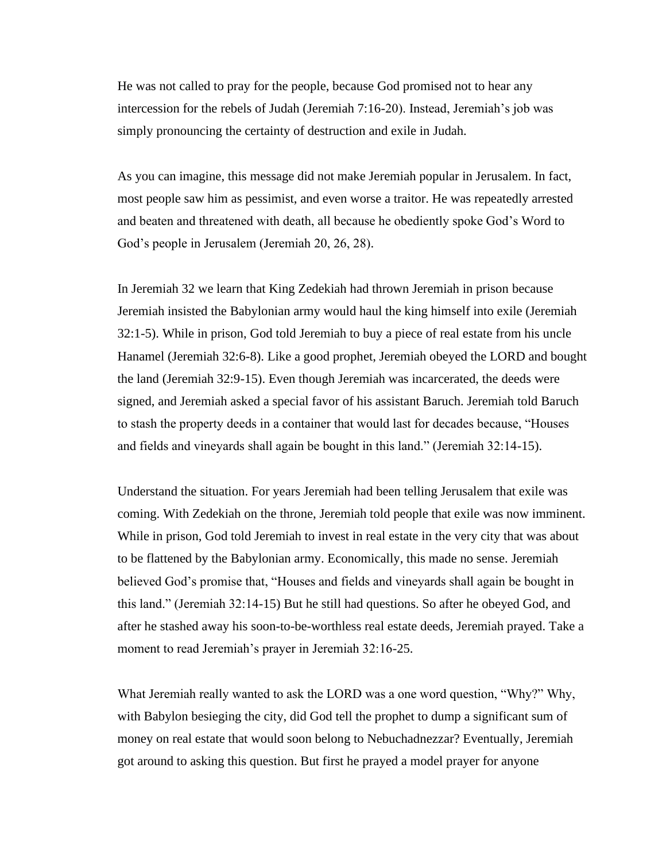He was not called to pray for the people, because God promised not to hear any intercession for the rebels of Judah (Jeremiah 7:16-20). Instead, Jeremiah's job was simply pronouncing the certainty of destruction and exile in Judah.

As you can imagine, this message did not make Jeremiah popular in Jerusalem. In fact, most people saw him as pessimist, and even worse a traitor. He was repeatedly arrested and beaten and threatened with death, all because he obediently spoke God's Word to God's people in Jerusalem (Jeremiah 20, 26, 28).

In Jeremiah 32 we learn that King Zedekiah had thrown Jeremiah in prison because Jeremiah insisted the Babylonian army would haul the king himself into exile (Jeremiah 32:1-5). While in prison, God told Jeremiah to buy a piece of real estate from his uncle Hanamel (Jeremiah 32:6-8). Like a good prophet, Jeremiah obeyed the LORD and bought the land (Jeremiah 32:9-15). Even though Jeremiah was incarcerated, the deeds were signed, and Jeremiah asked a special favor of his assistant Baruch. Jeremiah told Baruch to stash the property deeds in a container that would last for decades because, "Houses and fields and vineyards shall again be bought in this land." (Jeremiah 32:14-15).

Understand the situation. For years Jeremiah had been telling Jerusalem that exile was coming. With Zedekiah on the throne, Jeremiah told people that exile was now imminent. While in prison, God told Jeremiah to invest in real estate in the very city that was about to be flattened by the Babylonian army. Economically, this made no sense. Jeremiah believed God's promise that, "Houses and fields and vineyards shall again be bought in this land." (Jeremiah 32:14-15) But he still had questions. So after he obeyed God, and after he stashed away his soon-to-be-worthless real estate deeds, Jeremiah prayed. Take a moment to read Jeremiah's prayer in Jeremiah 32:16-25.

What Jeremiah really wanted to ask the LORD was a one word question, "Why?" Why, with Babylon besieging the city, did God tell the prophet to dump a significant sum of money on real estate that would soon belong to Nebuchadnezzar? Eventually, Jeremiah got around to asking this question. But first he prayed a model prayer for anyone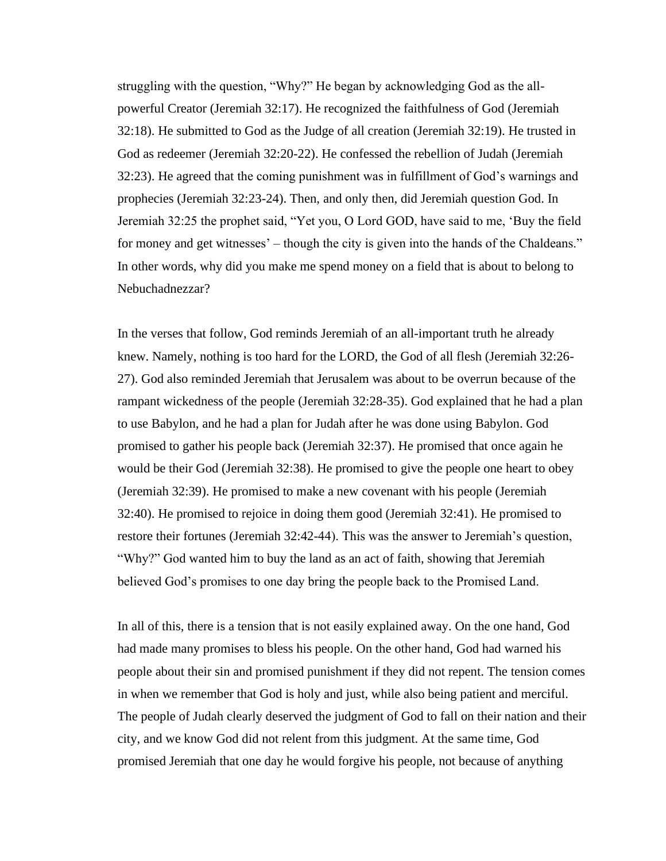struggling with the question, "Why?" He began by acknowledging God as the allpowerful Creator (Jeremiah 32:17). He recognized the faithfulness of God (Jeremiah 32:18). He submitted to God as the Judge of all creation (Jeremiah 32:19). He trusted in God as redeemer (Jeremiah 32:20-22). He confessed the rebellion of Judah (Jeremiah 32:23). He agreed that the coming punishment was in fulfillment of God's warnings and prophecies (Jeremiah 32:23-24). Then, and only then, did Jeremiah question God. In Jeremiah 32:25 the prophet said, "Yet you, O Lord GOD, have said to me, 'Buy the field for money and get witnesses' – though the city is given into the hands of the Chaldeans." In other words, why did you make me spend money on a field that is about to belong to Nebuchadnezzar?

In the verses that follow, God reminds Jeremiah of an all-important truth he already knew. Namely, nothing is too hard for the LORD, the God of all flesh (Jeremiah 32:26- 27). God also reminded Jeremiah that Jerusalem was about to be overrun because of the rampant wickedness of the people (Jeremiah 32:28-35). God explained that he had a plan to use Babylon, and he had a plan for Judah after he was done using Babylon. God promised to gather his people back (Jeremiah 32:37). He promised that once again he would be their God (Jeremiah 32:38). He promised to give the people one heart to obey (Jeremiah 32:39). He promised to make a new covenant with his people (Jeremiah 32:40). He promised to rejoice in doing them good (Jeremiah 32:41). He promised to restore their fortunes (Jeremiah 32:42-44). This was the answer to Jeremiah's question, "Why?" God wanted him to buy the land as an act of faith, showing that Jeremiah believed God's promises to one day bring the people back to the Promised Land.

In all of this, there is a tension that is not easily explained away. On the one hand, God had made many promises to bless his people. On the other hand, God had warned his people about their sin and promised punishment if they did not repent. The tension comes in when we remember that God is holy and just, while also being patient and merciful. The people of Judah clearly deserved the judgment of God to fall on their nation and their city, and we know God did not relent from this judgment. At the same time, God promised Jeremiah that one day he would forgive his people, not because of anything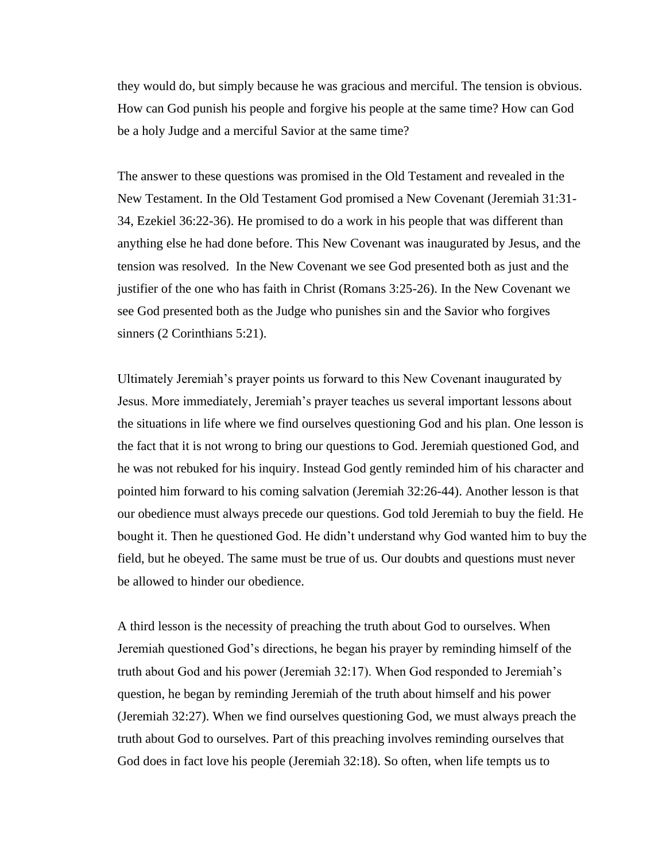they would do, but simply because he was gracious and merciful. The tension is obvious. How can God punish his people and forgive his people at the same time? How can God be a holy Judge and a merciful Savior at the same time?

The answer to these questions was promised in the Old Testament and revealed in the New Testament. In the Old Testament God promised a New Covenant (Jeremiah 31:31- 34, Ezekiel 36:22-36). He promised to do a work in his people that was different than anything else he had done before. This New Covenant was inaugurated by Jesus, and the tension was resolved. In the New Covenant we see God presented both as just and the justifier of the one who has faith in Christ (Romans 3:25-26). In the New Covenant we see God presented both as the Judge who punishes sin and the Savior who forgives sinners (2 Corinthians 5:21).

Ultimately Jeremiah's prayer points us forward to this New Covenant inaugurated by Jesus. More immediately, Jeremiah's prayer teaches us several important lessons about the situations in life where we find ourselves questioning God and his plan. One lesson is the fact that it is not wrong to bring our questions to God. Jeremiah questioned God, and he was not rebuked for his inquiry. Instead God gently reminded him of his character and pointed him forward to his coming salvation (Jeremiah 32:26-44). Another lesson is that our obedience must always precede our questions. God told Jeremiah to buy the field. He bought it. Then he questioned God. He didn't understand why God wanted him to buy the field, but he obeyed. The same must be true of us. Our doubts and questions must never be allowed to hinder our obedience.

A third lesson is the necessity of preaching the truth about God to ourselves. When Jeremiah questioned God's directions, he began his prayer by reminding himself of the truth about God and his power (Jeremiah 32:17). When God responded to Jeremiah's question, he began by reminding Jeremiah of the truth about himself and his power (Jeremiah 32:27). When we find ourselves questioning God, we must always preach the truth about God to ourselves. Part of this preaching involves reminding ourselves that God does in fact love his people (Jeremiah 32:18). So often, when life tempts us to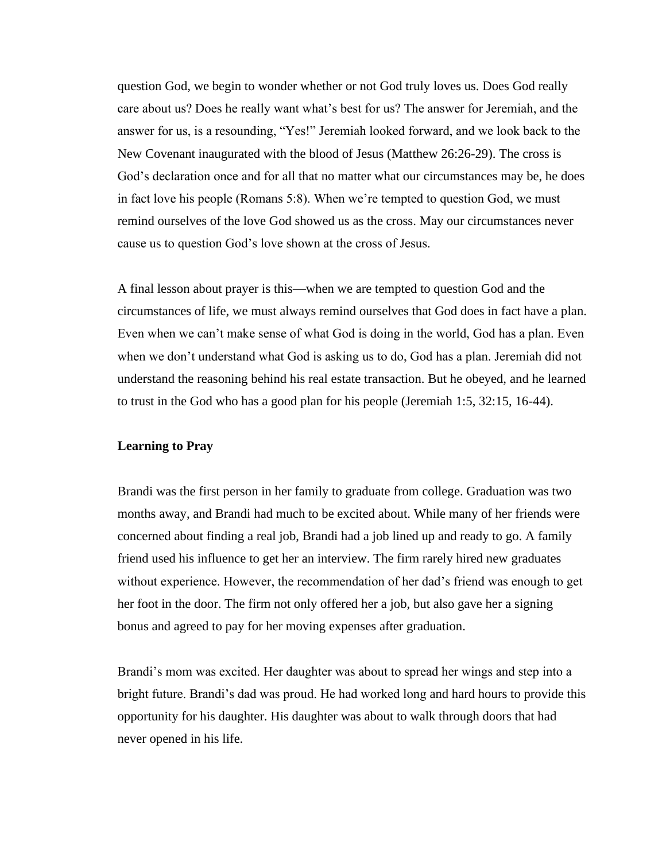question God, we begin to wonder whether or not God truly loves us. Does God really care about us? Does he really want what's best for us? The answer for Jeremiah, and the answer for us, is a resounding, "Yes!" Jeremiah looked forward, and we look back to the New Covenant inaugurated with the blood of Jesus (Matthew 26:26-29). The cross is God's declaration once and for all that no matter what our circumstances may be, he does in fact love his people (Romans 5:8). When we're tempted to question God, we must remind ourselves of the love God showed us as the cross. May our circumstances never cause us to question God's love shown at the cross of Jesus.

A final lesson about prayer is this—when we are tempted to question God and the circumstances of life, we must always remind ourselves that God does in fact have a plan. Even when we can't make sense of what God is doing in the world, God has a plan. Even when we don't understand what God is asking us to do, God has a plan. Jeremiah did not understand the reasoning behind his real estate transaction. But he obeyed, and he learned to trust in the God who has a good plan for his people (Jeremiah 1:5, 32:15, 16-44).

#### **Learning to Pray**

Brandi was the first person in her family to graduate from college. Graduation was two months away, and Brandi had much to be excited about. While many of her friends were concerned about finding a real job, Brandi had a job lined up and ready to go. A family friend used his influence to get her an interview. The firm rarely hired new graduates without experience. However, the recommendation of her dad's friend was enough to get her foot in the door. The firm not only offered her a job, but also gave her a signing bonus and agreed to pay for her moving expenses after graduation.

Brandi's mom was excited. Her daughter was about to spread her wings and step into a bright future. Brandi's dad was proud. He had worked long and hard hours to provide this opportunity for his daughter. His daughter was about to walk through doors that had never opened in his life.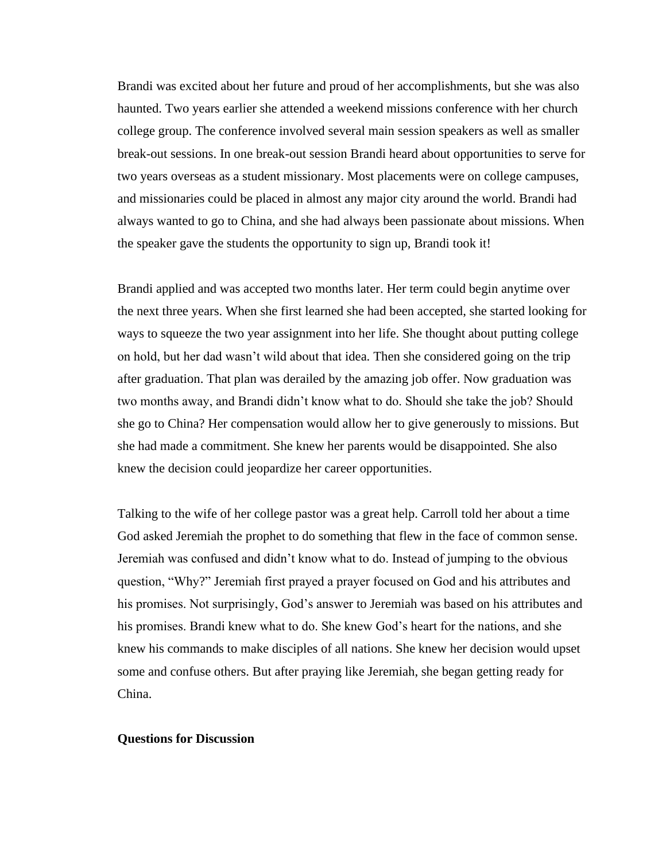Brandi was excited about her future and proud of her accomplishments, but she was also haunted. Two years earlier she attended a weekend missions conference with her church college group. The conference involved several main session speakers as well as smaller break-out sessions. In one break-out session Brandi heard about opportunities to serve for two years overseas as a student missionary. Most placements were on college campuses, and missionaries could be placed in almost any major city around the world. Brandi had always wanted to go to China, and she had always been passionate about missions. When the speaker gave the students the opportunity to sign up, Brandi took it!

Brandi applied and was accepted two months later. Her term could begin anytime over the next three years. When she first learned she had been accepted, she started looking for ways to squeeze the two year assignment into her life. She thought about putting college on hold, but her dad wasn't wild about that idea. Then she considered going on the trip after graduation. That plan was derailed by the amazing job offer. Now graduation was two months away, and Brandi didn't know what to do. Should she take the job? Should she go to China? Her compensation would allow her to give generously to missions. But she had made a commitment. She knew her parents would be disappointed. She also knew the decision could jeopardize her career opportunities.

Talking to the wife of her college pastor was a great help. Carroll told her about a time God asked Jeremiah the prophet to do something that flew in the face of common sense. Jeremiah was confused and didn't know what to do. Instead of jumping to the obvious question, "Why?" Jeremiah first prayed a prayer focused on God and his attributes and his promises. Not surprisingly, God's answer to Jeremiah was based on his attributes and his promises. Brandi knew what to do. She knew God's heart for the nations, and she knew his commands to make disciples of all nations. She knew her decision would upset some and confuse others. But after praying like Jeremiah, she began getting ready for China.

#### **Questions for Discussion**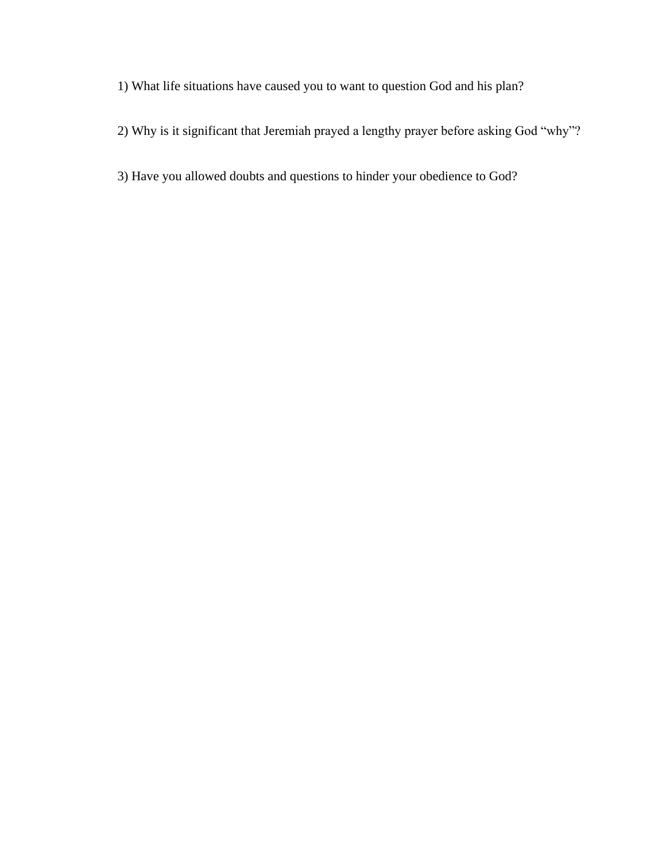- 1) What life situations have caused you to want to question God and his plan?
- 2) Why is it significant that Jeremiah prayed a lengthy prayer before asking God "why"?
- 3) Have you allowed doubts and questions to hinder your obedience to God?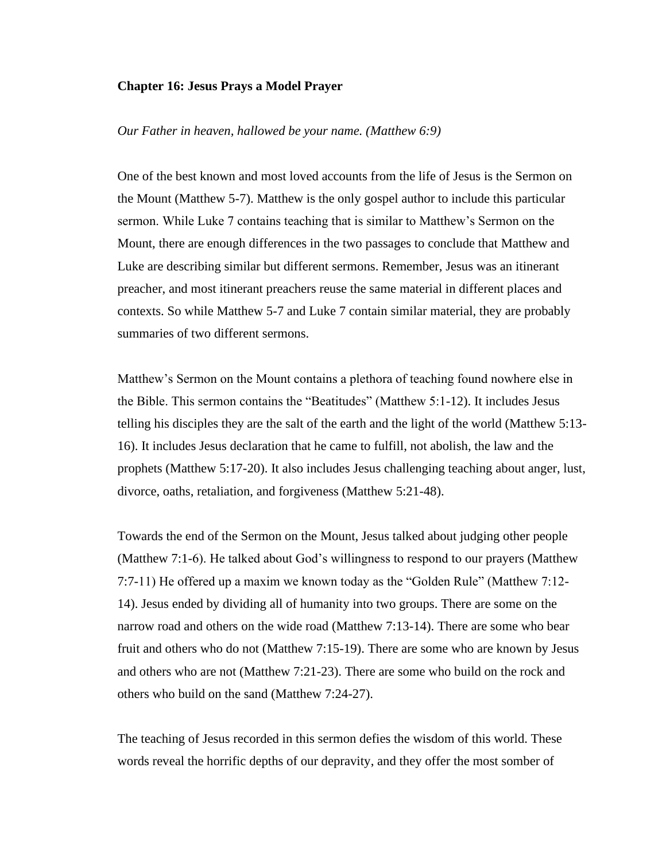#### **Chapter 16: Jesus Prays a Model Prayer**

#### *Our Father in heaven, hallowed be your name. (Matthew 6:9)*

One of the best known and most loved accounts from the life of Jesus is the Sermon on the Mount (Matthew 5-7). Matthew is the only gospel author to include this particular sermon. While Luke 7 contains teaching that is similar to Matthew's Sermon on the Mount, there are enough differences in the two passages to conclude that Matthew and Luke are describing similar but different sermons. Remember, Jesus was an itinerant preacher, and most itinerant preachers reuse the same material in different places and contexts. So while Matthew 5-7 and Luke 7 contain similar material, they are probably summaries of two different sermons.

Matthew's Sermon on the Mount contains a plethora of teaching found nowhere else in the Bible. This sermon contains the "Beatitudes" (Matthew 5:1-12). It includes Jesus telling his disciples they are the salt of the earth and the light of the world (Matthew 5:13- 16). It includes Jesus declaration that he came to fulfill, not abolish, the law and the prophets (Matthew 5:17-20). It also includes Jesus challenging teaching about anger, lust, divorce, oaths, retaliation, and forgiveness (Matthew 5:21-48).

Towards the end of the Sermon on the Mount, Jesus talked about judging other people (Matthew 7:1-6). He talked about God's willingness to respond to our prayers (Matthew 7:7-11) He offered up a maxim we known today as the "Golden Rule" (Matthew 7:12- 14). Jesus ended by dividing all of humanity into two groups. There are some on the narrow road and others on the wide road (Matthew 7:13-14). There are some who bear fruit and others who do not (Matthew 7:15-19). There are some who are known by Jesus and others who are not (Matthew 7:21-23). There are some who build on the rock and others who build on the sand (Matthew 7:24-27).

The teaching of Jesus recorded in this sermon defies the wisdom of this world. These words reveal the horrific depths of our depravity, and they offer the most somber of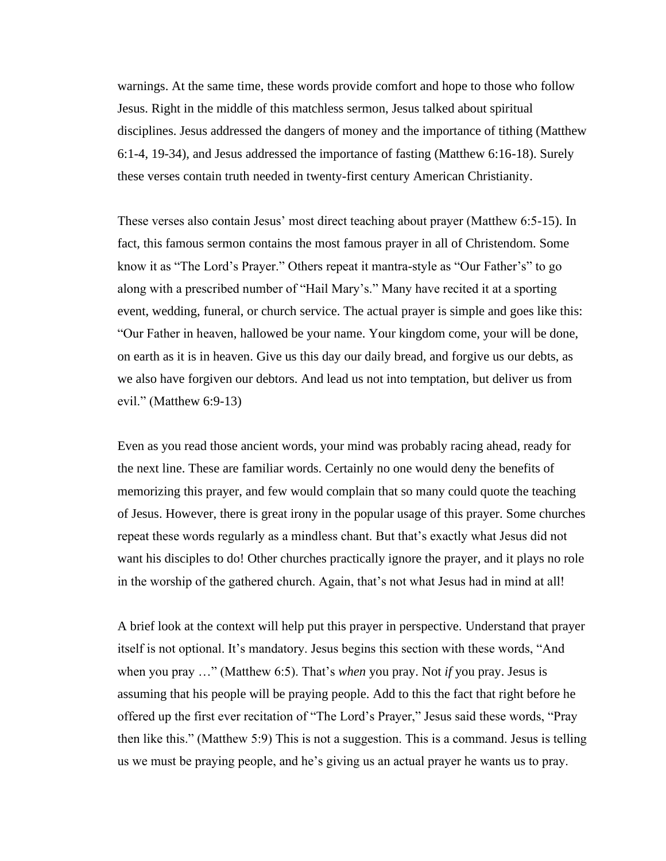warnings. At the same time, these words provide comfort and hope to those who follow Jesus. Right in the middle of this matchless sermon, Jesus talked about spiritual disciplines. Jesus addressed the dangers of money and the importance of tithing (Matthew 6:1-4, 19-34), and Jesus addressed the importance of fasting (Matthew 6:16-18). Surely these verses contain truth needed in twenty-first century American Christianity.

These verses also contain Jesus' most direct teaching about prayer (Matthew 6:5-15). In fact, this famous sermon contains the most famous prayer in all of Christendom. Some know it as "The Lord's Prayer." Others repeat it mantra-style as "Our Father's" to go along with a prescribed number of "Hail Mary's." Many have recited it at a sporting event, wedding, funeral, or church service. The actual prayer is simple and goes like this: "Our Father in heaven, hallowed be your name. Your kingdom come, your will be done, on earth as it is in heaven. Give us this day our daily bread, and forgive us our debts, as we also have forgiven our debtors. And lead us not into temptation, but deliver us from evil." (Matthew 6:9-13)

Even as you read those ancient words, your mind was probably racing ahead, ready for the next line. These are familiar words. Certainly no one would deny the benefits of memorizing this prayer, and few would complain that so many could quote the teaching of Jesus. However, there is great irony in the popular usage of this prayer. Some churches repeat these words regularly as a mindless chant. But that's exactly what Jesus did not want his disciples to do! Other churches practically ignore the prayer, and it plays no role in the worship of the gathered church. Again, that's not what Jesus had in mind at all!

A brief look at the context will help put this prayer in perspective. Understand that prayer itself is not optional. It's mandatory. Jesus begins this section with these words, "And when you pray …" (Matthew 6:5). That's *when* you pray. Not *if* you pray. Jesus is assuming that his people will be praying people. Add to this the fact that right before he offered up the first ever recitation of "The Lord's Prayer," Jesus said these words, "Pray then like this." (Matthew 5:9) This is not a suggestion. This is a command. Jesus is telling us we must be praying people, and he's giving us an actual prayer he wants us to pray.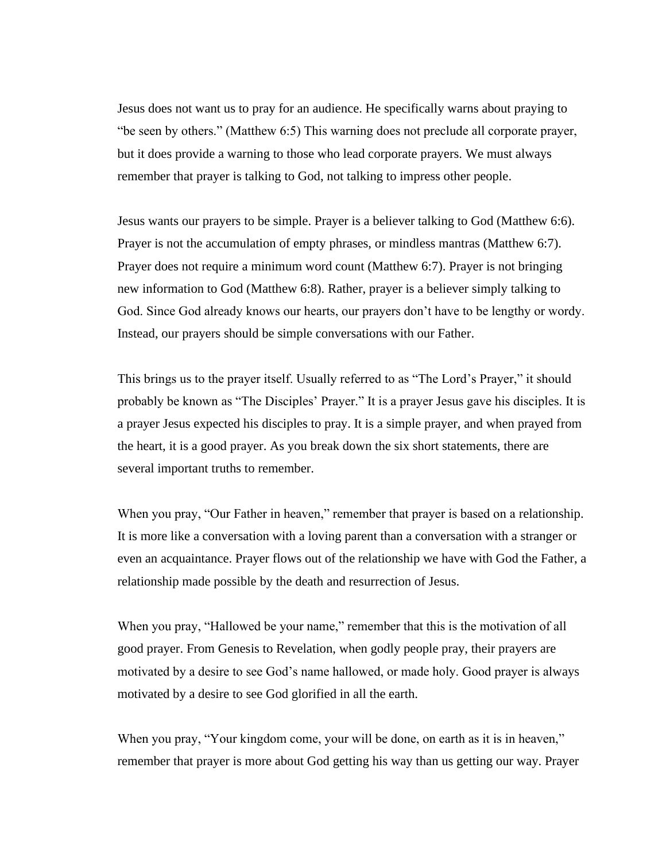Jesus does not want us to pray for an audience. He specifically warns about praying to "be seen by others." (Matthew 6:5) This warning does not preclude all corporate prayer, but it does provide a warning to those who lead corporate prayers. We must always remember that prayer is talking to God, not talking to impress other people.

Jesus wants our prayers to be simple. Prayer is a believer talking to God (Matthew 6:6). Prayer is not the accumulation of empty phrases, or mindless mantras (Matthew 6:7). Prayer does not require a minimum word count (Matthew 6:7). Prayer is not bringing new information to God (Matthew 6:8). Rather, prayer is a believer simply talking to God. Since God already knows our hearts, our prayers don't have to be lengthy or wordy. Instead, our prayers should be simple conversations with our Father.

This brings us to the prayer itself. Usually referred to as "The Lord's Prayer," it should probably be known as "The Disciples' Prayer." It is a prayer Jesus gave his disciples. It is a prayer Jesus expected his disciples to pray. It is a simple prayer, and when prayed from the heart, it is a good prayer. As you break down the six short statements, there are several important truths to remember.

When you pray, "Our Father in heaven," remember that prayer is based on a relationship. It is more like a conversation with a loving parent than a conversation with a stranger or even an acquaintance. Prayer flows out of the relationship we have with God the Father, a relationship made possible by the death and resurrection of Jesus.

When you pray, "Hallowed be your name," remember that this is the motivation of all good prayer. From Genesis to Revelation, when godly people pray, their prayers are motivated by a desire to see God's name hallowed, or made holy. Good prayer is always motivated by a desire to see God glorified in all the earth.

When you pray, "Your kingdom come, your will be done, on earth as it is in heaven," remember that prayer is more about God getting his way than us getting our way. Prayer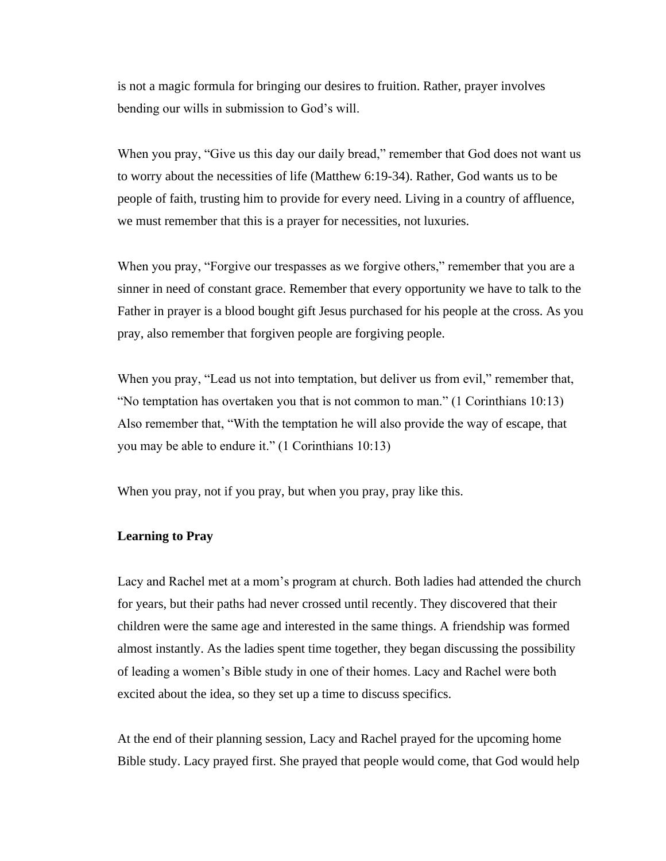is not a magic formula for bringing our desires to fruition. Rather, prayer involves bending our wills in submission to God's will.

When you pray, "Give us this day our daily bread," remember that God does not want us to worry about the necessities of life (Matthew 6:19-34). Rather, God wants us to be people of faith, trusting him to provide for every need. Living in a country of affluence, we must remember that this is a prayer for necessities, not luxuries.

When you pray, "Forgive our trespasses as we forgive others," remember that you are a sinner in need of constant grace. Remember that every opportunity we have to talk to the Father in prayer is a blood bought gift Jesus purchased for his people at the cross. As you pray, also remember that forgiven people are forgiving people.

When you pray, "Lead us not into temptation, but deliver us from evil," remember that, "No temptation has overtaken you that is not common to man." (1 Corinthians 10:13) Also remember that, "With the temptation he will also provide the way of escape, that you may be able to endure it." (1 Corinthians 10:13)

When you pray, not if you pray, but when you pray, pray like this.

#### **Learning to Pray**

Lacy and Rachel met at a mom's program at church. Both ladies had attended the church for years, but their paths had never crossed until recently. They discovered that their children were the same age and interested in the same things. A friendship was formed almost instantly. As the ladies spent time together, they began discussing the possibility of leading a women's Bible study in one of their homes. Lacy and Rachel were both excited about the idea, so they set up a time to discuss specifics.

At the end of their planning session, Lacy and Rachel prayed for the upcoming home Bible study. Lacy prayed first. She prayed that people would come, that God would help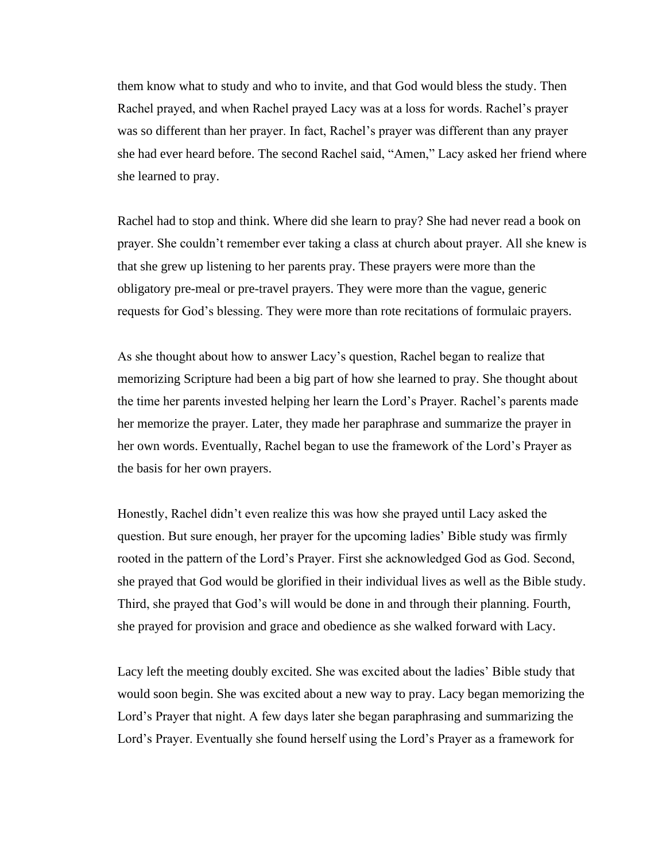them know what to study and who to invite, and that God would bless the study. Then Rachel prayed, and when Rachel prayed Lacy was at a loss for words. Rachel's prayer was so different than her prayer. In fact, Rachel's prayer was different than any prayer she had ever heard before. The second Rachel said, "Amen," Lacy asked her friend where she learned to pray.

Rachel had to stop and think. Where did she learn to pray? She had never read a book on prayer. She couldn't remember ever taking a class at church about prayer. All she knew is that she grew up listening to her parents pray. These prayers were more than the obligatory pre-meal or pre-travel prayers. They were more than the vague, generic requests for God's blessing. They were more than rote recitations of formulaic prayers.

As she thought about how to answer Lacy's question, Rachel began to realize that memorizing Scripture had been a big part of how she learned to pray. She thought about the time her parents invested helping her learn the Lord's Prayer. Rachel's parents made her memorize the prayer. Later, they made her paraphrase and summarize the prayer in her own words. Eventually, Rachel began to use the framework of the Lord's Prayer as the basis for her own prayers.

Honestly, Rachel didn't even realize this was how she prayed until Lacy asked the question. But sure enough, her prayer for the upcoming ladies' Bible study was firmly rooted in the pattern of the Lord's Prayer. First she acknowledged God as God. Second, she prayed that God would be glorified in their individual lives as well as the Bible study. Third, she prayed that God's will would be done in and through their planning. Fourth, she prayed for provision and grace and obedience as she walked forward with Lacy.

Lacy left the meeting doubly excited. She was excited about the ladies' Bible study that would soon begin. She was excited about a new way to pray. Lacy began memorizing the Lord's Prayer that night. A few days later she began paraphrasing and summarizing the Lord's Prayer. Eventually she found herself using the Lord's Prayer as a framework for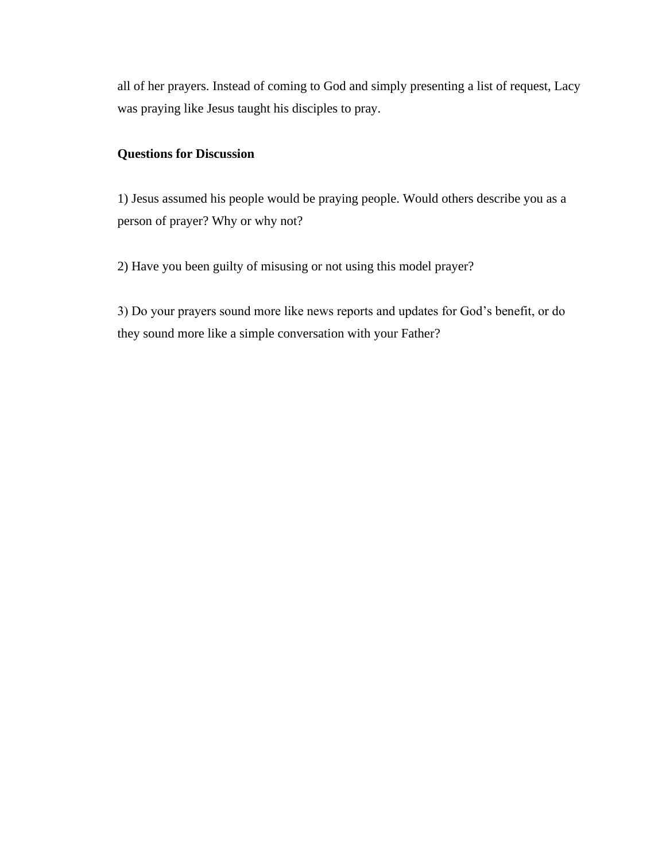all of her prayers. Instead of coming to God and simply presenting a list of request, Lacy was praying like Jesus taught his disciples to pray.

# **Questions for Discussion**

1) Jesus assumed his people would be praying people. Would others describe you as a person of prayer? Why or why not?

2) Have you been guilty of misusing or not using this model prayer?

3) Do your prayers sound more like news reports and updates for God's benefit, or do they sound more like a simple conversation with your Father?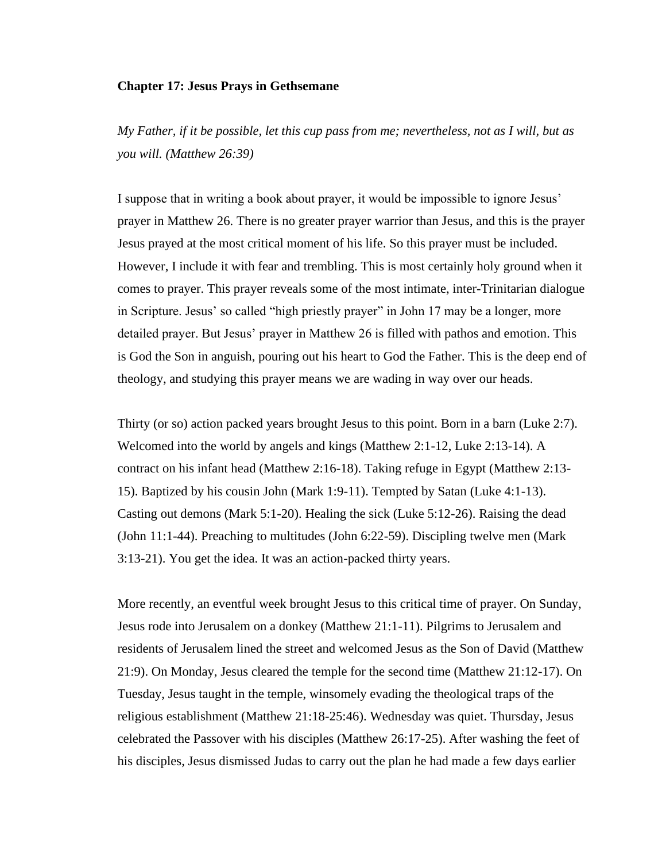#### **Chapter 17: Jesus Prays in Gethsemane**

*My Father, if it be possible, let this cup pass from me; nevertheless, not as I will, but as you will. (Matthew 26:39)*

I suppose that in writing a book about prayer, it would be impossible to ignore Jesus' prayer in Matthew 26. There is no greater prayer warrior than Jesus, and this is the prayer Jesus prayed at the most critical moment of his life. So this prayer must be included. However, I include it with fear and trembling. This is most certainly holy ground when it comes to prayer. This prayer reveals some of the most intimate, inter-Trinitarian dialogue in Scripture. Jesus' so called "high priestly prayer" in John 17 may be a longer, more detailed prayer. But Jesus' prayer in Matthew 26 is filled with pathos and emotion. This is God the Son in anguish, pouring out his heart to God the Father. This is the deep end of theology, and studying this prayer means we are wading in way over our heads.

Thirty (or so) action packed years brought Jesus to this point. Born in a barn (Luke 2:7). Welcomed into the world by angels and kings (Matthew 2:1-12, Luke 2:13-14). A contract on his infant head (Matthew 2:16-18). Taking refuge in Egypt (Matthew 2:13- 15). Baptized by his cousin John (Mark 1:9-11). Tempted by Satan (Luke 4:1-13). Casting out demons (Mark 5:1-20). Healing the sick (Luke 5:12-26). Raising the dead (John 11:1-44). Preaching to multitudes (John 6:22-59). Discipling twelve men (Mark 3:13-21). You get the idea. It was an action-packed thirty years.

More recently, an eventful week brought Jesus to this critical time of prayer. On Sunday, Jesus rode into Jerusalem on a donkey (Matthew 21:1-11). Pilgrims to Jerusalem and residents of Jerusalem lined the street and welcomed Jesus as the Son of David (Matthew 21:9). On Monday, Jesus cleared the temple for the second time (Matthew 21:12-17). On Tuesday, Jesus taught in the temple, winsomely evading the theological traps of the religious establishment (Matthew 21:18-25:46). Wednesday was quiet. Thursday, Jesus celebrated the Passover with his disciples (Matthew 26:17-25). After washing the feet of his disciples, Jesus dismissed Judas to carry out the plan he had made a few days earlier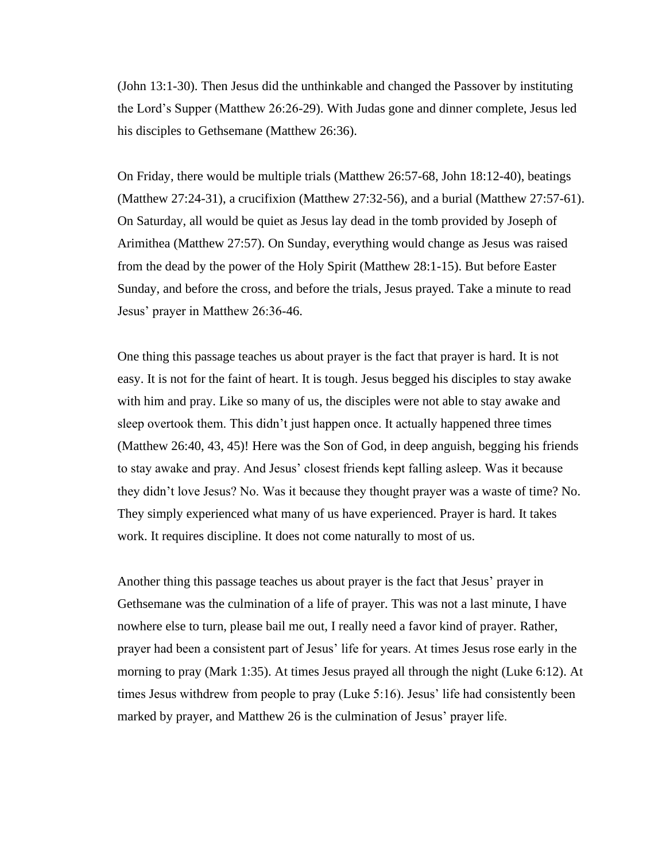(John 13:1-30). Then Jesus did the unthinkable and changed the Passover by instituting the Lord's Supper (Matthew 26:26-29). With Judas gone and dinner complete, Jesus led his disciples to Gethsemane (Matthew 26:36).

On Friday, there would be multiple trials (Matthew 26:57-68, John 18:12-40), beatings (Matthew 27:24-31), a crucifixion (Matthew 27:32-56), and a burial (Matthew 27:57-61). On Saturday, all would be quiet as Jesus lay dead in the tomb provided by Joseph of Arimithea (Matthew 27:57). On Sunday, everything would change as Jesus was raised from the dead by the power of the Holy Spirit (Matthew 28:1-15). But before Easter Sunday, and before the cross, and before the trials, Jesus prayed. Take a minute to read Jesus' prayer in Matthew 26:36-46.

One thing this passage teaches us about prayer is the fact that prayer is hard. It is not easy. It is not for the faint of heart. It is tough. Jesus begged his disciples to stay awake with him and pray. Like so many of us, the disciples were not able to stay awake and sleep overtook them. This didn't just happen once. It actually happened three times (Matthew 26:40, 43, 45)! Here was the Son of God, in deep anguish, begging his friends to stay awake and pray. And Jesus' closest friends kept falling asleep. Was it because they didn't love Jesus? No. Was it because they thought prayer was a waste of time? No. They simply experienced what many of us have experienced. Prayer is hard. It takes work. It requires discipline. It does not come naturally to most of us.

Another thing this passage teaches us about prayer is the fact that Jesus' prayer in Gethsemane was the culmination of a life of prayer. This was not a last minute, I have nowhere else to turn, please bail me out, I really need a favor kind of prayer. Rather, prayer had been a consistent part of Jesus' life for years. At times Jesus rose early in the morning to pray (Mark 1:35). At times Jesus prayed all through the night (Luke 6:12). At times Jesus withdrew from people to pray (Luke 5:16). Jesus' life had consistently been marked by prayer, and Matthew 26 is the culmination of Jesus' prayer life.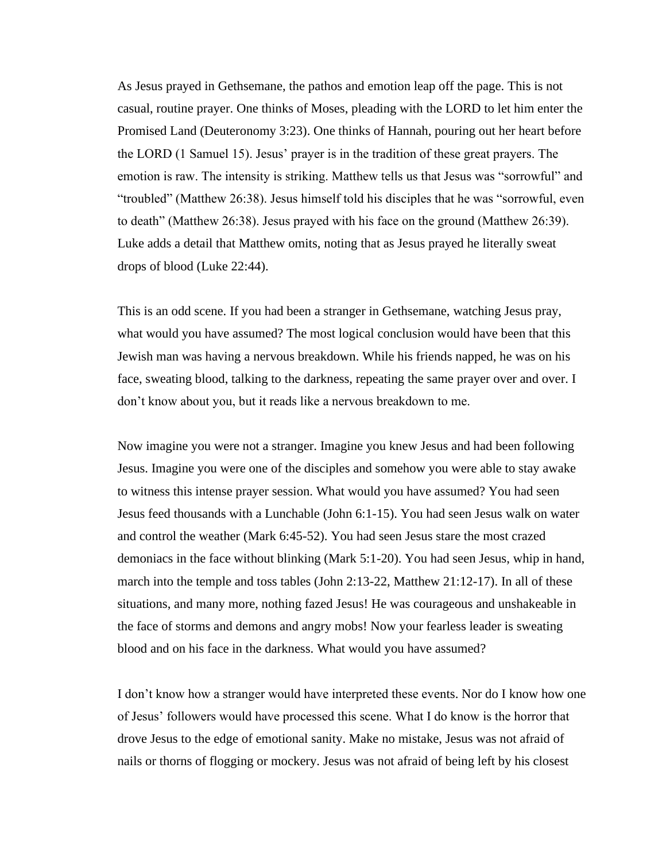As Jesus prayed in Gethsemane, the pathos and emotion leap off the page. This is not casual, routine prayer. One thinks of Moses, pleading with the LORD to let him enter the Promised Land (Deuteronomy 3:23). One thinks of Hannah, pouring out her heart before the LORD (1 Samuel 15). Jesus' prayer is in the tradition of these great prayers. The emotion is raw. The intensity is striking. Matthew tells us that Jesus was "sorrowful" and "troubled" (Matthew 26:38). Jesus himself told his disciples that he was "sorrowful, even to death" (Matthew 26:38). Jesus prayed with his face on the ground (Matthew 26:39). Luke adds a detail that Matthew omits, noting that as Jesus prayed he literally sweat drops of blood (Luke 22:44).

This is an odd scene. If you had been a stranger in Gethsemane, watching Jesus pray, what would you have assumed? The most logical conclusion would have been that this Jewish man was having a nervous breakdown. While his friends napped, he was on his face, sweating blood, talking to the darkness, repeating the same prayer over and over. I don't know about you, but it reads like a nervous breakdown to me.

Now imagine you were not a stranger. Imagine you knew Jesus and had been following Jesus. Imagine you were one of the disciples and somehow you were able to stay awake to witness this intense prayer session. What would you have assumed? You had seen Jesus feed thousands with a Lunchable (John 6:1-15). You had seen Jesus walk on water and control the weather (Mark 6:45-52). You had seen Jesus stare the most crazed demoniacs in the face without blinking (Mark 5:1-20). You had seen Jesus, whip in hand, march into the temple and toss tables (John 2:13-22, Matthew 21:12-17). In all of these situations, and many more, nothing fazed Jesus! He was courageous and unshakeable in the face of storms and demons and angry mobs! Now your fearless leader is sweating blood and on his face in the darkness. What would you have assumed?

I don't know how a stranger would have interpreted these events. Nor do I know how one of Jesus' followers would have processed this scene. What I do know is the horror that drove Jesus to the edge of emotional sanity. Make no mistake, Jesus was not afraid of nails or thorns of flogging or mockery. Jesus was not afraid of being left by his closest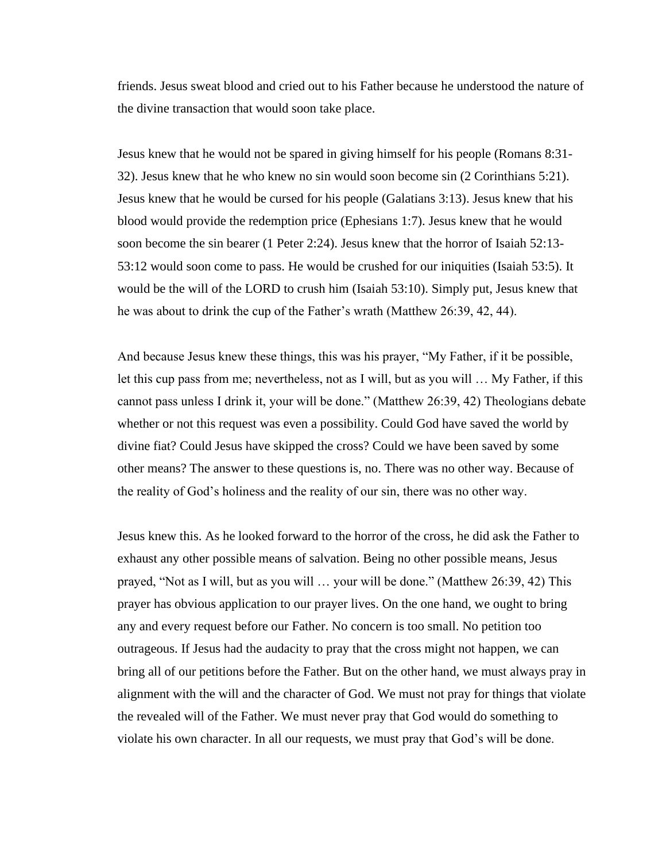friends. Jesus sweat blood and cried out to his Father because he understood the nature of the divine transaction that would soon take place.

Jesus knew that he would not be spared in giving himself for his people (Romans 8:31- 32). Jesus knew that he who knew no sin would soon become sin (2 Corinthians 5:21). Jesus knew that he would be cursed for his people (Galatians 3:13). Jesus knew that his blood would provide the redemption price (Ephesians 1:7). Jesus knew that he would soon become the sin bearer (1 Peter 2:24). Jesus knew that the horror of Isaiah 52:13- 53:12 would soon come to pass. He would be crushed for our iniquities (Isaiah 53:5). It would be the will of the LORD to crush him (Isaiah 53:10). Simply put, Jesus knew that he was about to drink the cup of the Father's wrath (Matthew 26:39, 42, 44).

And because Jesus knew these things, this was his prayer, "My Father, if it be possible, let this cup pass from me; nevertheless, not as I will, but as you will … My Father, if this cannot pass unless I drink it, your will be done." (Matthew 26:39, 42) Theologians debate whether or not this request was even a possibility. Could God have saved the world by divine fiat? Could Jesus have skipped the cross? Could we have been saved by some other means? The answer to these questions is, no. There was no other way. Because of the reality of God's holiness and the reality of our sin, there was no other way.

Jesus knew this. As he looked forward to the horror of the cross, he did ask the Father to exhaust any other possible means of salvation. Being no other possible means, Jesus prayed, "Not as I will, but as you will … your will be done." (Matthew 26:39, 42) This prayer has obvious application to our prayer lives. On the one hand, we ought to bring any and every request before our Father. No concern is too small. No petition too outrageous. If Jesus had the audacity to pray that the cross might not happen, we can bring all of our petitions before the Father. But on the other hand, we must always pray in alignment with the will and the character of God. We must not pray for things that violate the revealed will of the Father. We must never pray that God would do something to violate his own character. In all our requests, we must pray that God's will be done.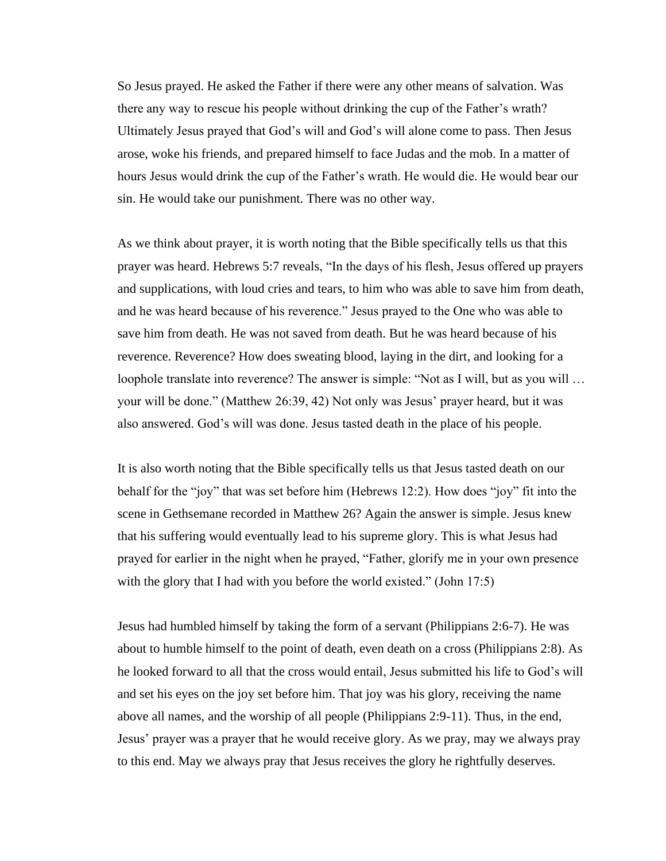So Jesus prayed. He asked the Father if there were any other means of salvation. Was there any way to rescue his people without drinking the cup of the Father's wrath? Ultimately Jesus prayed that God's will and God's will alone come to pass. Then Jesus arose, woke his friends, and prepared himself to face Judas and the mob. In a matter of hours Jesus would drink the cup of the Father's wrath. He would die. He would bear our sin. He would take our punishment. There was no other way.

As we think about prayer, it is worth noting that the Bible specifically tells us that this prayer was heard. Hebrews 5:7 reveals, "In the days of his flesh, Jesus offered up prayers and supplications, with loud cries and tears, to him who was able to save him from death, and he was heard because of his reverence." Jesus prayed to the One who was able to save him from death. He was not saved from death. But he was heard because of his reverence. Reverence? How does sweating blood, laying in the dirt, and looking for a loophole translate into reverence? The answer is simple: "Not as I will, but as you will … your will be done." (Matthew 26:39, 42) Not only was Jesus' prayer heard, but it was also answered. God's will was done. Jesus tasted death in the place of his people.

It is also worth noting that the Bible specifically tells us that Jesus tasted death on our behalf for the "joy" that was set before him (Hebrews 12:2). How does "joy" fit into the scene in Gethsemane recorded in Matthew 26? Again the answer is simple. Jesus knew that his suffering would eventually lead to his supreme glory. This is what Jesus had prayed for earlier in the night when he prayed, "Father, glorify me in your own presence with the glory that I had with you before the world existed." (John 17:5)

Jesus had humbled himself by taking the form of a servant (Philippians 2:6-7). He was about to humble himself to the point of death, even death on a cross (Philippians 2:8). As he looked forward to all that the cross would entail, Jesus submitted his life to God's will and set his eyes on the joy set before him. That joy was his glory, receiving the name above all names, and the worship of all people (Philippians 2:9-11). Thus, in the end, Jesus' prayer was a prayer that he would receive glory. As we pray, may we always pray to this end. May we always pray that Jesus receives the glory he rightfully deserves.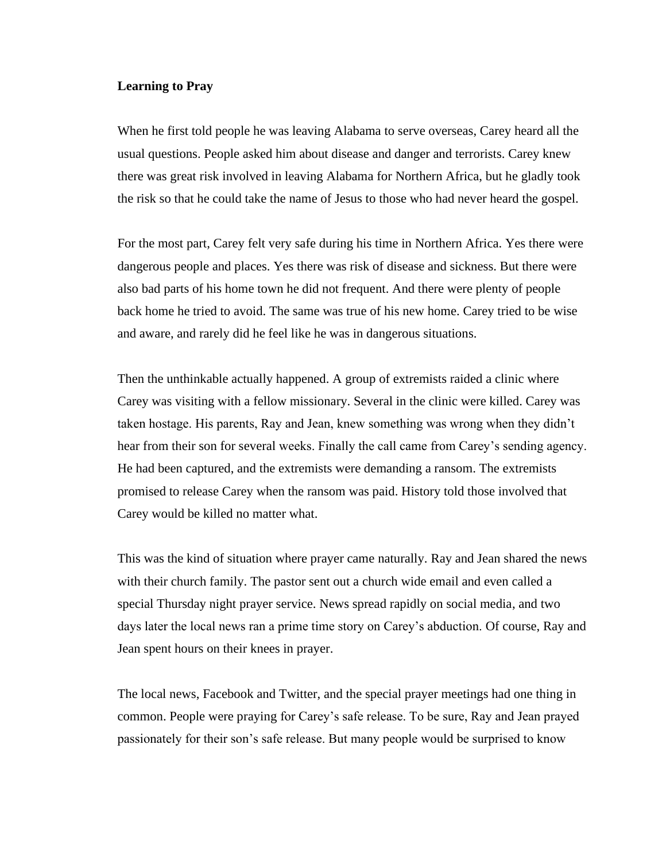# **Learning to Pray**

When he first told people he was leaving Alabama to serve overseas, Carey heard all the usual questions. People asked him about disease and danger and terrorists. Carey knew there was great risk involved in leaving Alabama for Northern Africa, but he gladly took the risk so that he could take the name of Jesus to those who had never heard the gospel.

For the most part, Carey felt very safe during his time in Northern Africa. Yes there were dangerous people and places. Yes there was risk of disease and sickness. But there were also bad parts of his home town he did not frequent. And there were plenty of people back home he tried to avoid. The same was true of his new home. Carey tried to be wise and aware, and rarely did he feel like he was in dangerous situations.

Then the unthinkable actually happened. A group of extremists raided a clinic where Carey was visiting with a fellow missionary. Several in the clinic were killed. Carey was taken hostage. His parents, Ray and Jean, knew something was wrong when they didn't hear from their son for several weeks. Finally the call came from Carey's sending agency. He had been captured, and the extremists were demanding a ransom. The extremists promised to release Carey when the ransom was paid. History told those involved that Carey would be killed no matter what.

This was the kind of situation where prayer came naturally. Ray and Jean shared the news with their church family. The pastor sent out a church wide email and even called a special Thursday night prayer service. News spread rapidly on social media, and two days later the local news ran a prime time story on Carey's abduction. Of course, Ray and Jean spent hours on their knees in prayer.

The local news, Facebook and Twitter, and the special prayer meetings had one thing in common. People were praying for Carey's safe release. To be sure, Ray and Jean prayed passionately for their son's safe release. But many people would be surprised to know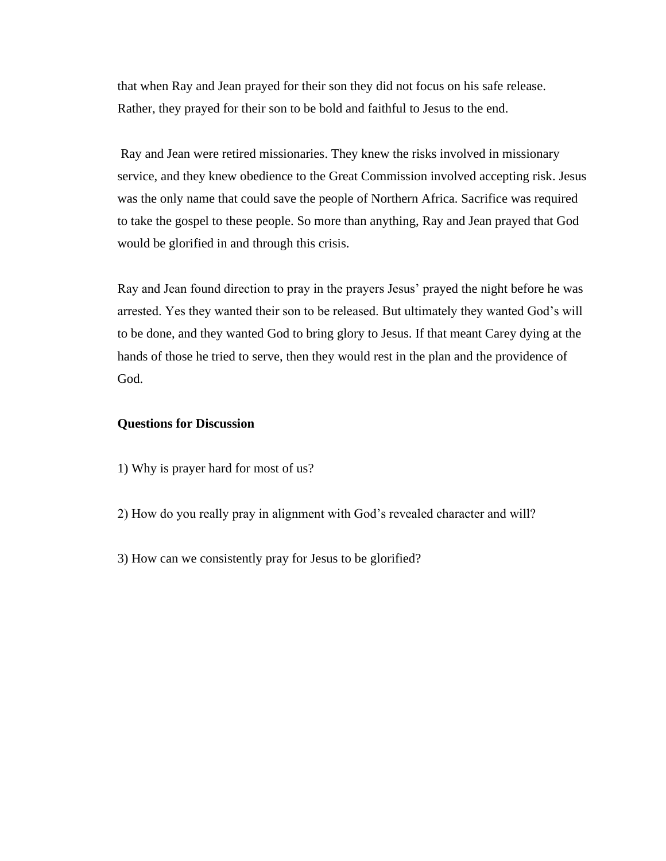that when Ray and Jean prayed for their son they did not focus on his safe release. Rather, they prayed for their son to be bold and faithful to Jesus to the end.

Ray and Jean were retired missionaries. They knew the risks involved in missionary service, and they knew obedience to the Great Commission involved accepting risk. Jesus was the only name that could save the people of Northern Africa. Sacrifice was required to take the gospel to these people. So more than anything, Ray and Jean prayed that God would be glorified in and through this crisis.

Ray and Jean found direction to pray in the prayers Jesus' prayed the night before he was arrested. Yes they wanted their son to be released. But ultimately they wanted God's will to be done, and they wanted God to bring glory to Jesus. If that meant Carey dying at the hands of those he tried to serve, then they would rest in the plan and the providence of God.

## **Questions for Discussion**

- 1) Why is prayer hard for most of us?
- 2) How do you really pray in alignment with God's revealed character and will?
- 3) How can we consistently pray for Jesus to be glorified?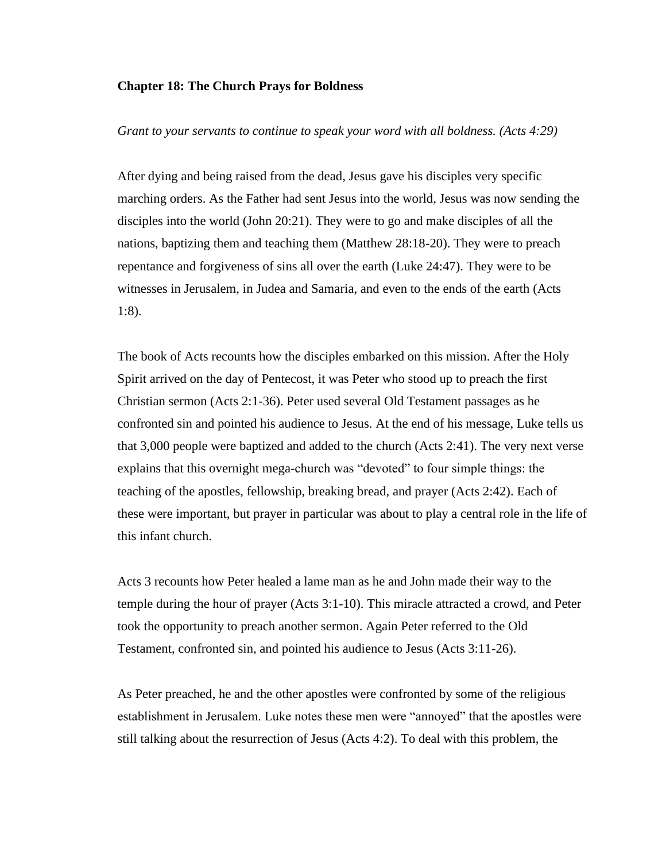#### **Chapter 18: The Church Prays for Boldness**

## *Grant to your servants to continue to speak your word with all boldness. (Acts 4:29)*

After dying and being raised from the dead, Jesus gave his disciples very specific marching orders. As the Father had sent Jesus into the world, Jesus was now sending the disciples into the world (John 20:21). They were to go and make disciples of all the nations, baptizing them and teaching them (Matthew 28:18-20). They were to preach repentance and forgiveness of sins all over the earth (Luke 24:47). They were to be witnesses in Jerusalem, in Judea and Samaria, and even to the ends of the earth (Acts 1:8).

The book of Acts recounts how the disciples embarked on this mission. After the Holy Spirit arrived on the day of Pentecost, it was Peter who stood up to preach the first Christian sermon (Acts 2:1-36). Peter used several Old Testament passages as he confronted sin and pointed his audience to Jesus. At the end of his message, Luke tells us that 3,000 people were baptized and added to the church (Acts 2:41). The very next verse explains that this overnight mega-church was "devoted" to four simple things: the teaching of the apostles, fellowship, breaking bread, and prayer (Acts 2:42). Each of these were important, but prayer in particular was about to play a central role in the life of this infant church.

Acts 3 recounts how Peter healed a lame man as he and John made their way to the temple during the hour of prayer (Acts 3:1-10). This miracle attracted a crowd, and Peter took the opportunity to preach another sermon. Again Peter referred to the Old Testament, confronted sin, and pointed his audience to Jesus (Acts 3:11-26).

As Peter preached, he and the other apostles were confronted by some of the religious establishment in Jerusalem. Luke notes these men were "annoyed" that the apostles were still talking about the resurrection of Jesus (Acts 4:2). To deal with this problem, the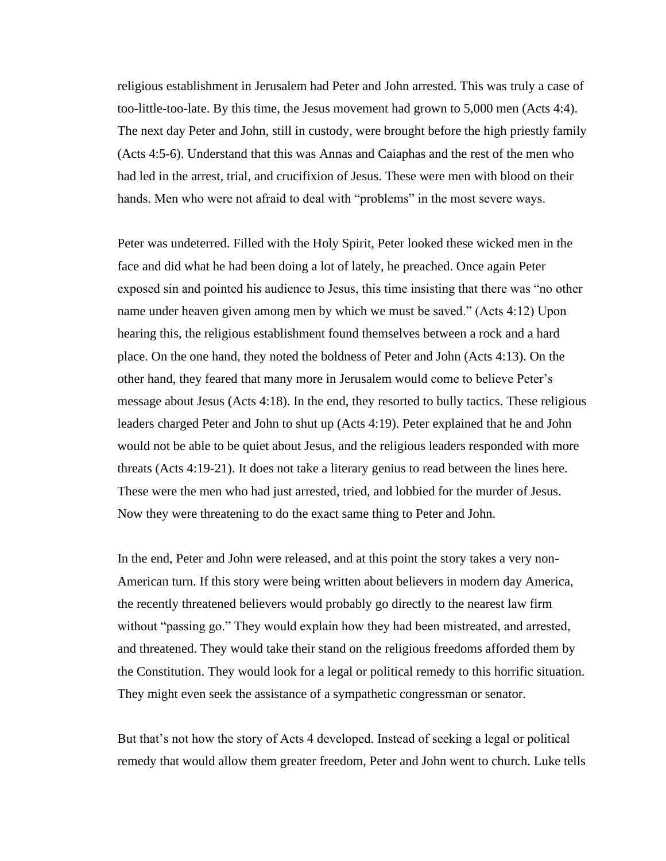religious establishment in Jerusalem had Peter and John arrested. This was truly a case of too-little-too-late. By this time, the Jesus movement had grown to 5,000 men (Acts 4:4). The next day Peter and John, still in custody, were brought before the high priestly family (Acts 4:5-6). Understand that this was Annas and Caiaphas and the rest of the men who had led in the arrest, trial, and crucifixion of Jesus. These were men with blood on their hands. Men who were not afraid to deal with "problems" in the most severe ways.

Peter was undeterred. Filled with the Holy Spirit, Peter looked these wicked men in the face and did what he had been doing a lot of lately, he preached. Once again Peter exposed sin and pointed his audience to Jesus, this time insisting that there was "no other name under heaven given among men by which we must be saved." (Acts 4:12) Upon hearing this, the religious establishment found themselves between a rock and a hard place. On the one hand, they noted the boldness of Peter and John (Acts 4:13). On the other hand, they feared that many more in Jerusalem would come to believe Peter's message about Jesus (Acts 4:18). In the end, they resorted to bully tactics. These religious leaders charged Peter and John to shut up (Acts 4:19). Peter explained that he and John would not be able to be quiet about Jesus, and the religious leaders responded with more threats (Acts 4:19-21). It does not take a literary genius to read between the lines here. These were the men who had just arrested, tried, and lobbied for the murder of Jesus. Now they were threatening to do the exact same thing to Peter and John.

In the end, Peter and John were released, and at this point the story takes a very non-American turn. If this story were being written about believers in modern day America, the recently threatened believers would probably go directly to the nearest law firm without "passing go." They would explain how they had been mistreated, and arrested, and threatened. They would take their stand on the religious freedoms afforded them by the Constitution. They would look for a legal or political remedy to this horrific situation. They might even seek the assistance of a sympathetic congressman or senator.

But that's not how the story of Acts 4 developed. Instead of seeking a legal or political remedy that would allow them greater freedom, Peter and John went to church. Luke tells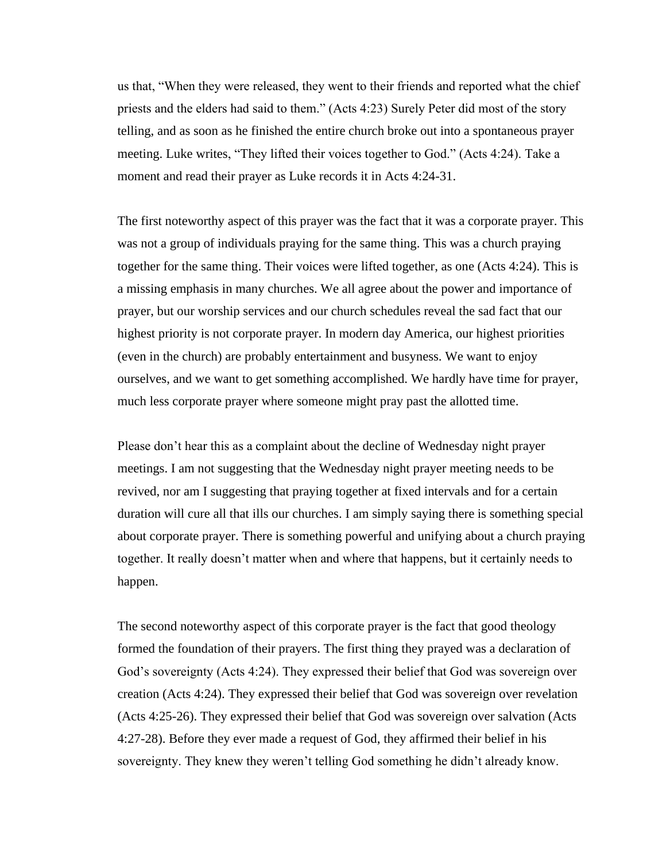us that, "When they were released, they went to their friends and reported what the chief priests and the elders had said to them." (Acts 4:23) Surely Peter did most of the story telling, and as soon as he finished the entire church broke out into a spontaneous prayer meeting. Luke writes, "They lifted their voices together to God." (Acts 4:24). Take a moment and read their prayer as Luke records it in Acts 4:24-31.

The first noteworthy aspect of this prayer was the fact that it was a corporate prayer. This was not a group of individuals praying for the same thing. This was a church praying together for the same thing. Their voices were lifted together, as one (Acts 4:24). This is a missing emphasis in many churches. We all agree about the power and importance of prayer, but our worship services and our church schedules reveal the sad fact that our highest priority is not corporate prayer. In modern day America, our highest priorities (even in the church) are probably entertainment and busyness. We want to enjoy ourselves, and we want to get something accomplished. We hardly have time for prayer, much less corporate prayer where someone might pray past the allotted time.

Please don't hear this as a complaint about the decline of Wednesday night prayer meetings. I am not suggesting that the Wednesday night prayer meeting needs to be revived, nor am I suggesting that praying together at fixed intervals and for a certain duration will cure all that ills our churches. I am simply saying there is something special about corporate prayer. There is something powerful and unifying about a church praying together. It really doesn't matter when and where that happens, but it certainly needs to happen.

The second noteworthy aspect of this corporate prayer is the fact that good theology formed the foundation of their prayers. The first thing they prayed was a declaration of God's sovereignty (Acts 4:24). They expressed their belief that God was sovereign over creation (Acts 4:24). They expressed their belief that God was sovereign over revelation (Acts 4:25-26). They expressed their belief that God was sovereign over salvation (Acts 4:27-28). Before they ever made a request of God, they affirmed their belief in his sovereignty. They knew they weren't telling God something he didn't already know.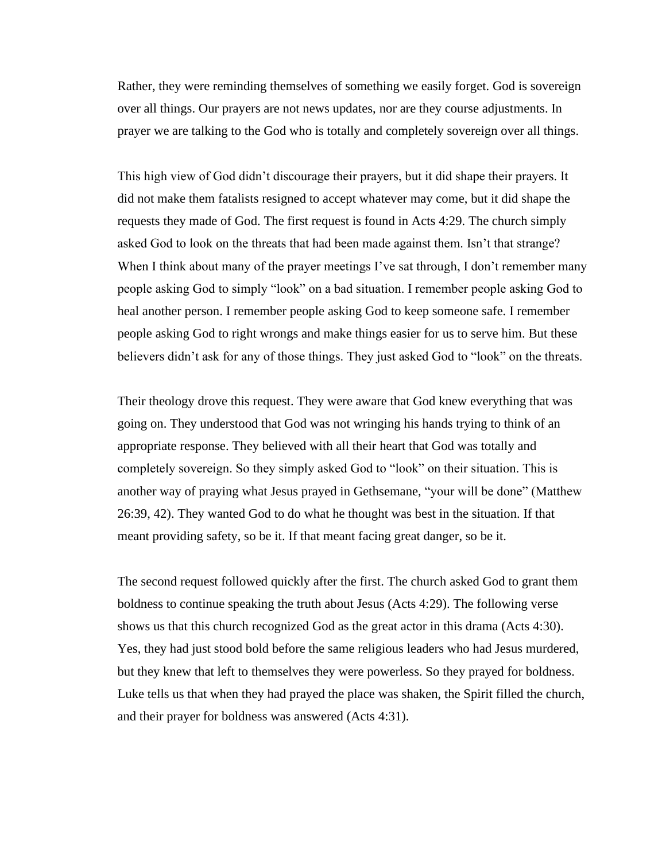Rather, they were reminding themselves of something we easily forget. God is sovereign over all things. Our prayers are not news updates, nor are they course adjustments. In prayer we are talking to the God who is totally and completely sovereign over all things.

This high view of God didn't discourage their prayers, but it did shape their prayers. It did not make them fatalists resigned to accept whatever may come, but it did shape the requests they made of God. The first request is found in Acts 4:29. The church simply asked God to look on the threats that had been made against them. Isn't that strange? When I think about many of the prayer meetings I've sat through, I don't remember many people asking God to simply "look" on a bad situation. I remember people asking God to heal another person. I remember people asking God to keep someone safe. I remember people asking God to right wrongs and make things easier for us to serve him. But these believers didn't ask for any of those things. They just asked God to "look" on the threats.

Their theology drove this request. They were aware that God knew everything that was going on. They understood that God was not wringing his hands trying to think of an appropriate response. They believed with all their heart that God was totally and completely sovereign. So they simply asked God to "look" on their situation. This is another way of praying what Jesus prayed in Gethsemane, "your will be done" (Matthew 26:39, 42). They wanted God to do what he thought was best in the situation. If that meant providing safety, so be it. If that meant facing great danger, so be it.

The second request followed quickly after the first. The church asked God to grant them boldness to continue speaking the truth about Jesus (Acts 4:29). The following verse shows us that this church recognized God as the great actor in this drama (Acts 4:30). Yes, they had just stood bold before the same religious leaders who had Jesus murdered, but they knew that left to themselves they were powerless. So they prayed for boldness. Luke tells us that when they had prayed the place was shaken, the Spirit filled the church, and their prayer for boldness was answered (Acts 4:31).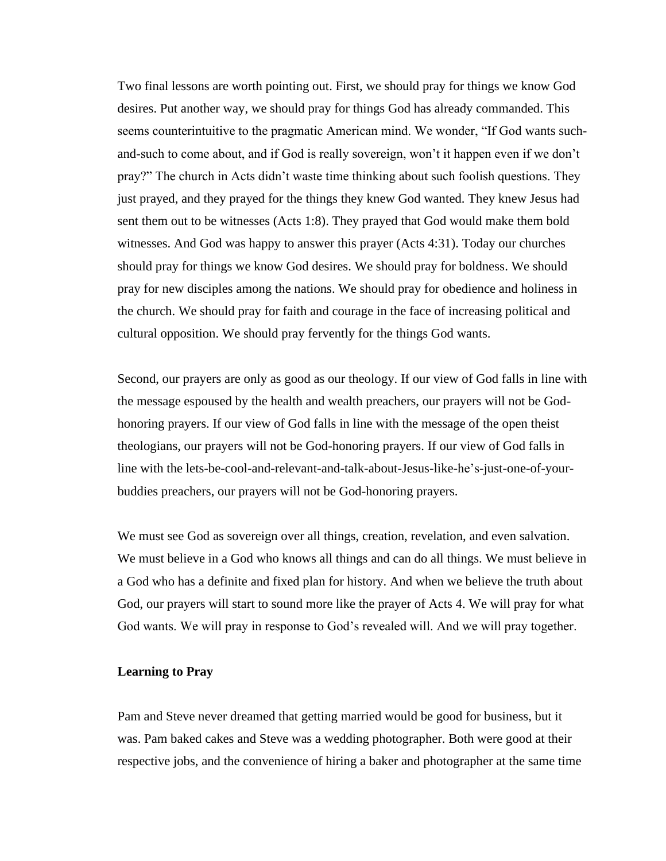Two final lessons are worth pointing out. First, we should pray for things we know God desires. Put another way, we should pray for things God has already commanded. This seems counterintuitive to the pragmatic American mind. We wonder, "If God wants suchand-such to come about, and if God is really sovereign, won't it happen even if we don't pray?" The church in Acts didn't waste time thinking about such foolish questions. They just prayed, and they prayed for the things they knew God wanted. They knew Jesus had sent them out to be witnesses (Acts 1:8). They prayed that God would make them bold witnesses. And God was happy to answer this prayer (Acts 4:31). Today our churches should pray for things we know God desires. We should pray for boldness. We should pray for new disciples among the nations. We should pray for obedience and holiness in the church. We should pray for faith and courage in the face of increasing political and cultural opposition. We should pray fervently for the things God wants.

Second, our prayers are only as good as our theology. If our view of God falls in line with the message espoused by the health and wealth preachers, our prayers will not be Godhonoring prayers. If our view of God falls in line with the message of the open theist theologians, our prayers will not be God-honoring prayers. If our view of God falls in line with the lets-be-cool-and-relevant-and-talk-about-Jesus-like-he's-just-one-of-yourbuddies preachers, our prayers will not be God-honoring prayers.

We must see God as sovereign over all things, creation, revelation, and even salvation. We must believe in a God who knows all things and can do all things. We must believe in a God who has a definite and fixed plan for history. And when we believe the truth about God, our prayers will start to sound more like the prayer of Acts 4. We will pray for what God wants. We will pray in response to God's revealed will. And we will pray together.

# **Learning to Pray**

Pam and Steve never dreamed that getting married would be good for business, but it was. Pam baked cakes and Steve was a wedding photographer. Both were good at their respective jobs, and the convenience of hiring a baker and photographer at the same time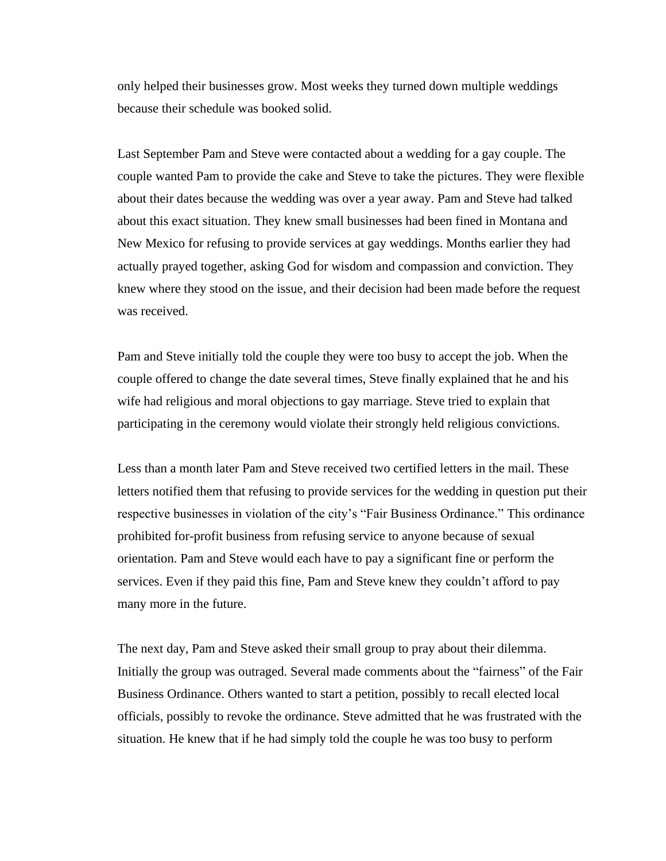only helped their businesses grow. Most weeks they turned down multiple weddings because their schedule was booked solid.

Last September Pam and Steve were contacted about a wedding for a gay couple. The couple wanted Pam to provide the cake and Steve to take the pictures. They were flexible about their dates because the wedding was over a year away. Pam and Steve had talked about this exact situation. They knew small businesses had been fined in Montana and New Mexico for refusing to provide services at gay weddings. Months earlier they had actually prayed together, asking God for wisdom and compassion and conviction. They knew where they stood on the issue, and their decision had been made before the request was received.

Pam and Steve initially told the couple they were too busy to accept the job. When the couple offered to change the date several times, Steve finally explained that he and his wife had religious and moral objections to gay marriage. Steve tried to explain that participating in the ceremony would violate their strongly held religious convictions.

Less than a month later Pam and Steve received two certified letters in the mail. These letters notified them that refusing to provide services for the wedding in question put their respective businesses in violation of the city's "Fair Business Ordinance." This ordinance prohibited for-profit business from refusing service to anyone because of sexual orientation. Pam and Steve would each have to pay a significant fine or perform the services. Even if they paid this fine, Pam and Steve knew they couldn't afford to pay many more in the future.

The next day, Pam and Steve asked their small group to pray about their dilemma. Initially the group was outraged. Several made comments about the "fairness" of the Fair Business Ordinance. Others wanted to start a petition, possibly to recall elected local officials, possibly to revoke the ordinance. Steve admitted that he was frustrated with the situation. He knew that if he had simply told the couple he was too busy to perform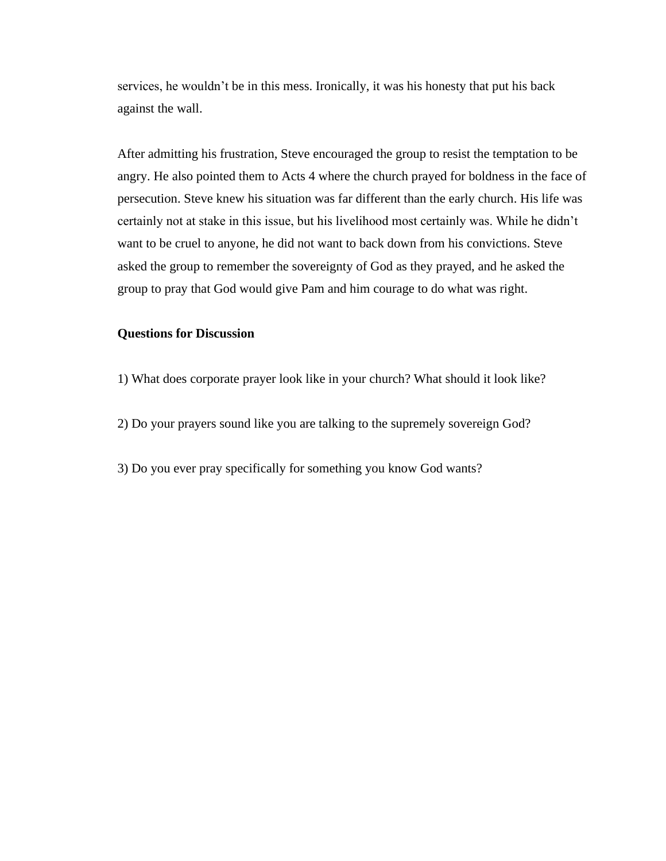services, he wouldn't be in this mess. Ironically, it was his honesty that put his back against the wall.

After admitting his frustration, Steve encouraged the group to resist the temptation to be angry. He also pointed them to Acts 4 where the church prayed for boldness in the face of persecution. Steve knew his situation was far different than the early church. His life was certainly not at stake in this issue, but his livelihood most certainly was. While he didn't want to be cruel to anyone, he did not want to back down from his convictions. Steve asked the group to remember the sovereignty of God as they prayed, and he asked the group to pray that God would give Pam and him courage to do what was right.

## **Questions for Discussion**

- 1) What does corporate prayer look like in your church? What should it look like?
- 2) Do your prayers sound like you are talking to the supremely sovereign God?
- 3) Do you ever pray specifically for something you know God wants?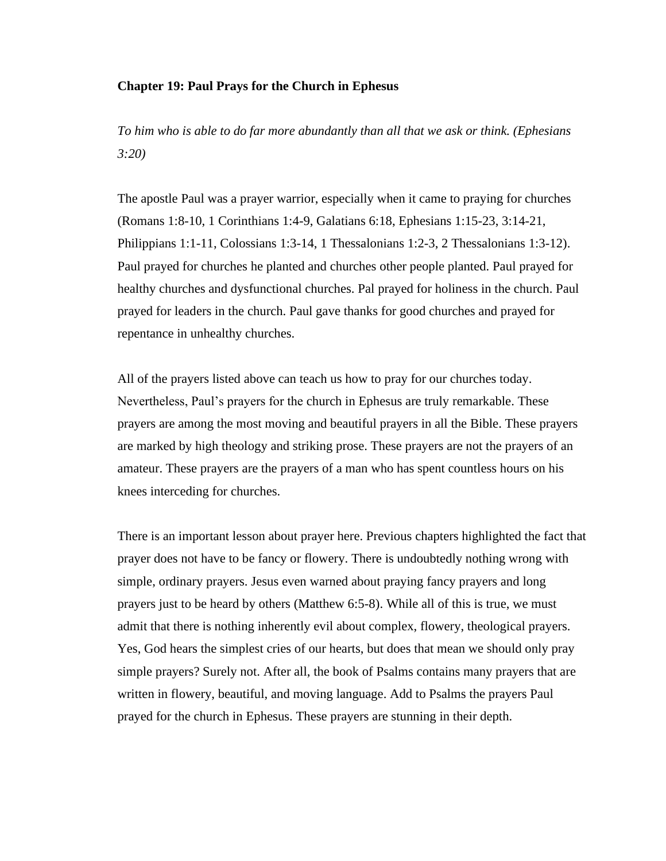## **Chapter 19: Paul Prays for the Church in Ephesus**

*To him who is able to do far more abundantly than all that we ask or think. (Ephesians 3:20)*

The apostle Paul was a prayer warrior, especially when it came to praying for churches (Romans 1:8-10, 1 Corinthians 1:4-9, Galatians 6:18, Ephesians 1:15-23, 3:14-21, Philippians 1:1-11, Colossians 1:3-14, 1 Thessalonians 1:2-3, 2 Thessalonians 1:3-12). Paul prayed for churches he planted and churches other people planted. Paul prayed for healthy churches and dysfunctional churches. Pal prayed for holiness in the church. Paul prayed for leaders in the church. Paul gave thanks for good churches and prayed for repentance in unhealthy churches.

All of the prayers listed above can teach us how to pray for our churches today. Nevertheless, Paul's prayers for the church in Ephesus are truly remarkable. These prayers are among the most moving and beautiful prayers in all the Bible. These prayers are marked by high theology and striking prose. These prayers are not the prayers of an amateur. These prayers are the prayers of a man who has spent countless hours on his knees interceding for churches.

There is an important lesson about prayer here. Previous chapters highlighted the fact that prayer does not have to be fancy or flowery. There is undoubtedly nothing wrong with simple, ordinary prayers. Jesus even warned about praying fancy prayers and long prayers just to be heard by others (Matthew 6:5-8). While all of this is true, we must admit that there is nothing inherently evil about complex, flowery, theological prayers. Yes, God hears the simplest cries of our hearts, but does that mean we should only pray simple prayers? Surely not. After all, the book of Psalms contains many prayers that are written in flowery, beautiful, and moving language. Add to Psalms the prayers Paul prayed for the church in Ephesus. These prayers are stunning in their depth.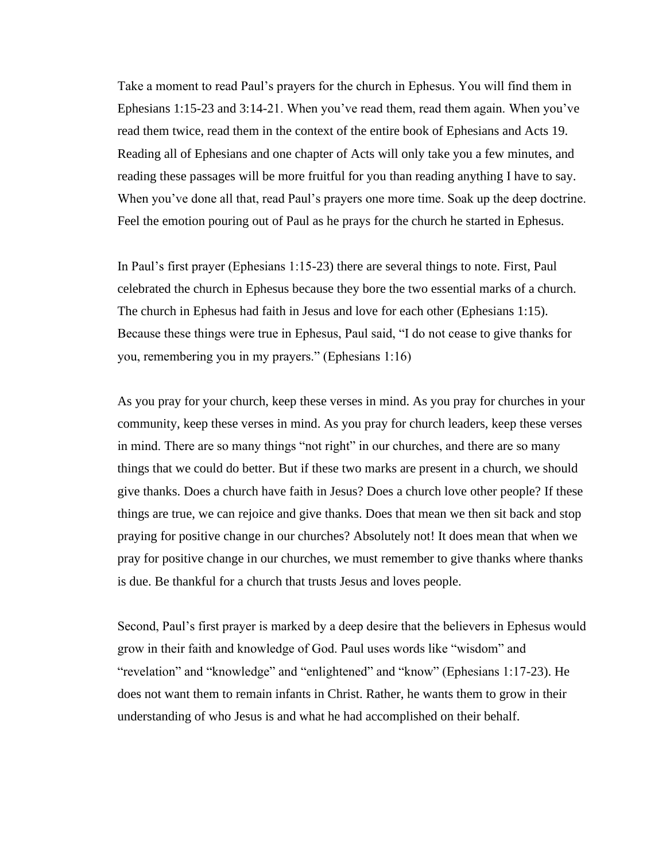Take a moment to read Paul's prayers for the church in Ephesus. You will find them in Ephesians 1:15-23 and 3:14-21. When you've read them, read them again. When you've read them twice, read them in the context of the entire book of Ephesians and Acts 19. Reading all of Ephesians and one chapter of Acts will only take you a few minutes, and reading these passages will be more fruitful for you than reading anything I have to say. When you've done all that, read Paul's prayers one more time. Soak up the deep doctrine. Feel the emotion pouring out of Paul as he prays for the church he started in Ephesus.

In Paul's first prayer (Ephesians 1:15-23) there are several things to note. First, Paul celebrated the church in Ephesus because they bore the two essential marks of a church. The church in Ephesus had faith in Jesus and love for each other (Ephesians 1:15). Because these things were true in Ephesus, Paul said, "I do not cease to give thanks for you, remembering you in my prayers." (Ephesians 1:16)

As you pray for your church, keep these verses in mind. As you pray for churches in your community, keep these verses in mind. As you pray for church leaders, keep these verses in mind. There are so many things "not right" in our churches, and there are so many things that we could do better. But if these two marks are present in a church, we should give thanks. Does a church have faith in Jesus? Does a church love other people? If these things are true, we can rejoice and give thanks. Does that mean we then sit back and stop praying for positive change in our churches? Absolutely not! It does mean that when we pray for positive change in our churches, we must remember to give thanks where thanks is due. Be thankful for a church that trusts Jesus and loves people.

Second, Paul's first prayer is marked by a deep desire that the believers in Ephesus would grow in their faith and knowledge of God. Paul uses words like "wisdom" and "revelation" and "knowledge" and "enlightened" and "know" (Ephesians 1:17-23). He does not want them to remain infants in Christ. Rather, he wants them to grow in their understanding of who Jesus is and what he had accomplished on their behalf.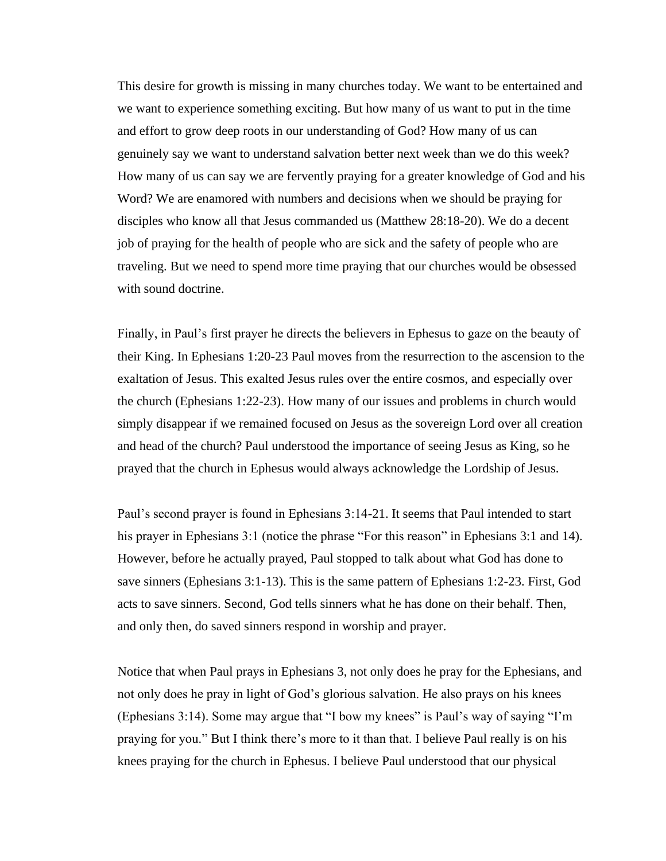This desire for growth is missing in many churches today. We want to be entertained and we want to experience something exciting. But how many of us want to put in the time and effort to grow deep roots in our understanding of God? How many of us can genuinely say we want to understand salvation better next week than we do this week? How many of us can say we are fervently praying for a greater knowledge of God and his Word? We are enamored with numbers and decisions when we should be praying for disciples who know all that Jesus commanded us (Matthew 28:18-20). We do a decent job of praying for the health of people who are sick and the safety of people who are traveling. But we need to spend more time praying that our churches would be obsessed with sound doctrine.

Finally, in Paul's first prayer he directs the believers in Ephesus to gaze on the beauty of their King. In Ephesians 1:20-23 Paul moves from the resurrection to the ascension to the exaltation of Jesus. This exalted Jesus rules over the entire cosmos, and especially over the church (Ephesians 1:22-23). How many of our issues and problems in church would simply disappear if we remained focused on Jesus as the sovereign Lord over all creation and head of the church? Paul understood the importance of seeing Jesus as King, so he prayed that the church in Ephesus would always acknowledge the Lordship of Jesus.

Paul's second prayer is found in Ephesians 3:14-21. It seems that Paul intended to start his prayer in Ephesians 3:1 (notice the phrase "For this reason" in Ephesians 3:1 and 14). However, before he actually prayed, Paul stopped to talk about what God has done to save sinners (Ephesians 3:1-13). This is the same pattern of Ephesians 1:2-23. First, God acts to save sinners. Second, God tells sinners what he has done on their behalf. Then, and only then, do saved sinners respond in worship and prayer.

Notice that when Paul prays in Ephesians 3, not only does he pray for the Ephesians, and not only does he pray in light of God's glorious salvation. He also prays on his knees (Ephesians 3:14). Some may argue that "I bow my knees" is Paul's way of saying "I'm praying for you." But I think there's more to it than that. I believe Paul really is on his knees praying for the church in Ephesus. I believe Paul understood that our physical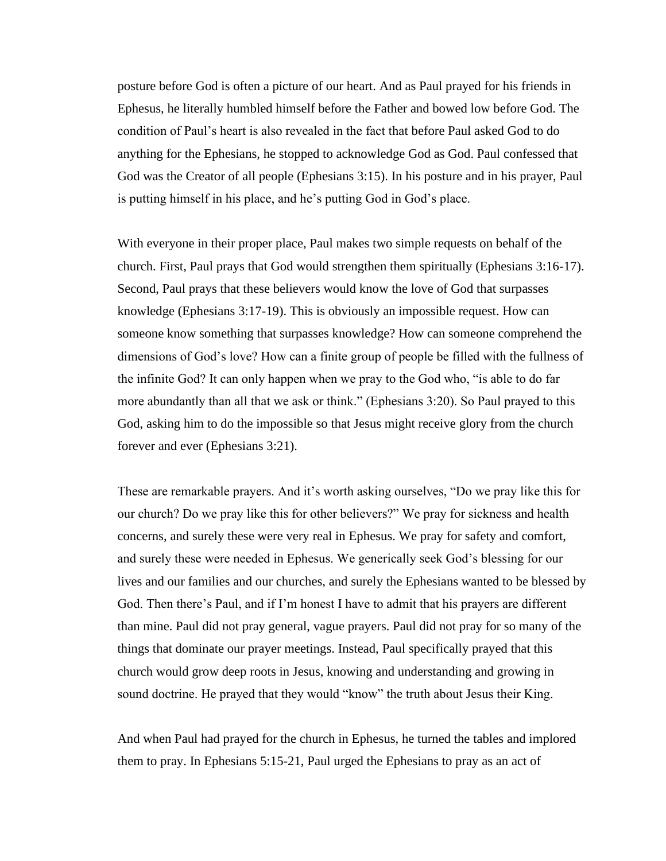posture before God is often a picture of our heart. And as Paul prayed for his friends in Ephesus, he literally humbled himself before the Father and bowed low before God. The condition of Paul's heart is also revealed in the fact that before Paul asked God to do anything for the Ephesians, he stopped to acknowledge God as God. Paul confessed that God was the Creator of all people (Ephesians 3:15). In his posture and in his prayer, Paul is putting himself in his place, and he's putting God in God's place.

With everyone in their proper place, Paul makes two simple requests on behalf of the church. First, Paul prays that God would strengthen them spiritually (Ephesians 3:16-17). Second, Paul prays that these believers would know the love of God that surpasses knowledge (Ephesians 3:17-19). This is obviously an impossible request. How can someone know something that surpasses knowledge? How can someone comprehend the dimensions of God's love? How can a finite group of people be filled with the fullness of the infinite God? It can only happen when we pray to the God who, "is able to do far more abundantly than all that we ask or think." (Ephesians 3:20). So Paul prayed to this God, asking him to do the impossible so that Jesus might receive glory from the church forever and ever (Ephesians 3:21).

These are remarkable prayers. And it's worth asking ourselves, "Do we pray like this for our church? Do we pray like this for other believers?" We pray for sickness and health concerns, and surely these were very real in Ephesus. We pray for safety and comfort, and surely these were needed in Ephesus. We generically seek God's blessing for our lives and our families and our churches, and surely the Ephesians wanted to be blessed by God. Then there's Paul, and if I'm honest I have to admit that his prayers are different than mine. Paul did not pray general, vague prayers. Paul did not pray for so many of the things that dominate our prayer meetings. Instead, Paul specifically prayed that this church would grow deep roots in Jesus, knowing and understanding and growing in sound doctrine. He prayed that they would "know" the truth about Jesus their King.

And when Paul had prayed for the church in Ephesus, he turned the tables and implored them to pray. In Ephesians 5:15-21, Paul urged the Ephesians to pray as an act of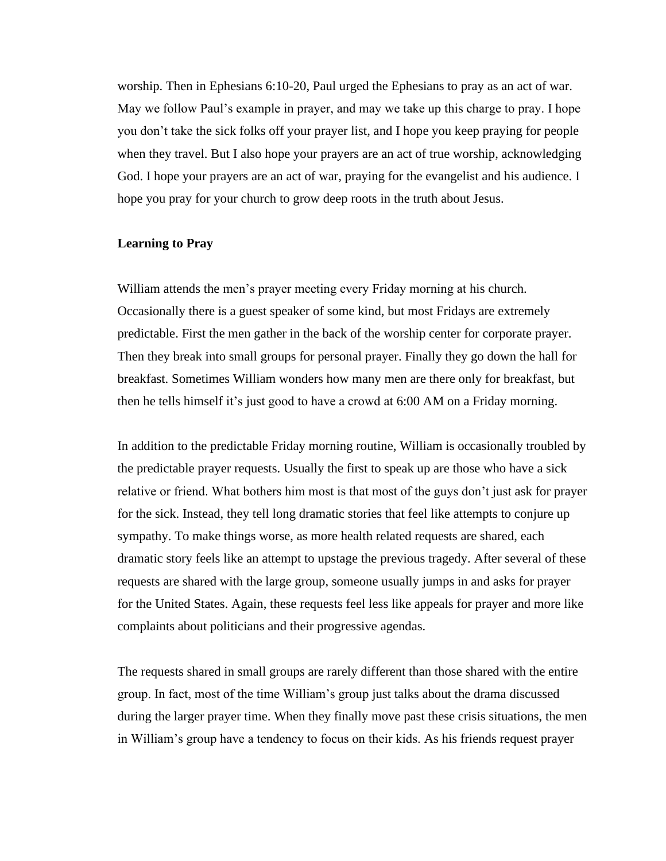worship. Then in Ephesians 6:10-20, Paul urged the Ephesians to pray as an act of war. May we follow Paul's example in prayer, and may we take up this charge to pray. I hope you don't take the sick folks off your prayer list, and I hope you keep praying for people when they travel. But I also hope your prayers are an act of true worship, acknowledging God. I hope your prayers are an act of war, praying for the evangelist and his audience. I hope you pray for your church to grow deep roots in the truth about Jesus.

#### **Learning to Pray**

William attends the men's prayer meeting every Friday morning at his church. Occasionally there is a guest speaker of some kind, but most Fridays are extremely predictable. First the men gather in the back of the worship center for corporate prayer. Then they break into small groups for personal prayer. Finally they go down the hall for breakfast. Sometimes William wonders how many men are there only for breakfast, but then he tells himself it's just good to have a crowd at 6:00 AM on a Friday morning.

In addition to the predictable Friday morning routine, William is occasionally troubled by the predictable prayer requests. Usually the first to speak up are those who have a sick relative or friend. What bothers him most is that most of the guys don't just ask for prayer for the sick. Instead, they tell long dramatic stories that feel like attempts to conjure up sympathy. To make things worse, as more health related requests are shared, each dramatic story feels like an attempt to upstage the previous tragedy. After several of these requests are shared with the large group, someone usually jumps in and asks for prayer for the United States. Again, these requests feel less like appeals for prayer and more like complaints about politicians and their progressive agendas.

The requests shared in small groups are rarely different than those shared with the entire group. In fact, most of the time William's group just talks about the drama discussed during the larger prayer time. When they finally move past these crisis situations, the men in William's group have a tendency to focus on their kids. As his friends request prayer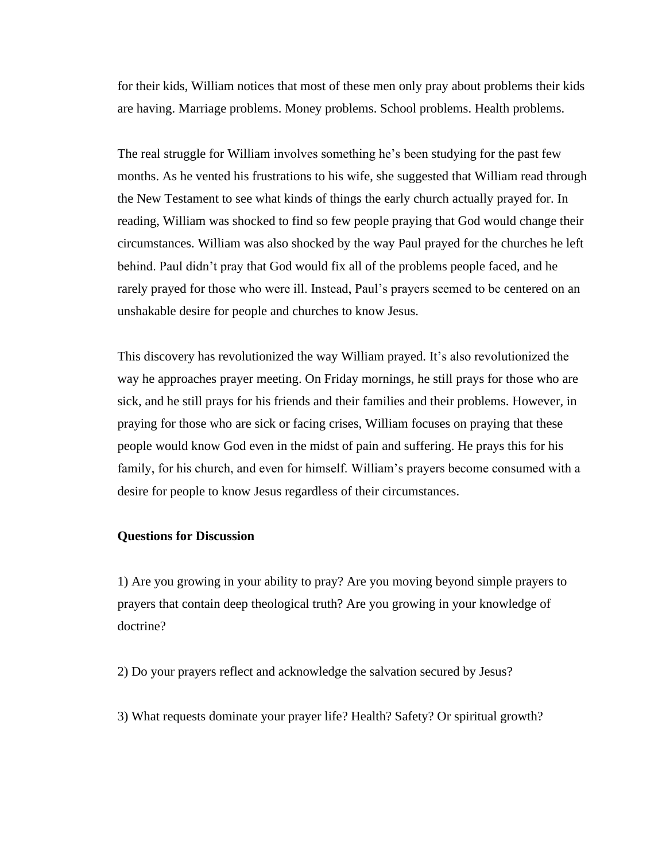for their kids, William notices that most of these men only pray about problems their kids are having. Marriage problems. Money problems. School problems. Health problems.

The real struggle for William involves something he's been studying for the past few months. As he vented his frustrations to his wife, she suggested that William read through the New Testament to see what kinds of things the early church actually prayed for. In reading, William was shocked to find so few people praying that God would change their circumstances. William was also shocked by the way Paul prayed for the churches he left behind. Paul didn't pray that God would fix all of the problems people faced, and he rarely prayed for those who were ill. Instead, Paul's prayers seemed to be centered on an unshakable desire for people and churches to know Jesus.

This discovery has revolutionized the way William prayed. It's also revolutionized the way he approaches prayer meeting. On Friday mornings, he still prays for those who are sick, and he still prays for his friends and their families and their problems. However, in praying for those who are sick or facing crises, William focuses on praying that these people would know God even in the midst of pain and suffering. He prays this for his family, for his church, and even for himself. William's prayers become consumed with a desire for people to know Jesus regardless of their circumstances.

#### **Questions for Discussion**

1) Are you growing in your ability to pray? Are you moving beyond simple prayers to prayers that contain deep theological truth? Are you growing in your knowledge of doctrine?

2) Do your prayers reflect and acknowledge the salvation secured by Jesus?

3) What requests dominate your prayer life? Health? Safety? Or spiritual growth?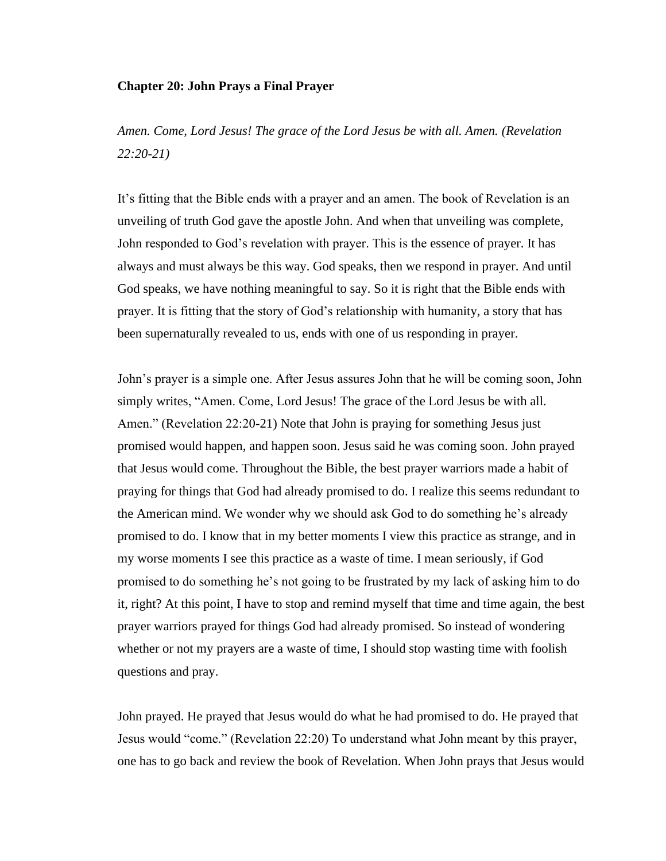## **Chapter 20: John Prays a Final Prayer**

*Amen. Come, Lord Jesus! The grace of the Lord Jesus be with all. Amen. (Revelation 22:20-21)*

It's fitting that the Bible ends with a prayer and an amen. The book of Revelation is an unveiling of truth God gave the apostle John. And when that unveiling was complete, John responded to God's revelation with prayer. This is the essence of prayer. It has always and must always be this way. God speaks, then we respond in prayer. And until God speaks, we have nothing meaningful to say. So it is right that the Bible ends with prayer. It is fitting that the story of God's relationship with humanity, a story that has been supernaturally revealed to us, ends with one of us responding in prayer.

John's prayer is a simple one. After Jesus assures John that he will be coming soon, John simply writes, "Amen. Come, Lord Jesus! The grace of the Lord Jesus be with all. Amen." (Revelation 22:20-21) Note that John is praying for something Jesus just promised would happen, and happen soon. Jesus said he was coming soon. John prayed that Jesus would come. Throughout the Bible, the best prayer warriors made a habit of praying for things that God had already promised to do. I realize this seems redundant to the American mind. We wonder why we should ask God to do something he's already promised to do. I know that in my better moments I view this practice as strange, and in my worse moments I see this practice as a waste of time. I mean seriously, if God promised to do something he's not going to be frustrated by my lack of asking him to do it, right? At this point, I have to stop and remind myself that time and time again, the best prayer warriors prayed for things God had already promised. So instead of wondering whether or not my prayers are a waste of time, I should stop wasting time with foolish questions and pray.

John prayed. He prayed that Jesus would do what he had promised to do. He prayed that Jesus would "come." (Revelation 22:20) To understand what John meant by this prayer, one has to go back and review the book of Revelation. When John prays that Jesus would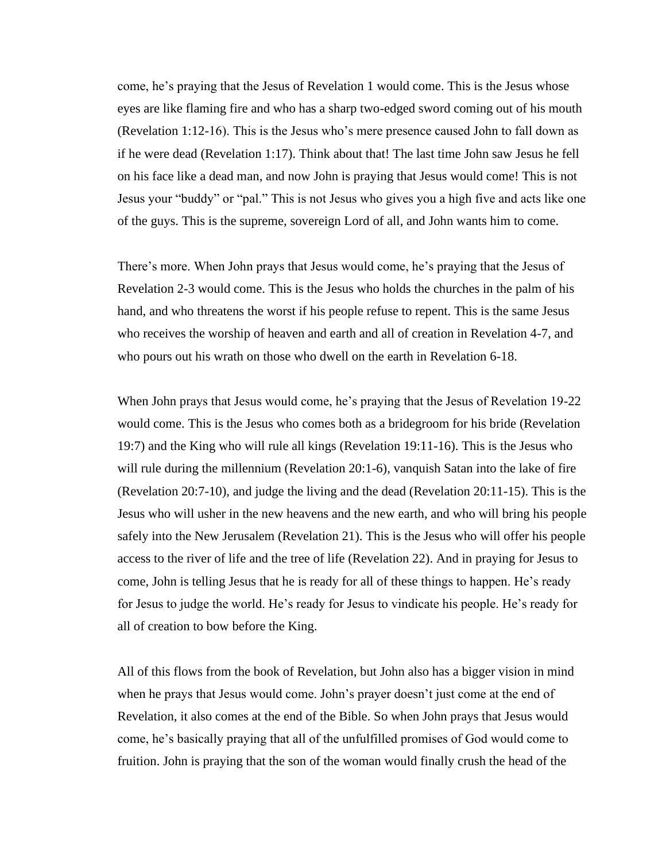come, he's praying that the Jesus of Revelation 1 would come. This is the Jesus whose eyes are like flaming fire and who has a sharp two-edged sword coming out of his mouth (Revelation 1:12-16). This is the Jesus who's mere presence caused John to fall down as if he were dead (Revelation 1:17). Think about that! The last time John saw Jesus he fell on his face like a dead man, and now John is praying that Jesus would come! This is not Jesus your "buddy" or "pal." This is not Jesus who gives you a high five and acts like one of the guys. This is the supreme, sovereign Lord of all, and John wants him to come.

There's more. When John prays that Jesus would come, he's praying that the Jesus of Revelation 2-3 would come. This is the Jesus who holds the churches in the palm of his hand, and who threatens the worst if his people refuse to repent. This is the same Jesus who receives the worship of heaven and earth and all of creation in Revelation 4-7, and who pours out his wrath on those who dwell on the earth in Revelation 6-18.

When John prays that Jesus would come, he's praying that the Jesus of Revelation 19-22 would come. This is the Jesus who comes both as a bridegroom for his bride (Revelation 19:7) and the King who will rule all kings (Revelation 19:11-16). This is the Jesus who will rule during the millennium (Revelation 20:1-6), vanquish Satan into the lake of fire (Revelation 20:7-10), and judge the living and the dead (Revelation 20:11-15). This is the Jesus who will usher in the new heavens and the new earth, and who will bring his people safely into the New Jerusalem (Revelation 21). This is the Jesus who will offer his people access to the river of life and the tree of life (Revelation 22). And in praying for Jesus to come, John is telling Jesus that he is ready for all of these things to happen. He's ready for Jesus to judge the world. He's ready for Jesus to vindicate his people. He's ready for all of creation to bow before the King.

All of this flows from the book of Revelation, but John also has a bigger vision in mind when he prays that Jesus would come. John's prayer doesn't just come at the end of Revelation, it also comes at the end of the Bible. So when John prays that Jesus would come, he's basically praying that all of the unfulfilled promises of God would come to fruition. John is praying that the son of the woman would finally crush the head of the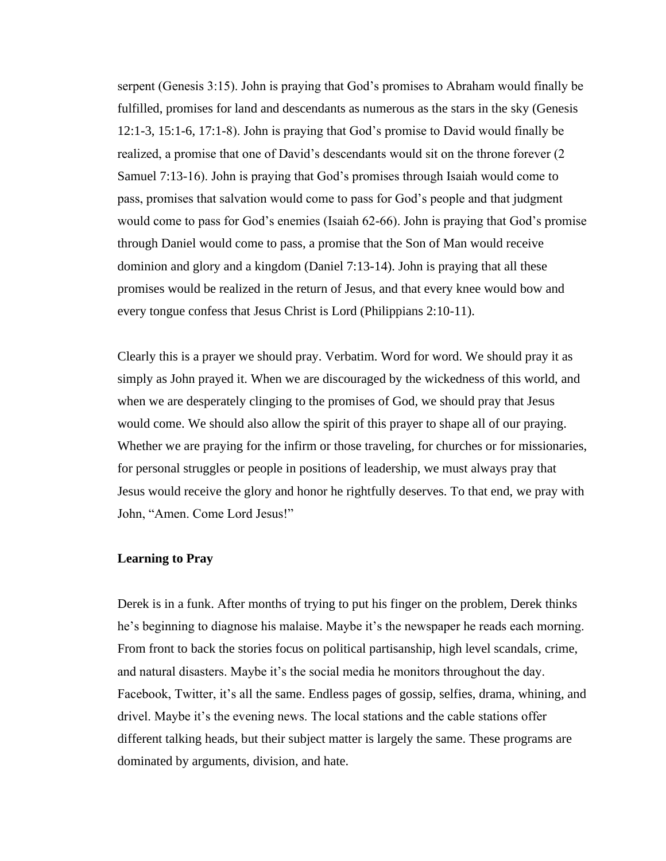serpent (Genesis 3:15). John is praying that God's promises to Abraham would finally be fulfilled, promises for land and descendants as numerous as the stars in the sky (Genesis 12:1-3, 15:1-6, 17:1-8). John is praying that God's promise to David would finally be realized, a promise that one of David's descendants would sit on the throne forever (2 Samuel 7:13-16). John is praying that God's promises through Isaiah would come to pass, promises that salvation would come to pass for God's people and that judgment would come to pass for God's enemies (Isaiah 62-66). John is praying that God's promise through Daniel would come to pass, a promise that the Son of Man would receive dominion and glory and a kingdom (Daniel 7:13-14). John is praying that all these promises would be realized in the return of Jesus, and that every knee would bow and every tongue confess that Jesus Christ is Lord (Philippians 2:10-11).

Clearly this is a prayer we should pray. Verbatim. Word for word. We should pray it as simply as John prayed it. When we are discouraged by the wickedness of this world, and when we are desperately clinging to the promises of God, we should pray that Jesus would come. We should also allow the spirit of this prayer to shape all of our praying. Whether we are praying for the infirm or those traveling, for churches or for missionaries, for personal struggles or people in positions of leadership, we must always pray that Jesus would receive the glory and honor he rightfully deserves. To that end, we pray with John, "Amen. Come Lord Jesus!"

# **Learning to Pray**

Derek is in a funk. After months of trying to put his finger on the problem, Derek thinks he's beginning to diagnose his malaise. Maybe it's the newspaper he reads each morning. From front to back the stories focus on political partisanship, high level scandals, crime, and natural disasters. Maybe it's the social media he monitors throughout the day. Facebook, Twitter, it's all the same. Endless pages of gossip, selfies, drama, whining, and drivel. Maybe it's the evening news. The local stations and the cable stations offer different talking heads, but their subject matter is largely the same. These programs are dominated by arguments, division, and hate.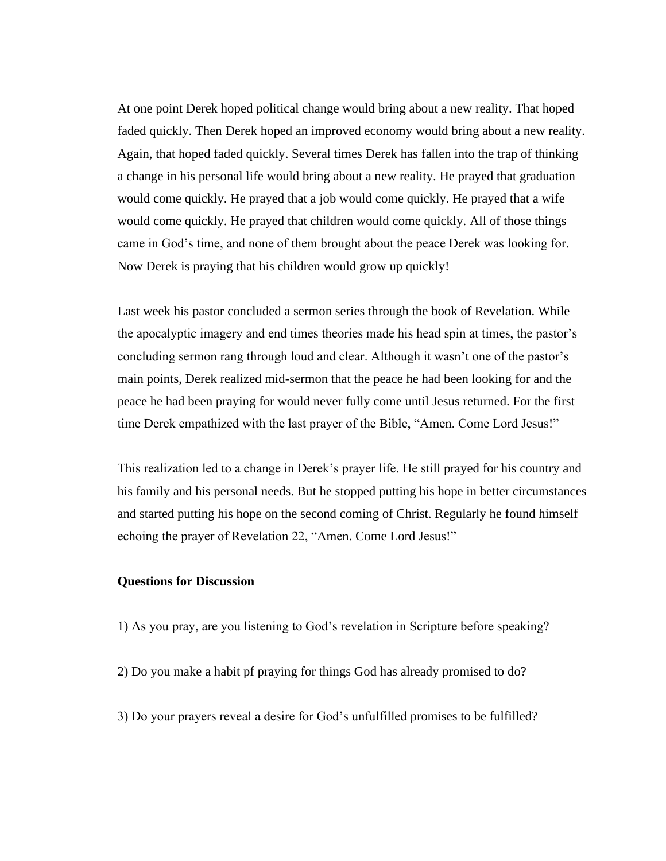At one point Derek hoped political change would bring about a new reality. That hoped faded quickly. Then Derek hoped an improved economy would bring about a new reality. Again, that hoped faded quickly. Several times Derek has fallen into the trap of thinking a change in his personal life would bring about a new reality. He prayed that graduation would come quickly. He prayed that a job would come quickly. He prayed that a wife would come quickly. He prayed that children would come quickly. All of those things came in God's time, and none of them brought about the peace Derek was looking for. Now Derek is praying that his children would grow up quickly!

Last week his pastor concluded a sermon series through the book of Revelation. While the apocalyptic imagery and end times theories made his head spin at times, the pastor's concluding sermon rang through loud and clear. Although it wasn't one of the pastor's main points, Derek realized mid-sermon that the peace he had been looking for and the peace he had been praying for would never fully come until Jesus returned. For the first time Derek empathized with the last prayer of the Bible, "Amen. Come Lord Jesus!"

This realization led to a change in Derek's prayer life. He still prayed for his country and his family and his personal needs. But he stopped putting his hope in better circumstances and started putting his hope on the second coming of Christ. Regularly he found himself echoing the prayer of Revelation 22, "Amen. Come Lord Jesus!"

# **Questions for Discussion**

- 1) As you pray, are you listening to God's revelation in Scripture before speaking?
- 2) Do you make a habit pf praying for things God has already promised to do?
- 3) Do your prayers reveal a desire for God's unfulfilled promises to be fulfilled?